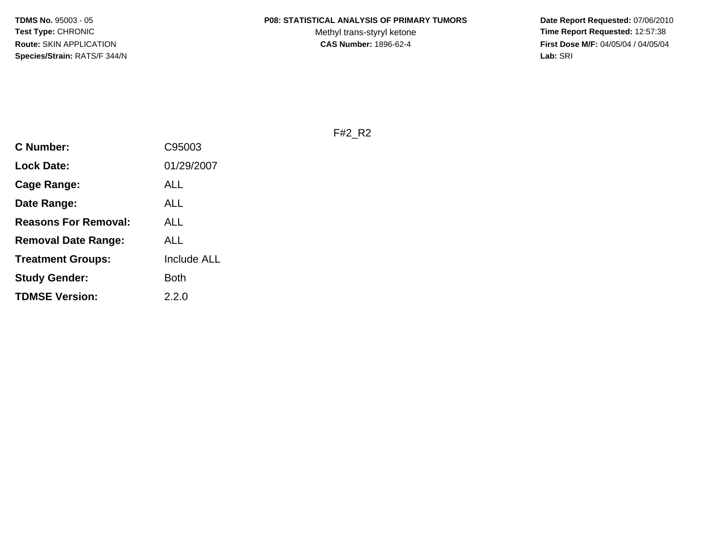#### **P08: STATISTICAL ANALYSIS OF PRIMARY TUMORS**

Methyl trans-styryl ketone<br>CAS Number: 1896-62-4

 **Date Report Requested:** 07/06/2010 **Time Report Requested:** 12:57:38 **First Dose M/F:** 04/05/04 / 04/05/04<br>Lab: SRI **Lab:** SRI

F#2\_R2

| <b>C Number:</b>            | C95003             |
|-----------------------------|--------------------|
| <b>Lock Date:</b>           | 01/29/2007         |
| <b>Cage Range:</b>          | ALL                |
| Date Range:                 | ALL                |
| <b>Reasons For Removal:</b> | ALL                |
| <b>Removal Date Range:</b>  | ALL                |
| <b>Treatment Groups:</b>    | <b>Include ALL</b> |
| <b>Study Gender:</b>        | <b>Both</b>        |
| <b>TDMSE Version:</b>       | 2.2.0              |
|                             |                    |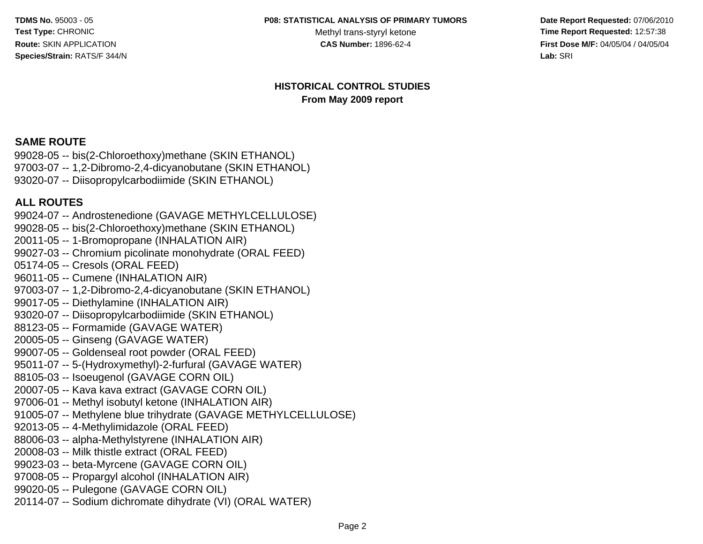#### **P08: STATISTICAL ANALYSIS OF PRIMARY TUMORS**

Methyl trans-styryl ketone<br>CAS Number: 1896-62-4

 **Date Report Requested:** 07/06/2010 **Time Report Requested:** 12:57:38 **First Dose M/F:** 04/05/04 / 04/05/04 **Lab:** SRI **Lab:** SRI

#### **HISTORICAL CONTROL STUDIESFrom May 2009 report**

#### **SAME ROUTE**

 99028-05 -- bis(2-Chloroethoxy)methane (SKIN ETHANOL) 97003-07 -- 1,2-Dibromo-2,4-dicyanobutane (SKIN ETHANOL)93020-07 -- Diisopropylcarbodiimide (SKIN ETHANOL)

#### **ALL ROUTES**

 99024-07 -- Androstenedione (GAVAGE METHYLCELLULOSE)99028-05 -- bis(2-Chloroethoxy)methane (SKIN ETHANOL)20011-05 -- 1-Bromopropane (INHALATION AIR) 99027-03 -- Chromium picolinate monohydrate (ORAL FEED)05174-05 -- Cresols (ORAL FEED) 96011-05 -- Cumene (INHALATION AIR) 97003-07 -- 1,2-Dibromo-2,4-dicyanobutane (SKIN ETHANOL)99017-05 -- Diethylamine (INHALATION AIR) 93020-07 -- Diisopropylcarbodiimide (SKIN ETHANOL)88123-05 -- Formamide (GAVAGE WATER)20005-05 -- Ginseng (GAVAGE WATER) 99007-05 -- Goldenseal root powder (ORAL FEED) 95011-07 -- 5-(Hydroxymethyl)-2-furfural (GAVAGE WATER)88105-03 -- Isoeugenol (GAVAGE CORN OIL) 20007-05 -- Kava kava extract (GAVAGE CORN OIL) 97006-01 -- Methyl isobutyl ketone (INHALATION AIR) 91005-07 -- Methylene blue trihydrate (GAVAGE METHYLCELLULOSE)92013-05 -- 4-Methylimidazole (ORAL FEED) 88006-03 -- alpha-Methylstyrene (INHALATION AIR)20008-03 -- Milk thistle extract (ORAL FEED) 99023-03 -- beta-Myrcene (GAVAGE CORN OIL) 97008-05 -- Propargyl alcohol (INHALATION AIR)99020-05 -- Pulegone (GAVAGE CORN OIL)20114-07 -- Sodium dichromate dihydrate (VI) (ORAL WATER)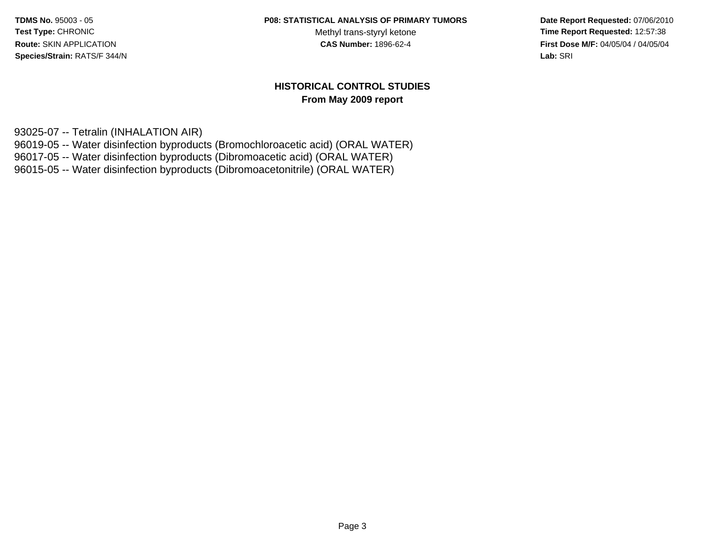#### **P08: STATISTICAL ANALYSIS OF PRIMARY TUMORS**

Methyl trans-styryl ketone<br>CAS Number: 1896-62-4

 **Date Report Requested:** 07/06/2010 **Time Report Requested:** 12:57:38 **First Dose M/F:** 04/05/04 / 04/05/04<br>**Lab:** SRI **Lab:** SRI

#### **HISTORICAL CONTROL STUDIESFrom May 2009 report**

93025-07 -- Tetralin (INHALATION AIR)

96019-05 -- Water disinfection byproducts (Bromochloroacetic acid) (ORAL WATER)

96017-05 -- Water disinfection byproducts (Dibromoacetic acid) (ORAL WATER)

96015-05 -- Water disinfection byproducts (Dibromoacetonitrile) (ORAL WATER)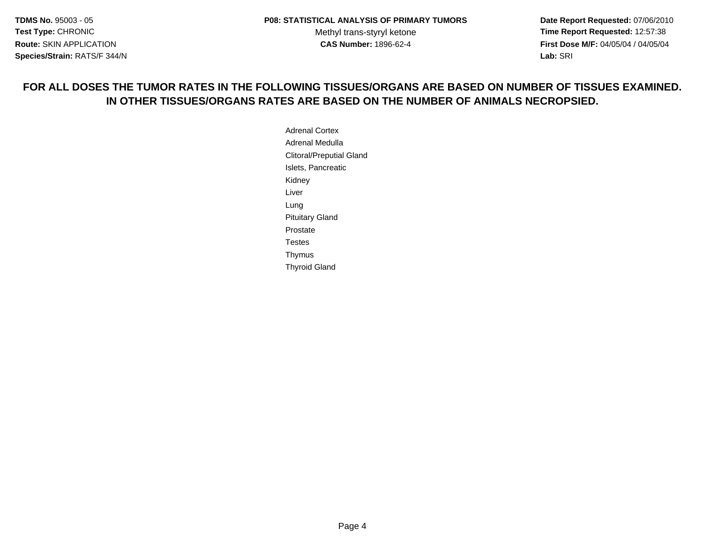**Date Report Requested:** 07/06/2010 **Time Report Requested:** 12:57:38 **First Dose M/F:** 04/05/04 / 04/05/04 **Lab:** SRI **Lab:** SRI

#### **FOR ALL DOSES THE TUMOR RATES IN THE FOLLOWING TISSUES/ORGANS ARE BASED ON NUMBER OF TISSUES EXAMINED.IN OTHER TISSUES/ORGANS RATES ARE BASED ON THE NUMBER OF ANIMALS NECROPSIED.**

Adrenal Cortex Adrenal Medulla Clitoral/Preputial GlandIslets, PancreaticKidneyLiverLung Pituitary GlandProstate Testes ThymusThyroid Gland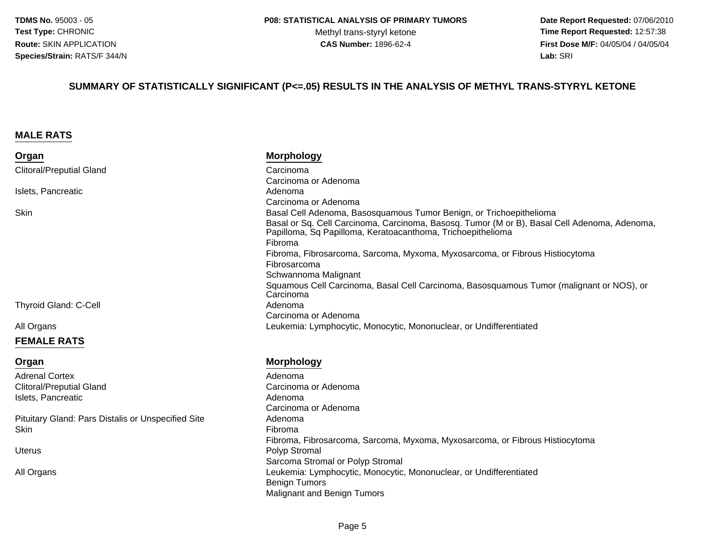**Date Report Requested:** 07/06/2010 **Time Report Requested:** 12:57:38 **First Dose M/F:** 04/05/04 / 04/05/04<br>**Lab:** SRI **Lab:** SRI

#### **SUMMARY OF STATISTICALLY SIGNIFICANT (P<=.05) RESULTS IN THE ANALYSIS OF METHYL TRANS-STYRYL KETONE**

#### **MALE RATS**

| Organ                                              | <b>Morphology</b>                                                                                                                                           |
|----------------------------------------------------|-------------------------------------------------------------------------------------------------------------------------------------------------------------|
| <b>Clitoral/Preputial Gland</b>                    | Carcinoma                                                                                                                                                   |
|                                                    | Carcinoma or Adenoma                                                                                                                                        |
| Islets, Pancreatic                                 | Adenoma                                                                                                                                                     |
|                                                    | Carcinoma or Adenoma                                                                                                                                        |
| Skin                                               | Basal Cell Adenoma, Basosquamous Tumor Benign, or Trichoepithelioma                                                                                         |
|                                                    | Basal or Sq. Cell Carcinoma, Carcinoma, Basosq. Tumor (M or B), Basal Cell Adenoma, Adenoma,<br>Papilloma, Sq Papilloma, Keratoacanthoma, Trichoepithelioma |
|                                                    | Fibroma                                                                                                                                                     |
|                                                    | Fibroma, Fibrosarcoma, Sarcoma, Myxoma, Myxosarcoma, or Fibrous Histiocytoma                                                                                |
|                                                    | Fibrosarcoma                                                                                                                                                |
|                                                    | Schwannoma Malignant                                                                                                                                        |
|                                                    | Squamous Cell Carcinoma, Basal Cell Carcinoma, Basosquamous Tumor (malignant or NOS), or<br>Carcinoma                                                       |
| <b>Thyroid Gland: C-Cell</b>                       | Adenoma                                                                                                                                                     |
|                                                    | Carcinoma or Adenoma                                                                                                                                        |
| All Organs                                         | Leukemia: Lymphocytic, Monocytic, Mononuclear, or Undifferentiated                                                                                          |
| <b>FEMALE RATS</b>                                 |                                                                                                                                                             |
| Organ                                              | <b>Morphology</b>                                                                                                                                           |
| <b>Adrenal Cortex</b>                              | Adenoma                                                                                                                                                     |
| <b>Clitoral/Preputial Gland</b>                    | Carcinoma or Adenoma                                                                                                                                        |
| Islets, Pancreatic                                 | Adenoma                                                                                                                                                     |
|                                                    | Carcinoma or Adenoma                                                                                                                                        |
| Pituitary Gland: Pars Distalis or Unspecified Site | Adenoma                                                                                                                                                     |
| Skin                                               | Fibroma                                                                                                                                                     |
|                                                    |                                                                                                                                                             |

Uterus

 Leukemia: Lymphocytic, Monocytic, Mononuclear, or UndifferentiatedAll Organs

Sarcoma Stromal or Polyp Stromal

Malignant and Benign Tumors

Polyp Stromal

Benign Tumors

Fibroma, Fibrosarcoma, Sarcoma, Myxoma, Myxosarcoma, or Fibrous Histiocytoma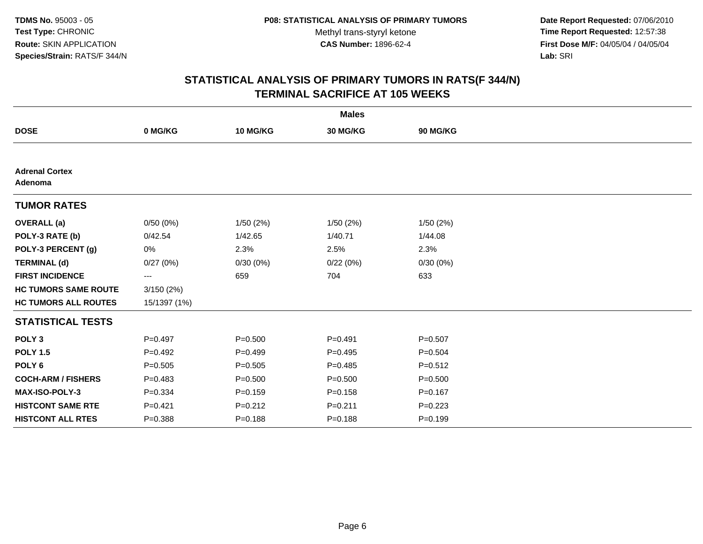**Date Report Requested:** 07/06/2010 **Time Report Requested:** 12:57:38 **First Dose M/F:** 04/05/04 / 04/05/04<br>Lab: SRI **Lab:** SRI

| <b>Males</b>                     |              |             |             |             |  |
|----------------------------------|--------------|-------------|-------------|-------------|--|
| <b>DOSE</b>                      | 0 MG/KG      | 10 MG/KG    | 30 MG/KG    | 90 MG/KG    |  |
|                                  |              |             |             |             |  |
| <b>Adrenal Cortex</b><br>Adenoma |              |             |             |             |  |
| <b>TUMOR RATES</b>               |              |             |             |             |  |
| <b>OVERALL</b> (a)               | 0/50(0%)     | 1/50(2%)    | 1/50(2%)    | 1/50(2%)    |  |
| POLY-3 RATE (b)                  | 0/42.54      | 1/42.65     | 1/40.71     | 1/44.08     |  |
| POLY-3 PERCENT (g)               | 0%           | 2.3%        | 2.5%        | 2.3%        |  |
| <b>TERMINAL (d)</b>              | 0/27(0%)     | 0/30(0%)    | 0/22(0%)    | 0/30(0%)    |  |
| <b>FIRST INCIDENCE</b>           | ---          | 659         | 704         | 633         |  |
| <b>HC TUMORS SAME ROUTE</b>      | 3/150(2%)    |             |             |             |  |
| <b>HC TUMORS ALL ROUTES</b>      | 15/1397 (1%) |             |             |             |  |
| <b>STATISTICAL TESTS</b>         |              |             |             |             |  |
| POLY <sub>3</sub>                | $P=0.497$    | $P = 0.500$ | $P = 0.491$ | $P = 0.507$ |  |
| <b>POLY 1.5</b>                  | $P=0.492$    | $P=0.499$   | $P=0.495$   | $P = 0.504$ |  |
| POLY <sub>6</sub>                | $P = 0.505$  | $P = 0.505$ | $P=0.485$   | $P = 0.512$ |  |
| <b>COCH-ARM / FISHERS</b>        | $P=0.483$    | $P = 0.500$ | $P = 0.500$ | $P = 0.500$ |  |
| MAX-ISO-POLY-3                   | $P = 0.334$  | $P=0.159$   | $P = 0.158$ | $P = 0.167$ |  |
| <b>HISTCONT SAME RTE</b>         | $P=0.421$    | $P = 0.212$ | $P = 0.211$ | $P = 0.223$ |  |
| <b>HISTCONT ALL RTES</b>         | $P = 0.388$  | $P = 0.188$ | $P = 0.188$ | $P = 0.199$ |  |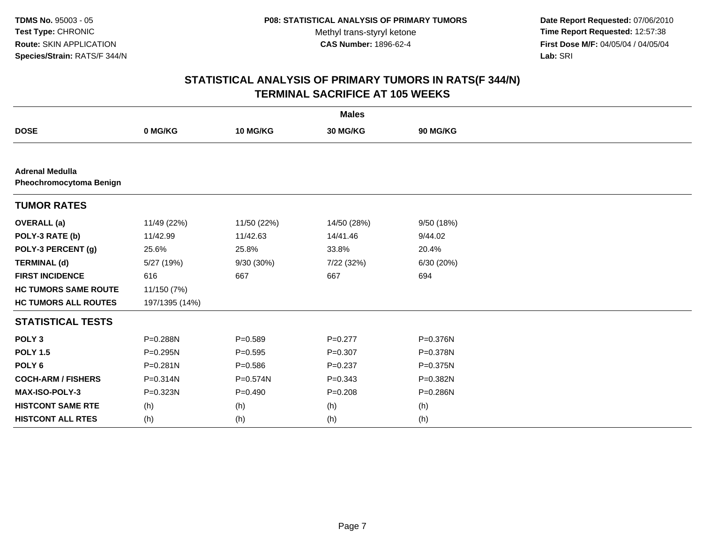**Date Report Requested:** 07/06/2010 **Time Report Requested:** 12:57:38 **First Dose M/F:** 04/05/04 / 04/05/04<br>Lab: SRI **Lab:** SRI

| <b>Males</b>                                      |                |             |             |              |  |
|---------------------------------------------------|----------------|-------------|-------------|--------------|--|
| <b>DOSE</b>                                       | 0 MG/KG        | 10 MG/KG    | 30 MG/KG    | 90 MG/KG     |  |
|                                                   |                |             |             |              |  |
| <b>Adrenal Medulla</b><br>Pheochromocytoma Benign |                |             |             |              |  |
| <b>TUMOR RATES</b>                                |                |             |             |              |  |
| <b>OVERALL (a)</b>                                | 11/49 (22%)    | 11/50 (22%) | 14/50 (28%) | 9/50 (18%)   |  |
| POLY-3 RATE (b)                                   | 11/42.99       | 11/42.63    | 14/41.46    | 9/44.02      |  |
| POLY-3 PERCENT (g)                                | 25.6%          | 25.8%       | 33.8%       | 20.4%        |  |
| <b>TERMINAL (d)</b>                               | 5/27 (19%)     | 9/30 (30%)  | 7/22 (32%)  | 6/30 (20%)   |  |
| <b>FIRST INCIDENCE</b>                            | 616            | 667         | 667         | 694          |  |
| <b>HC TUMORS SAME ROUTE</b>                       | 11/150 (7%)    |             |             |              |  |
| <b>HC TUMORS ALL ROUTES</b>                       | 197/1395 (14%) |             |             |              |  |
| <b>STATISTICAL TESTS</b>                          |                |             |             |              |  |
| POLY <sub>3</sub>                                 | P=0.288N       | $P = 0.589$ | $P=0.277$   | P=0.376N     |  |
| <b>POLY 1.5</b>                                   | P=0.295N       | $P=0.595$   | $P = 0.307$ | P=0.378N     |  |
| POLY <sub>6</sub>                                 | $P = 0.281N$   | $P = 0.586$ | $P = 0.237$ | $P = 0.375N$ |  |
| <b>COCH-ARM / FISHERS</b>                         | P=0.314N       | P=0.574N    | $P = 0.343$ | P=0.382N     |  |
| MAX-ISO-POLY-3                                    | P=0.323N       | $P=0.490$   | $P = 0.208$ | P=0.286N     |  |
| <b>HISTCONT SAME RTE</b>                          | (h)            | (h)         | (h)         | (h)          |  |
| <b>HISTCONT ALL RTES</b>                          | (h)            | (h)         | (h)         | (h)          |  |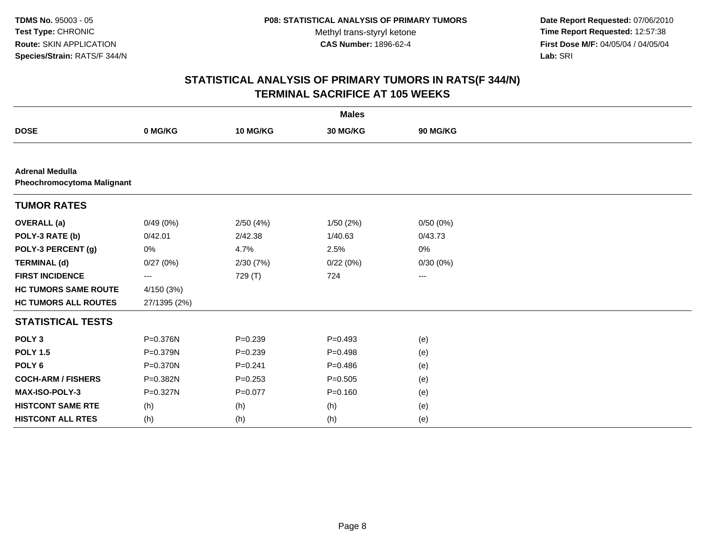**Date Report Requested:** 07/06/2010 **Time Report Requested:** 12:57:38 **First Dose M/F:** 04/05/04 / 04/05/04<br>Lab: SRI **Lab:** SRI

| <b>Males</b>                                         |              |             |             |          |  |  |
|------------------------------------------------------|--------------|-------------|-------------|----------|--|--|
| <b>DOSE</b>                                          | 0 MG/KG      | 10 MG/KG    | 30 MG/KG    | 90 MG/KG |  |  |
|                                                      |              |             |             |          |  |  |
| <b>Adrenal Medulla</b><br>Pheochromocytoma Malignant |              |             |             |          |  |  |
| <b>TUMOR RATES</b>                                   |              |             |             |          |  |  |
| <b>OVERALL</b> (a)                                   | 0/49(0%)     | 2/50(4%)    | 1/50(2%)    | 0/50(0%) |  |  |
| POLY-3 RATE (b)                                      | 0/42.01      | 2/42.38     | 1/40.63     | 0/43.73  |  |  |
| POLY-3 PERCENT (g)                                   | 0%           | 4.7%        | 2.5%        | 0%       |  |  |
| <b>TERMINAL (d)</b>                                  | 0/27(0%)     | 2/30(7%)    | 0/22(0%)    | 0/30(0%) |  |  |
| <b>FIRST INCIDENCE</b>                               | ---          | 729 (T)     | 724         | $\cdots$ |  |  |
| <b>HC TUMORS SAME ROUTE</b>                          | 4/150 (3%)   |             |             |          |  |  |
| <b>HC TUMORS ALL ROUTES</b>                          | 27/1395 (2%) |             |             |          |  |  |
| <b>STATISTICAL TESTS</b>                             |              |             |             |          |  |  |
| POLY <sub>3</sub>                                    | P=0.376N     | $P = 0.239$ | $P=0.493$   | (e)      |  |  |
| <b>POLY 1.5</b>                                      | P=0.379N     | $P = 0.239$ | $P=0.498$   | (e)      |  |  |
| POLY <sub>6</sub>                                    | $P = 0.370N$ | $P = 0.241$ | $P=0.486$   | (e)      |  |  |
| <b>COCH-ARM / FISHERS</b>                            | P=0.382N     | $P = 0.253$ | $P = 0.505$ | (e)      |  |  |
| <b>MAX-ISO-POLY-3</b>                                | P=0.327N     | $P=0.077$   | $P=0.160$   | (e)      |  |  |
| <b>HISTCONT SAME RTE</b>                             | (h)          | (h)         | (h)         | (e)      |  |  |
| <b>HISTCONT ALL RTES</b>                             | (h)          | (h)         | (h)         | (e)      |  |  |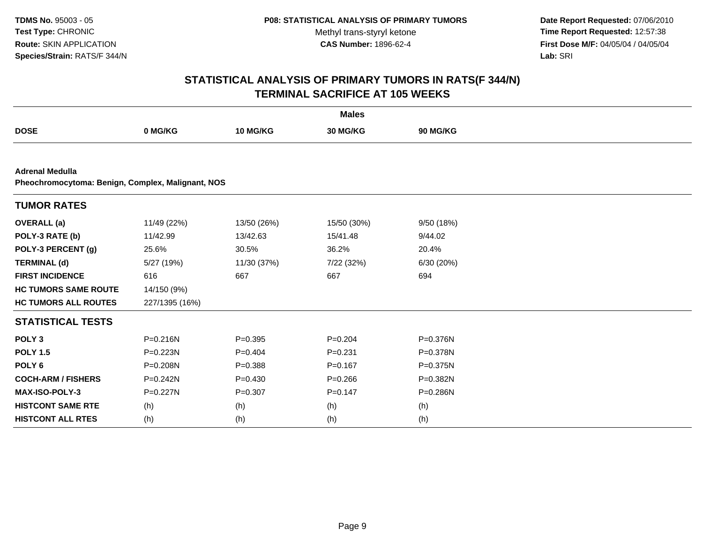**Date Report Requested:** 07/06/2010 **Time Report Requested:** 12:57:38 **First Dose M/F:** 04/05/04 / 04/05/04<br>Lab: SRI **Lab:** SRI

| <b>Males</b>                                                                |                |             |             |                 |  |
|-----------------------------------------------------------------------------|----------------|-------------|-------------|-----------------|--|
| <b>DOSE</b>                                                                 | 0 MG/KG        | 10 MG/KG    | 30 MG/KG    | <b>90 MG/KG</b> |  |
|                                                                             |                |             |             |                 |  |
| <b>Adrenal Medulla</b><br>Pheochromocytoma: Benign, Complex, Malignant, NOS |                |             |             |                 |  |
| <b>TUMOR RATES</b>                                                          |                |             |             |                 |  |
| <b>OVERALL</b> (a)                                                          | 11/49 (22%)    | 13/50 (26%) | 15/50 (30%) | 9/50 (18%)      |  |
| POLY-3 RATE (b)                                                             | 11/42.99       | 13/42.63    | 15/41.48    | 9/44.02         |  |
| POLY-3 PERCENT (g)                                                          | 25.6%          | 30.5%       | 36.2%       | 20.4%           |  |
| <b>TERMINAL (d)</b>                                                         | 5/27 (19%)     | 11/30 (37%) | 7/22 (32%)  | 6/30 (20%)      |  |
| <b>FIRST INCIDENCE</b>                                                      | 616            | 667         | 667         | 694             |  |
| <b>HC TUMORS SAME ROUTE</b>                                                 | 14/150 (9%)    |             |             |                 |  |
| <b>HC TUMORS ALL ROUTES</b>                                                 | 227/1395 (16%) |             |             |                 |  |
| <b>STATISTICAL TESTS</b>                                                    |                |             |             |                 |  |
| POLY <sub>3</sub>                                                           | $P = 0.216N$   | $P = 0.395$ | $P=0.204$   | P=0.376N        |  |
| <b>POLY 1.5</b>                                                             | $P = 0.223N$   | $P=0.404$   | $P = 0.231$ | P=0.378N        |  |
| POLY <sub>6</sub>                                                           | P=0.208N       | $P = 0.388$ | $P=0.167$   | P=0.375N        |  |
| <b>COCH-ARM / FISHERS</b>                                                   | $P = 0.242N$   | $P = 0.430$ | $P = 0.266$ | P=0.382N        |  |
| <b>MAX-ISO-POLY-3</b>                                                       | P=0.227N       | $P = 0.307$ | $P = 0.147$ | P=0.286N        |  |
| <b>HISTCONT SAME RTE</b>                                                    | (h)            | (h)         | (h)         | (h)             |  |
| <b>HISTCONT ALL RTES</b>                                                    | (h)            | (h)         | (h)         | (h)             |  |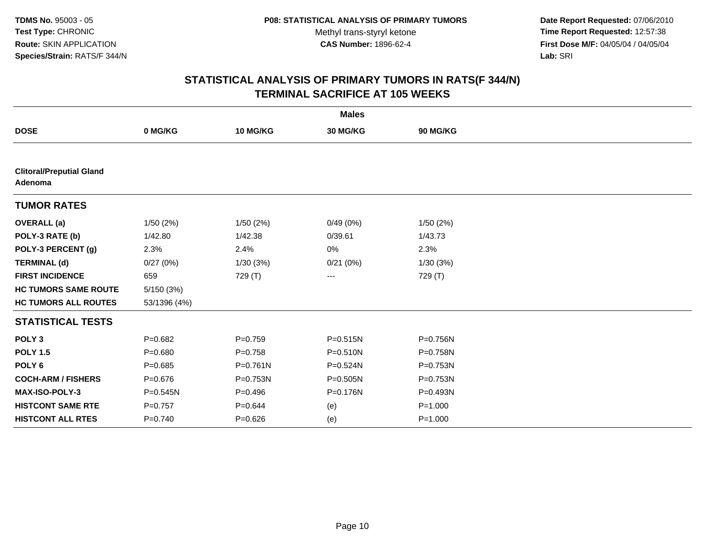**Date Report Requested:** 07/06/2010 **Time Report Requested:** 12:57:38 **First Dose M/F:** 04/05/04 / 04/05/04<br>Lab: SRI **Lab:** SRI

|                                            |              |              | <b>Males</b> |             |  |
|--------------------------------------------|--------------|--------------|--------------|-------------|--|
| <b>DOSE</b>                                | 0 MG/KG      | 10 MG/KG     | 30 MG/KG     | 90 MG/KG    |  |
|                                            |              |              |              |             |  |
| <b>Clitoral/Preputial Gland</b><br>Adenoma |              |              |              |             |  |
| <b>TUMOR RATES</b>                         |              |              |              |             |  |
| <b>OVERALL</b> (a)                         | 1/50 (2%)    | 1/50(2%)     | 0/49(0%)     | 1/50(2%)    |  |
| POLY-3 RATE (b)                            | 1/42.80      | 1/42.38      | 0/39.61      | 1/43.73     |  |
| POLY-3 PERCENT (g)                         | 2.3%         | 2.4%         | 0%           | 2.3%        |  |
| <b>TERMINAL (d)</b>                        | 0/27(0%)     | 1/30(3%)     | 0/21(0%)     | 1/30(3%)    |  |
| <b>FIRST INCIDENCE</b>                     | 659          | 729 (T)      | ---          | 729 (T)     |  |
| <b>HC TUMORS SAME ROUTE</b>                | 5/150(3%)    |              |              |             |  |
| <b>HC TUMORS ALL ROUTES</b>                | 53/1396 (4%) |              |              |             |  |
| <b>STATISTICAL TESTS</b>                   |              |              |              |             |  |
| POLY <sub>3</sub>                          | $P=0.682$    | $P = 0.759$  | $P = 0.515N$ | P=0.756N    |  |
| <b>POLY 1.5</b>                            | $P = 0.680$  | $P = 0.758$  | $P = 0.510N$ | P=0.758N    |  |
| POLY <sub>6</sub>                          | $P = 0.685$  | $P = 0.761N$ | $P = 0.524N$ | P=0.753N    |  |
| <b>COCH-ARM / FISHERS</b>                  | $P = 0.676$  | P=0.753N     | $P = 0.505N$ | P=0.753N    |  |
| MAX-ISO-POLY-3                             | $P = 0.545N$ | $P = 0.496$  | P=0.176N     | P=0.493N    |  |
| <b>HISTCONT SAME RTE</b>                   | $P=0.757$    | $P = 0.644$  | (e)          | $P = 1.000$ |  |
| <b>HISTCONT ALL RTES</b>                   | $P = 0.740$  | $P=0.626$    | (e)          | $P = 1.000$ |  |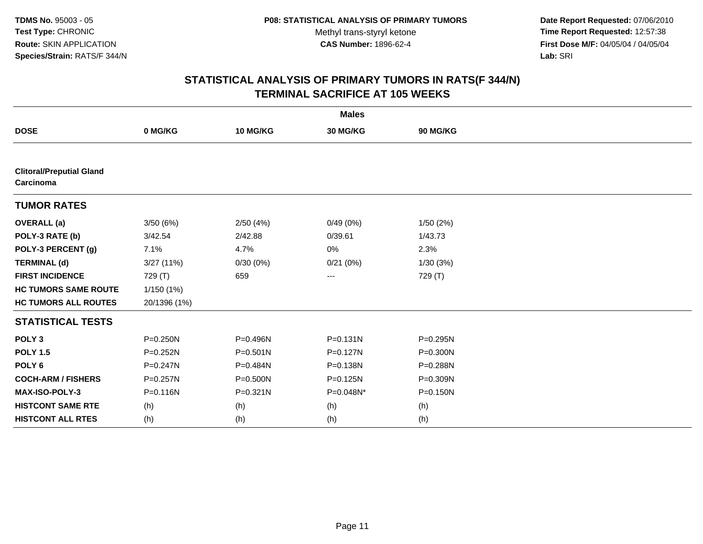**Date Report Requested:** 07/06/2010 **Time Report Requested:** 12:57:38 **First Dose M/F:** 04/05/04 / 04/05/04<br>Lab: SRI **Lab:** SRI

| <b>Males</b>                                 |              |              |              |              |  |
|----------------------------------------------|--------------|--------------|--------------|--------------|--|
| <b>DOSE</b>                                  | 0 MG/KG      | 10 MG/KG     | 30 MG/KG     | 90 MG/KG     |  |
|                                              |              |              |              |              |  |
| <b>Clitoral/Preputial Gland</b><br>Carcinoma |              |              |              |              |  |
| <b>TUMOR RATES</b>                           |              |              |              |              |  |
| <b>OVERALL</b> (a)                           | 3/50(6%)     | 2/50(4%)     | 0/49(0%)     | 1/50(2%)     |  |
| POLY-3 RATE (b)                              | 3/42.54      | 2/42.88      | 0/39.61      | 1/43.73      |  |
| POLY-3 PERCENT (g)                           | 7.1%         | 4.7%         | 0%           | 2.3%         |  |
| <b>TERMINAL (d)</b>                          | 3/27(11%)    | 0/30(0%)     | 0/21(0%)     | 1/30(3%)     |  |
| <b>FIRST INCIDENCE</b>                       | 729 (T)      | 659          | ---          | 729 (T)      |  |
| <b>HC TUMORS SAME ROUTE</b>                  | 1/150 (1%)   |              |              |              |  |
| <b>HC TUMORS ALL ROUTES</b>                  | 20/1396 (1%) |              |              |              |  |
| <b>STATISTICAL TESTS</b>                     |              |              |              |              |  |
| POLY <sub>3</sub>                            | $P = 0.250N$ | P=0.496N     | $P = 0.131N$ | $P = 0.295N$ |  |
| <b>POLY 1.5</b>                              | $P = 0.252N$ | $P = 0.501N$ | $P = 0.127N$ | $P = 0.300N$ |  |
| POLY <sub>6</sub>                            | $P = 0.247N$ | P=0.484N     | P=0.138N     | P=0.288N     |  |
| <b>COCH-ARM / FISHERS</b>                    | $P = 0.257N$ | P=0.500N     | $P = 0.125N$ | P=0.309N     |  |
| <b>MAX-ISO-POLY-3</b>                        | $P = 0.116N$ | P=0.321N     | P=0.048N*    | $P = 0.150N$ |  |
| <b>HISTCONT SAME RTE</b>                     | (h)          | (h)          | (h)          | (h)          |  |
| <b>HISTCONT ALL RTES</b>                     | (h)          | (h)          | (h)          | (h)          |  |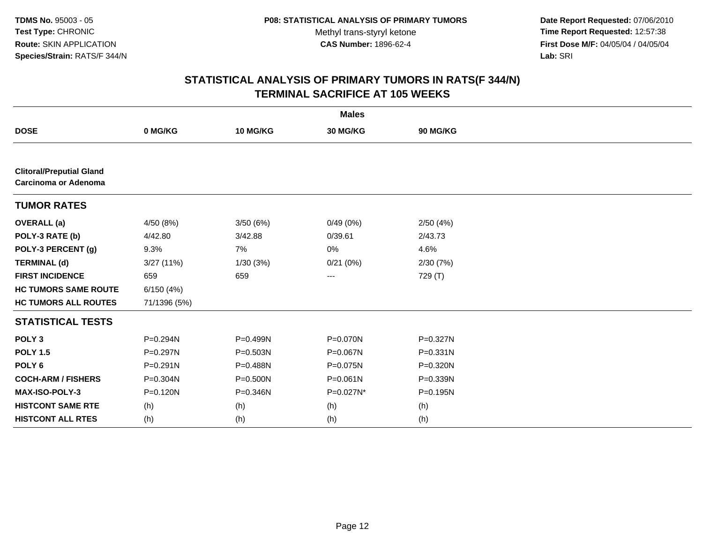**Date Report Requested:** 07/06/2010 **Time Report Requested:** 12:57:38 **First Dose M/F:** 04/05/04 / 04/05/04<br>Lab: SRI **Lab:** SRI

| <b>Males</b>                                            |              |          |           |          |  |
|---------------------------------------------------------|--------------|----------|-----------|----------|--|
| <b>DOSE</b>                                             | 0 MG/KG      | 10 MG/KG | 30 MG/KG  | 90 MG/KG |  |
|                                                         |              |          |           |          |  |
| <b>Clitoral/Preputial Gland</b><br>Carcinoma or Adenoma |              |          |           |          |  |
| <b>TUMOR RATES</b>                                      |              |          |           |          |  |
| <b>OVERALL</b> (a)                                      | 4/50 (8%)    | 3/50(6%) | 0/49(0%)  | 2/50(4%) |  |
| POLY-3 RATE (b)                                         | 4/42.80      | 3/42.88  | 0/39.61   | 2/43.73  |  |
| POLY-3 PERCENT (g)                                      | 9.3%         | 7%       | 0%        | 4.6%     |  |
| <b>TERMINAL (d)</b>                                     | 3/27(11%)    | 1/30(3%) | 0/21(0%)  | 2/30(7%) |  |
| <b>FIRST INCIDENCE</b>                                  | 659          | 659      | ---       | 729 (T)  |  |
| <b>HC TUMORS SAME ROUTE</b>                             | 6/150(4%)    |          |           |          |  |
| <b>HC TUMORS ALL ROUTES</b>                             | 71/1396 (5%) |          |           |          |  |
| <b>STATISTICAL TESTS</b>                                |              |          |           |          |  |
| POLY <sub>3</sub>                                       | P=0.294N     | P=0.499N | P=0.070N  | P=0.327N |  |
| <b>POLY 1.5</b>                                         | P=0.297N     | P=0.503N | P=0.067N  | P=0.331N |  |
| POLY <sub>6</sub>                                       | $P = 0.291N$ | P=0.488N | P=0.075N  | P=0.320N |  |
| <b>COCH-ARM / FISHERS</b>                               | P=0.304N     | P=0.500N | P=0.061N  | P=0.339N |  |
| <b>MAX-ISO-POLY-3</b>                                   | P=0.120N     | P=0.346N | P=0.027N* | P=0.195N |  |
| <b>HISTCONT SAME RTE</b>                                | (h)          | (h)      | (h)       | (h)      |  |
| <b>HISTCONT ALL RTES</b>                                | (h)          | (h)      | (h)       | (h)      |  |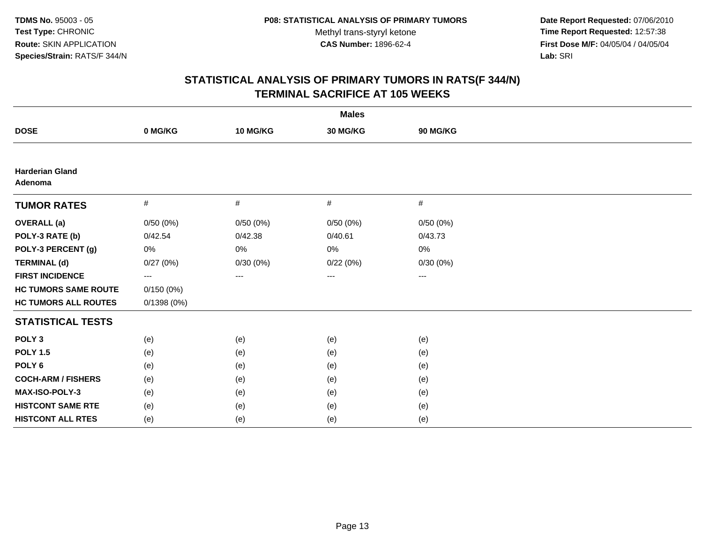**Date Report Requested:** 07/06/2010 **Time Report Requested:** 12:57:38 **First Dose M/F:** 04/05/04 / 04/05/04<br>Lab: SRI **Lab:** SRI

| <b>Males</b>                      |            |          |          |          |  |
|-----------------------------------|------------|----------|----------|----------|--|
| <b>DOSE</b>                       | 0 MG/KG    | 10 MG/KG | 30 MG/KG | 90 MG/KG |  |
|                                   |            |          |          |          |  |
| <b>Harderian Gland</b><br>Adenoma |            |          |          |          |  |
| <b>TUMOR RATES</b>                | #          | #        | #        | #        |  |
| <b>OVERALL</b> (a)                | 0/50(0%)   | 0/50(0%) | 0/50(0%) | 0/50(0%) |  |
| POLY-3 RATE (b)                   | 0/42.54    | 0/42.38  | 0/40.61  | 0/43.73  |  |
| POLY-3 PERCENT (g)                | 0%         | 0%       | 0%       | 0%       |  |
| <b>TERMINAL (d)</b>               | 0/27(0%)   | 0/30(0%) | 0/22(0%) | 0/30(0%) |  |
| <b>FIRST INCIDENCE</b>            | $---$      | ---      | ---      | ---      |  |
| <b>HC TUMORS SAME ROUTE</b>       | 0/150(0%)  |          |          |          |  |
| <b>HC TUMORS ALL ROUTES</b>       | 0/1398(0%) |          |          |          |  |
| <b>STATISTICAL TESTS</b>          |            |          |          |          |  |
| POLY <sub>3</sub>                 | (e)        | (e)      | (e)      | (e)      |  |
| <b>POLY 1.5</b>                   | (e)        | (e)      | (e)      | (e)      |  |
| POLY <sub>6</sub>                 | (e)        | (e)      | (e)      | (e)      |  |
| <b>COCH-ARM / FISHERS</b>         | (e)        | (e)      | (e)      | (e)      |  |
| MAX-ISO-POLY-3                    | (e)        | (e)      | (e)      | (e)      |  |
| <b>HISTCONT SAME RTE</b>          | (e)        | (e)      | (e)      | (e)      |  |
| <b>HISTCONT ALL RTES</b>          | (e)        | (e)      | (e)      | (e)      |  |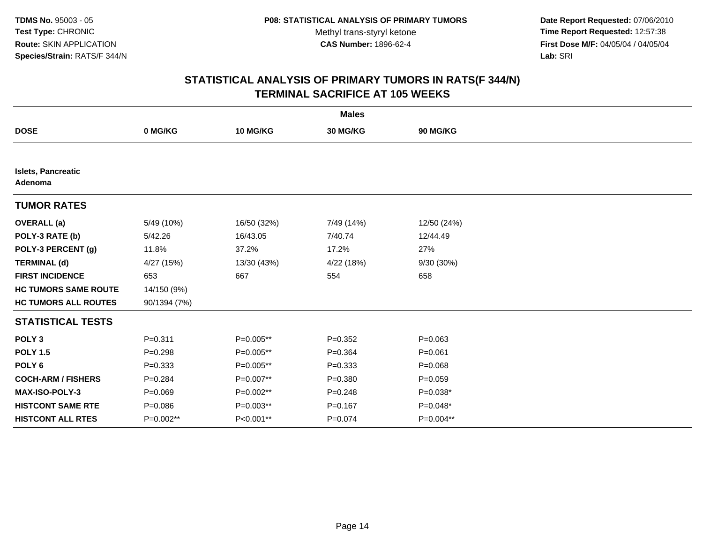**Date Report Requested:** 07/06/2010 **Time Report Requested:** 12:57:38 **First Dose M/F:** 04/05/04 / 04/05/04<br>Lab: SRI **Lab:** SRI

| <b>Males</b>                         |              |             |             |             |  |
|--------------------------------------|--------------|-------------|-------------|-------------|--|
| <b>DOSE</b>                          | 0 MG/KG      | 10 MG/KG    | 30 MG/KG    | 90 MG/KG    |  |
|                                      |              |             |             |             |  |
| <b>Islets, Pancreatic</b><br>Adenoma |              |             |             |             |  |
| <b>TUMOR RATES</b>                   |              |             |             |             |  |
| <b>OVERALL</b> (a)                   | 5/49 (10%)   | 16/50 (32%) | 7/49 (14%)  | 12/50 (24%) |  |
| POLY-3 RATE (b)                      | 5/42.26      | 16/43.05    | 7/40.74     | 12/44.49    |  |
| POLY-3 PERCENT (g)                   | 11.8%        | 37.2%       | 17.2%       | 27%         |  |
| <b>TERMINAL (d)</b>                  | 4/27 (15%)   | 13/30 (43%) | 4/22 (18%)  | 9/30 (30%)  |  |
| <b>FIRST INCIDENCE</b>               | 653          | 667         | 554         | 658         |  |
| <b>HC TUMORS SAME ROUTE</b>          | 14/150 (9%)  |             |             |             |  |
| <b>HC TUMORS ALL ROUTES</b>          | 90/1394 (7%) |             |             |             |  |
| <b>STATISTICAL TESTS</b>             |              |             |             |             |  |
| POLY <sub>3</sub>                    | $P = 0.311$  | P=0.005**   | $P = 0.352$ | $P = 0.063$ |  |
| <b>POLY 1.5</b>                      | $P = 0.298$  | P=0.005**   | $P = 0.364$ | $P = 0.061$ |  |
| POLY <sub>6</sub>                    | $P = 0.333$  | P=0.005**   | $P = 0.333$ | $P = 0.068$ |  |
| <b>COCH-ARM / FISHERS</b>            | $P = 0.284$  | P=0.007**   | $P = 0.380$ | $P = 0.059$ |  |
| <b>MAX-ISO-POLY-3</b>                | $P=0.069$    | P=0.002**   | $P = 0.248$ | $P=0.038*$  |  |
| <b>HISTCONT SAME RTE</b>             | $P = 0.086$  | P=0.003**   | $P = 0.167$ | $P=0.048*$  |  |
| <b>HISTCONT ALL RTES</b>             | P=0.002**    | P<0.001**   | $P = 0.074$ | P=0.004**   |  |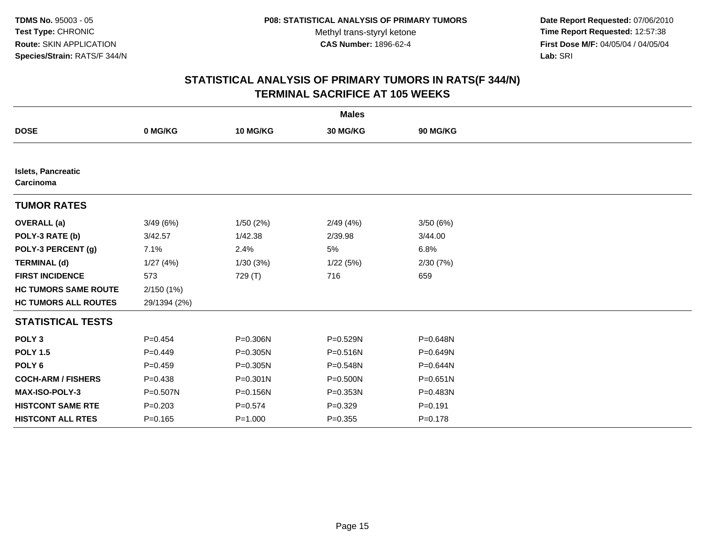**Date Report Requested:** 07/06/2010 **Time Report Requested:** 12:57:38 **First Dose M/F:** 04/05/04 / 04/05/04<br>Lab: SRI **Lab:** SRI

| <b>Males</b>                           |              |              |              |              |  |
|----------------------------------------|--------------|--------------|--------------|--------------|--|
| <b>DOSE</b>                            | 0 MG/KG      | 10 MG/KG     | 30 MG/KG     | 90 MG/KG     |  |
|                                        |              |              |              |              |  |
| <b>Islets, Pancreatic</b><br>Carcinoma |              |              |              |              |  |
| <b>TUMOR RATES</b>                     |              |              |              |              |  |
| <b>OVERALL</b> (a)                     | 3/49(6%)     | 1/50(2%)     | 2/49(4%)     | 3/50(6%)     |  |
| POLY-3 RATE (b)                        | 3/42.57      | 1/42.38      | 2/39.98      | 3/44.00      |  |
| POLY-3 PERCENT (g)                     | 7.1%         | 2.4%         | 5%           | 6.8%         |  |
| <b>TERMINAL (d)</b>                    | 1/27(4%)     | 1/30(3%)     | 1/22(5%)     | 2/30(7%)     |  |
| <b>FIRST INCIDENCE</b>                 | 573          | 729 (T)      | 716          | 659          |  |
| <b>HC TUMORS SAME ROUTE</b>            | 2/150(1%)    |              |              |              |  |
| <b>HC TUMORS ALL ROUTES</b>            | 29/1394 (2%) |              |              |              |  |
| <b>STATISTICAL TESTS</b>               |              |              |              |              |  |
| POLY <sub>3</sub>                      | $P=0.454$    | P=0.306N     | P=0.529N     | P=0.648N     |  |
| <b>POLY 1.5</b>                        | $P=0.449$    | P=0.305N     | P=0.516N     | P=0.649N     |  |
| POLY <sub>6</sub>                      | $P=0.459$    | $P = 0.305N$ | P=0.548N     | P=0.644N     |  |
| <b>COCH-ARM / FISHERS</b>              | $P = 0.438$  | $P = 0.301N$ | P=0.500N     | $P = 0.651N$ |  |
| <b>MAX-ISO-POLY-3</b>                  | $P = 0.507N$ | P=0.156N     | $P = 0.353N$ | P=0.483N     |  |
| <b>HISTCONT SAME RTE</b>               | $P = 0.203$  | $P = 0.574$  | $P=0.329$    | $P = 0.191$  |  |
| <b>HISTCONT ALL RTES</b>               | $P = 0.165$  | $P = 1.000$  | $P = 0.355$  | $P = 0.178$  |  |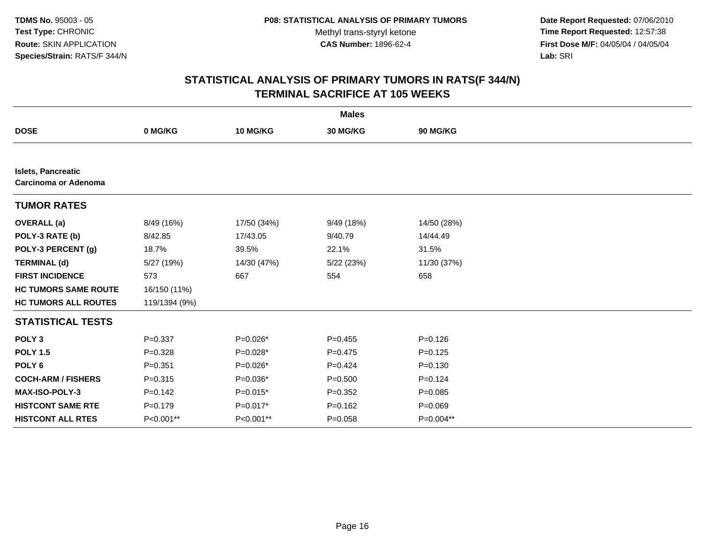**Date Report Requested:** 07/06/2010 **Time Report Requested:** 12:57:38 **First Dose M/F:** 04/05/04 / 04/05/04<br>Lab: SRI **Lab:** SRI

|                                                          |               |             | <b>Males</b> |             |  |
|----------------------------------------------------------|---------------|-------------|--------------|-------------|--|
| <b>DOSE</b>                                              | 0 MG/KG       | 10 MG/KG    | 30 MG/KG     | 90 MG/KG    |  |
|                                                          |               |             |              |             |  |
| <b>Islets, Pancreatic</b><br><b>Carcinoma or Adenoma</b> |               |             |              |             |  |
| <b>TUMOR RATES</b>                                       |               |             |              |             |  |
| <b>OVERALL</b> (a)                                       | 8/49 (16%)    | 17/50 (34%) | 9/49 (18%)   | 14/50 (28%) |  |
| POLY-3 RATE (b)                                          | 8/42.85       | 17/43.05    | 9/40.79      | 14/44.49    |  |
| POLY-3 PERCENT (g)                                       | 18.7%         | 39.5%       | 22.1%        | 31.5%       |  |
| <b>TERMINAL (d)</b>                                      | 5/27 (19%)    | 14/30 (47%) | 5/22(23%)    | 11/30 (37%) |  |
| <b>FIRST INCIDENCE</b>                                   | 573           | 667         | 554          | 658         |  |
| <b>HC TUMORS SAME ROUTE</b>                              | 16/150 (11%)  |             |              |             |  |
| <b>HC TUMORS ALL ROUTES</b>                              | 119/1394 (9%) |             |              |             |  |
| <b>STATISTICAL TESTS</b>                                 |               |             |              |             |  |
| POLY <sub>3</sub>                                        | $P = 0.337$   | $P=0.026*$  | $P=0.455$    | $P=0.126$   |  |
| <b>POLY 1.5</b>                                          | $P = 0.328$   | P=0.028*    | $P=0.475$    | $P = 0.125$ |  |
| POLY <sub>6</sub>                                        | $P = 0.351$   | $P=0.026*$  | $P=0.424$    | $P = 0.130$ |  |
| <b>COCH-ARM / FISHERS</b>                                | $P = 0.315$   | P=0.036*    | $P = 0.500$  | $P=0.124$   |  |
| MAX-ISO-POLY-3                                           | $P=0.142$     | $P=0.015*$  | $P=0.352$    | $P=0.085$   |  |
| <b>HISTCONT SAME RTE</b>                                 | $P=0.179$     | P=0.017*    | $P = 0.162$  | $P = 0.069$ |  |
| <b>HISTCONT ALL RTES</b>                                 | P<0.001**     | P<0.001**   | $P = 0.058$  | P=0.004**   |  |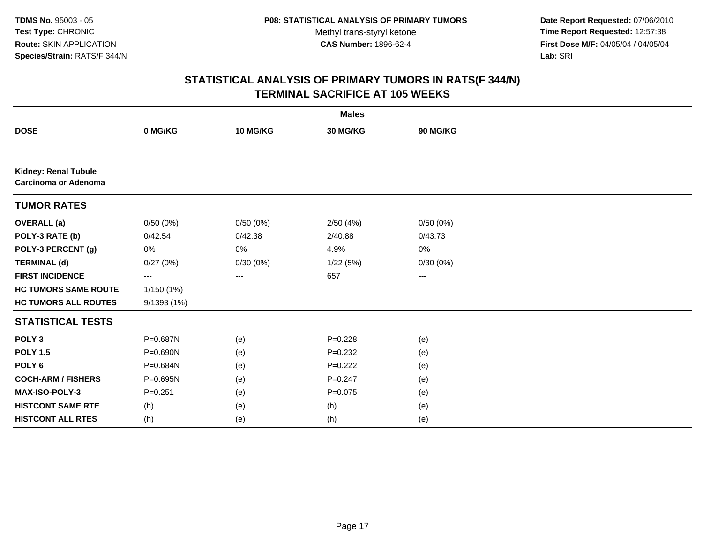**Date Report Requested:** 07/06/2010 **Time Report Requested:** 12:57:38 **First Dose M/F:** 04/05/04 / 04/05/04<br>Lab: SRI **Lab:** SRI

|                                                     |            |          | <b>Males</b> |                   |  |
|-----------------------------------------------------|------------|----------|--------------|-------------------|--|
| <b>DOSE</b>                                         | 0 MG/KG    | 10 MG/KG | 30 MG/KG     | 90 MG/KG          |  |
|                                                     |            |          |              |                   |  |
| <b>Kidney: Renal Tubule</b><br>Carcinoma or Adenoma |            |          |              |                   |  |
| <b>TUMOR RATES</b>                                  |            |          |              |                   |  |
| <b>OVERALL (a)</b>                                  | 0/50(0%)   | 0/50(0%) | 2/50(4%)     | 0/50(0%)          |  |
| POLY-3 RATE (b)                                     | 0/42.54    | 0/42.38  | 2/40.88      | 0/43.73           |  |
| POLY-3 PERCENT (g)                                  | 0%         | $0\%$    | 4.9%         | 0%                |  |
| <b>TERMINAL (d)</b>                                 | 0/27(0%)   | 0/30(0%) | 1/22(5%)     | 0/30(0%)          |  |
| <b>FIRST INCIDENCE</b>                              | ---        | $\cdots$ | 657          | $\qquad \qquad -$ |  |
| <b>HC TUMORS SAME ROUTE</b>                         | 1/150(1%)  |          |              |                   |  |
| <b>HC TUMORS ALL ROUTES</b>                         | 9/1393(1%) |          |              |                   |  |
| <b>STATISTICAL TESTS</b>                            |            |          |              |                   |  |
| POLY <sub>3</sub>                                   | P=0.687N   | (e)      | $P=0.228$    | (e)               |  |
| <b>POLY 1.5</b>                                     | P=0.690N   | (e)      | $P = 0.232$  | (e)               |  |
| POLY <sub>6</sub>                                   | P=0.684N   | (e)      | $P=0.222$    | (e)               |  |
| <b>COCH-ARM / FISHERS</b>                           | P=0.695N   | (e)      | $P = 0.247$  | (e)               |  |
| MAX-ISO-POLY-3                                      | $P=0.251$  | (e)      | $P=0.075$    | (e)               |  |
| <b>HISTCONT SAME RTE</b>                            | (h)        | (e)      | (h)          | (e)               |  |
| <b>HISTCONT ALL RTES</b>                            | (h)        | (e)      | (h)          | (e)               |  |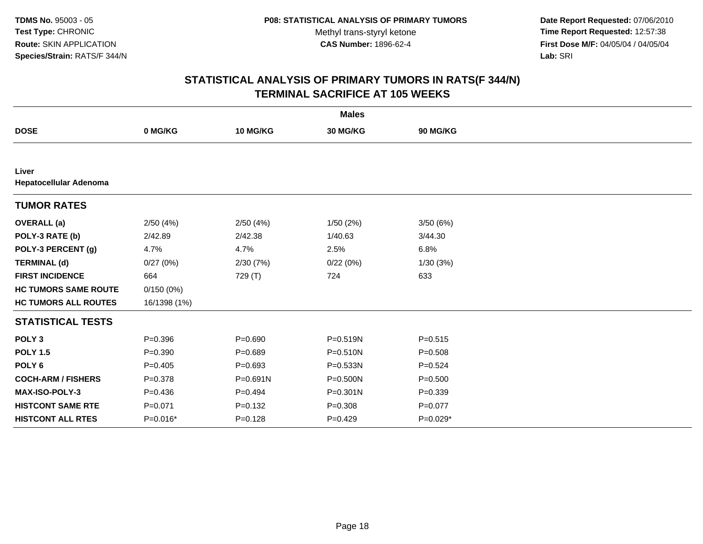**Date Report Requested:** 07/06/2010 **Time Report Requested:** 12:57:38 **First Dose M/F:** 04/05/04 / 04/05/04<br>Lab: SRI **Lab:** SRI

|                                 |              |              | <b>Males</b>    |             |  |
|---------------------------------|--------------|--------------|-----------------|-------------|--|
| <b>DOSE</b>                     | 0 MG/KG      | 10 MG/KG     | <b>30 MG/KG</b> | 90 MG/KG    |  |
|                                 |              |              |                 |             |  |
| Liver<br>Hepatocellular Adenoma |              |              |                 |             |  |
| <b>TUMOR RATES</b>              |              |              |                 |             |  |
| <b>OVERALL</b> (a)              | 2/50(4%)     | 2/50(4%)     | 1/50(2%)        | 3/50(6%)    |  |
| POLY-3 RATE (b)                 | 2/42.89      | 2/42.38      | 1/40.63         | 3/44.30     |  |
| POLY-3 PERCENT (g)              | 4.7%         | 4.7%         | 2.5%            | 6.8%        |  |
| <b>TERMINAL (d)</b>             | 0/27(0%)     | 2/30(7%)     | 0/22(0%)        | 1/30(3%)    |  |
| <b>FIRST INCIDENCE</b>          | 664          | 729 (T)      | 724             | 633         |  |
| <b>HC TUMORS SAME ROUTE</b>     | 0/150(0%)    |              |                 |             |  |
| <b>HC TUMORS ALL ROUTES</b>     | 16/1398 (1%) |              |                 |             |  |
| <b>STATISTICAL TESTS</b>        |              |              |                 |             |  |
| POLY <sub>3</sub>               | $P = 0.396$  | $P = 0.690$  | P=0.519N        | $P = 0.515$ |  |
| <b>POLY 1.5</b>                 | $P = 0.390$  | $P = 0.689$  | P=0.510N        | $P = 0.508$ |  |
| POLY <sub>6</sub>               | $P=0.405$    | $P = 0.693$  | P=0.533N        | $P=0.524$   |  |
| <b>COCH-ARM / FISHERS</b>       | $P = 0.378$  | $P = 0.691N$ | P=0.500N        | $P = 0.500$ |  |
| <b>MAX-ISO-POLY-3</b>           | $P = 0.436$  | $P=0.494$    | P=0.301N        | $P = 0.339$ |  |
| <b>HISTCONT SAME RTE</b>        | $P = 0.071$  | $P = 0.132$  | $P = 0.308$     | $P=0.077$   |  |
| <b>HISTCONT ALL RTES</b>        | $P=0.016*$   | $P = 0.128$  | $P=0.429$       | $P=0.029*$  |  |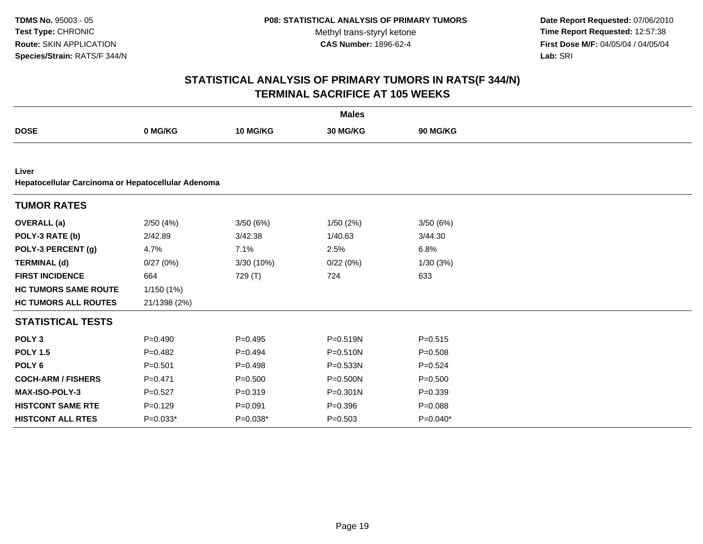**Date Report Requested:** 07/06/2010 **Time Report Requested:** 12:57:38 **First Dose M/F:** 04/05/04 / 04/05/04<br>Lab: SRI **Lab:** SRI

|                                                             |              |             | <b>Males</b> |                 |
|-------------------------------------------------------------|--------------|-------------|--------------|-----------------|
| <b>DOSE</b>                                                 | 0 MG/KG      | 10 MG/KG    | 30 MG/KG     | <b>90 MG/KG</b> |
|                                                             |              |             |              |                 |
| Liver<br>Hepatocellular Carcinoma or Hepatocellular Adenoma |              |             |              |                 |
| <b>TUMOR RATES</b>                                          |              |             |              |                 |
| <b>OVERALL</b> (a)                                          | 2/50(4%)     | 3/50(6%)    | 1/50(2%)     | 3/50(6%)        |
| POLY-3 RATE (b)                                             | 2/42.89      | 3/42.38     | 1/40.63      | 3/44.30         |
| POLY-3 PERCENT (g)                                          | 4.7%         | 7.1%        | 2.5%         | 6.8%            |
| <b>TERMINAL (d)</b>                                         | 0/27(0%)     | 3/30 (10%)  | 0/22(0%)     | 1/30(3%)        |
| <b>FIRST INCIDENCE</b>                                      | 664          | 729 (T)     | 724          | 633             |
| <b>HC TUMORS SAME ROUTE</b>                                 | 1/150 (1%)   |             |              |                 |
| <b>HC TUMORS ALL ROUTES</b>                                 | 21/1398 (2%) |             |              |                 |
| <b>STATISTICAL TESTS</b>                                    |              |             |              |                 |
| POLY <sub>3</sub>                                           | $P=0.490$    | $P=0.495$   | $P = 0.519N$ | $P = 0.515$     |
| <b>POLY 1.5</b>                                             | $P=0.482$    | $P=0.494$   | $P = 0.510N$ | $P = 0.508$     |
| POLY <sub>6</sub>                                           | $P = 0.501$  | $P=0.498$   | P=0.533N     | $P=0.524$       |
| <b>COCH-ARM / FISHERS</b>                                   | $P=0.471$    | $P = 0.500$ | P=0.500N     | $P = 0.500$     |
| MAX-ISO-POLY-3                                              | $P=0.527$    | $P = 0.319$ | $P = 0.301N$ | $P=0.339$       |
| <b>HISTCONT SAME RTE</b>                                    | $P=0.129$    | $P = 0.091$ | $P = 0.396$  | $P = 0.088$     |
| <b>HISTCONT ALL RTES</b>                                    | $P=0.033*$   | P=0.038*    | $P = 0.503$  | $P=0.040*$      |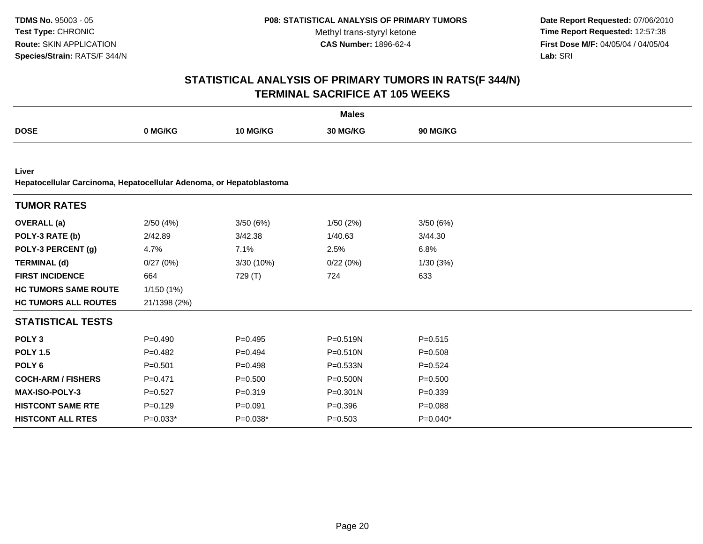**Date Report Requested:** 07/06/2010 **Time Report Requested:** 12:57:38 **First Dose M/F:** 04/05/04 / 04/05/04<br>Lab: SRI **Lab:** SRI

|                                                                              |              |                 | <b>Males</b> |                 |
|------------------------------------------------------------------------------|--------------|-----------------|--------------|-----------------|
| <b>DOSE</b>                                                                  | 0 MG/KG      | <b>10 MG/KG</b> | 30 MG/KG     | <b>90 MG/KG</b> |
|                                                                              |              |                 |              |                 |
| Liver<br>Hepatocellular Carcinoma, Hepatocellular Adenoma, or Hepatoblastoma |              |                 |              |                 |
| <b>TUMOR RATES</b>                                                           |              |                 |              |                 |
| <b>OVERALL</b> (a)                                                           | 2/50(4%)     | 3/50(6%)        | 1/50(2%)     | 3/50(6%)        |
| POLY-3 RATE (b)                                                              | 2/42.89      | 3/42.38         | 1/40.63      | 3/44.30         |
| POLY-3 PERCENT (g)                                                           | 4.7%         | 7.1%            | 2.5%         | 6.8%            |
| <b>TERMINAL (d)</b>                                                          | 0/27(0%)     | 3/30 (10%)      | 0/22(0%)     | 1/30(3%)        |
| <b>FIRST INCIDENCE</b>                                                       | 664          | 729 (T)         | 724          | 633             |
| <b>HC TUMORS SAME ROUTE</b>                                                  | 1/150(1%)    |                 |              |                 |
| <b>HC TUMORS ALL ROUTES</b>                                                  | 21/1398 (2%) |                 |              |                 |
| <b>STATISTICAL TESTS</b>                                                     |              |                 |              |                 |
| POLY <sub>3</sub>                                                            | $P=0.490$    | $P=0.495$       | $P = 0.519N$ | $P = 0.515$     |
| <b>POLY 1.5</b>                                                              | $P=0.482$    | $P=0.494$       | $P = 0.510N$ | $P = 0.508$     |
| POLY <sub>6</sub>                                                            | $P = 0.501$  | $P = 0.498$     | $P = 0.533N$ | $P=0.524$       |
| <b>COCH-ARM / FISHERS</b>                                                    | $P = 0.471$  | $P = 0.500$     | $P = 0.500N$ | $P = 0.500$     |
| <b>MAX-ISO-POLY-3</b>                                                        | $P=0.527$    | $P = 0.319$     | $P = 0.301N$ | $P=0.339$       |
| <b>HISTCONT SAME RTE</b>                                                     | $P=0.129$    | $P = 0.091$     | $P = 0.396$  | $P = 0.088$     |
| <b>HISTCONT ALL RTES</b>                                                     | $P=0.033*$   | $P=0.038*$      | $P = 0.503$  | $P=0.040*$      |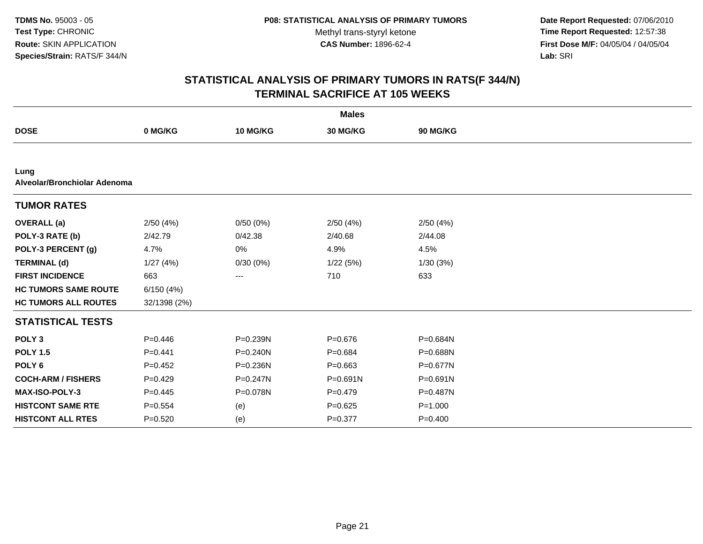**Date Report Requested:** 07/06/2010 **Time Report Requested:** 12:57:38 **First Dose M/F:** 04/05/04 / 04/05/04<br>Lab: SRI **Lab:** SRI

|                                      |              |              | <b>Males</b> |             |  |
|--------------------------------------|--------------|--------------|--------------|-------------|--|
| <b>DOSE</b>                          | 0 MG/KG      | 10 MG/KG     | 30 MG/KG     | 90 MG/KG    |  |
|                                      |              |              |              |             |  |
| Lung<br>Alveolar/Bronchiolar Adenoma |              |              |              |             |  |
| <b>TUMOR RATES</b>                   |              |              |              |             |  |
| <b>OVERALL</b> (a)                   | 2/50(4%)     | 0/50(0%)     | 2/50(4%)     | 2/50(4%)    |  |
| POLY-3 RATE (b)                      | 2/42.79      | 0/42.38      | 2/40.68      | 2/44.08     |  |
| POLY-3 PERCENT (g)                   | 4.7%         | $0\%$        | 4.9%         | 4.5%        |  |
| <b>TERMINAL (d)</b>                  | 1/27(4%)     | 0/30(0%)     | 1/22(5%)     | 1/30(3%)    |  |
| <b>FIRST INCIDENCE</b>               | 663          | ---          | 710          | 633         |  |
| <b>HC TUMORS SAME ROUTE</b>          | 6/150(4%)    |              |              |             |  |
| <b>HC TUMORS ALL ROUTES</b>          | 32/1398 (2%) |              |              |             |  |
| <b>STATISTICAL TESTS</b>             |              |              |              |             |  |
| POLY <sub>3</sub>                    | $P=0.446$    | P=0.239N     | $P = 0.676$  | P=0.684N    |  |
| <b>POLY 1.5</b>                      | $P=0.441$    | $P = 0.240N$ | $P = 0.684$  | P=0.688N    |  |
| POLY <sub>6</sub>                    | $P=0.452$    | P=0.236N     | $P = 0.663$  | P=0.677N    |  |
| <b>COCH-ARM / FISHERS</b>            | $P=0.429$    | P=0.247N     | $P = 0.691N$ | P=0.691N    |  |
| <b>MAX-ISO-POLY-3</b>                | $P=0.445$    | P=0.078N     | $P=0.479$    | P=0.487N    |  |
| <b>HISTCONT SAME RTE</b>             | $P = 0.554$  | (e)          | $P = 0.625$  | $P = 1.000$ |  |
| <b>HISTCONT ALL RTES</b>             | $P=0.520$    | (e)          | $P = 0.377$  | $P=0.400$   |  |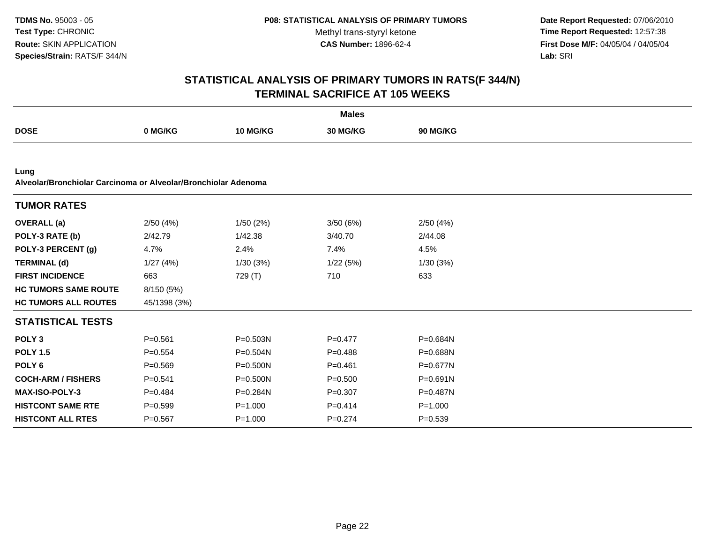**Date Report Requested:** 07/06/2010 **Time Report Requested:** 12:57:38 **First Dose M/F:** 04/05/04 / 04/05/04<br>Lab: SRI **Lab:** SRI

|                                                                        |              |              | <b>Males</b> |             |  |
|------------------------------------------------------------------------|--------------|--------------|--------------|-------------|--|
| <b>DOSE</b>                                                            | 0 MG/KG      | 10 MG/KG     | 30 MG/KG     | 90 MG/KG    |  |
|                                                                        |              |              |              |             |  |
| Lung<br>Alveolar/Bronchiolar Carcinoma or Alveolar/Bronchiolar Adenoma |              |              |              |             |  |
| <b>TUMOR RATES</b>                                                     |              |              |              |             |  |
| <b>OVERALL</b> (a)                                                     | 2/50(4%)     | 1/50(2%)     | 3/50(6%)     | 2/50(4%)    |  |
| POLY-3 RATE (b)                                                        | 2/42.79      | 1/42.38      | 3/40.70      | 2/44.08     |  |
| POLY-3 PERCENT (g)                                                     | 4.7%         | 2.4%         | 7.4%         | 4.5%        |  |
| <b>TERMINAL (d)</b>                                                    | 1/27(4%)     | 1/30(3%)     | 1/22(5%)     | 1/30(3%)    |  |
| <b>FIRST INCIDENCE</b>                                                 | 663          | 729 (T)      | 710          | 633         |  |
| <b>HC TUMORS SAME ROUTE</b>                                            | 8/150 (5%)   |              |              |             |  |
| <b>HC TUMORS ALL ROUTES</b>                                            | 45/1398 (3%) |              |              |             |  |
| <b>STATISTICAL TESTS</b>                                               |              |              |              |             |  |
| POLY <sub>3</sub>                                                      | $P = 0.561$  | $P = 0.503N$ | $P = 0.477$  | P=0.684N    |  |
| <b>POLY 1.5</b>                                                        | $P = 0.554$  | $P = 0.504N$ | $P=0.488$    | P=0.688N    |  |
| POLY <sub>6</sub>                                                      | $P = 0.569$  | $P = 0.500N$ | $P = 0.461$  | P=0.677N    |  |
| <b>COCH-ARM / FISHERS</b>                                              | $P = 0.541$  | P=0.500N     | $P = 0.500$  | P=0.691N    |  |
| <b>MAX-ISO-POLY-3</b>                                                  | $P=0.484$    | $P = 0.284N$ | $P = 0.307$  | P=0.487N    |  |
| <b>HISTCONT SAME RTE</b>                                               | $P = 0.599$  | $P = 1.000$  | $P=0.414$    | $P = 1.000$ |  |
| <b>HISTCONT ALL RTES</b>                                               | $P = 0.567$  | $P = 1.000$  | $P = 0.274$  | $P = 0.539$ |  |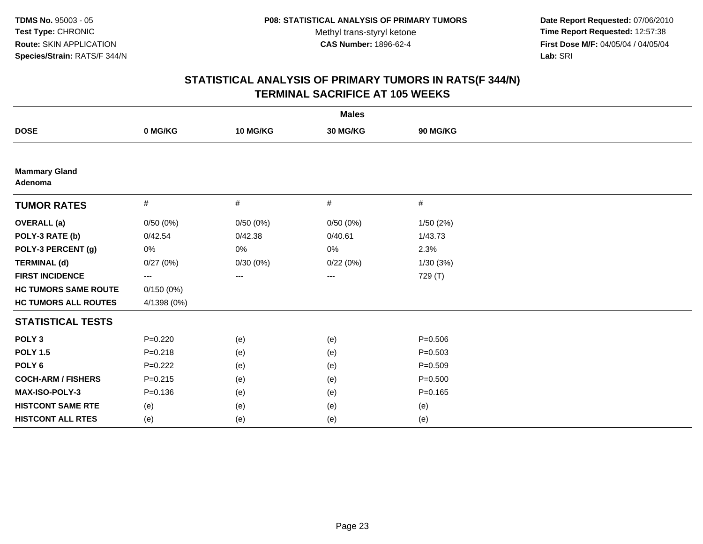**Date Report Requested:** 07/06/2010 **Time Report Requested:** 12:57:38 **First Dose M/F:** 04/05/04 / 04/05/04<br>Lab: SRI **Lab:** SRI

|                                 |             |                   | <b>Males</b> |             |  |
|---------------------------------|-------------|-------------------|--------------|-------------|--|
| <b>DOSE</b>                     | 0 MG/KG     | 10 MG/KG          | 30 MG/KG     | 90 MG/KG    |  |
|                                 |             |                   |              |             |  |
| <b>Mammary Gland</b><br>Adenoma |             |                   |              |             |  |
| <b>TUMOR RATES</b>              | $\#$        | $\#$              | $\#$         | #           |  |
| <b>OVERALL</b> (a)              | 0/50(0%)    | 0/50(0%)          | 0/50(0%)     | 1/50 (2%)   |  |
| POLY-3 RATE (b)                 | 0/42.54     | 0/42.38           | 0/40.61      | 1/43.73     |  |
| POLY-3 PERCENT (g)              | 0%          | 0%                | 0%           | 2.3%        |  |
| <b>TERMINAL (d)</b>             | 0/27(0%)    | 0/30(0%)          | 0/22(0%)     | 1/30 (3%)   |  |
| <b>FIRST INCIDENCE</b>          | $---$       | $\qquad \qquad -$ | ---          | 729 (T)     |  |
| <b>HC TUMORS SAME ROUTE</b>     | 0/150(0%)   |                   |              |             |  |
| <b>HC TUMORS ALL ROUTES</b>     | 4/1398 (0%) |                   |              |             |  |
| <b>STATISTICAL TESTS</b>        |             |                   |              |             |  |
| POLY <sub>3</sub>               | $P=0.220$   | (e)               | (e)          | $P = 0.506$ |  |
| <b>POLY 1.5</b>                 | $P = 0.218$ | (e)               | (e)          | $P = 0.503$ |  |
| POLY <sub>6</sub>               | $P=0.222$   | (e)               | (e)          | $P = 0.509$ |  |
| <b>COCH-ARM / FISHERS</b>       | $P = 0.215$ | (e)               | (e)          | $P = 0.500$ |  |
| MAX-ISO-POLY-3                  | $P = 0.136$ | (e)               | (e)          | $P = 0.165$ |  |
| <b>HISTCONT SAME RTE</b>        | (e)         | (e)               | (e)          | (e)         |  |
| <b>HISTCONT ALL RTES</b>        | (e)         | (e)               | (e)          | (e)         |  |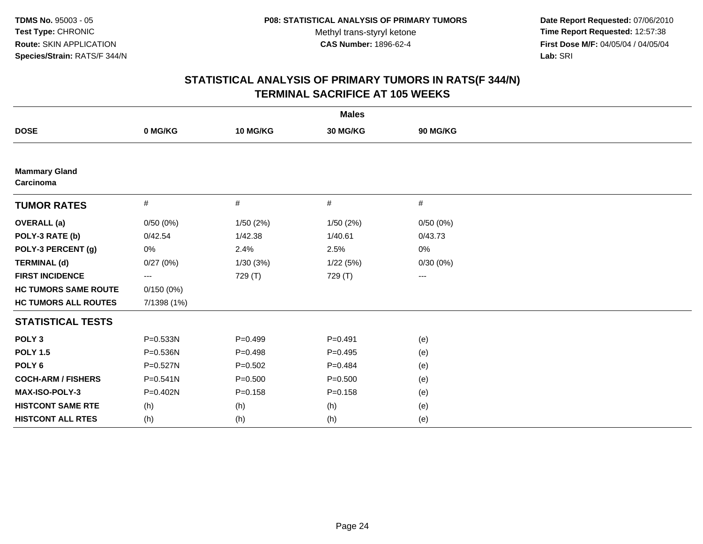**Date Report Requested:** 07/06/2010 **Time Report Requested:** 12:57:38 **First Dose M/F:** 04/05/04 / 04/05/04<br>Lab: SRI **Lab:** SRI

|                                   |                          |             | <b>Males</b> |          |  |
|-----------------------------------|--------------------------|-------------|--------------|----------|--|
| <b>DOSE</b>                       | 0 MG/KG                  | 10 MG/KG    | 30 MG/KG     | 90 MG/KG |  |
|                                   |                          |             |              |          |  |
| <b>Mammary Gland</b><br>Carcinoma |                          |             |              |          |  |
| <b>TUMOR RATES</b>                | $\#$                     | #           | #            | #        |  |
| <b>OVERALL</b> (a)                | 0/50(0%)                 | 1/50(2%)    | 1/50(2%)     | 0/50(0%) |  |
| POLY-3 RATE (b)                   | 0/42.54                  | 1/42.38     | 1/40.61      | 0/43.73  |  |
| POLY-3 PERCENT (g)                | 0%                       | 2.4%        | 2.5%         | 0%       |  |
| <b>TERMINAL (d)</b>               | 0/27(0%)                 | 1/30(3%)    | 1/22(5%)     | 0/30(0%) |  |
| <b>FIRST INCIDENCE</b>            | $\hspace{0.05cm} \ldots$ | 729 (T)     | 729 (T)      | ---      |  |
| <b>HC TUMORS SAME ROUTE</b>       | 0/150(0%)                |             |              |          |  |
| <b>HC TUMORS ALL ROUTES</b>       | 7/1398 (1%)              |             |              |          |  |
| <b>STATISTICAL TESTS</b>          |                          |             |              |          |  |
| POLY <sub>3</sub>                 | P=0.533N                 | $P=0.499$   | $P = 0.491$  | (e)      |  |
| <b>POLY 1.5</b>                   | P=0.536N                 | $P = 0.498$ | $P = 0.495$  | (e)      |  |
| POLY <sub>6</sub>                 | P=0.527N                 | $P = 0.502$ | $P=0.484$    | (e)      |  |
| <b>COCH-ARM / FISHERS</b>         | P=0.541N                 | $P = 0.500$ | $P = 0.500$  | (e)      |  |
| MAX-ISO-POLY-3                    | $P = 0.402N$             | $P = 0.158$ | $P = 0.158$  | (e)      |  |
| <b>HISTCONT SAME RTE</b>          | (h)                      | (h)         | (h)          | (e)      |  |
| <b>HISTCONT ALL RTES</b>          | (h)                      | (h)         | (h)          | (e)      |  |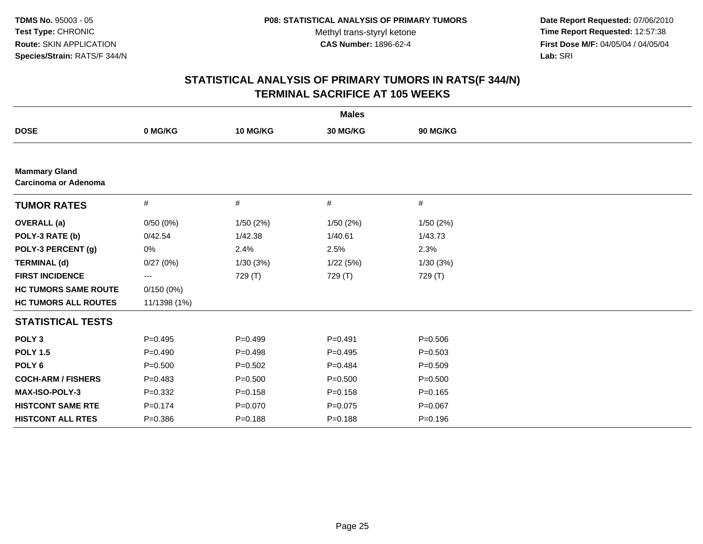**Date Report Requested:** 07/06/2010 **Time Report Requested:** 12:57:38 **First Dose M/F:** 04/05/04 / 04/05/04<br>Lab: SRI **Lab:** SRI

|                                                     |              |             | <b>Males</b> |             |  |
|-----------------------------------------------------|--------------|-------------|--------------|-------------|--|
| <b>DOSE</b>                                         | 0 MG/KG      | 10 MG/KG    | 30 MG/KG     | 90 MG/KG    |  |
|                                                     |              |             |              |             |  |
| <b>Mammary Gland</b><br><b>Carcinoma or Adenoma</b> |              |             |              |             |  |
| <b>TUMOR RATES</b>                                  | $\#$         | #           | #            | $\#$        |  |
| <b>OVERALL</b> (a)                                  | 0/50(0%)     | 1/50(2%)    | 1/50(2%)     | 1/50(2%)    |  |
| POLY-3 RATE (b)                                     | 0/42.54      | 1/42.38     | 1/40.61      | 1/43.73     |  |
| POLY-3 PERCENT (g)                                  | 0%           | 2.4%        | 2.5%         | 2.3%        |  |
| <b>TERMINAL (d)</b>                                 | 0/27(0%)     | 1/30(3%)    | 1/22(5%)     | 1/30(3%)    |  |
| <b>FIRST INCIDENCE</b>                              | ---          | 729 (T)     | 729 (T)      | 729 (T)     |  |
| <b>HC TUMORS SAME ROUTE</b>                         | 0/150(0%)    |             |              |             |  |
| <b>HC TUMORS ALL ROUTES</b>                         | 11/1398 (1%) |             |              |             |  |
| <b>STATISTICAL TESTS</b>                            |              |             |              |             |  |
| POLY <sub>3</sub>                                   | $P=0.495$    | $P=0.499$   | $P = 0.491$  | $P = 0.506$ |  |
| <b>POLY 1.5</b>                                     | $P=0.490$    | $P=0.498$   | $P=0.495$    | $P = 0.503$ |  |
| POLY <sub>6</sub>                                   | $P = 0.500$  | $P=0.502$   | $P=0.484$    | $P=0.509$   |  |
| <b>COCH-ARM / FISHERS</b>                           | $P=0.483$    | $P = 0.500$ | $P = 0.500$  | $P = 0.500$ |  |
| MAX-ISO-POLY-3                                      | $P = 0.332$  | $P = 0.158$ | $P = 0.158$  | $P = 0.165$ |  |
| <b>HISTCONT SAME RTE</b>                            | $P = 0.174$  | $P = 0.070$ | $P=0.075$    | $P = 0.067$ |  |
| <b>HISTCONT ALL RTES</b>                            | $P = 0.386$  | $P = 0.188$ | $P = 0.188$  | $P = 0.196$ |  |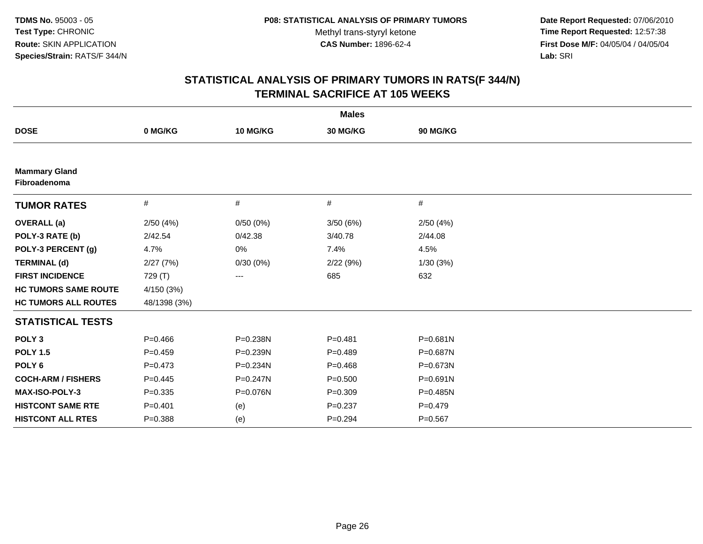**Date Report Requested:** 07/06/2010 **Time Report Requested:** 12:57:38 **First Dose M/F:** 04/05/04 / 04/05/04<br>Lab: SRI **Lab:** SRI

|                                      |              |              | <b>Males</b> |              |  |
|--------------------------------------|--------------|--------------|--------------|--------------|--|
| <b>DOSE</b>                          | 0 MG/KG      | 10 MG/KG     | 30 MG/KG     | 90 MG/KG     |  |
|                                      |              |              |              |              |  |
| <b>Mammary Gland</b><br>Fibroadenoma |              |              |              |              |  |
| <b>TUMOR RATES</b>                   | #            | #            | #            | #            |  |
| <b>OVERALL</b> (a)                   | 2/50(4%)     | 0/50(0%)     | 3/50(6%)     | 2/50(4%)     |  |
| POLY-3 RATE (b)                      | 2/42.54      | 0/42.38      | 3/40.78      | 2/44.08      |  |
| POLY-3 PERCENT (g)                   | 4.7%         | 0%           | 7.4%         | 4.5%         |  |
| <b>TERMINAL (d)</b>                  | 2/27(7%)     | 0/30(0%)     | 2/22(9%)     | 1/30(3%)     |  |
| <b>FIRST INCIDENCE</b>               | 729 (T)      | ---          | 685          | 632          |  |
| <b>HC TUMORS SAME ROUTE</b>          | 4/150 (3%)   |              |              |              |  |
| <b>HC TUMORS ALL ROUTES</b>          | 48/1398 (3%) |              |              |              |  |
| <b>STATISTICAL TESTS</b>             |              |              |              |              |  |
| POLY <sub>3</sub>                    | $P=0.466$    | P=0.238N     | $P = 0.481$  | $P = 0.681N$ |  |
| <b>POLY 1.5</b>                      | $P=0.459$    | P=0.239N     | $P=0.489$    | P=0.687N     |  |
| POLY <sub>6</sub>                    | $P=0.473$    | P=0.234N     | $P = 0.468$  | P=0.673N     |  |
| <b>COCH-ARM / FISHERS</b>            | $P=0.445$    | $P = 0.247N$ | $P = 0.500$  | $P = 0.691N$ |  |
| MAX-ISO-POLY-3                       | $P = 0.335$  | P=0.076N     | $P = 0.309$  | $P=0.485N$   |  |
| <b>HISTCONT SAME RTE</b>             | $P=0.401$    | (e)          | $P = 0.237$  | $P=0.479$    |  |
| <b>HISTCONT ALL RTES</b>             | $P = 0.388$  | (e)          | $P = 0.294$  | $P = 0.567$  |  |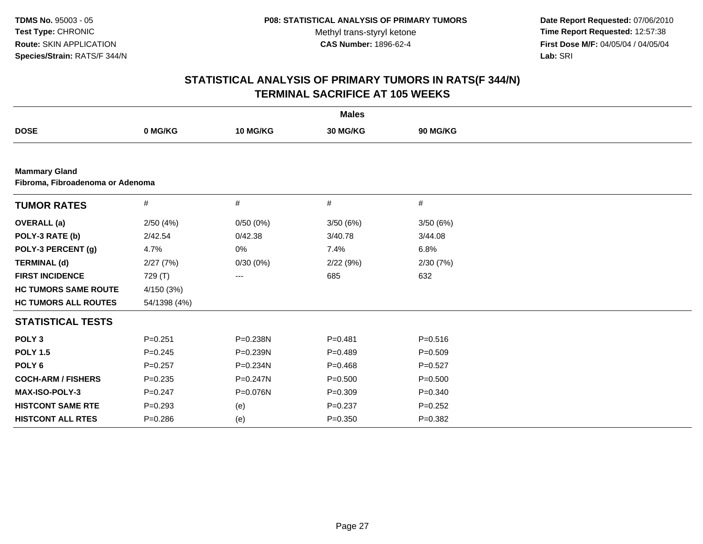**Date Report Requested:** 07/06/2010 **Time Report Requested:** 12:57:38 **First Dose M/F:** 04/05/04 / 04/05/04<br>Lab: SRI **Lab:** SRI

|                                                          |              |          | <b>Males</b> |             |  |
|----------------------------------------------------------|--------------|----------|--------------|-------------|--|
| <b>DOSE</b>                                              | 0 MG/KG      | 10 MG/KG | 30 MG/KG     | 90 MG/KG    |  |
|                                                          |              |          |              |             |  |
| <b>Mammary Gland</b><br>Fibroma, Fibroadenoma or Adenoma |              |          |              |             |  |
| <b>TUMOR RATES</b>                                       | #            | #        | #            | #           |  |
| <b>OVERALL</b> (a)                                       | 2/50(4%)     | 0/50(0%) | 3/50(6%)     | 3/50(6%)    |  |
| POLY-3 RATE (b)                                          | 2/42.54      | 0/42.38  | 3/40.78      | 3/44.08     |  |
| POLY-3 PERCENT (g)                                       | 4.7%         | 0%       | 7.4%         | 6.8%        |  |
| <b>TERMINAL (d)</b>                                      | 2/27(7%)     | 0/30(0%) | 2/22(9%)     | 2/30(7%)    |  |
| <b>FIRST INCIDENCE</b>                                   | 729 (T)      | ---      | 685          | 632         |  |
| <b>HC TUMORS SAME ROUTE</b>                              | 4/150 (3%)   |          |              |             |  |
| <b>HC TUMORS ALL ROUTES</b>                              | 54/1398 (4%) |          |              |             |  |
| <b>STATISTICAL TESTS</b>                                 |              |          |              |             |  |
| POLY <sub>3</sub>                                        | $P = 0.251$  | P=0.238N | $P = 0.481$  | $P = 0.516$ |  |
| <b>POLY 1.5</b>                                          | $P = 0.245$  | P=0.239N | $P=0.489$    | $P = 0.509$ |  |
| POLY <sub>6</sub>                                        | $P = 0.257$  | P=0.234N | $P=0.468$    | $P=0.527$   |  |
| <b>COCH-ARM / FISHERS</b>                                | $P = 0.235$  | P=0.247N | $P = 0.500$  | $P = 0.500$ |  |
| MAX-ISO-POLY-3                                           | $P = 0.247$  | P=0.076N | $P=0.309$    | $P = 0.340$ |  |
| <b>HISTCONT SAME RTE</b>                                 | $P = 0.293$  | (e)      | $P = 0.237$  | $P=0.252$   |  |
| <b>HISTCONT ALL RTES</b>                                 | $P = 0.286$  | (e)      | $P = 0.350$  | $P = 0.382$ |  |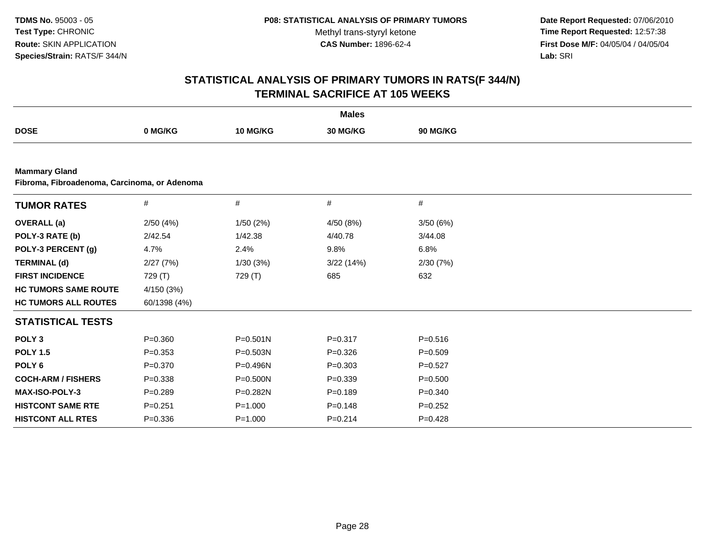**Date Report Requested:** 07/06/2010 **Time Report Requested:** 12:57:38 **First Dose M/F:** 04/05/04 / 04/05/04<br>Lab: SRI **Lab:** SRI

|                             |                                              |              | <b>Males</b> |             |  |  |  |  |  |
|-----------------------------|----------------------------------------------|--------------|--------------|-------------|--|--|--|--|--|
| <b>DOSE</b>                 | 0 MG/KG                                      | 10 MG/KG     | 30 MG/KG     | 90 MG/KG    |  |  |  |  |  |
|                             |                                              |              |              |             |  |  |  |  |  |
| <b>Mammary Gland</b>        | Fibroma, Fibroadenoma, Carcinoma, or Adenoma |              |              |             |  |  |  |  |  |
| <b>TUMOR RATES</b>          | $\#$                                         | #            | #            | #           |  |  |  |  |  |
| <b>OVERALL</b> (a)          | 2/50(4%)                                     | 1/50(2%)     | 4/50 (8%)    | 3/50(6%)    |  |  |  |  |  |
| POLY-3 RATE (b)             | 2/42.54                                      | 1/42.38      | 4/40.78      | 3/44.08     |  |  |  |  |  |
| POLY-3 PERCENT (g)          | 4.7%                                         | 2.4%         | 9.8%         | 6.8%        |  |  |  |  |  |
| <b>TERMINAL (d)</b>         | 2/27(7%)                                     | 1/30(3%)     | 3/22(14%)    | 2/30(7%)    |  |  |  |  |  |
| <b>FIRST INCIDENCE</b>      | 729 (T)                                      | 729 (T)      | 685          | 632         |  |  |  |  |  |
| <b>HC TUMORS SAME ROUTE</b> | 4/150 (3%)                                   |              |              |             |  |  |  |  |  |
| <b>HC TUMORS ALL ROUTES</b> | 60/1398 (4%)                                 |              |              |             |  |  |  |  |  |
| <b>STATISTICAL TESTS</b>    |                                              |              |              |             |  |  |  |  |  |
| POLY <sub>3</sub>           | $P = 0.360$                                  | $P = 0.501N$ | $P = 0.317$  | $P = 0.516$ |  |  |  |  |  |
| <b>POLY 1.5</b>             | $P = 0.353$                                  | P=0.503N     | $P = 0.326$  | $P = 0.509$ |  |  |  |  |  |
| POLY <sub>6</sub>           | $P = 0.370$                                  | P=0.496N     | $P = 0.303$  | $P=0.527$   |  |  |  |  |  |
| <b>COCH-ARM / FISHERS</b>   | $P = 0.338$                                  | P=0.500N     | $P = 0.339$  | $P = 0.500$ |  |  |  |  |  |
| <b>MAX-ISO-POLY-3</b>       | $P=0.289$                                    | P=0.282N     | $P = 0.189$  | $P = 0.340$ |  |  |  |  |  |
| <b>HISTCONT SAME RTE</b>    | $P = 0.251$                                  | $P = 1.000$  | $P = 0.148$  | $P = 0.252$ |  |  |  |  |  |
| <b>HISTCONT ALL RTES</b>    | $P = 0.336$                                  | $P = 1.000$  | $P=0.214$    | $P=0.428$   |  |  |  |  |  |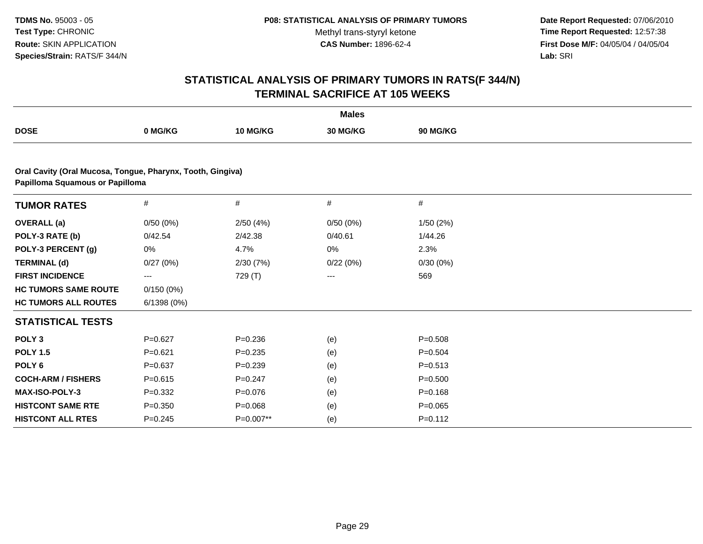**Date Report Requested:** 07/06/2010 **Time Report Requested:** 12:57:38 **First Dose M/F:** 04/05/04 / 04/05/04<br>Lab: SRI **Lab:** SRI

|                                                                                               |             |                 | <b>Males</b> |                 |  |
|-----------------------------------------------------------------------------------------------|-------------|-----------------|--------------|-----------------|--|
| <b>DOSE</b>                                                                                   | 0 MG/KG     | <b>10 MG/KG</b> | 30 MG/KG     | <b>90 MG/KG</b> |  |
|                                                                                               |             |                 |              |                 |  |
| Oral Cavity (Oral Mucosa, Tongue, Pharynx, Tooth, Gingiva)<br>Papilloma Squamous or Papilloma |             |                 |              |                 |  |
| <b>TUMOR RATES</b>                                                                            | #           | #               | #            | #               |  |
| <b>OVERALL</b> (a)                                                                            | 0/50(0%)    | 2/50(4%)        | 0/50(0%)     | 1/50(2%)        |  |
| POLY-3 RATE (b)                                                                               | 0/42.54     | 2/42.38         | 0/40.61      | 1/44.26         |  |
| POLY-3 PERCENT (g)                                                                            | 0%          | 4.7%            | 0%           | 2.3%            |  |
| <b>TERMINAL (d)</b>                                                                           | 0/27(0%)    | 2/30(7%)        | 0/22(0%)     | 0/30(0%)        |  |
| <b>FIRST INCIDENCE</b>                                                                        | ---         | 729 (T)         | $---$        | 569             |  |
| <b>HC TUMORS SAME ROUTE</b>                                                                   | 0/150(0%)   |                 |              |                 |  |
| <b>HC TUMORS ALL ROUTES</b>                                                                   | 6/1398(0%)  |                 |              |                 |  |
| <b>STATISTICAL TESTS</b>                                                                      |             |                 |              |                 |  |
| POLY <sub>3</sub>                                                                             | $P=0.627$   | $P=0.236$       | (e)          | $P = 0.508$     |  |
| <b>POLY 1.5</b>                                                                               | $P = 0.621$ | $P=0.235$       | (e)          | $P = 0.504$     |  |
| POLY <sub>6</sub>                                                                             | $P=0.637$   | $P=0.239$       | (e)          | $P = 0.513$     |  |
| <b>COCH-ARM / FISHERS</b>                                                                     | $P = 0.615$ | $P=0.247$       | (e)          | $P = 0.500$     |  |
| <b>MAX-ISO-POLY-3</b>                                                                         | $P=0.332$   | $P=0.076$       | (e)          | $P = 0.168$     |  |
| <b>HISTCONT SAME RTE</b>                                                                      | $P = 0.350$ | $P = 0.068$     | (e)          | $P = 0.065$     |  |
| <b>HISTCONT ALL RTES</b>                                                                      | $P = 0.245$ | P=0.007**       | (e)          | $P = 0.112$     |  |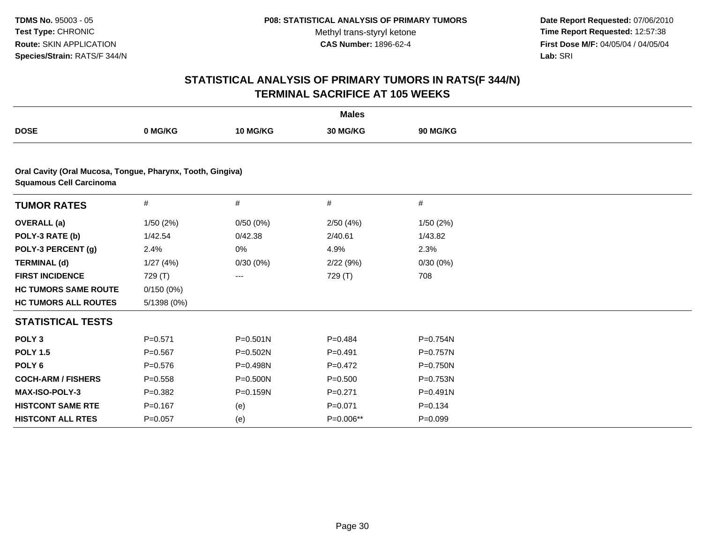**Date Report Requested:** 07/06/2010 **Time Report Requested:** 12:57:38 **First Dose M/F:** 04/05/04 / 04/05/04<br>**Lab:** SRI **Lab:** SRI

|                                                                                              |             |              | <b>Males</b> |              |  |
|----------------------------------------------------------------------------------------------|-------------|--------------|--------------|--------------|--|
| <b>DOSE</b>                                                                                  | 0 MG/KG     | 10 MG/KG     | 30 MG/KG     | 90 MG/KG     |  |
|                                                                                              |             |              |              |              |  |
| Oral Cavity (Oral Mucosa, Tongue, Pharynx, Tooth, Gingiva)<br><b>Squamous Cell Carcinoma</b> |             |              |              |              |  |
| <b>TUMOR RATES</b>                                                                           | $\#$        | #            | #            | $\#$         |  |
| <b>OVERALL</b> (a)                                                                           | 1/50(2%)    | 0/50(0%)     | 2/50(4%)     | 1/50(2%)     |  |
| POLY-3 RATE (b)                                                                              | 1/42.54     | 0/42.38      | 2/40.61      | 1/43.82      |  |
| POLY-3 PERCENT (g)                                                                           | 2.4%        | 0%           | 4.9%         | 2.3%         |  |
| <b>TERMINAL (d)</b>                                                                          | 1/27(4%)    | 0/30(0%)     | 2/22(9%)     | 0/30(0%)     |  |
| <b>FIRST INCIDENCE</b>                                                                       | 729 (T)     | $---$        | 729 (T)      | 708          |  |
| <b>HC TUMORS SAME ROUTE</b>                                                                  | 0/150(0%)   |              |              |              |  |
| <b>HC TUMORS ALL ROUTES</b>                                                                  | 5/1398 (0%) |              |              |              |  |
| <b>STATISTICAL TESTS</b>                                                                     |             |              |              |              |  |
| POLY <sub>3</sub>                                                                            | $P=0.571$   | $P = 0.501N$ | $P=0.484$    | P=0.754N     |  |
| <b>POLY 1.5</b>                                                                              | $P = 0.567$ | $P = 0.502N$ | $P = 0.491$  | $P = 0.757N$ |  |
| POLY <sub>6</sub>                                                                            | $P = 0.576$ | P=0.498N     | $P=0.472$    | $P = 0.750N$ |  |
| <b>COCH-ARM / FISHERS</b>                                                                    | $P = 0.558$ | $P = 0.500N$ | $P = 0.500$  | P=0.753N     |  |
| <b>MAX-ISO-POLY-3</b>                                                                        | $P = 0.382$ | $P = 0.159N$ | $P = 0.271$  | $P = 0.491N$ |  |
| <b>HISTCONT SAME RTE</b>                                                                     | $P = 0.167$ | (e)          | $P = 0.071$  | $P = 0.134$  |  |
| <b>HISTCONT ALL RTES</b>                                                                     | $P=0.057$   | (e)          | P=0.006**    | $P = 0.099$  |  |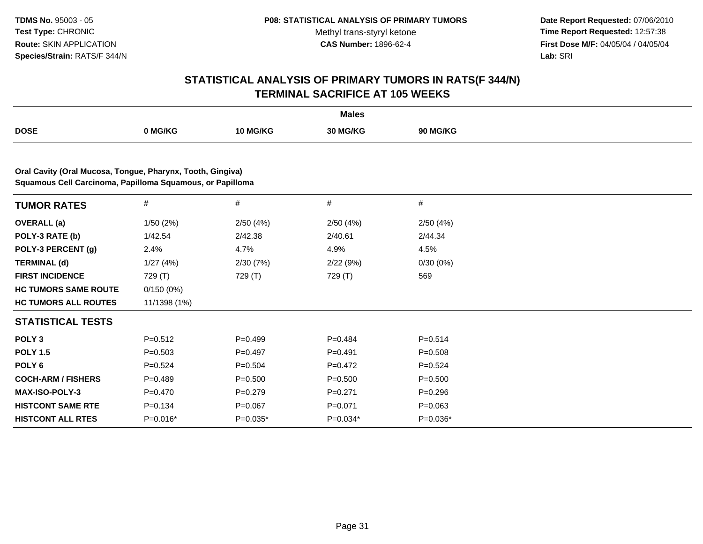**Date Report Requested:** 07/06/2010 **Time Report Requested:** 12:57:38 **First Dose M/F:** 04/05/04 / 04/05/04<br>Lab: SRI **Lab:** SRI

|                                                            |              |                 | <b>Males</b>    |                 |  |  |  |  |
|------------------------------------------------------------|--------------|-----------------|-----------------|-----------------|--|--|--|--|
| <b>DOSE</b>                                                | 0 MG/KG      | <b>10 MG/KG</b> | <b>30 MG/KG</b> | <b>90 MG/KG</b> |  |  |  |  |
| Oral Cavity (Oral Mucosa, Tongue, Pharynx, Tooth, Gingiva) |              |                 |                 |                 |  |  |  |  |
| Squamous Cell Carcinoma, Papilloma Squamous, or Papilloma  |              |                 |                 |                 |  |  |  |  |
| <b>TUMOR RATES</b>                                         | $\#$         | $\#$            | #               | $\#$            |  |  |  |  |
| <b>OVERALL</b> (a)                                         | 1/50(2%)     | 2/50(4%)        | 2/50(4%)        | 2/50(4%)        |  |  |  |  |
| POLY-3 RATE (b)                                            | 1/42.54      | 2/42.38         | 2/40.61         | 2/44.34         |  |  |  |  |
| POLY-3 PERCENT (g)                                         | 2.4%         | 4.7%            | 4.9%            | 4.5%            |  |  |  |  |
| <b>TERMINAL (d)</b>                                        | 1/27(4%)     | 2/30(7%)        | 2/22(9%)        | 0/30(0%)        |  |  |  |  |
| <b>FIRST INCIDENCE</b>                                     | 729 (T)      | 729 (T)         | 729 (T)         | 569             |  |  |  |  |
| <b>HC TUMORS SAME ROUTE</b>                                | 0/150(0%)    |                 |                 |                 |  |  |  |  |
| <b>HC TUMORS ALL ROUTES</b>                                | 11/1398 (1%) |                 |                 |                 |  |  |  |  |
| <b>STATISTICAL TESTS</b>                                   |              |                 |                 |                 |  |  |  |  |
| POLY <sub>3</sub>                                          | $P=0.512$    | $P=0.499$       | $P = 0.484$     | $P=0.514$       |  |  |  |  |
| <b>POLY 1.5</b>                                            | $P = 0.503$  | $P=0.497$       | $P=0.491$       | $P = 0.508$     |  |  |  |  |
| POLY <sub>6</sub>                                          | $P = 0.524$  | $P = 0.504$     | $P=0.472$       | $P = 0.524$     |  |  |  |  |
| <b>COCH-ARM / FISHERS</b>                                  | $P=0.489$    | $P = 0.500$     | $P = 0.500$     | $P = 0.500$     |  |  |  |  |
| <b>MAX-ISO-POLY-3</b>                                      | $P=0.470$    | $P = 0.279$     | $P = 0.271$     | $P = 0.296$     |  |  |  |  |
| <b>HISTCONT SAME RTE</b>                                   | $P = 0.134$  | $P = 0.067$     | $P = 0.071$     | $P = 0.063$     |  |  |  |  |
| <b>HISTCONT ALL RTES</b>                                   | $P=0.016*$   | $P=0.035*$      | $P=0.034*$      | $P=0.036*$      |  |  |  |  |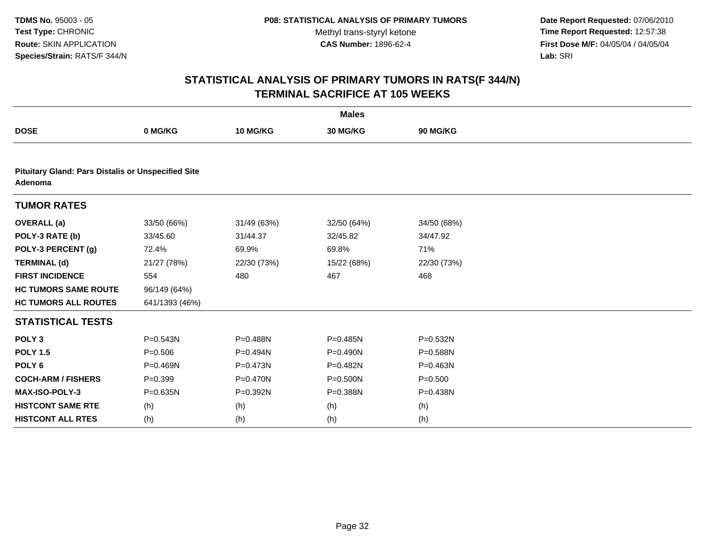**Date Report Requested:** 07/06/2010 **Time Report Requested:** 12:57:38 **First Dose M/F:** 04/05/04 / 04/05/04<br>Lab: SRI **Lab:** SRI

| <b>Males</b>                                                         |                |              |             |             |  |  |
|----------------------------------------------------------------------|----------------|--------------|-------------|-------------|--|--|
| <b>DOSE</b>                                                          | 0 MG/KG        | 10 MG/KG     | 30 MG/KG    | 90 MG/KG    |  |  |
|                                                                      |                |              |             |             |  |  |
| <b>Pituitary Gland: Pars Distalis or Unspecified Site</b><br>Adenoma |                |              |             |             |  |  |
| <b>TUMOR RATES</b>                                                   |                |              |             |             |  |  |
| <b>OVERALL</b> (a)                                                   | 33/50 (66%)    | 31/49 (63%)  | 32/50 (64%) | 34/50 (68%) |  |  |
| POLY-3 RATE (b)                                                      | 33/45.60       | 31/44.37     | 32/45.82    | 34/47.92    |  |  |
| POLY-3 PERCENT (g)                                                   | 72.4%          | 69.9%        | 69.8%       | 71%         |  |  |
| <b>TERMINAL (d)</b>                                                  | 21/27 (78%)    | 22/30 (73%)  | 15/22 (68%) | 22/30 (73%) |  |  |
| <b>FIRST INCIDENCE</b>                                               | 554            | 480          | 467         | 468         |  |  |
| <b>HC TUMORS SAME ROUTE</b>                                          | 96/149 (64%)   |              |             |             |  |  |
| <b>HC TUMORS ALL ROUTES</b>                                          | 641/1393 (46%) |              |             |             |  |  |
| <b>STATISTICAL TESTS</b>                                             |                |              |             |             |  |  |
| POLY <sub>3</sub>                                                    | $P = 0.543N$   | P=0.488N     | P=0.485N    | P=0.532N    |  |  |
| <b>POLY 1.5</b>                                                      | $P = 0.506$    | P=0.494N     | P=0.490N    | P=0.588N    |  |  |
| POLY <sub>6</sub>                                                    | $P = 0.469N$   | $P = 0.473N$ | P=0.482N    | P=0.463N    |  |  |
| <b>COCH-ARM / FISHERS</b>                                            | $P = 0.399$    | P=0.470N     | P=0.500N    | $P = 0.500$ |  |  |
| MAX-ISO-POLY-3                                                       | $P = 0.635N$   | P=0.392N     | P=0.388N    | P=0.438N    |  |  |
| <b>HISTCONT SAME RTE</b>                                             | (h)            | (h)          | (h)         | (h)         |  |  |
| <b>HISTCONT ALL RTES</b>                                             | (h)            | (h)          | (h)         | (h)         |  |  |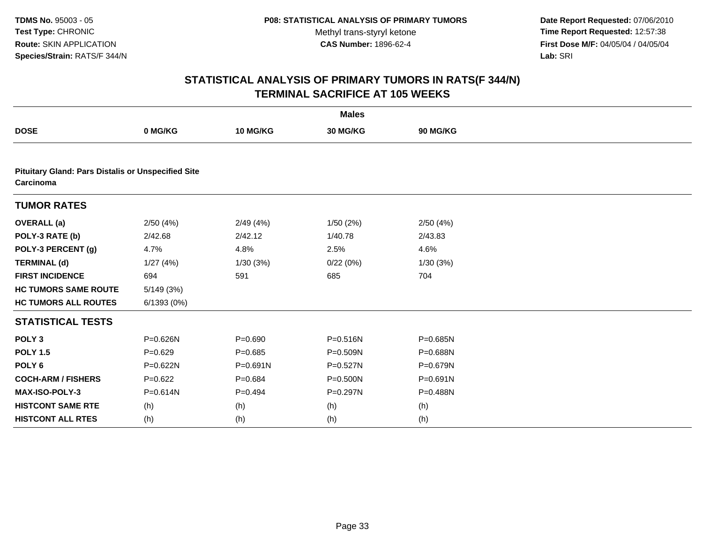**Date Report Requested:** 07/06/2010 **Time Report Requested:** 12:57:38 **First Dose M/F:** 04/05/04 / 04/05/04<br>Lab: SRI **Lab:** SRI

|                                                                        |              |              | <b>Males</b> |          |  |
|------------------------------------------------------------------------|--------------|--------------|--------------|----------|--|
| <b>DOSE</b>                                                            | 0 MG/KG      | 10 MG/KG     | 30 MG/KG     | 90 MG/KG |  |
|                                                                        |              |              |              |          |  |
| <b>Pituitary Gland: Pars Distalis or Unspecified Site</b><br>Carcinoma |              |              |              |          |  |
| <b>TUMOR RATES</b>                                                     |              |              |              |          |  |
| <b>OVERALL</b> (a)                                                     | 2/50(4%)     | 2/49(4%)     | 1/50(2%)     | 2/50(4%) |  |
| POLY-3 RATE (b)                                                        | 2/42.68      | 2/42.12      | 1/40.78      | 2/43.83  |  |
| POLY-3 PERCENT (g)                                                     | 4.7%         | 4.8%         | 2.5%         | 4.6%     |  |
| <b>TERMINAL (d)</b>                                                    | 1/27(4%)     | 1/30(3%)     | 0/22(0%)     | 1/30(3%) |  |
| <b>FIRST INCIDENCE</b>                                                 | 694          | 591          | 685          | 704      |  |
| <b>HC TUMORS SAME ROUTE</b>                                            | 5/149(3%)    |              |              |          |  |
| <b>HC TUMORS ALL ROUTES</b>                                            | 6/1393(0%)   |              |              |          |  |
| <b>STATISTICAL TESTS</b>                                               |              |              |              |          |  |
| POLY <sub>3</sub>                                                      | P=0.626N     | $P = 0.690$  | $P = 0.516N$ | P=0.685N |  |
| <b>POLY 1.5</b>                                                        | $P = 0.629$  | $P = 0.685$  | P=0.509N     | P=0.688N |  |
| POLY <sub>6</sub>                                                      | P=0.622N     | $P = 0.691N$ | $P = 0.527N$ | P=0.679N |  |
| <b>COCH-ARM / FISHERS</b>                                              | $P=0.622$    | $P=0.684$    | P=0.500N     | P=0.691N |  |
| <b>MAX-ISO-POLY-3</b>                                                  | $P = 0.614N$ | $P=0.494$    | $P = 0.297N$ | P=0.488N |  |
| <b>HISTCONT SAME RTE</b>                                               | (h)          | (h)          | (h)          | (h)      |  |
| <b>HISTCONT ALL RTES</b>                                               | (h)          | (h)          | (h)          | (h)      |  |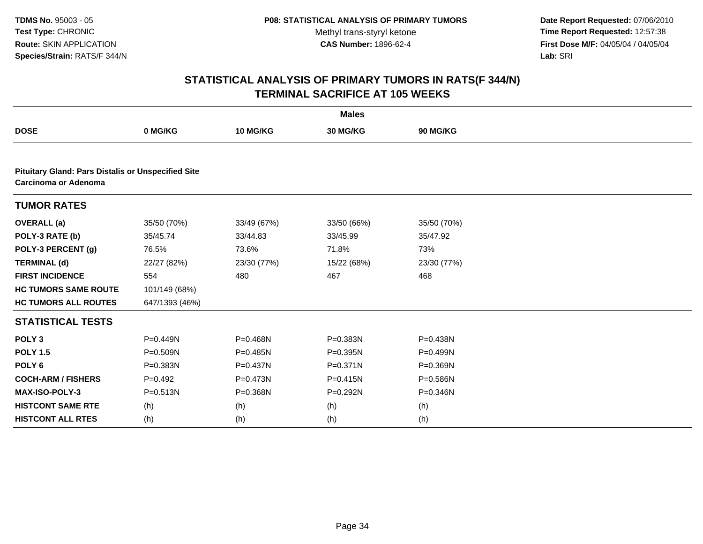**Date Report Requested:** 07/06/2010 **Time Report Requested:** 12:57:38 **First Dose M/F:** 04/05/04 / 04/05/04<br>Lab: SRI **Lab:** SRI

| <b>Males</b>                                                                      |                |              |              |             |  |  |
|-----------------------------------------------------------------------------------|----------------|--------------|--------------|-------------|--|--|
| <b>DOSE</b>                                                                       | 0 MG/KG        | 10 MG/KG     | 30 MG/KG     | 90 MG/KG    |  |  |
|                                                                                   |                |              |              |             |  |  |
| <b>Pituitary Gland: Pars Distalis or Unspecified Site</b><br>Carcinoma or Adenoma |                |              |              |             |  |  |
| <b>TUMOR RATES</b>                                                                |                |              |              |             |  |  |
| <b>OVERALL</b> (a)                                                                | 35/50 (70%)    | 33/49 (67%)  | 33/50 (66%)  | 35/50 (70%) |  |  |
| POLY-3 RATE (b)                                                                   | 35/45.74       | 33/44.83     | 33/45.99     | 35/47.92    |  |  |
| POLY-3 PERCENT (g)                                                                | 76.5%          | 73.6%        | 71.8%        | 73%         |  |  |
| <b>TERMINAL (d)</b>                                                               | 22/27 (82%)    | 23/30 (77%)  | 15/22 (68%)  | 23/30 (77%) |  |  |
| <b>FIRST INCIDENCE</b>                                                            | 554            | 480          | 467          | 468         |  |  |
| <b>HC TUMORS SAME ROUTE</b>                                                       | 101/149 (68%)  |              |              |             |  |  |
| <b>HC TUMORS ALL ROUTES</b>                                                       | 647/1393 (46%) |              |              |             |  |  |
| <b>STATISTICAL TESTS</b>                                                          |                |              |              |             |  |  |
| POLY <sub>3</sub>                                                                 | P=0.449N       | P=0.468N     | P=0.383N     | P=0.438N    |  |  |
| <b>POLY 1.5</b>                                                                   | $P = 0.509N$   | P=0.485N     | $P = 0.395N$ | P=0.499N    |  |  |
| POLY <sub>6</sub>                                                                 | P=0.383N       | P=0.437N     | $P = 0.371N$ | P=0.369N    |  |  |
| <b>COCH-ARM / FISHERS</b>                                                         | $P=0.492$      | $P = 0.473N$ | $P = 0.415N$ | P=0.586N    |  |  |
| MAX-ISO-POLY-3                                                                    | $P = 0.513N$   | P=0.368N     | P=0.292N     | P=0.346N    |  |  |
| <b>HISTCONT SAME RTE</b>                                                          | (h)            | (h)          | (h)          | (h)         |  |  |
| <b>HISTCONT ALL RTES</b>                                                          | (h)            | (h)          | (h)          | (h)         |  |  |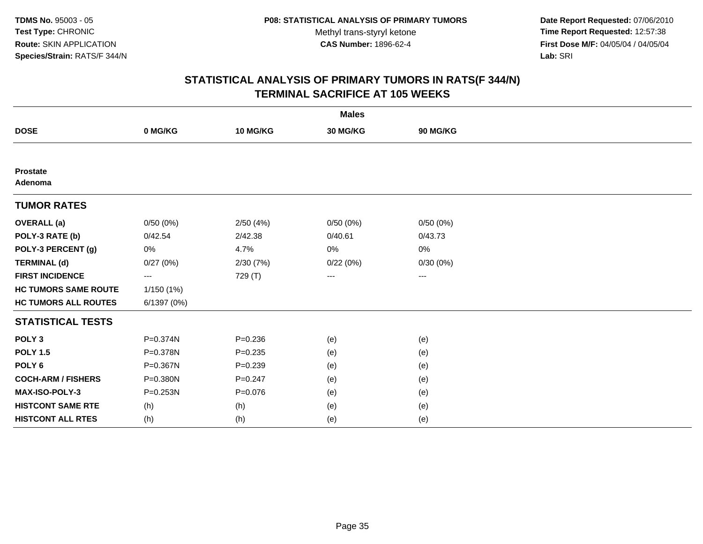**Date Report Requested:** 07/06/2010 **Time Report Requested:** 12:57:38 **First Dose M/F:** 04/05/04 / 04/05/04<br>Lab: SRI **Lab:** SRI

|                             |                          |             | <b>Males</b> |          |  |
|-----------------------------|--------------------------|-------------|--------------|----------|--|
| <b>DOSE</b>                 | 0 MG/KG                  | 10 MG/KG    | 30 MG/KG     | 90 MG/KG |  |
|                             |                          |             |              |          |  |
| <b>Prostate</b><br>Adenoma  |                          |             |              |          |  |
| <b>TUMOR RATES</b>          |                          |             |              |          |  |
| <b>OVERALL</b> (a)          | 0/50(0%)                 | 2/50(4%)    | 0/50(0%)     | 0/50(0%) |  |
| POLY-3 RATE (b)             | 0/42.54                  | 2/42.38     | 0/40.61      | 0/43.73  |  |
| POLY-3 PERCENT (g)          | 0%                       | 4.7%        | 0%           | 0%       |  |
| <b>TERMINAL (d)</b>         | 0/27(0%)                 | 2/30 (7%)   | 0/22(0%)     | 0/30(0%) |  |
| <b>FIRST INCIDENCE</b>      | $\hspace{0.05cm} \ldots$ | 729 (T)     | ---          | $---$    |  |
| <b>HC TUMORS SAME ROUTE</b> | 1/150(1%)                |             |              |          |  |
| <b>HC TUMORS ALL ROUTES</b> | 6/1397 (0%)              |             |              |          |  |
| <b>STATISTICAL TESTS</b>    |                          |             |              |          |  |
| POLY <sub>3</sub>           | P=0.374N                 | $P = 0.236$ | (e)          | (e)      |  |
| <b>POLY 1.5</b>             | P=0.378N                 | $P = 0.235$ | (e)          | (e)      |  |
| POLY <sub>6</sub>           | P=0.367N                 | $P = 0.239$ | (e)          | (e)      |  |
| <b>COCH-ARM / FISHERS</b>   | P=0.380N                 | $P = 0.247$ | (e)          | (e)      |  |
| <b>MAX-ISO-POLY-3</b>       | P=0.253N                 | $P = 0.076$ | (e)          | (e)      |  |
| <b>HISTCONT SAME RTE</b>    | (h)                      | (h)         | (e)          | (e)      |  |
| <b>HISTCONT ALL RTES</b>    | (h)                      | (h)         | (e)          | (e)      |  |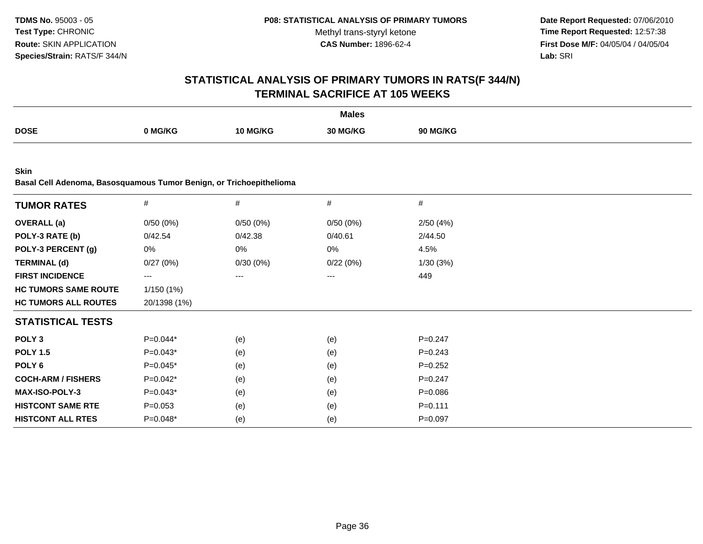**Date Report Requested:** 07/06/2010 **Time Report Requested:** 12:57:38 **First Dose M/F:** 04/05/04 / 04/05/04<br>Lab: SRI **Lab:** SRI

|                                                                                    |              |          | <b>Males</b> |                 |  |
|------------------------------------------------------------------------------------|--------------|----------|--------------|-----------------|--|
| <b>DOSE</b>                                                                        | 0 MG/KG      | 10 MG/KG | 30 MG/KG     | <b>90 MG/KG</b> |  |
|                                                                                    |              |          |              |                 |  |
| <b>Skin</b><br>Basal Cell Adenoma, Basosquamous Tumor Benign, or Trichoepithelioma |              |          |              |                 |  |
| <b>TUMOR RATES</b>                                                                 | #            | $\#$     | $\#$         | $\#$            |  |
| <b>OVERALL</b> (a)                                                                 | 0/50(0%)     | 0/50(0%) | 0/50(0%)     | 2/50(4%)        |  |
| POLY-3 RATE (b)                                                                    | 0/42.54      | 0/42.38  | 0/40.61      | 2/44.50         |  |
| POLY-3 PERCENT (g)                                                                 | 0%           | 0%       | 0%           | 4.5%            |  |
| <b>TERMINAL (d)</b>                                                                | 0/27(0%)     | 0/30(0%) | 0/22(0%)     | 1/30(3%)        |  |
| <b>FIRST INCIDENCE</b>                                                             | ---          | ---      | ---          | 449             |  |
| <b>HC TUMORS SAME ROUTE</b>                                                        | 1/150 (1%)   |          |              |                 |  |
| <b>HC TUMORS ALL ROUTES</b>                                                        | 20/1398 (1%) |          |              |                 |  |
| <b>STATISTICAL TESTS</b>                                                           |              |          |              |                 |  |
| POLY <sub>3</sub>                                                                  | $P=0.044*$   | (e)      | (e)          | $P=0.247$       |  |
| <b>POLY 1.5</b>                                                                    | $P=0.043*$   | (e)      | (e)          | $P = 0.243$     |  |
| POLY <sub>6</sub>                                                                  | $P=0.045*$   | (e)      | (e)          | $P=0.252$       |  |
| <b>COCH-ARM / FISHERS</b>                                                          | $P=0.042*$   | (e)      | (e)          | $P = 0.247$     |  |
| <b>MAX-ISO-POLY-3</b>                                                              | $P=0.043*$   | (e)      | (e)          | $P = 0.086$     |  |
| <b>HISTCONT SAME RTE</b>                                                           | $P = 0.053$  | (e)      | (e)          | $P = 0.111$     |  |
| <b>HISTCONT ALL RTES</b>                                                           | P=0.048*     | (e)      | (e)          | $P = 0.097$     |  |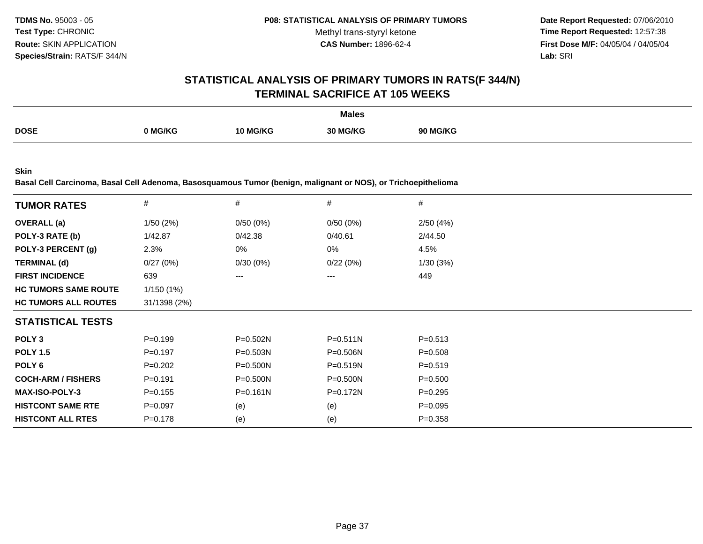**Date Report Requested:** 07/06/2010 **Time Report Requested:** 12:57:38 **First Dose M/F:** 04/05/04 / 04/05/04<br>**Lab:** SRI **Lab:** SRI

### **STATISTICAL ANALYSIS OF PRIMARY TUMORS IN RATS(F 344/N)TERMINAL SACRIFICE AT 105 WEEKS**

|             |                |          | <b>Males</b> |                 |
|-------------|----------------|----------|--------------|-----------------|
| <b>DOSE</b> |                |          |              |                 |
|             | <b>ባ MG/KG</b> | 10 MG/KG | 30 MG/KG     | <b>90 MG/KG</b> |
|             |                |          |              |                 |

**Skin**

**Basal Cell Carcinoma, Basal Cell Adenoma, Basosquamous Tumor (benign, malignant or NOS), or Trichoepithelioma**

| <b>TUMOR RATES</b>          | $\#$         | #            | #            | #           |
|-----------------------------|--------------|--------------|--------------|-------------|
| <b>OVERALL</b> (a)          | 1/50(2%)     | 0/50(0%)     | 0/50(0%)     | 2/50(4%)    |
| POLY-3 RATE (b)             | 1/42.87      | 0/42.38      | 0/40.61      | 2/44.50     |
| POLY-3 PERCENT (g)          | 2.3%         | 0%           | 0%           | 4.5%        |
| <b>TERMINAL (d)</b>         | 0/27(0%)     | 0/30(0%)     | 0/22(0%)     | 1/30(3%)    |
| <b>FIRST INCIDENCE</b>      | 639          | $---$        | ---          | 449         |
| <b>HC TUMORS SAME ROUTE</b> | 1/150(1%)    |              |              |             |
| <b>HC TUMORS ALL ROUTES</b> | 31/1398 (2%) |              |              |             |
| <b>STATISTICAL TESTS</b>    |              |              |              |             |
| POLY <sub>3</sub>           | $P = 0.199$  | $P = 0.502N$ | $P = 0.511N$ | $P = 0.513$ |
| <b>POLY 1.5</b>             | $P = 0.197$  | $P = 0.503N$ | $P = 0.506N$ | $P = 0.508$ |
| POLY 6                      | $P=0.202$    | $P = 0.500N$ | $P = 0.519N$ | $P = 0.519$ |
| <b>COCH-ARM / FISHERS</b>   | $P = 0.191$  | $P = 0.500N$ | $P = 0.500N$ | $P = 0.500$ |
| <b>MAX-ISO-POLY-3</b>       | $P = 0.155$  | $P = 0.161N$ | P=0.172N     | $P=0.295$   |
| <b>HISTCONT SAME RTE</b>    | $P=0.097$    | (e)          | (e)          | $P=0.095$   |
| <b>HISTCONT ALL RTES</b>    | $P = 0.178$  | (e)          | (e)          | $P = 0.358$ |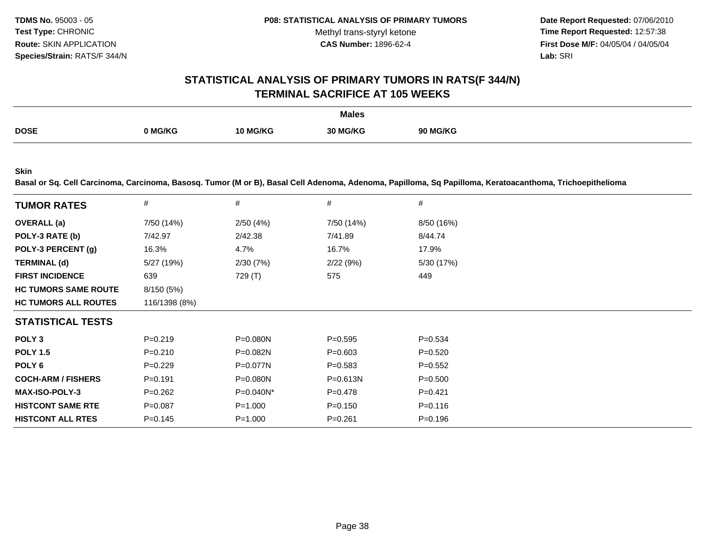**Date Report Requested:** 07/06/2010 **Time Report Requested:** 12:57:38 **First Dose M/F:** 04/05/04 / 04/05/04 Lab: SRI **Lab:** SRI

### **STATISTICAL ANALYSIS OF PRIMARY TUMORS IN RATS(F 344/N)TERMINAL SACRIFICE AT 105 WEEKS**

|             |         |                 | <b>Males</b> |                 |
|-------------|---------|-----------------|--------------|-----------------|
| <b>DOSE</b> |         |                 |              |                 |
|             | 0 MG/KG | <b>10 MG/KG</b> | 30 MG/KG     | <b>90 MG/KG</b> |
|             |         |                 |              |                 |

**Skin**

**Basal or Sq. Cell Carcinoma, Carcinoma, Basosq. Tumor (M or B), Basal Cell Adenoma, Adenoma, Papilloma, Sq Papilloma, Keratoacanthoma, Trichoepithelioma**

| <b>TUMOR RATES</b>          | #             | #            | #            | #           |
|-----------------------------|---------------|--------------|--------------|-------------|
| <b>OVERALL</b> (a)          | 7/50 (14%)    | 2/50(4%)     | 7/50 (14%)   | 8/50 (16%)  |
| POLY-3 RATE (b)             | 7/42.97       | 2/42.38      | 7/41.89      | 8/44.74     |
| POLY-3 PERCENT (g)          | 16.3%         | 4.7%         | 16.7%        | 17.9%       |
| <b>TERMINAL (d)</b>         | 5/27 (19%)    | 2/30(7%)     | 2/22(9%)     | 5/30 (17%)  |
| <b>FIRST INCIDENCE</b>      | 639           | 729 (T)      | 575          | 449         |
| <b>HC TUMORS SAME ROUTE</b> | 8/150 (5%)    |              |              |             |
| <b>HC TUMORS ALL ROUTES</b> | 116/1398 (8%) |              |              |             |
| <b>STATISTICAL TESTS</b>    |               |              |              |             |
| POLY <sub>3</sub>           | $P = 0.219$   | P=0.080N     | $P=0.595$    | $P = 0.534$ |
| <b>POLY 1.5</b>             | $P = 0.210$   | P=0.082N     | $P = 0.603$  | $P=0.520$   |
| POLY 6                      | $P=0.229$     | P=0.077N     | $P = 0.583$  | $P=0.552$   |
| <b>COCH-ARM / FISHERS</b>   | $P = 0.191$   | $P = 0.080N$ | $P = 0.613N$ | $P = 0.500$ |
| <b>MAX-ISO-POLY-3</b>       | $P = 0.262$   | P=0.040N*    | $P = 0.478$  | $P=0.421$   |
| <b>HISTCONT SAME RTE</b>    | $P=0.087$     | $P = 1.000$  | $P = 0.150$  | $P = 0.116$ |
| <b>HISTCONT ALL RTES</b>    | $P = 0.145$   | $P = 1.000$  | $P = 0.261$  | $P = 0.196$ |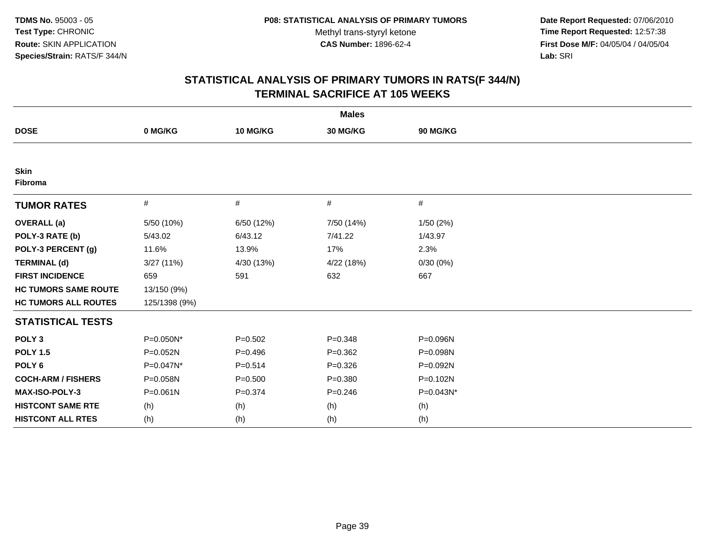**Date Report Requested:** 07/06/2010 **Time Report Requested:** 12:57:38 **First Dose M/F:** 04/05/04 / 04/05/04<br>Lab: SRI **Lab:** SRI

|                             | <b>Males</b>  |             |             |           |  |  |  |
|-----------------------------|---------------|-------------|-------------|-----------|--|--|--|
| <b>DOSE</b>                 | 0 MG/KG       | 10 MG/KG    | 30 MG/KG    | 90 MG/KG  |  |  |  |
|                             |               |             |             |           |  |  |  |
| <b>Skin</b><br>Fibroma      |               |             |             |           |  |  |  |
| <b>TUMOR RATES</b>          | $\#$          | $\#$        | $\#$        | #         |  |  |  |
| <b>OVERALL</b> (a)          | 5/50 (10%)    | 6/50 (12%)  | 7/50 (14%)  | 1/50(2%)  |  |  |  |
| POLY-3 RATE (b)             | 5/43.02       | 6/43.12     | 7/41.22     | 1/43.97   |  |  |  |
| POLY-3 PERCENT (g)          | 11.6%         | 13.9%       | 17%         | 2.3%      |  |  |  |
| <b>TERMINAL (d)</b>         | 3/27(11%)     | 4/30 (13%)  | 4/22 (18%)  | 0/30(0%)  |  |  |  |
| <b>FIRST INCIDENCE</b>      | 659           | 591         | 632         | 667       |  |  |  |
| <b>HC TUMORS SAME ROUTE</b> | 13/150 (9%)   |             |             |           |  |  |  |
| <b>HC TUMORS ALL ROUTES</b> | 125/1398 (9%) |             |             |           |  |  |  |
| <b>STATISTICAL TESTS</b>    |               |             |             |           |  |  |  |
| POLY <sub>3</sub>           | P=0.050N*     | $P = 0.502$ | $P = 0.348$ | P=0.096N  |  |  |  |
| <b>POLY 1.5</b>             | P=0.052N      | $P = 0.496$ | $P = 0.362$ | P=0.098N  |  |  |  |
| POLY <sub>6</sub>           | P=0.047N*     | $P = 0.514$ | $P = 0.326$ | P=0.092N  |  |  |  |
| <b>COCH-ARM / FISHERS</b>   | P=0.058N      | $P = 0.500$ | $P = 0.380$ | P=0.102N  |  |  |  |
| <b>MAX-ISO-POLY-3</b>       | P=0.061N      | $P = 0.374$ | $P = 0.246$ | P=0.043N* |  |  |  |
| <b>HISTCONT SAME RTE</b>    | (h)           | (h)         | (h)         | (h)       |  |  |  |
| <b>HISTCONT ALL RTES</b>    | (h)           | (h)         | (h)         | (h)       |  |  |  |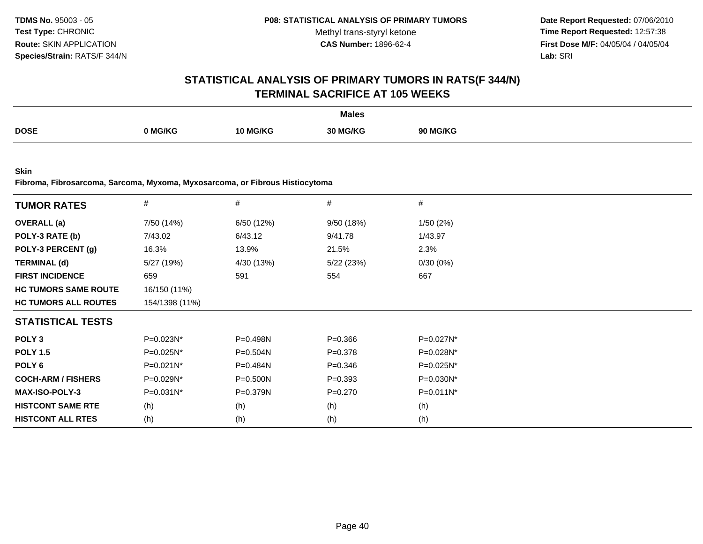**Date Report Requested:** 07/06/2010 **Time Report Requested:** 12:57:38 **First Dose M/F:** 04/05/04 / 04/05/04<br>**Lab:** SRI **Lab:** SRI

# **STATISTICAL ANALYSIS OF PRIMARY TUMORS IN RATS(F 344/N)TERMINAL SACRIFICE AT 105 WEEKS**

|             |         |          | <b>Males</b> |                 |
|-------------|---------|----------|--------------|-----------------|
| <b>DOSE</b> | ን MG/KG | 10 MG/KG | 30 MG/KG     | <b>90 MG/KG</b> |
|             |         |          |              |                 |

**Skin**

**Fibroma, Fibrosarcoma, Sarcoma, Myxoma, Myxosarcoma, or Fibrous Histiocytoma**

| <b>TUMOR RATES</b>          | $\#$           | $\#$         | #           | $\#$         |
|-----------------------------|----------------|--------------|-------------|--------------|
| <b>OVERALL</b> (a)          | 7/50 (14%)     | 6/50 (12%)   | 9/50(18%)   | 1/50(2%)     |
| POLY-3 RATE (b)             | 7/43.02        | 6/43.12      | 9/41.78     | 1/43.97      |
| POLY-3 PERCENT (g)          | 16.3%          | 13.9%        | 21.5%       | 2.3%         |
| <b>TERMINAL (d)</b>         | 5/27 (19%)     | 4/30 (13%)   | 5/22(23%)   | 0/30(0%)     |
| <b>FIRST INCIDENCE</b>      | 659            | 591          | 554         | 667          |
| <b>HC TUMORS SAME ROUTE</b> | 16/150 (11%)   |              |             |              |
| <b>HC TUMORS ALL ROUTES</b> | 154/1398 (11%) |              |             |              |
| <b>STATISTICAL TESTS</b>    |                |              |             |              |
| POLY <sub>3</sub>           | P=0.023N*      | P=0.498N     | $P = 0.366$ | $P=0.027N^*$ |
| <b>POLY 1.5</b>             | $P=0.025N^*$   | $P = 0.504N$ | $P=0.378$   | P=0.028N*    |
| POLY 6                      | P=0.021N*      | $P = 0.484N$ | $P = 0.346$ | $P=0.025N^*$ |
| <b>COCH-ARM / FISHERS</b>   | P=0.029N*      | P=0.500N     | $P = 0.393$ | P=0.030N*    |
| <b>MAX-ISO-POLY-3</b>       | $P=0.031N^*$   | $P = 0.379N$ | $P = 0.270$ | $P=0.011N^*$ |
| <b>HISTCONT SAME RTE</b>    | (h)            | (h)          | (h)         | (h)          |
| <b>HISTCONT ALL RTES</b>    | (h)            | (h)          | (h)         | (h)          |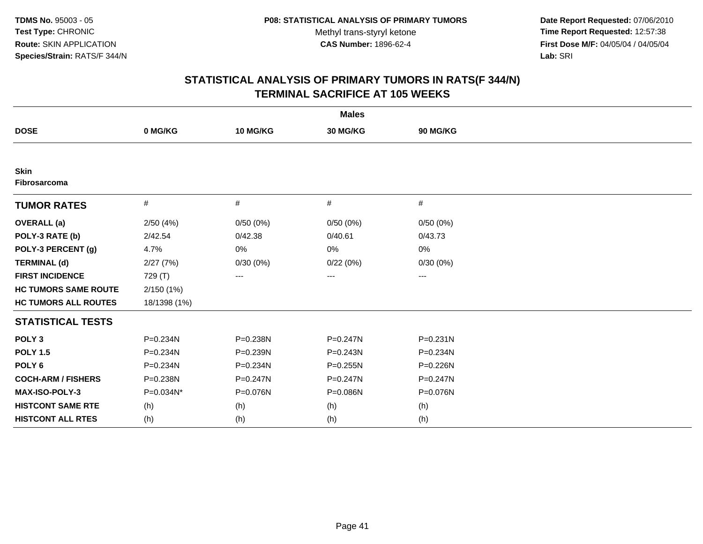**Date Report Requested:** 07/06/2010 **Time Report Requested:** 12:57:38 **First Dose M/F:** 04/05/04 / 04/05/04<br>Lab: SRI **Lab:** SRI

|                                    | <b>Males</b> |              |              |              |  |  |  |
|------------------------------------|--------------|--------------|--------------|--------------|--|--|--|
| <b>DOSE</b>                        | 0 MG/KG      | 10 MG/KG     | 30 MG/KG     | 90 MG/KG     |  |  |  |
|                                    |              |              |              |              |  |  |  |
| <b>Skin</b><br><b>Fibrosarcoma</b> |              |              |              |              |  |  |  |
| <b>TUMOR RATES</b>                 | $\#$         | $\#$         | $\#$         | #            |  |  |  |
| <b>OVERALL</b> (a)                 | 2/50(4%)     | 0/50(0%)     | 0/50(0%)     | 0/50(0%)     |  |  |  |
| POLY-3 RATE (b)                    | 2/42.54      | 0/42.38      | 0/40.61      | 0/43.73      |  |  |  |
| POLY-3 PERCENT (g)                 | 4.7%         | 0%           | 0%           | 0%           |  |  |  |
| <b>TERMINAL (d)</b>                | 2/27(7%)     | 0/30(0%)     | 0/22(0%)     | 0/30(0%)     |  |  |  |
| <b>FIRST INCIDENCE</b>             | 729 (T)      | ---          | ---          | $---$        |  |  |  |
| <b>HC TUMORS SAME ROUTE</b>        | 2/150(1%)    |              |              |              |  |  |  |
| <b>HC TUMORS ALL ROUTES</b>        | 18/1398 (1%) |              |              |              |  |  |  |
| <b>STATISTICAL TESTS</b>           |              |              |              |              |  |  |  |
| POLY <sub>3</sub>                  | P=0.234N     | P=0.238N     | $P = 0.247N$ | $P = 0.231N$ |  |  |  |
| <b>POLY 1.5</b>                    | P=0.234N     | P=0.239N     | $P = 0.243N$ | P=0.234N     |  |  |  |
| POLY <sub>6</sub>                  | P=0.234N     | $P = 0.234N$ | $P = 0.255N$ | P=0.226N     |  |  |  |
| <b>COCH-ARM / FISHERS</b>          | P=0.238N     | P=0.247N     | P=0.247N     | P=0.247N     |  |  |  |
| MAX-ISO-POLY-3                     | P=0.034N*    | P=0.076N     | P=0.086N     | P=0.076N     |  |  |  |
| <b>HISTCONT SAME RTE</b>           | (h)          | (h)          | (h)          | (h)          |  |  |  |
| <b>HISTCONT ALL RTES</b>           | (h)          | (h)          | (h)          | (h)          |  |  |  |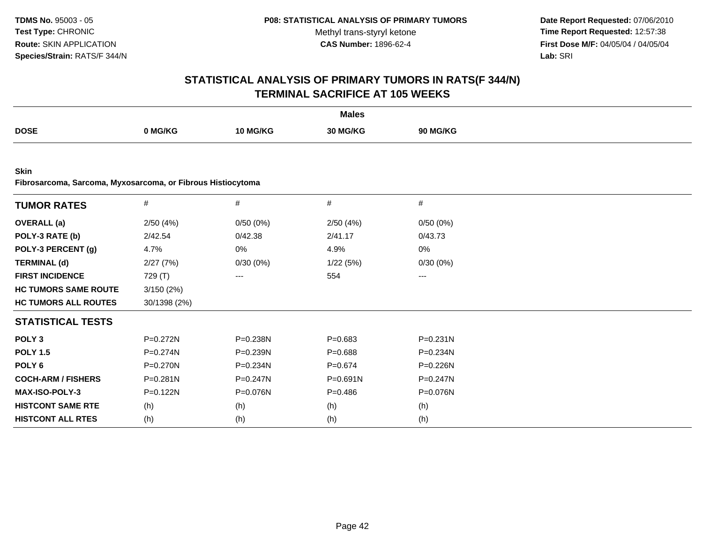**Date Report Requested:** 07/06/2010 **Time Report Requested:** 12:57:38 **First Dose M/F:** 04/05/04 / 04/05/04<br>Lab: SRI **Lab:** SRI

|                                                             |              |              | <b>Males</b> |              |  |
|-------------------------------------------------------------|--------------|--------------|--------------|--------------|--|
| <b>DOSE</b>                                                 | 0 MG/KG      | 10 MG/KG     | 30 MG/KG     | 90 MG/KG     |  |
|                                                             |              |              |              |              |  |
| <b>Skin</b>                                                 |              |              |              |              |  |
| Fibrosarcoma, Sarcoma, Myxosarcoma, or Fibrous Histiocytoma |              |              |              |              |  |
| <b>TUMOR RATES</b>                                          | $\#$         | #            | $\#$         | $\#$         |  |
| <b>OVERALL</b> (a)                                          | 2/50(4%)     | 0/50(0%)     | 2/50(4%)     | 0/50(0%)     |  |
| POLY-3 RATE (b)                                             | 2/42.54      | 0/42.38      | 2/41.17      | 0/43.73      |  |
| POLY-3 PERCENT (g)                                          | 4.7%         | 0%           | 4.9%         | 0%           |  |
| <b>TERMINAL (d)</b>                                         | 2/27(7%)     | 0/30(0%)     | 1/22(5%)     | 0/30(0%)     |  |
| <b>FIRST INCIDENCE</b>                                      | 729 (T)      | ---          | 554          | ---          |  |
| <b>HC TUMORS SAME ROUTE</b>                                 | 3/150(2%)    |              |              |              |  |
| <b>HC TUMORS ALL ROUTES</b>                                 | 30/1398 (2%) |              |              |              |  |
| <b>STATISTICAL TESTS</b>                                    |              |              |              |              |  |
| POLY <sub>3</sub>                                           | $P = 0.272N$ | P=0.238N     | $P = 0.683$  | $P = 0.231N$ |  |
| <b>POLY 1.5</b>                                             | $P = 0.274N$ | $P = 0.239N$ | $P = 0.688$  | P=0.234N     |  |
| POLY <sub>6</sub>                                           | P=0.270N     | P=0.234N     | $P = 0.674$  | P=0.226N     |  |
| <b>COCH-ARM / FISHERS</b>                                   | P=0.281N     | $P = 0.247N$ | P=0.691N     | $P = 0.247N$ |  |
| <b>MAX-ISO-POLY-3</b>                                       | $P = 0.122N$ | P=0.076N     | $P=0.486$    | P=0.076N     |  |
| <b>HISTCONT SAME RTE</b>                                    | (h)          | (h)          | (h)          | (h)          |  |
| <b>HISTCONT ALL RTES</b>                                    | (h)          | (h)          | (h)          | (h)          |  |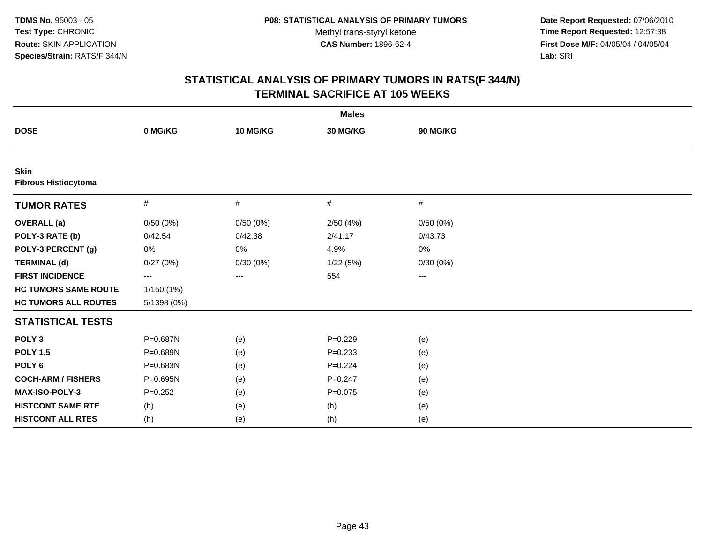**Date Report Requested:** 07/06/2010 **Time Report Requested:** 12:57:38 **First Dose M/F:** 04/05/04 / 04/05/04<br>Lab: SRI **Lab:** SRI

| <b>Males</b>                               |             |          |             |          |  |  |
|--------------------------------------------|-------------|----------|-------------|----------|--|--|
| <b>DOSE</b>                                | 0 MG/KG     | 10 MG/KG | 30 MG/KG    | 90 MG/KG |  |  |
|                                            |             |          |             |          |  |  |
| <b>Skin</b><br><b>Fibrous Histiocytoma</b> |             |          |             |          |  |  |
| <b>TUMOR RATES</b>                         | $\#$        | #        | #           | $\#$     |  |  |
| <b>OVERALL</b> (a)                         | 0/50(0%)    | 0/50(0%) | 2/50(4%)    | 0/50(0%) |  |  |
| POLY-3 RATE (b)                            | 0/42.54     | 0/42.38  | 2/41.17     | 0/43.73  |  |  |
| POLY-3 PERCENT (g)                         | 0%          | $0\%$    | 4.9%        | $0\%$    |  |  |
| <b>TERMINAL (d)</b>                        | 0/27(0%)    | 0/30(0%) | 1/22(5%)    | 0/30(0%) |  |  |
| <b>FIRST INCIDENCE</b>                     | $\cdots$    | ---      | 554         | ---      |  |  |
| <b>HC TUMORS SAME ROUTE</b>                | 1/150(1%)   |          |             |          |  |  |
| <b>HC TUMORS ALL ROUTES</b>                | 5/1398 (0%) |          |             |          |  |  |
| <b>STATISTICAL TESTS</b>                   |             |          |             |          |  |  |
| POLY <sub>3</sub>                          | P=0.687N    | (e)      | $P=0.229$   | (e)      |  |  |
| <b>POLY 1.5</b>                            | P=0.689N    | (e)      | $P = 0.233$ | (e)      |  |  |
| POLY <sub>6</sub>                          | P=0.683N    | (e)      | $P=0.224$   | (e)      |  |  |
| <b>COCH-ARM / FISHERS</b>                  | P=0.695N    | (e)      | $P = 0.247$ | (e)      |  |  |
| MAX-ISO-POLY-3                             | $P=0.252$   | (e)      | $P=0.075$   | (e)      |  |  |
| <b>HISTCONT SAME RTE</b>                   | (h)         | (e)      | (h)         | (e)      |  |  |
| <b>HISTCONT ALL RTES</b>                   | (h)         | (e)      | (h)         | (e)      |  |  |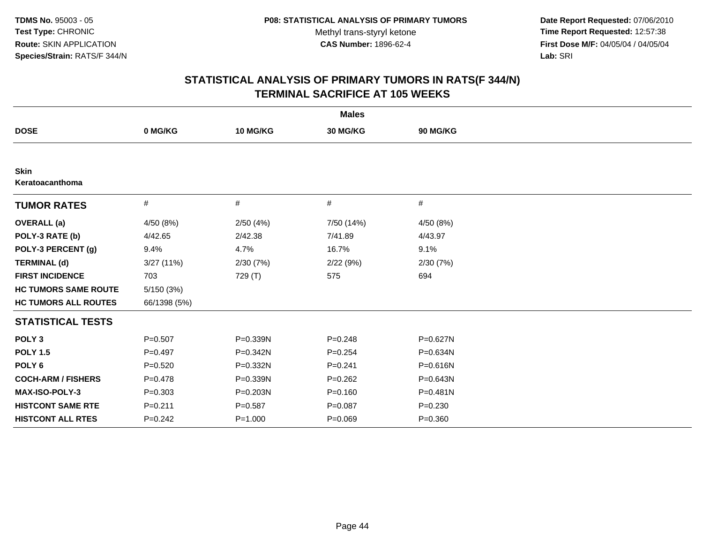**Date Report Requested:** 07/06/2010 **Time Report Requested:** 12:57:38 **First Dose M/F:** 04/05/04 / 04/05/04<br>Lab: SRI **Lab:** SRI

|                                |              |              | <b>Males</b> |             |  |
|--------------------------------|--------------|--------------|--------------|-------------|--|
| <b>DOSE</b>                    | 0 MG/KG      | 10 MG/KG     | 30 MG/KG     | 90 MG/KG    |  |
|                                |              |              |              |             |  |
| <b>Skin</b><br>Keratoacanthoma |              |              |              |             |  |
| <b>TUMOR RATES</b>             | #            | #            | #            | #           |  |
| <b>OVERALL</b> (a)             | 4/50 (8%)    | 2/50(4%)     | 7/50 (14%)   | 4/50 (8%)   |  |
| POLY-3 RATE (b)                | 4/42.65      | 2/42.38      | 7/41.89      | 4/43.97     |  |
| POLY-3 PERCENT (g)             | 9.4%         | 4.7%         | 16.7%        | 9.1%        |  |
| <b>TERMINAL (d)</b>            | 3/27(11%)    | 2/30(7%)     | 2/22(9%)     | 2/30(7%)    |  |
| <b>FIRST INCIDENCE</b>         | 703          | 729 (T)      | 575          | 694         |  |
| <b>HC TUMORS SAME ROUTE</b>    | 5/150(3%)    |              |              |             |  |
| <b>HC TUMORS ALL ROUTES</b>    | 66/1398 (5%) |              |              |             |  |
| <b>STATISTICAL TESTS</b>       |              |              |              |             |  |
| POLY <sub>3</sub>              | $P=0.507$    | $P = 0.339N$ | $P = 0.248$  | P=0.627N    |  |
| <b>POLY 1.5</b>                | $P=0.497$    | P=0.342N     | $P = 0.254$  | P=0.634N    |  |
| POLY <sub>6</sub>              | $P = 0.520$  | P=0.332N     | $P = 0.241$  | P=0.616N    |  |
| <b>COCH-ARM / FISHERS</b>      | $P=0.478$    | $P = 0.339N$ | $P=0.262$    | P=0.643N    |  |
| <b>MAX-ISO-POLY-3</b>          | $P = 0.303$  | P=0.203N     | $P = 0.160$  | P=0.481N    |  |
| <b>HISTCONT SAME RTE</b>       | $P = 0.211$  | $P = 0.587$  | $P = 0.087$  | $P = 0.230$ |  |
| <b>HISTCONT ALL RTES</b>       | $P=0.242$    | $P = 1.000$  | $P=0.069$    | $P = 0.360$ |  |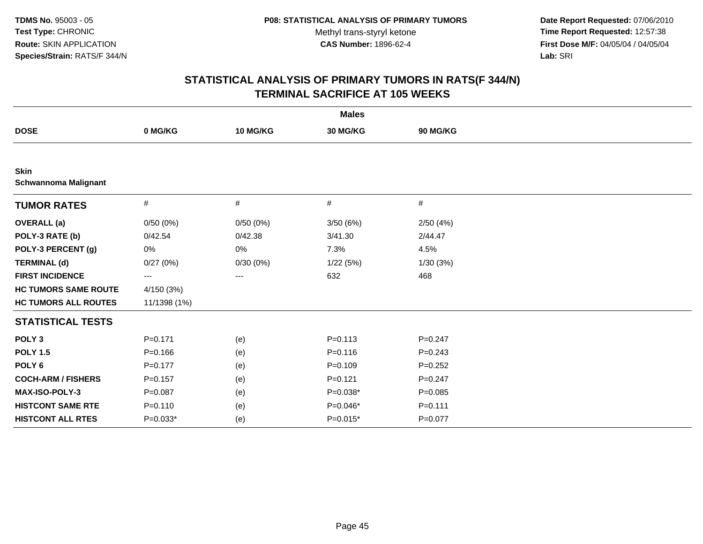**Date Report Requested:** 07/06/2010 **Time Report Requested:** 12:57:38 **First Dose M/F:** 04/05/04 / 04/05/04<br>Lab: SRI **Lab:** SRI

| <b>Males</b>                               |              |          |             |             |  |  |  |
|--------------------------------------------|--------------|----------|-------------|-------------|--|--|--|
| <b>DOSE</b>                                | 0 MG/KG      | 10 MG/KG | 30 MG/KG    | 90 MG/KG    |  |  |  |
|                                            |              |          |             |             |  |  |  |
| <b>Skin</b><br><b>Schwannoma Malignant</b> |              |          |             |             |  |  |  |
| <b>TUMOR RATES</b>                         | $\#$         | #        | #           | $\#$        |  |  |  |
| <b>OVERALL</b> (a)                         | 0/50(0%)     | 0/50(0%) | 3/50(6%)    | 2/50(4%)    |  |  |  |
| POLY-3 RATE (b)                            | 0/42.54      | 0/42.38  | 3/41.30     | 2/44.47     |  |  |  |
| POLY-3 PERCENT (g)                         | 0%           | $0\%$    | 7.3%        | 4.5%        |  |  |  |
| <b>TERMINAL (d)</b>                        | 0/27(0%)     | 0/30(0%) | 1/22(5%)    | 1/30(3%)    |  |  |  |
| <b>FIRST INCIDENCE</b>                     | $\cdots$     | ---      | 632         | 468         |  |  |  |
| <b>HC TUMORS SAME ROUTE</b>                | 4/150(3%)    |          |             |             |  |  |  |
| <b>HC TUMORS ALL ROUTES</b>                | 11/1398 (1%) |          |             |             |  |  |  |
| <b>STATISTICAL TESTS</b>                   |              |          |             |             |  |  |  |
| POLY <sub>3</sub>                          | $P = 0.171$  | (e)      | $P = 0.113$ | $P=0.247$   |  |  |  |
| <b>POLY 1.5</b>                            | $P = 0.166$  | (e)      | $P = 0.116$ | $P = 0.243$ |  |  |  |
| POLY <sub>6</sub>                          | $P = 0.177$  | (e)      | $P=0.109$   | $P=0.252$   |  |  |  |
| <b>COCH-ARM / FISHERS</b>                  | $P = 0.157$  | (e)      | $P = 0.121$ | $P=0.247$   |  |  |  |
| MAX-ISO-POLY-3                             | $P = 0.087$  | (e)      | $P=0.038*$  | $P = 0.085$ |  |  |  |
| <b>HISTCONT SAME RTE</b>                   | $P = 0.110$  | (e)      | $P=0.046*$  | $P = 0.111$ |  |  |  |
| <b>HISTCONT ALL RTES</b>                   | $P=0.033*$   | (e)      | $P=0.015*$  | $P = 0.077$ |  |  |  |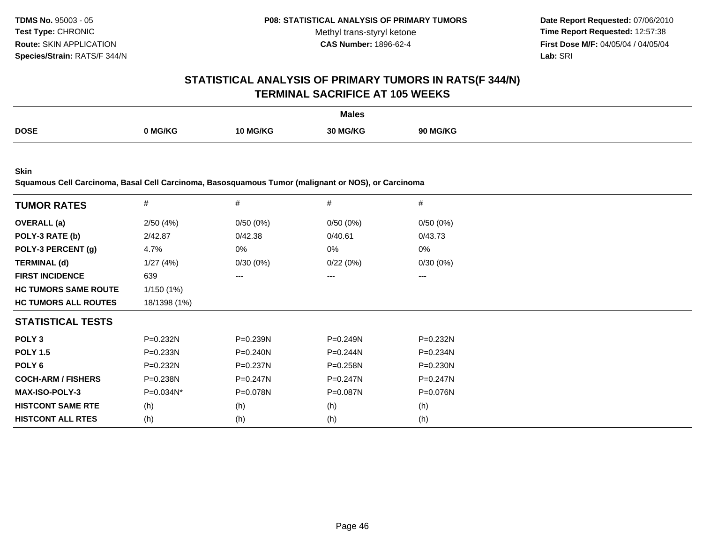**Date Report Requested:** 07/06/2010 **Time Report Requested:** 12:57:38 **First Dose M/F:** 04/05/04 / 04/05/04<br>**Lab:** SRI **Lab:** SRI

### **STATISTICAL ANALYSIS OF PRIMARY TUMORS IN RATS(F 344/N)TERMINAL SACRIFICE AT 105 WEEKS**

|             |        |      | <b>Males</b>  |              |
|-------------|--------|------|---------------|--------------|
| <b>DOSE</b> | `MG/KG | 70 L | 30 M<br>IG/KC | <b>MG/KG</b> |

**Skin**

**Squamous Cell Carcinoma, Basal Cell Carcinoma, Basosquamous Tumor (malignant or NOS), or Carcinoma**

| <b>TUMOR RATES</b>          | #            | #            | #            | #            |
|-----------------------------|--------------|--------------|--------------|--------------|
| <b>OVERALL</b> (a)          | 2/50(4%)     | 0/50(0%)     | 0/50(0%)     | 0/50(0%)     |
| POLY-3 RATE (b)             | 2/42.87      | 0/42.38      | 0/40.61      | 0/43.73      |
| POLY-3 PERCENT (g)          | 4.7%         | 0%           | 0%           | 0%           |
| <b>TERMINAL (d)</b>         | 1/27(4%)     | 0/30(0%)     | 0/22(0%)     | 0/30(0%)     |
| <b>FIRST INCIDENCE</b>      | 639          | $---$        | $---$        | $---$        |
| <b>HC TUMORS SAME ROUTE</b> | 1/150(1%)    |              |              |              |
| <b>HC TUMORS ALL ROUTES</b> | 18/1398 (1%) |              |              |              |
| <b>STATISTICAL TESTS</b>    |              |              |              |              |
| POLY <sub>3</sub>           | $P = 0.232N$ | $P = 0.239N$ | $P = 0.249N$ | $P = 0.232N$ |
| <b>POLY 1.5</b>             | $P = 0.233N$ | $P = 0.240N$ | $P=0.244N$   | $P = 0.234N$ |
| POLY <sub>6</sub>           | $P = 0.232N$ | $P = 0.237N$ | $P = 0.258N$ | $P = 0.230N$ |
| <b>COCH-ARM / FISHERS</b>   | $P = 0.238N$ | $P=0.247N$   | $P=0.247N$   | $P = 0.247N$ |
| <b>MAX-ISO-POLY-3</b>       | $P=0.034N^*$ | P=0.078N     | $P = 0.087N$ | P=0.076N     |
| <b>HISTCONT SAME RTE</b>    | (h)          | (h)          | (h)          | (h)          |
| <b>HISTCONT ALL RTES</b>    | (h)          | (h)          | (h)          | (h)          |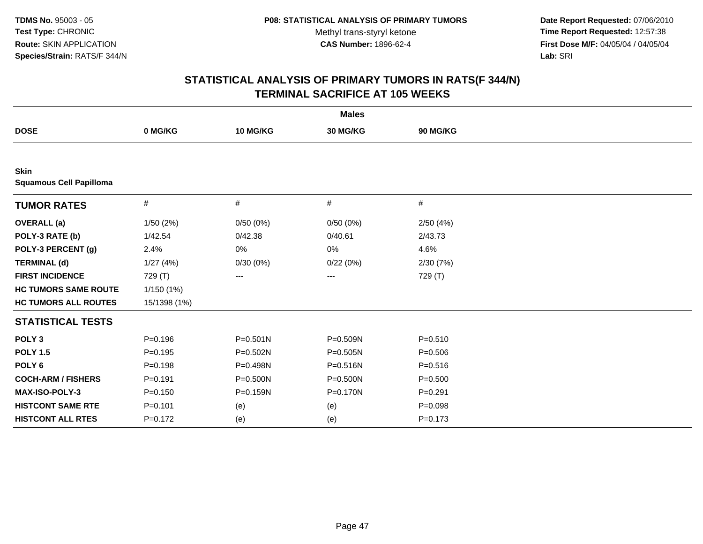**Date Report Requested:** 07/06/2010 **Time Report Requested:** 12:57:38 **First Dose M/F:** 04/05/04 / 04/05/04<br>Lab: SRI **Lab:** SRI

| <b>Males</b>                                  |              |              |              |             |  |  |  |
|-----------------------------------------------|--------------|--------------|--------------|-------------|--|--|--|
| <b>DOSE</b>                                   | 0 MG/KG      | 10 MG/KG     | 30 MG/KG     | 90 MG/KG    |  |  |  |
|                                               |              |              |              |             |  |  |  |
| <b>Skin</b><br><b>Squamous Cell Papilloma</b> |              |              |              |             |  |  |  |
| <b>TUMOR RATES</b>                            | $\#$         | $\#$         | $\#$         | #           |  |  |  |
| <b>OVERALL</b> (a)                            | 1/50(2%)     | 0/50(0%)     | 0/50(0%)     | 2/50(4%)    |  |  |  |
| POLY-3 RATE (b)                               | 1/42.54      | 0/42.38      | 0/40.61      | 2/43.73     |  |  |  |
| POLY-3 PERCENT (g)                            | 2.4%         | 0%           | 0%           | 4.6%        |  |  |  |
| <b>TERMINAL (d)</b>                           | 1/27(4%)     | 0/30(0%)     | 0/22(0%)     | 2/30(7%)    |  |  |  |
| <b>FIRST INCIDENCE</b>                        | 729 (T)      | ---          | ---          | 729 (T)     |  |  |  |
| <b>HC TUMORS SAME ROUTE</b>                   | 1/150(1%)    |              |              |             |  |  |  |
| <b>HC TUMORS ALL ROUTES</b>                   | 15/1398 (1%) |              |              |             |  |  |  |
| <b>STATISTICAL TESTS</b>                      |              |              |              |             |  |  |  |
| POLY <sub>3</sub>                             | $P = 0.196$  | $P = 0.501N$ | P=0.509N     | $P = 0.510$ |  |  |  |
| <b>POLY 1.5</b>                               | $P = 0.195$  | $P = 0.502N$ | $P = 0.505N$ | $P = 0.506$ |  |  |  |
| POLY <sub>6</sub>                             | $P = 0.198$  | P=0.498N     | P=0.516N     | $P = 0.516$ |  |  |  |
| <b>COCH-ARM / FISHERS</b>                     | $P = 0.191$  | $P = 0.500N$ | $P = 0.500N$ | $P = 0.500$ |  |  |  |
| MAX-ISO-POLY-3                                | $P = 0.150$  | P=0.159N     | P=0.170N     | $P=0.291$   |  |  |  |
| <b>HISTCONT SAME RTE</b>                      | $P = 0.101$  | (e)          | (e)          | $P = 0.098$ |  |  |  |
| <b>HISTCONT ALL RTES</b>                      | $P = 0.172$  | (e)          | (e)          | $P = 0.173$ |  |  |  |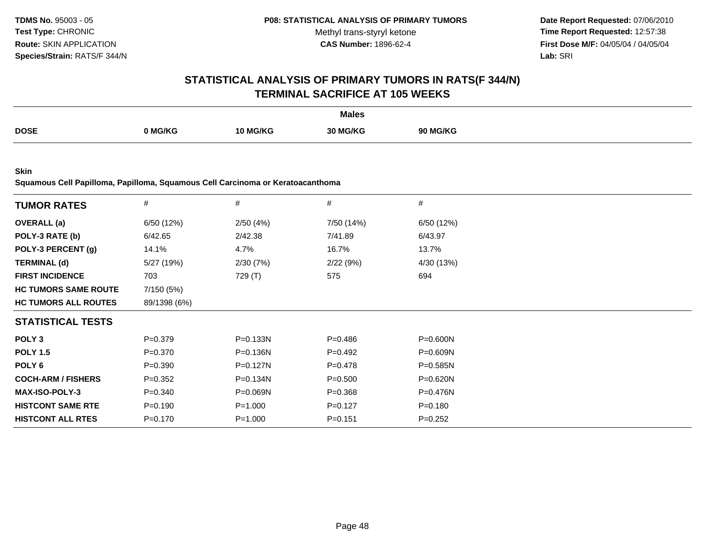**Date Report Requested:** 07/06/2010 **Time Report Requested:** 12:57:38 **First Dose M/F:** 04/05/04 / 04/05/04<br>**Lab:** SRI **Lab:** SRI

# **STATISTICAL ANALYSIS OF PRIMARY TUMORS IN RATS(F 344/N)TERMINAL SACRIFICE AT 105 WEEKS**

|             |              |          | <b>Males</b> |                 |
|-------------|--------------|----------|--------------|-----------------|
| <b>DOSE</b> | <b>NG/KG</b> | 10 MG/KG | 30 MG/KG     | <b>90 MG/KG</b> |

**Skin**

**Squamous Cell Papilloma, Papilloma, Squamous Cell Carcinoma or Keratoacanthoma**

| <b>TUMOR RATES</b>          | #            | #            | #           | $\#$         |  |
|-----------------------------|--------------|--------------|-------------|--------------|--|
| <b>OVERALL</b> (a)          | 6/50 (12%)   | 2/50(4%)     | 7/50 (14%)  | 6/50 (12%)   |  |
| POLY-3 RATE (b)             | 6/42.65      | 2/42.38      | 7/41.89     | 6/43.97      |  |
| POLY-3 PERCENT (g)          | 14.1%        | 4.7%         | 16.7%       | 13.7%        |  |
| <b>TERMINAL (d)</b>         | 5/27 (19%)   | 2/30(7%)     | 2/22(9%)    | 4/30 (13%)   |  |
| <b>FIRST INCIDENCE</b>      | 703          | 729 (T)      | 575         | 694          |  |
| <b>HC TUMORS SAME ROUTE</b> | 7/150 (5%)   |              |             |              |  |
| <b>HC TUMORS ALL ROUTES</b> | 89/1398 (6%) |              |             |              |  |
| <b>STATISTICAL TESTS</b>    |              |              |             |              |  |
| POLY <sub>3</sub>           | $P = 0.379$  | P=0.133N     | $P = 0.486$ | P=0.600N     |  |
| <b>POLY 1.5</b>             | $P = 0.370$  | P=0.136N     | $P=0.492$   | $P = 0.609N$ |  |
| POLY <sub>6</sub>           | $P = 0.390$  | $P=0.127N$   | $P = 0.478$ | $P = 0.585N$ |  |
| <b>COCH-ARM / FISHERS</b>   | $P = 0.352$  | $P = 0.134N$ | $P = 0.500$ | $P = 0.620N$ |  |
| <b>MAX-ISO-POLY-3</b>       | $P = 0.340$  | P=0.069N     | $P = 0.368$ | P=0.476N     |  |
| <b>HISTCONT SAME RTE</b>    | $P = 0.190$  | $P = 1.000$  | $P=0.127$   | $P = 0.180$  |  |
| <b>HISTCONT ALL RTES</b>    | $P = 0.170$  | $P = 1.000$  | $P = 0.151$ | $P=0.252$    |  |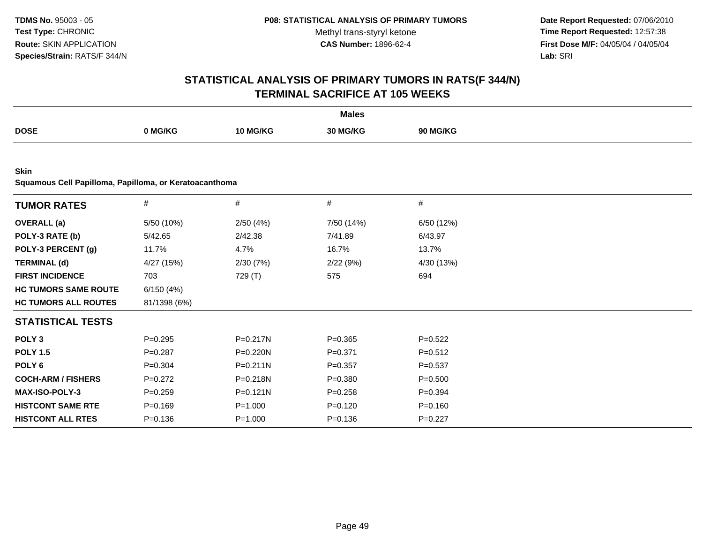**Date Report Requested:** 07/06/2010 **Time Report Requested:** 12:57:38 **First Dose M/F:** 04/05/04 / 04/05/04<br>Lab: SRI **Lab:** SRI

|                                                        |              |              | <b>Males</b> |             |  |
|--------------------------------------------------------|--------------|--------------|--------------|-------------|--|
| <b>DOSE</b>                                            | 0 MG/KG      | 10 MG/KG     | 30 MG/KG     | 90 MG/KG    |  |
|                                                        |              |              |              |             |  |
| <b>Skin</b>                                            |              |              |              |             |  |
| Squamous Cell Papilloma, Papilloma, or Keratoacanthoma |              |              |              |             |  |
| <b>TUMOR RATES</b>                                     | $\#$         | $\#$         | $\#$         | #           |  |
| <b>OVERALL</b> (a)                                     | 5/50 (10%)   | 2/50(4%)     | 7/50 (14%)   | 6/50 (12%)  |  |
| POLY-3 RATE (b)                                        | 5/42.65      | 2/42.38      | 7/41.89      | 6/43.97     |  |
| POLY-3 PERCENT (g)                                     | 11.7%        | 4.7%         | 16.7%        | 13.7%       |  |
| <b>TERMINAL (d)</b>                                    | 4/27 (15%)   | 2/30(7%)     | 2/22(9%)     | 4/30 (13%)  |  |
| <b>FIRST INCIDENCE</b>                                 | 703          | 729 (T)      | 575          | 694         |  |
| <b>HC TUMORS SAME ROUTE</b>                            | 6/150(4%)    |              |              |             |  |
| <b>HC TUMORS ALL ROUTES</b>                            | 81/1398 (6%) |              |              |             |  |
| <b>STATISTICAL TESTS</b>                               |              |              |              |             |  |
| POLY <sub>3</sub>                                      | $P=0.295$    | P=0.217N     | $P = 0.365$  | $P=0.522$   |  |
| <b>POLY 1.5</b>                                        | $P = 0.287$  | P=0.220N     | $P = 0.371$  | $P=0.512$   |  |
| POLY <sub>6</sub>                                      | $P = 0.304$  | $P = 0.211N$ | $P=0.357$    | $P = 0.537$ |  |
| <b>COCH-ARM / FISHERS</b>                              | $P=0.272$    | P=0.218N     | $P = 0.380$  | $P = 0.500$ |  |
| MAX-ISO-POLY-3                                         | $P = 0.259$  | $P = 0.121N$ | $P = 0.258$  | $P=0.394$   |  |
| <b>HISTCONT SAME RTE</b>                               | $P = 0.169$  | $P = 1.000$  | $P=0.120$    | $P = 0.160$ |  |
| <b>HISTCONT ALL RTES</b>                               | $P = 0.136$  | $P = 1.000$  | $P = 0.136$  | $P=0.227$   |  |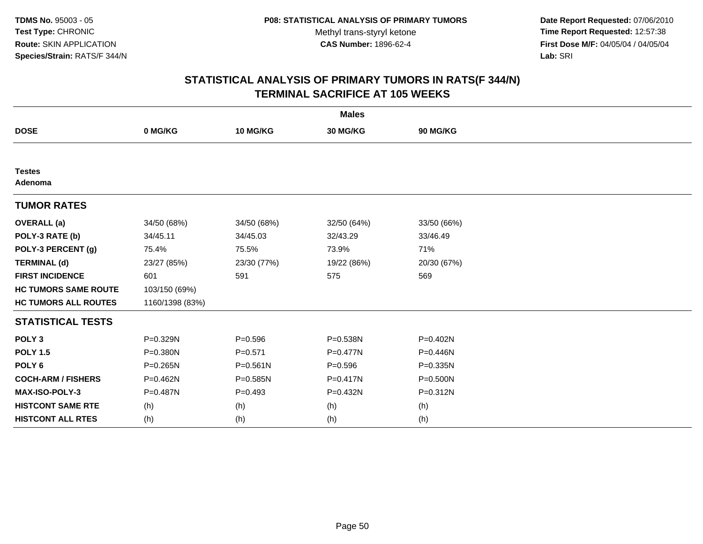**Date Report Requested:** 07/06/2010 **Time Report Requested:** 12:57:38 **First Dose M/F:** 04/05/04 / 04/05/04<br>Lab: SRI **Lab:** SRI

| <b>Males</b>                |                 |              |              |              |  |  |  |
|-----------------------------|-----------------|--------------|--------------|--------------|--|--|--|
| <b>DOSE</b>                 | 0 MG/KG         | 10 MG/KG     | 30 MG/KG     | 90 MG/KG     |  |  |  |
|                             |                 |              |              |              |  |  |  |
| <b>Testes</b><br>Adenoma    |                 |              |              |              |  |  |  |
| <b>TUMOR RATES</b>          |                 |              |              |              |  |  |  |
| <b>OVERALL</b> (a)          | 34/50 (68%)     | 34/50 (68%)  | 32/50 (64%)  | 33/50 (66%)  |  |  |  |
| POLY-3 RATE (b)             | 34/45.11        | 34/45.03     | 32/43.29     | 33/46.49     |  |  |  |
| POLY-3 PERCENT (g)          | 75.4%           | 75.5%        | 73.9%        | 71%          |  |  |  |
| <b>TERMINAL (d)</b>         | 23/27 (85%)     | 23/30 (77%)  | 19/22 (86%)  | 20/30 (67%)  |  |  |  |
| <b>FIRST INCIDENCE</b>      | 601             | 591          | 575          | 569          |  |  |  |
| <b>HC TUMORS SAME ROUTE</b> | 103/150 (69%)   |              |              |              |  |  |  |
| <b>HC TUMORS ALL ROUTES</b> | 1160/1398 (83%) |              |              |              |  |  |  |
| <b>STATISTICAL TESTS</b>    |                 |              |              |              |  |  |  |
| POLY <sub>3</sub>           | P=0.329N        | $P = 0.596$  | P=0.538N     | $P = 0.402N$ |  |  |  |
| <b>POLY 1.5</b>             | P=0.380N        | $P = 0.571$  | $P = 0.477N$ | P=0.446N     |  |  |  |
| POLY <sub>6</sub>           | $P = 0.265N$    | $P = 0.561N$ | $P = 0.596$  | $P = 0.335N$ |  |  |  |
| <b>COCH-ARM / FISHERS</b>   | P=0.462N        | $P = 0.585N$ | $P = 0.417N$ | P=0.500N     |  |  |  |
| <b>MAX-ISO-POLY-3</b>       | P=0.487N        | $P=0.493$    | P=0.432N     | $P = 0.312N$ |  |  |  |
| <b>HISTCONT SAME RTE</b>    | (h)             | (h)          | (h)          | (h)          |  |  |  |
| <b>HISTCONT ALL RTES</b>    | (h)             | (h)          | (h)          | (h)          |  |  |  |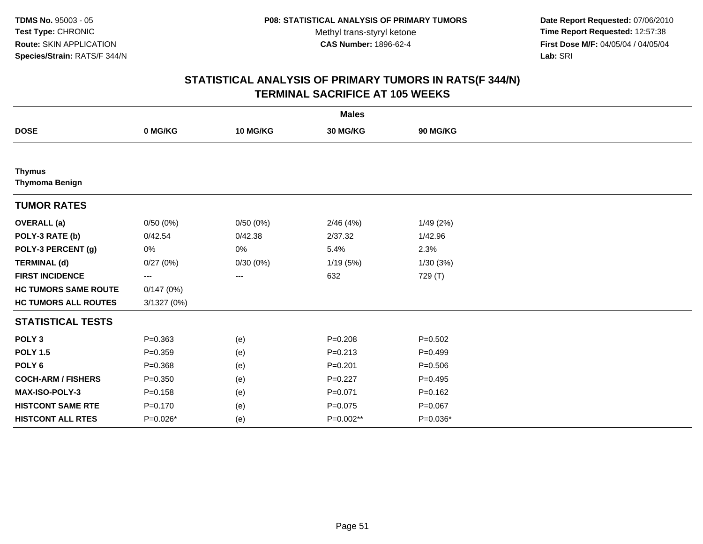**Date Report Requested:** 07/06/2010 **Time Report Requested:** 12:57:38 **First Dose M/F:** 04/05/04 / 04/05/04<br>Lab: SRI **Lab:** SRI

|                                        |             |          | <b>Males</b>    |             |
|----------------------------------------|-------------|----------|-----------------|-------------|
| <b>DOSE</b>                            | 0 MG/KG     | 10 MG/KG | <b>30 MG/KG</b> | 90 MG/KG    |
|                                        |             |          |                 |             |
| <b>Thymus</b><br><b>Thymoma Benign</b> |             |          |                 |             |
| <b>TUMOR RATES</b>                     |             |          |                 |             |
| <b>OVERALL</b> (a)                     | 0/50(0%)    | 0/50(0%) | 2/46(4%)        | 1/49(2%)    |
| POLY-3 RATE (b)                        | 0/42.54     | 0/42.38  | 2/37.32         | 1/42.96     |
| POLY-3 PERCENT (g)                     | 0%          | 0%       | 5.4%            | 2.3%        |
| <b>TERMINAL (d)</b>                    | 0/27(0%)    | 0/30(0%) | 1/19(5%)        | 1/30(3%)    |
| <b>FIRST INCIDENCE</b>                 | ---         | ---      | 632             | 729 (T)     |
| <b>HC TUMORS SAME ROUTE</b>            | 0/147(0%)   |          |                 |             |
| <b>HC TUMORS ALL ROUTES</b>            | 3/1327(0%)  |          |                 |             |
| <b>STATISTICAL TESTS</b>               |             |          |                 |             |
| POLY <sub>3</sub>                      | $P = 0.363$ | (e)      | $P=0.208$       | $P = 0.502$ |
| <b>POLY 1.5</b>                        | $P = 0.359$ | (e)      | $P = 0.213$     | $P=0.499$   |
| POLY <sub>6</sub>                      | $P = 0.368$ | (e)      | $P = 0.201$     | $P = 0.506$ |
| <b>COCH-ARM / FISHERS</b>              | $P = 0.350$ | (e)      | $P=0.227$       | $P=0.495$   |
| MAX-ISO-POLY-3                         | $P = 0.158$ | (e)      | $P = 0.071$     | $P = 0.162$ |
| <b>HISTCONT SAME RTE</b>               | $P = 0.170$ | (e)      | $P = 0.075$     | $P = 0.067$ |
| <b>HISTCONT ALL RTES</b>               | P=0.026*    | (e)      | P=0.002**       | $P=0.036*$  |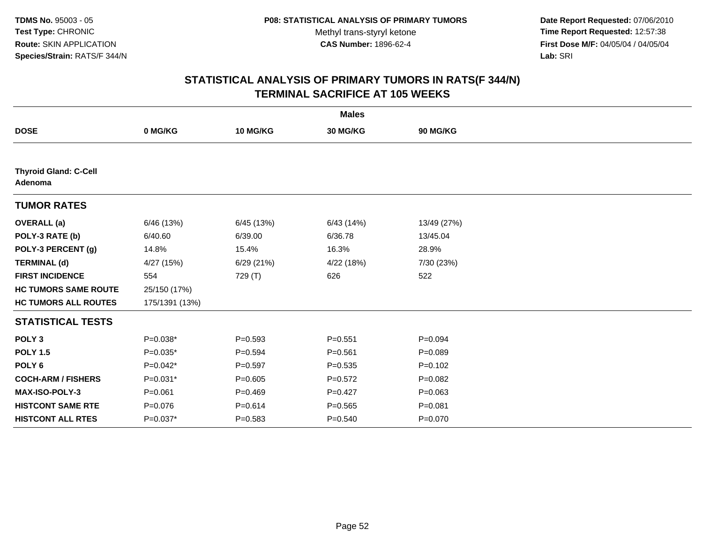**Date Report Requested:** 07/06/2010 **Time Report Requested:** 12:57:38 **First Dose M/F:** 04/05/04 / 04/05/04<br>Lab: SRI **Lab:** SRI

|                                         |                |             | <b>Males</b> |             |  |
|-----------------------------------------|----------------|-------------|--------------|-------------|--|
| <b>DOSE</b>                             | 0 MG/KG        | 10 MG/KG    | 30 MG/KG     | 90 MG/KG    |  |
|                                         |                |             |              |             |  |
| <b>Thyroid Gland: C-Cell</b><br>Adenoma |                |             |              |             |  |
| <b>TUMOR RATES</b>                      |                |             |              |             |  |
| <b>OVERALL</b> (a)                      | 6/46 (13%)     | 6/45 (13%)  | 6/43(14%)    | 13/49 (27%) |  |
| POLY-3 RATE (b)                         | 6/40.60        | 6/39.00     | 6/36.78      | 13/45.04    |  |
| POLY-3 PERCENT (g)                      | 14.8%          | 15.4%       | 16.3%        | 28.9%       |  |
| <b>TERMINAL (d)</b>                     | 4/27 (15%)     | 6/29(21%)   | 4/22 (18%)   | 7/30 (23%)  |  |
| <b>FIRST INCIDENCE</b>                  | 554            | 729 (T)     | 626          | 522         |  |
| <b>HC TUMORS SAME ROUTE</b>             | 25/150 (17%)   |             |              |             |  |
| <b>HC TUMORS ALL ROUTES</b>             | 175/1391 (13%) |             |              |             |  |
| <b>STATISTICAL TESTS</b>                |                |             |              |             |  |
| POLY <sub>3</sub>                       | $P=0.038*$     | $P = 0.593$ | $P = 0.551$  | $P = 0.094$ |  |
| <b>POLY 1.5</b>                         | $P=0.035*$     | $P = 0.594$ | $P = 0.561$  | $P = 0.089$ |  |
| POLY <sub>6</sub>                       | $P=0.042*$     | $P=0.597$   | $P = 0.535$  | $P = 0.102$ |  |
| <b>COCH-ARM / FISHERS</b>               | $P=0.031*$     | $P=0.605$   | $P = 0.572$  | $P=0.082$   |  |
| <b>MAX-ISO-POLY-3</b>                   | $P = 0.061$    | $P=0.469$   | $P=0.427$    | $P = 0.063$ |  |
| <b>HISTCONT SAME RTE</b>                | $P = 0.076$    | $P = 0.614$ | $P = 0.565$  | $P = 0.081$ |  |
| <b>HISTCONT ALL RTES</b>                | $P=0.037*$     | $P = 0.583$ | $P = 0.540$  | $P = 0.070$ |  |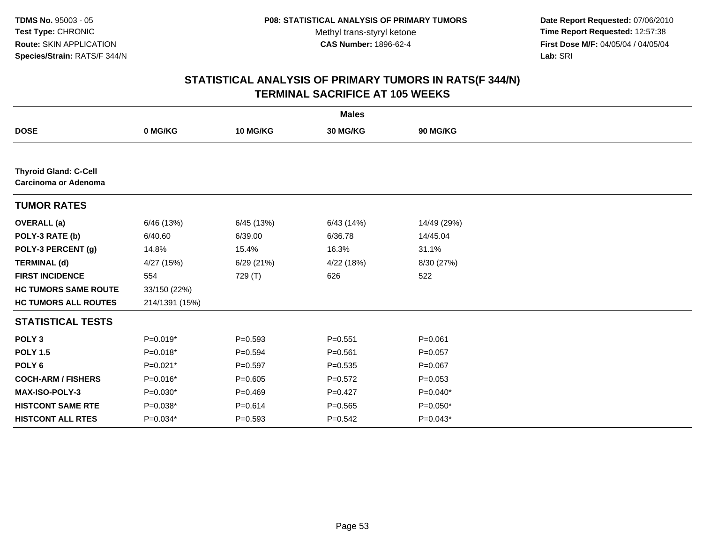**Date Report Requested:** 07/06/2010 **Time Report Requested:** 12:57:38 **First Dose M/F:** 04/05/04 / 04/05/04<br>Lab: SRI **Lab:** SRI

|                                                      |                |             | <b>Males</b> |             |
|------------------------------------------------------|----------------|-------------|--------------|-------------|
| <b>DOSE</b>                                          | 0 MG/KG        | 10 MG/KG    | 30 MG/KG     | 90 MG/KG    |
|                                                      |                |             |              |             |
| <b>Thyroid Gland: C-Cell</b><br>Carcinoma or Adenoma |                |             |              |             |
| <b>TUMOR RATES</b>                                   |                |             |              |             |
| <b>OVERALL</b> (a)                                   | 6/46 (13%)     | 6/45 (13%)  | 6/43(14%)    | 14/49 (29%) |
| POLY-3 RATE (b)                                      | 6/40.60        | 6/39.00     | 6/36.78      | 14/45.04    |
| POLY-3 PERCENT (g)                                   | 14.8%          | 15.4%       | 16.3%        | 31.1%       |
| <b>TERMINAL (d)</b>                                  | 4/27 (15%)     | 6/29(21%)   | 4/22 (18%)   | 8/30 (27%)  |
| <b>FIRST INCIDENCE</b>                               | 554            | 729 (T)     | 626          | 522         |
| <b>HC TUMORS SAME ROUTE</b>                          | 33/150 (22%)   |             |              |             |
| <b>HC TUMORS ALL ROUTES</b>                          | 214/1391 (15%) |             |              |             |
| <b>STATISTICAL TESTS</b>                             |                |             |              |             |
| POLY <sub>3</sub>                                    | $P=0.019*$     | $P=0.593$   | $P = 0.551$  | $P = 0.061$ |
| <b>POLY 1.5</b>                                      | P=0.018*       | $P = 0.594$ | $P = 0.561$  | $P=0.057$   |
| POLY <sub>6</sub>                                    | $P=0.021*$     | $P=0.597$   | $P = 0.535$  | $P=0.067$   |
| <b>COCH-ARM / FISHERS</b>                            | $P=0.016*$     | $P = 0.605$ | $P=0.572$    | $P = 0.053$ |
| <b>MAX-ISO-POLY-3</b>                                | $P=0.030*$     | $P=0.469$   | $P=0.427$    | $P=0.040*$  |
| <b>HISTCONT SAME RTE</b>                             | $P=0.038*$     | $P = 0.614$ | $P = 0.565$  | $P=0.050*$  |
| <b>HISTCONT ALL RTES</b>                             | P=0.034*       | $P = 0.593$ | $P = 0.542$  | $P=0.043*$  |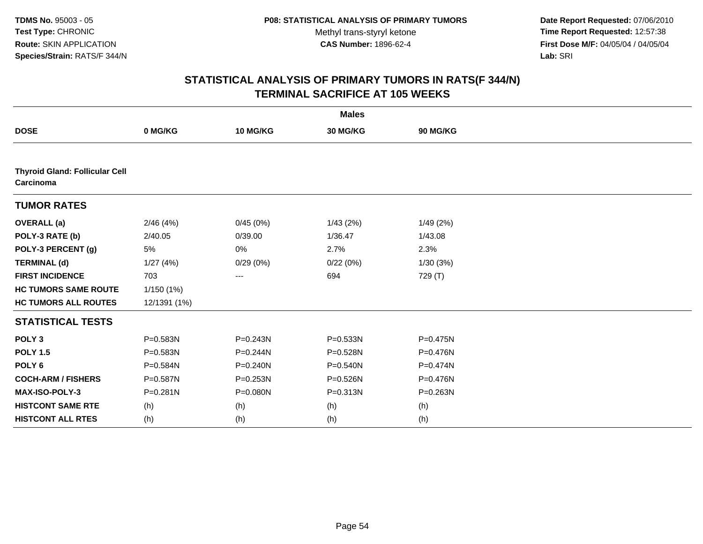**Date Report Requested:** 07/06/2010 **Time Report Requested:** 12:57:38 **First Dose M/F:** 04/05/04 / 04/05/04<br>Lab: SRI **Lab:** SRI

|                                                    |              |              | <b>Males</b> |              |  |
|----------------------------------------------------|--------------|--------------|--------------|--------------|--|
| <b>DOSE</b>                                        | 0 MG/KG      | 10 MG/KG     | 30 MG/KG     | 90 MG/KG     |  |
|                                                    |              |              |              |              |  |
| <b>Thyroid Gland: Follicular Cell</b><br>Carcinoma |              |              |              |              |  |
| <b>TUMOR RATES</b>                                 |              |              |              |              |  |
| <b>OVERALL</b> (a)                                 | 2/46(4%)     | 0/45(0%)     | 1/43(2%)     | 1/49(2%)     |  |
| POLY-3 RATE (b)                                    | 2/40.05      | 0/39.00      | 1/36.47      | 1/43.08      |  |
| POLY-3 PERCENT (g)                                 | $5\%$        | 0%           | 2.7%         | 2.3%         |  |
| <b>TERMINAL (d)</b>                                | 1/27(4%)     | 0/29(0%)     | 0/22(0%)     | 1/30(3%)     |  |
| <b>FIRST INCIDENCE</b>                             | 703          | ---          | 694          | 729 (T)      |  |
| <b>HC TUMORS SAME ROUTE</b>                        | 1/150(1%)    |              |              |              |  |
| <b>HC TUMORS ALL ROUTES</b>                        | 12/1391 (1%) |              |              |              |  |
| <b>STATISTICAL TESTS</b>                           |              |              |              |              |  |
| POLY <sub>3</sub>                                  | P=0.583N     | $P = 0.243N$ | P=0.533N     | P=0.475N     |  |
| <b>POLY 1.5</b>                                    | P=0.583N     | P=0.244N     | P=0.528N     | P=0.476N     |  |
| POLY <sub>6</sub>                                  | P=0.584N     | $P = 0.240N$ | P=0.540N     | P=0.474N     |  |
| <b>COCH-ARM / FISHERS</b>                          | P=0.587N     | P=0.253N     | P=0.526N     | P=0.476N     |  |
| MAX-ISO-POLY-3                                     | $P = 0.281N$ | P=0.080N     | P=0.313N     | $P = 0.263N$ |  |
| <b>HISTCONT SAME RTE</b>                           | (h)          | (h)          | (h)          | (h)          |  |
| <b>HISTCONT ALL RTES</b>                           | (h)          | (h)          | (h)          | (h)          |  |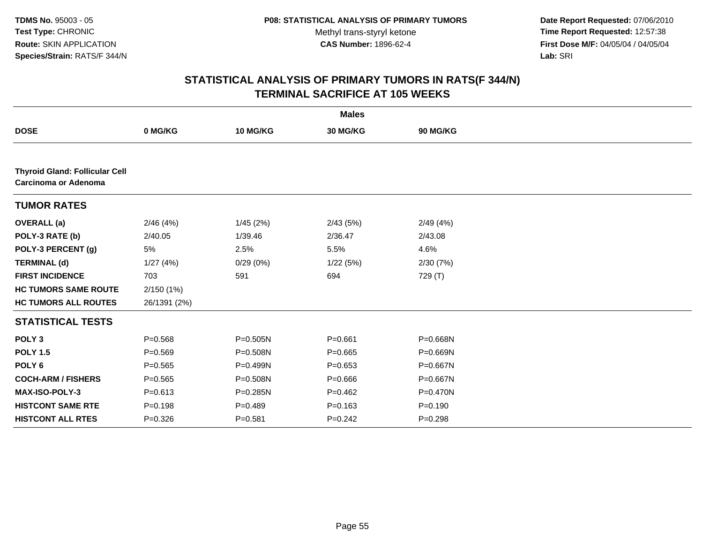**Date Report Requested:** 07/06/2010 **Time Report Requested:** 12:57:38 **First Dose M/F:** 04/05/04 / 04/05/04<br>Lab: SRI **Lab:** SRI

|                                                                      |              |              | <b>Males</b> |             |  |
|----------------------------------------------------------------------|--------------|--------------|--------------|-------------|--|
| <b>DOSE</b>                                                          | 0 MG/KG      | 10 MG/KG     | 30 MG/KG     | 90 MG/KG    |  |
|                                                                      |              |              |              |             |  |
| <b>Thyroid Gland: Follicular Cell</b><br><b>Carcinoma or Adenoma</b> |              |              |              |             |  |
| <b>TUMOR RATES</b>                                                   |              |              |              |             |  |
| <b>OVERALL</b> (a)                                                   | 2/46(4%)     | 1/45(2%)     | 2/43(5%)     | 2/49(4%)    |  |
| POLY-3 RATE (b)                                                      | 2/40.05      | 1/39.46      | 2/36.47      | 2/43.08     |  |
| POLY-3 PERCENT (g)                                                   | 5%           | 2.5%         | 5.5%         | 4.6%        |  |
| <b>TERMINAL (d)</b>                                                  | 1/27(4%)     | 0/29(0%)     | 1/22(5%)     | 2/30(7%)    |  |
| <b>FIRST INCIDENCE</b>                                               | 703          | 591          | 694          | 729 (T)     |  |
| <b>HC TUMORS SAME ROUTE</b>                                          | 2/150 (1%)   |              |              |             |  |
| <b>HC TUMORS ALL ROUTES</b>                                          | 26/1391 (2%) |              |              |             |  |
| <b>STATISTICAL TESTS</b>                                             |              |              |              |             |  |
| POLY <sub>3</sub>                                                    | $P = 0.568$  | $P = 0.505N$ | $P = 0.661$  | P=0.668N    |  |
| <b>POLY 1.5</b>                                                      | $P = 0.569$  | P=0.508N     | $P = 0.665$  | P=0.669N    |  |
| POLY <sub>6</sub>                                                    | $P=0.565$    | P=0.499N     | $P = 0.653$  | P=0.667N    |  |
| <b>COCH-ARM / FISHERS</b>                                            | $P = 0.565$  | P=0.508N     | $P = 0.666$  | P=0.667N    |  |
| <b>MAX-ISO-POLY-3</b>                                                | $P = 0.613$  | P=0.285N     | $P=0.462$    | P=0.470N    |  |
| <b>HISTCONT SAME RTE</b>                                             | $P = 0.198$  | $P=0.489$    | $P = 0.163$  | $P = 0.190$ |  |
| <b>HISTCONT ALL RTES</b>                                             | $P = 0.326$  | $P = 0.581$  | $P=0.242$    | $P = 0.298$ |  |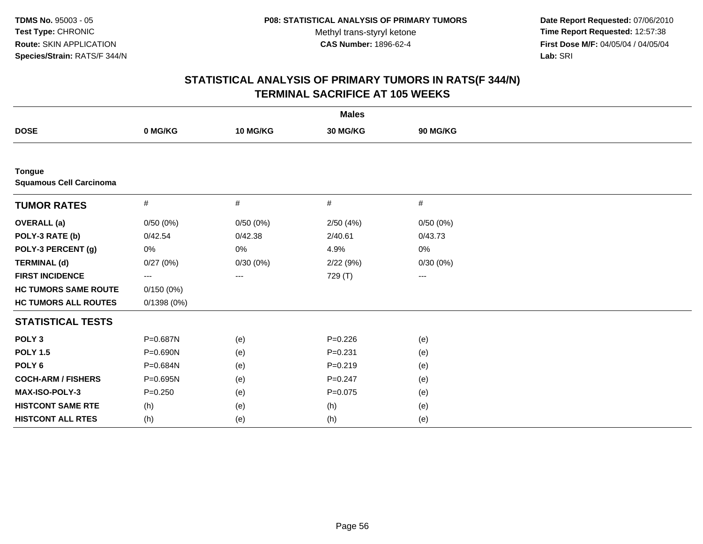**Date Report Requested:** 07/06/2010 **Time Report Requested:** 12:57:38 **First Dose M/F:** 04/05/04 / 04/05/04<br>Lab: SRI **Lab:** SRI

|                                                 |              |          | <b>Males</b> |                        |  |
|-------------------------------------------------|--------------|----------|--------------|------------------------|--|
| <b>DOSE</b>                                     | 0 MG/KG      | 10 MG/KG | 30 MG/KG     | 90 MG/KG               |  |
|                                                 |              |          |              |                        |  |
| <b>Tongue</b><br><b>Squamous Cell Carcinoma</b> |              |          |              |                        |  |
| <b>TUMOR RATES</b>                              | #            | #        | #            | #                      |  |
| <b>OVERALL (a)</b>                              | 0/50(0%)     | 0/50(0%) | 2/50(4%)     | 0/50(0%)               |  |
| POLY-3 RATE (b)                                 | 0/42.54      | 0/42.38  | 2/40.61      | 0/43.73                |  |
| POLY-3 PERCENT (g)                              | 0%           | 0%       | 4.9%         | 0%                     |  |
| <b>TERMINAL (d)</b>                             | 0/27(0%)     | 0/30(0%) | 2/22(9%)     | 0/30(0%)               |  |
| <b>FIRST INCIDENCE</b>                          | ---          | ---      | 729 (T)      | $\qquad \qquad \cdots$ |  |
| <b>HC TUMORS SAME ROUTE</b>                     | 0/150(0%)    |          |              |                        |  |
| <b>HC TUMORS ALL ROUTES</b>                     | 0/1398(0%)   |          |              |                        |  |
| <b>STATISTICAL TESTS</b>                        |              |          |              |                        |  |
| POLY <sub>3</sub>                               | P=0.687N     | (e)      | $P = 0.226$  | (e)                    |  |
| <b>POLY 1.5</b>                                 | P=0.690N     | (e)      | $P = 0.231$  | (e)                    |  |
| POLY <sub>6</sub>                               | P=0.684N     | (e)      | $P = 0.219$  | (e)                    |  |
| <b>COCH-ARM / FISHERS</b>                       | $P = 0.695N$ | (e)      | $P = 0.247$  | (e)                    |  |
| MAX-ISO-POLY-3                                  | $P = 0.250$  | (e)      | $P = 0.075$  | (e)                    |  |
| <b>HISTCONT SAME RTE</b>                        | (h)          | (e)      | (h)          | (e)                    |  |
| <b>HISTCONT ALL RTES</b>                        | (h)          | (e)      | (h)          | (e)                    |  |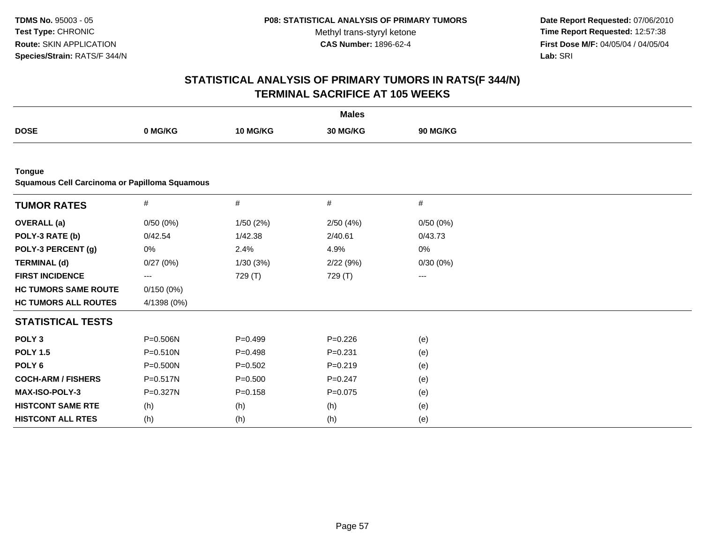**Date Report Requested:** 07/06/2010 **Time Report Requested:** 12:57:38 **First Dose M/F:** 04/05/04 / 04/05/04<br>Lab: SRI **Lab:** SRI

|                                                                |              |             | <b>Males</b> |                   |  |
|----------------------------------------------------------------|--------------|-------------|--------------|-------------------|--|
| <b>DOSE</b>                                                    | 0 MG/KG      | 10 MG/KG    | 30 MG/KG     | 90 MG/KG          |  |
|                                                                |              |             |              |                   |  |
| <b>Tongue</b><br>Squamous Cell Carcinoma or Papilloma Squamous |              |             |              |                   |  |
| <b>TUMOR RATES</b>                                             | $\#$         | $\#$        | $\#$         | $\#$              |  |
| <b>OVERALL</b> (a)                                             | 0/50(0%)     | 1/50(2%)    | 2/50(4%)     | 0/50(0%)          |  |
| POLY-3 RATE (b)                                                | 0/42.54      | 1/42.38     | 2/40.61      | 0/43.73           |  |
| POLY-3 PERCENT (g)                                             | 0%           | 2.4%        | 4.9%         | 0%                |  |
| <b>TERMINAL (d)</b>                                            | 0/27(0%)     | 1/30(3%)    | 2/22(9%)     | 0/30(0%)          |  |
| <b>FIRST INCIDENCE</b>                                         | ---          | 729 (T)     | 729 (T)      | $\qquad \qquad -$ |  |
| <b>HC TUMORS SAME ROUTE</b>                                    | 0/150(0%)    |             |              |                   |  |
| <b>HC TUMORS ALL ROUTES</b>                                    | 4/1398 (0%)  |             |              |                   |  |
| <b>STATISTICAL TESTS</b>                                       |              |             |              |                   |  |
| POLY <sub>3</sub>                                              | P=0.506N     | $P=0.499$   | $P = 0.226$  | (e)               |  |
| <b>POLY 1.5</b>                                                | $P = 0.510N$ | $P=0.498$   | $P = 0.231$  | (e)               |  |
| POLY <sub>6</sub>                                              | $P = 0.500N$ | $P=0.502$   | $P = 0.219$  | (e)               |  |
| <b>COCH-ARM / FISHERS</b>                                      | $P = 0.517N$ | $P = 0.500$ | $P = 0.247$  | (e)               |  |
| <b>MAX-ISO-POLY-3</b>                                          | P=0.327N     | $P = 0.158$ | $P = 0.075$  | (e)               |  |
| <b>HISTCONT SAME RTE</b>                                       | (h)          | (h)         | (h)          | (e)               |  |
| <b>HISTCONT ALL RTES</b>                                       | (h)          | (h)         | (h)          | (e)               |  |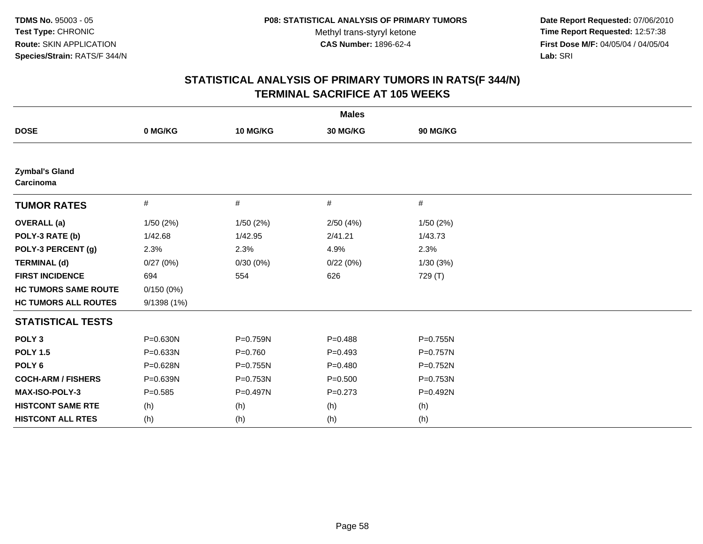**Date Report Requested:** 07/06/2010 **Time Report Requested:** 12:57:38 **First Dose M/F:** 04/05/04 / 04/05/04<br>Lab: SRI **Lab:** SRI

|                                    |             |             | <b>Males</b> |              |  |
|------------------------------------|-------------|-------------|--------------|--------------|--|
| <b>DOSE</b>                        | 0 MG/KG     | 10 MG/KG    | 30 MG/KG     | 90 MG/KG     |  |
|                                    |             |             |              |              |  |
| <b>Zymbal's Gland</b><br>Carcinoma |             |             |              |              |  |
| <b>TUMOR RATES</b>                 | $\#$        | #           | #            | $\#$         |  |
| <b>OVERALL</b> (a)                 | 1/50(2%)    | 1/50(2%)    | 2/50(4%)     | 1/50(2%)     |  |
| POLY-3 RATE (b)                    | 1/42.68     | 1/42.95     | 2/41.21      | 1/43.73      |  |
| POLY-3 PERCENT (g)                 | 2.3%        | 2.3%        | 4.9%         | 2.3%         |  |
| <b>TERMINAL (d)</b>                | 0/27(0%)    | 0/30(0%)    | 0/22(0%)     | 1/30(3%)     |  |
| <b>FIRST INCIDENCE</b>             | 694         | 554         | 626          | 729 (T)      |  |
| <b>HC TUMORS SAME ROUTE</b>        | 0/150(0%)   |             |              |              |  |
| <b>HC TUMORS ALL ROUTES</b>        | 9/1398 (1%) |             |              |              |  |
| <b>STATISTICAL TESTS</b>           |             |             |              |              |  |
| POLY <sub>3</sub>                  | P=0.630N    | P=0.759N    | $P = 0.488$  | P=0.755N     |  |
| <b>POLY 1.5</b>                    | P=0.633N    | $P = 0.760$ | $P=0.493$    | $P = 0.757N$ |  |
| POLY <sub>6</sub>                  | P=0.628N    | P=0.755N    | $P=0.480$    | P=0.752N     |  |
| <b>COCH-ARM / FISHERS</b>          | P=0.639N    | P=0.753N    | $P = 0.500$  | P=0.753N     |  |
| <b>MAX-ISO-POLY-3</b>              | $P = 0.585$ | P=0.497N    | $P = 0.273$  | P=0.492N     |  |
| <b>HISTCONT SAME RTE</b>           | (h)         | (h)         | (h)          | (h)          |  |
| <b>HISTCONT ALL RTES</b>           | (h)         | (h)         | (h)          | (h)          |  |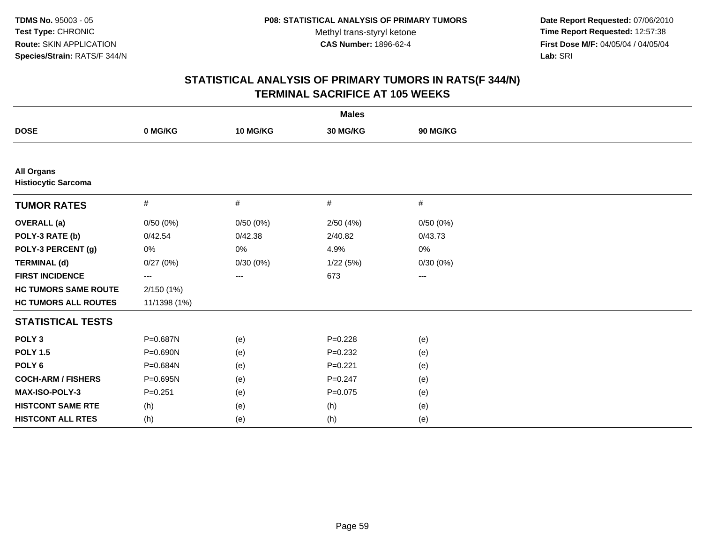**Date Report Requested:** 07/06/2010 **Time Report Requested:** 12:57:38 **First Dose M/F:** 04/05/04 / 04/05/04<br>Lab: SRI **Lab:** SRI

|                                                 |                         |          | <b>Males</b> |          |  |
|-------------------------------------------------|-------------------------|----------|--------------|----------|--|
| <b>DOSE</b>                                     | 0 MG/KG                 | 10 MG/KG | 30 MG/KG     | 90 MG/KG |  |
|                                                 |                         |          |              |          |  |
| <b>All Organs</b><br><b>Histiocytic Sarcoma</b> |                         |          |              |          |  |
| <b>TUMOR RATES</b>                              | #                       | #        | #            | #        |  |
| <b>OVERALL</b> (a)                              | 0/50(0%)                | 0/50(0%) | 2/50(4%)     | 0/50(0%) |  |
| POLY-3 RATE (b)                                 | 0/42.54                 | 0/42.38  | 2/40.82      | 0/43.73  |  |
| POLY-3 PERCENT (g)                              | 0%                      | 0%       | 4.9%         | 0%       |  |
| <b>TERMINAL (d)</b>                             | 0/27(0%)                | 0/30(0%) | 1/22(5%)     | 0/30(0%) |  |
| <b>FIRST INCIDENCE</b>                          | $\qquad \qquad -\qquad$ | ---      | 673          | ---      |  |
| <b>HC TUMORS SAME ROUTE</b>                     | 2/150(1%)               |          |              |          |  |
| <b>HC TUMORS ALL ROUTES</b>                     | 11/1398 (1%)            |          |              |          |  |
| <b>STATISTICAL TESTS</b>                        |                         |          |              |          |  |
| POLY <sub>3</sub>                               | P=0.687N                | (e)      | $P = 0.228$  | (e)      |  |
| <b>POLY 1.5</b>                                 | $P = 0.690N$            | (e)      | $P=0.232$    | (e)      |  |
| POLY <sub>6</sub>                               | P=0.684N                | (e)      | $P=0.221$    | (e)      |  |
| <b>COCH-ARM / FISHERS</b>                       | P=0.695N                | (e)      | $P = 0.247$  | (e)      |  |
| MAX-ISO-POLY-3                                  | $P = 0.251$             | (e)      | $P = 0.075$  | (e)      |  |
| <b>HISTCONT SAME RTE</b>                        | (h)                     | (e)      | (h)          | (e)      |  |
| <b>HISTCONT ALL RTES</b>                        | (h)                     | (e)      | (h)          | (e)      |  |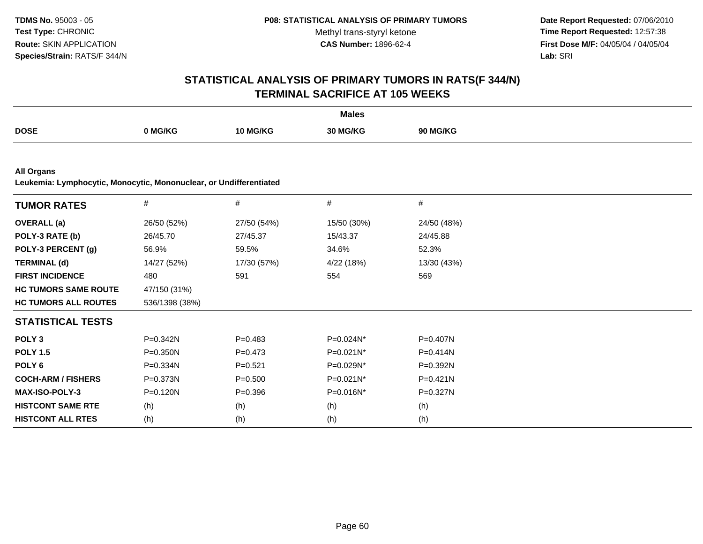**Date Report Requested:** 07/06/2010 **Time Report Requested:** 12:57:38 **First Dose M/F:** 04/05/04 / 04/05/04<br>Lab: SRI **Lab:** SRI

|                                                                                         |                |             | <b>Males</b> |              |  |
|-----------------------------------------------------------------------------------------|----------------|-------------|--------------|--------------|--|
| <b>DOSE</b>                                                                             | 0 MG/KG        | 10 MG/KG    | 30 MG/KG     | 90 MG/KG     |  |
|                                                                                         |                |             |              |              |  |
| <b>All Organs</b><br>Leukemia: Lymphocytic, Monocytic, Mononuclear, or Undifferentiated |                |             |              |              |  |
| <b>TUMOR RATES</b>                                                                      | $\#$           | $\#$        | $\#$         | #            |  |
| <b>OVERALL</b> (a)                                                                      | 26/50 (52%)    | 27/50 (54%) | 15/50 (30%)  | 24/50 (48%)  |  |
| POLY-3 RATE (b)                                                                         | 26/45.70       | 27/45.37    | 15/43.37     | 24/45.88     |  |
| POLY-3 PERCENT (g)                                                                      | 56.9%          | 59.5%       | 34.6%        | 52.3%        |  |
| <b>TERMINAL (d)</b>                                                                     | 14/27 (52%)    | 17/30 (57%) | 4/22 (18%)   | 13/30 (43%)  |  |
| <b>FIRST INCIDENCE</b>                                                                  | 480            | 591         | 554          | 569          |  |
| <b>HC TUMORS SAME ROUTE</b>                                                             | 47/150 (31%)   |             |              |              |  |
| <b>HC TUMORS ALL ROUTES</b>                                                             | 536/1398 (38%) |             |              |              |  |
| <b>STATISTICAL TESTS</b>                                                                |                |             |              |              |  |
| POLY <sub>3</sub>                                                                       | P=0.342N       | $P=0.483$   | $P=0.024N^*$ | P=0.407N     |  |
| <b>POLY 1.5</b>                                                                         | $P = 0.350N$   | $P = 0.473$ | P=0.021N*    | $P = 0.414N$ |  |
| POLY <sub>6</sub>                                                                       | $P = 0.334N$   | $P = 0.521$ | P=0.029N*    | P=0.392N     |  |
| <b>COCH-ARM / FISHERS</b>                                                               | P=0.373N       | $P = 0.500$ | P=0.021N*    | $P = 0.421N$ |  |
| MAX-ISO-POLY-3                                                                          | P=0.120N       | $P = 0.396$ | P=0.016N*    | P=0.327N     |  |
| <b>HISTCONT SAME RTE</b>                                                                | (h)            | (h)         | (h)          | (h)          |  |
| <b>HISTCONT ALL RTES</b>                                                                | (h)            | (h)         | (h)          | (h)          |  |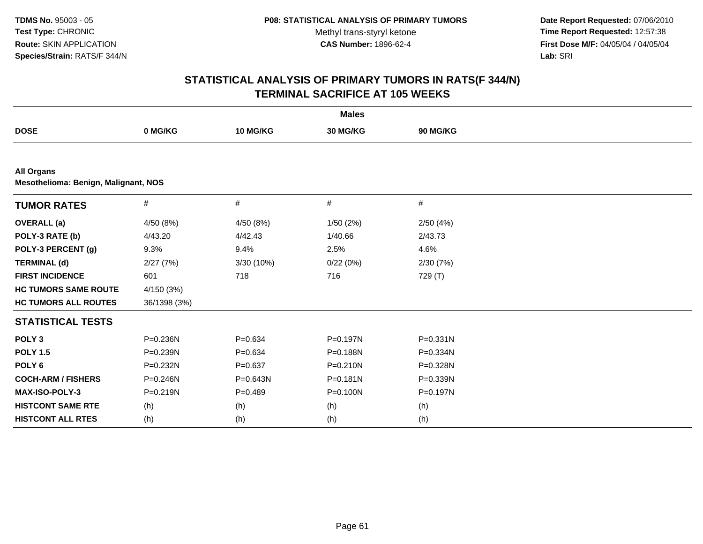**Date Report Requested:** 07/06/2010 **Time Report Requested:** 12:57:38 **First Dose M/F:** 04/05/04 / 04/05/04<br>Lab: SRI **Lab:** SRI

|                             |                                      |              | <b>Males</b> |          |  |  |  |  |  |
|-----------------------------|--------------------------------------|--------------|--------------|----------|--|--|--|--|--|
| <b>DOSE</b>                 | 0 MG/KG                              | 10 MG/KG     | 30 MG/KG     | 90 MG/KG |  |  |  |  |  |
|                             |                                      |              |              |          |  |  |  |  |  |
| <b>All Organs</b>           | Mesothelioma: Benign, Malignant, NOS |              |              |          |  |  |  |  |  |
| <b>TUMOR RATES</b>          | #                                    | #            | #            | #        |  |  |  |  |  |
| <b>OVERALL</b> (a)          | 4/50 (8%)                            | 4/50 (8%)    | 1/50(2%)     | 2/50(4%) |  |  |  |  |  |
| POLY-3 RATE (b)             | 4/43.20                              | 4/42.43      | 1/40.66      | 2/43.73  |  |  |  |  |  |
| POLY-3 PERCENT (g)          | 9.3%                                 | 9.4%         | 2.5%         | 4.6%     |  |  |  |  |  |
| <b>TERMINAL (d)</b>         | 2/27(7%)                             | 3/30 (10%)   | 0/22(0%)     | 2/30(7%) |  |  |  |  |  |
| <b>FIRST INCIDENCE</b>      | 601                                  | 718          | 716          | 729 (T)  |  |  |  |  |  |
| <b>HC TUMORS SAME ROUTE</b> | 4/150 (3%)                           |              |              |          |  |  |  |  |  |
| <b>HC TUMORS ALL ROUTES</b> | 36/1398 (3%)                         |              |              |          |  |  |  |  |  |
| <b>STATISTICAL TESTS</b>    |                                      |              |              |          |  |  |  |  |  |
| POLY <sub>3</sub>           | P=0.236N                             | $P = 0.634$  | P=0.197N     | P=0.331N |  |  |  |  |  |
| <b>POLY 1.5</b>             | $P = 0.239N$                         | $P = 0.634$  | P=0.188N     | P=0.334N |  |  |  |  |  |
| POLY <sub>6</sub>           | P=0.232N                             | $P = 0.637$  | P=0.210N     | P=0.328N |  |  |  |  |  |
| <b>COCH-ARM / FISHERS</b>   | $P = 0.246N$                         | $P = 0.643N$ | P=0.181N     | P=0.339N |  |  |  |  |  |
| MAX-ISO-POLY-3              | $P = 0.219N$                         | $P=0.489$    | P=0.100N     | P=0.197N |  |  |  |  |  |
| <b>HISTCONT SAME RTE</b>    | (h)                                  | (h)          | (h)          | (h)      |  |  |  |  |  |
| <b>HISTCONT ALL RTES</b>    | (h)                                  | (h)          | (h)          | (h)      |  |  |  |  |  |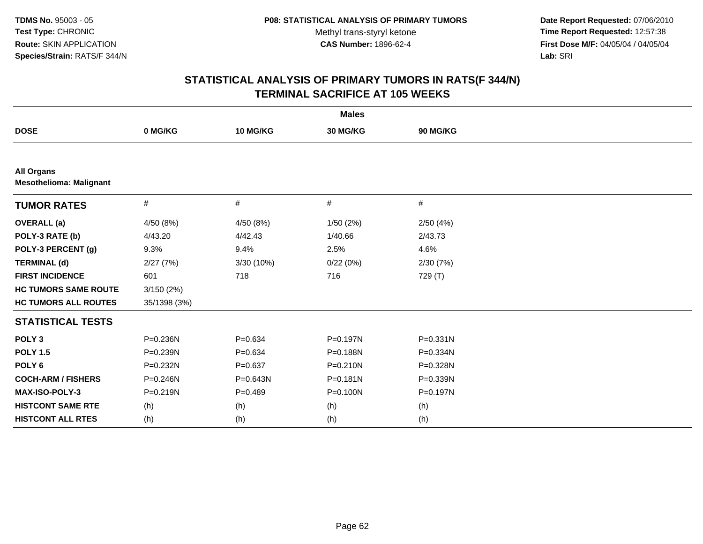**Date Report Requested:** 07/06/2010 **Time Report Requested:** 12:57:38 **First Dose M/F:** 04/05/04 / 04/05/04<br>Lab: SRI **Lab:** SRI

|                                                     |              |             | <b>Males</b> |          |  |
|-----------------------------------------------------|--------------|-------------|--------------|----------|--|
| <b>DOSE</b>                                         | 0 MG/KG      | 10 MG/KG    | 30 MG/KG     | 90 MG/KG |  |
|                                                     |              |             |              |          |  |
| <b>All Organs</b><br><b>Mesothelioma: Malignant</b> |              |             |              |          |  |
| <b>TUMOR RATES</b>                                  | $\#$         | #           | #            | #        |  |
| <b>OVERALL</b> (a)                                  | 4/50 (8%)    | 4/50 (8%)   | 1/50(2%)     | 2/50(4%) |  |
| POLY-3 RATE (b)                                     | 4/43.20      | 4/42.43     | 1/40.66      | 2/43.73  |  |
| POLY-3 PERCENT (g)                                  | 9.3%         | 9.4%        | 2.5%         | 4.6%     |  |
| <b>TERMINAL (d)</b>                                 | 2/27(7%)     | 3/30 (10%)  | 0/22(0%)     | 2/30(7%) |  |
| <b>FIRST INCIDENCE</b>                              | 601          | 718         | 716          | 729 (T)  |  |
| <b>HC TUMORS SAME ROUTE</b>                         | 3/150(2%)    |             |              |          |  |
| <b>HC TUMORS ALL ROUTES</b>                         | 35/1398 (3%) |             |              |          |  |
| <b>STATISTICAL TESTS</b>                            |              |             |              |          |  |
| POLY <sub>3</sub>                                   | P=0.236N     | $P = 0.634$ | P=0.197N     | P=0.331N |  |
| <b>POLY 1.5</b>                                     | P=0.239N     | $P = 0.634$ | P=0.188N     | P=0.334N |  |
| POLY <sub>6</sub>                                   | P=0.232N     | $P = 0.637$ | $P = 0.210N$ | P=0.328N |  |
| <b>COCH-ARM / FISHERS</b>                           | $P = 0.246N$ | P=0.643N    | P=0.181N     | P=0.339N |  |
| <b>MAX-ISO-POLY-3</b>                               | $P = 0.219N$ | $P=0.489$   | P=0.100N     | P=0.197N |  |
| <b>HISTCONT SAME RTE</b>                            | (h)          | (h)         | (h)          | (h)      |  |
| <b>HISTCONT ALL RTES</b>                            | (h)          | (h)         | (h)          | (h)      |  |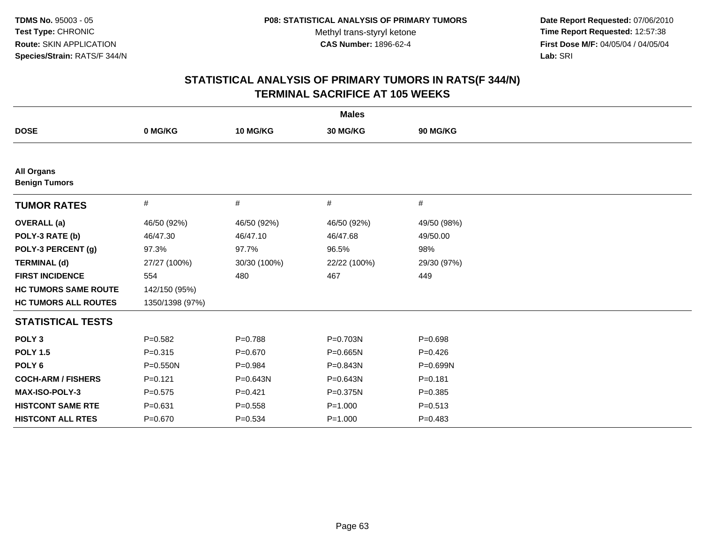**Date Report Requested:** 07/06/2010 **Time Report Requested:** 12:57:38 **First Dose M/F:** 04/05/04 / 04/05/04<br>Lab: SRI **Lab:** SRI

|                                           |                 |              | <b>Males</b> |              |
|-------------------------------------------|-----------------|--------------|--------------|--------------|
| <b>DOSE</b>                               | 0 MG/KG         | 10 MG/KG     | 30 MG/KG     | 90 MG/KG     |
|                                           |                 |              |              |              |
| <b>All Organs</b><br><b>Benign Tumors</b> |                 |              |              |              |
| <b>TUMOR RATES</b>                        | #               | #            | #            | #            |
| <b>OVERALL</b> (a)                        | 46/50 (92%)     | 46/50 (92%)  | 46/50 (92%)  | 49/50 (98%)  |
| POLY-3 RATE (b)                           | 46/47.30        | 46/47.10     | 46/47.68     | 49/50.00     |
| POLY-3 PERCENT (g)                        | 97.3%           | 97.7%        | 96.5%        | 98%          |
| <b>TERMINAL (d)</b>                       | 27/27 (100%)    | 30/30 (100%) | 22/22 (100%) | 29/30 (97%)  |
| <b>FIRST INCIDENCE</b>                    | 554             | 480          | 467          | 449          |
| <b>HC TUMORS SAME ROUTE</b>               | 142/150 (95%)   |              |              |              |
| <b>HC TUMORS ALL ROUTES</b>               | 1350/1398 (97%) |              |              |              |
| <b>STATISTICAL TESTS</b>                  |                 |              |              |              |
| POLY <sub>3</sub>                         | $P = 0.582$     | $P = 0.788$  | P=0.703N     | $P = 0.698$  |
| <b>POLY 1.5</b>                           | $P = 0.315$     | $P = 0.670$  | P=0.665N     | $P=0.426$    |
| POLY <sub>6</sub>                         | $P = 0.550N$    | $P=0.984$    | P=0.843N     | $P = 0.699N$ |
| <b>COCH-ARM / FISHERS</b>                 | $P=0.121$       | $P = 0.643N$ | P=0.643N     | $P = 0.181$  |
| MAX-ISO-POLY-3                            | $P = 0.575$     | $P=0.421$    | P=0.375N     | $P = 0.385$  |
| <b>HISTCONT SAME RTE</b>                  | $P = 0.631$     | $P = 0.558$  | $P = 1.000$  | $P = 0.513$  |
| <b>HISTCONT ALL RTES</b>                  | $P = 0.670$     | $P = 0.534$  | $P = 1.000$  | $P=0.483$    |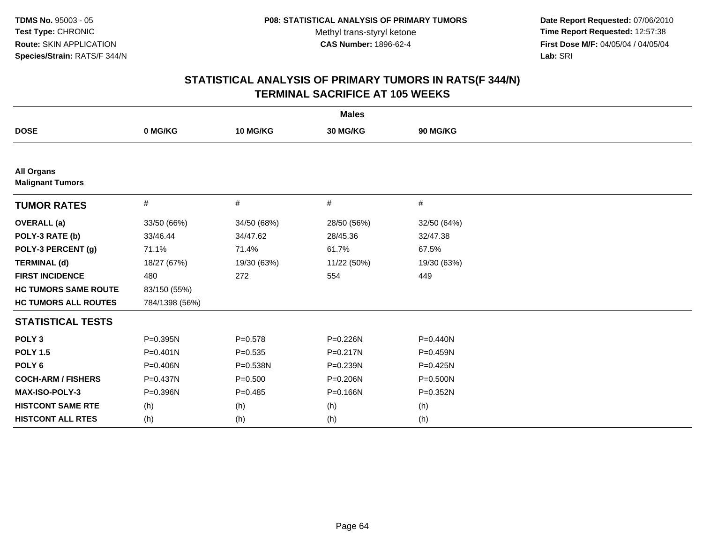**Date Report Requested:** 07/06/2010 **Time Report Requested:** 12:57:38 **First Dose M/F:** 04/05/04 / 04/05/04<br>Lab: SRI **Lab:** SRI

| <b>Males</b>                                 |                |              |              |              |  |  |
|----------------------------------------------|----------------|--------------|--------------|--------------|--|--|
| <b>DOSE</b>                                  | 0 MG/KG        | 10 MG/KG     | 30 MG/KG     | 90 MG/KG     |  |  |
|                                              |                |              |              |              |  |  |
| <b>All Organs</b><br><b>Malignant Tumors</b> |                |              |              |              |  |  |
| <b>TUMOR RATES</b>                           | #              | #            | #            | $\#$         |  |  |
| <b>OVERALL</b> (a)                           | 33/50 (66%)    | 34/50 (68%)  | 28/50 (56%)  | 32/50 (64%)  |  |  |
| POLY-3 RATE (b)                              | 33/46.44       | 34/47.62     | 28/45.36     | 32/47.38     |  |  |
| POLY-3 PERCENT (g)                           | 71.1%          | 71.4%        | 61.7%        | 67.5%        |  |  |
| <b>TERMINAL (d)</b>                          | 18/27 (67%)    | 19/30 (63%)  | 11/22 (50%)  | 19/30 (63%)  |  |  |
| <b>FIRST INCIDENCE</b>                       | 480            | 272          | 554          | 449          |  |  |
| <b>HC TUMORS SAME ROUTE</b>                  | 83/150 (55%)   |              |              |              |  |  |
| <b>HC TUMORS ALL ROUTES</b>                  | 784/1398 (56%) |              |              |              |  |  |
| <b>STATISTICAL TESTS</b>                     |                |              |              |              |  |  |
| POLY <sub>3</sub>                            | P=0.395N       | $P = 0.578$  | P=0.226N     | $P = 0.440N$ |  |  |
| <b>POLY 1.5</b>                              | $P = 0.401N$   | $P = 0.535$  | $P = 0.217N$ | P=0.459N     |  |  |
| POLY <sub>6</sub>                            | P=0.406N       | $P = 0.538N$ | P=0.239N     | P=0.425N     |  |  |
| <b>COCH-ARM / FISHERS</b>                    | P=0.437N       | $P = 0.500$  | P=0.206N     | P=0.500N     |  |  |
| <b>MAX-ISO-POLY-3</b>                        | P=0.396N       | $P=0.485$    | P=0.166N     | P=0.352N     |  |  |
| <b>HISTCONT SAME RTE</b>                     | (h)            | (h)          | (h)          | (h)          |  |  |
| <b>HISTCONT ALL RTES</b>                     | (h)            | (h)          | (h)          | (h)          |  |  |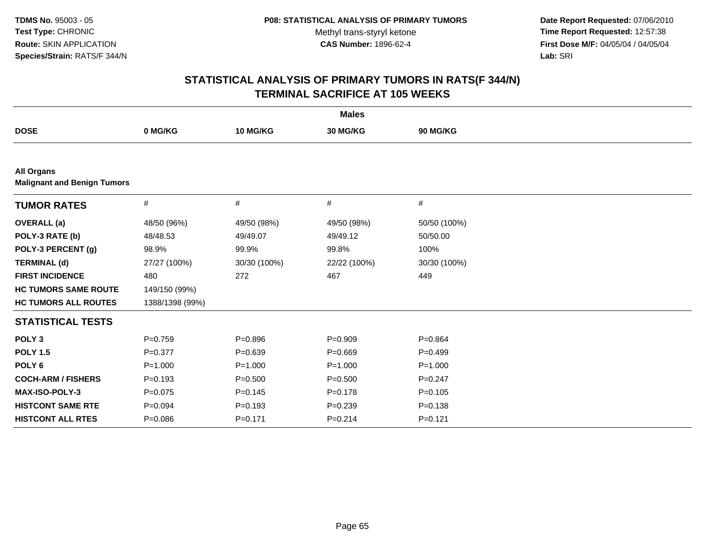**Date Report Requested:** 07/06/2010 **Time Report Requested:** 12:57:38 **First Dose M/F:** 04/05/04 / 04/05/04<br>Lab: SRI **Lab:** SRI

| <b>Males</b>                                            |                 |              |              |              |  |
|---------------------------------------------------------|-----------------|--------------|--------------|--------------|--|
| <b>DOSE</b>                                             | 0 MG/KG         | 10 MG/KG     | 30 MG/KG     | 90 MG/KG     |  |
|                                                         |                 |              |              |              |  |
| <b>All Organs</b><br><b>Malignant and Benign Tumors</b> |                 |              |              |              |  |
| <b>TUMOR RATES</b>                                      | #               | #            | #            | #            |  |
| <b>OVERALL</b> (a)                                      | 48/50 (96%)     | 49/50 (98%)  | 49/50 (98%)  | 50/50 (100%) |  |
| POLY-3 RATE (b)                                         | 48/48.53        | 49/49.07     | 49/49.12     | 50/50.00     |  |
| POLY-3 PERCENT (g)                                      | 98.9%           | 99.9%        | 99.8%        | 100%         |  |
| <b>TERMINAL (d)</b>                                     | 27/27 (100%)    | 30/30 (100%) | 22/22 (100%) | 30/30 (100%) |  |
| <b>FIRST INCIDENCE</b>                                  | 480             | 272          | 467          | 449          |  |
| <b>HC TUMORS SAME ROUTE</b>                             | 149/150 (99%)   |              |              |              |  |
| <b>HC TUMORS ALL ROUTES</b>                             | 1388/1398 (99%) |              |              |              |  |
| <b>STATISTICAL TESTS</b>                                |                 |              |              |              |  |
| POLY <sub>3</sub>                                       | $P=0.759$       | $P = 0.896$  | $P = 0.909$  | $P=0.864$    |  |
| <b>POLY 1.5</b>                                         | $P=0.377$       | $P=0.639$    | $P = 0.669$  | $P=0.499$    |  |
| POLY <sub>6</sub>                                       | $P = 1.000$     | $P = 1.000$  | $P = 1.000$  | $P = 1.000$  |  |
| <b>COCH-ARM / FISHERS</b>                               | $P = 0.193$     | $P = 0.500$  | $P = 0.500$  | $P=0.247$    |  |
| <b>MAX-ISO-POLY-3</b>                                   | $P=0.075$       | $P=0.145$    | $P = 0.178$  | $P = 0.105$  |  |
| <b>HISTCONT SAME RTE</b>                                | $P=0.094$       | $P = 0.193$  | $P = 0.239$  | $P = 0.138$  |  |
| <b>HISTCONT ALL RTES</b>                                | $P = 0.086$     | $P = 0.171$  | $P = 0.214$  | $P = 0.121$  |  |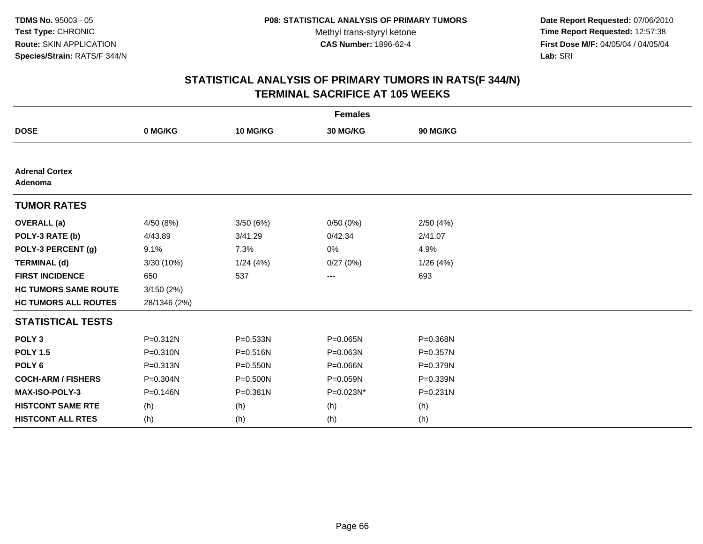**Date Report Requested:** 07/06/2010 **Time Report Requested:** 12:57:38 **First Dose M/F:** 04/05/04 / 04/05/04<br>Lab: SRI **Lab:** SRI

| <b>Females</b>                   |              |              |           |              |  |  |
|----------------------------------|--------------|--------------|-----------|--------------|--|--|
| <b>DOSE</b>                      | 0 MG/KG      | 10 MG/KG     | 30 MG/KG  | 90 MG/KG     |  |  |
|                                  |              |              |           |              |  |  |
| <b>Adrenal Cortex</b><br>Adenoma |              |              |           |              |  |  |
| <b>TUMOR RATES</b>               |              |              |           |              |  |  |
| <b>OVERALL</b> (a)               | 4/50 (8%)    | 3/50 (6%)    | 0/50(0%)  | 2/50(4%)     |  |  |
| POLY-3 RATE (b)                  | 4/43.89      | 3/41.29      | 0/42.34   | 2/41.07      |  |  |
| POLY-3 PERCENT (g)               | 9.1%         | 7.3%         | 0%        | 4.9%         |  |  |
| <b>TERMINAL (d)</b>              | 3/30 (10%)   | 1/24(4%)     | 0/27(0%)  | 1/26(4%)     |  |  |
| <b>FIRST INCIDENCE</b>           | 650          | 537          | ---       | 693          |  |  |
| <b>HC TUMORS SAME ROUTE</b>      | 3/150(2%)    |              |           |              |  |  |
| <b>HC TUMORS ALL ROUTES</b>      | 28/1346 (2%) |              |           |              |  |  |
| <b>STATISTICAL TESTS</b>         |              |              |           |              |  |  |
| POLY <sub>3</sub>                | P=0.312N     | $P = 0.533N$ | P=0.065N  | P=0.368N     |  |  |
| <b>POLY 1.5</b>                  | $P = 0.310N$ | $P = 0.516N$ | P=0.063N  | $P = 0.357N$ |  |  |
| POLY <sub>6</sub>                | P=0.313N     | $P = 0.550N$ | P=0.066N  | P=0.379N     |  |  |
| <b>COCH-ARM / FISHERS</b>        | P=0.304N     | P=0.500N     | P=0.059N  | P=0.339N     |  |  |
| <b>MAX-ISO-POLY-3</b>            | P=0.146N     | $P = 0.381N$ | P=0.023N* | $P = 0.231N$ |  |  |
| <b>HISTCONT SAME RTE</b>         | (h)          | (h)          | (h)       | (h)          |  |  |
| <b>HISTCONT ALL RTES</b>         | (h)          | (h)          | (h)       | (h)          |  |  |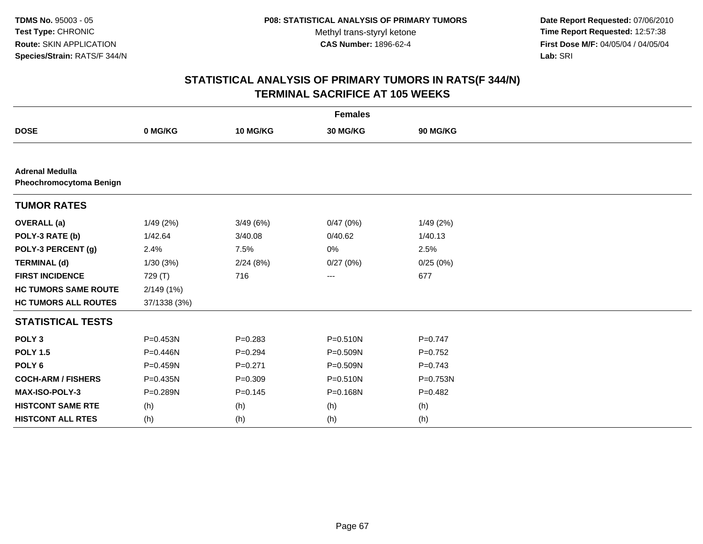**Date Report Requested:** 07/06/2010 **Time Report Requested:** 12:57:38 **First Dose M/F:** 04/05/04 / 04/05/04<br>Lab: SRI **Lab:** SRI

|                                                   |              |             | <b>Females</b> |           |
|---------------------------------------------------|--------------|-------------|----------------|-----------|
| <b>DOSE</b>                                       | 0 MG/KG      | 10 MG/KG    | 30 MG/KG       | 90 MG/KG  |
|                                                   |              |             |                |           |
| <b>Adrenal Medulla</b><br>Pheochromocytoma Benign |              |             |                |           |
| <b>TUMOR RATES</b>                                |              |             |                |           |
| <b>OVERALL (a)</b>                                | 1/49(2%)     | 3/49(6%)    | 0/47(0%)       | 1/49(2%)  |
| POLY-3 RATE (b)                                   | 1/42.64      | 3/40.08     | 0/40.62        | 1/40.13   |
| POLY-3 PERCENT (g)                                | 2.4%         | 7.5%        | 0%             | 2.5%      |
| <b>TERMINAL (d)</b>                               | 1/30(3%)     | 2/24(8%)    | 0/27(0%)       | 0/25(0%)  |
| <b>FIRST INCIDENCE</b>                            | 729 (T)      | 716         | ---            | 677       |
| <b>HC TUMORS SAME ROUTE</b>                       | 2/149(1%)    |             |                |           |
| <b>HC TUMORS ALL ROUTES</b>                       | 37/1338 (3%) |             |                |           |
| <b>STATISTICAL TESTS</b>                          |              |             |                |           |
| POLY <sub>3</sub>                                 | P=0.453N     | $P = 0.283$ | $P = 0.510N$   | $P=0.747$ |
| <b>POLY 1.5</b>                                   | P=0.446N     | $P = 0.294$ | P=0.509N       | $P=0.752$ |
| POLY <sub>6</sub>                                 | $P = 0.459N$ | $P = 0.271$ | P=0.509N       | $P=0.743$ |
| <b>COCH-ARM / FISHERS</b>                         | P=0.435N     | $P = 0.309$ | $P = 0.510N$   | P=0.753N  |
| MAX-ISO-POLY-3                                    | P=0.289N     | $P=0.145$   | P=0.168N       | $P=0.482$ |
| <b>HISTCONT SAME RTE</b>                          | (h)          | (h)         | (h)            | (h)       |
| <b>HISTCONT ALL RTES</b>                          | (h)          | (h)         | (h)            | (h)       |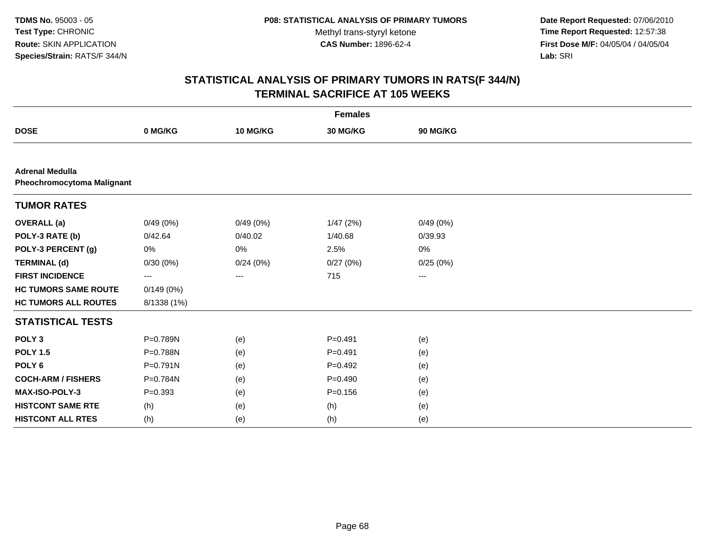**Date Report Requested:** 07/06/2010 **Time Report Requested:** 12:57:38 **First Dose M/F:** 04/05/04 / 04/05/04<br>Lab: SRI **Lab:** SRI

| <b>Females</b>                                              |              |          |             |                   |  |
|-------------------------------------------------------------|--------------|----------|-------------|-------------------|--|
| <b>DOSE</b>                                                 | 0 MG/KG      | 10 MG/KG | 30 MG/KG    | 90 MG/KG          |  |
|                                                             |              |          |             |                   |  |
| <b>Adrenal Medulla</b><br><b>Pheochromocytoma Malignant</b> |              |          |             |                   |  |
| <b>TUMOR RATES</b>                                          |              |          |             |                   |  |
| <b>OVERALL</b> (a)                                          | 0/49(0%)     | 0/49(0%) | 1/47(2%)    | 0/49(0%)          |  |
| POLY-3 RATE (b)                                             | 0/42.64      | 0/40.02  | 1/40.68     | 0/39.93           |  |
| POLY-3 PERCENT (g)                                          | 0%           | 0%       | 2.5%        | 0%                |  |
| <b>TERMINAL (d)</b>                                         | 0/30(0%)     | 0/24(0%) | 0/27(0%)    | 0/25(0%)          |  |
| <b>FIRST INCIDENCE</b>                                      | ---          | ---      | 715         | $\qquad \qquad -$ |  |
| <b>HC TUMORS SAME ROUTE</b>                                 | 0/149(0%)    |          |             |                   |  |
| <b>HC TUMORS ALL ROUTES</b>                                 | 8/1338 (1%)  |          |             |                   |  |
| <b>STATISTICAL TESTS</b>                                    |              |          |             |                   |  |
| POLY <sub>3</sub>                                           | P=0.789N     | (e)      | $P = 0.491$ | (e)               |  |
| <b>POLY 1.5</b>                                             | P=0.788N     | (e)      | $P=0.491$   | (e)               |  |
| POLY <sub>6</sub>                                           | $P = 0.791N$ | (e)      | $P=0.492$   | (e)               |  |
| <b>COCH-ARM / FISHERS</b>                                   | P=0.784N     | (e)      | $P=0.490$   | (e)               |  |
| MAX-ISO-POLY-3                                              | $P = 0.393$  | (e)      | $P = 0.156$ | (e)               |  |
| <b>HISTCONT SAME RTE</b>                                    | (h)          | (e)      | (h)         | (e)               |  |
| <b>HISTCONT ALL RTES</b>                                    | (h)          | (e)      | (h)         | (e)               |  |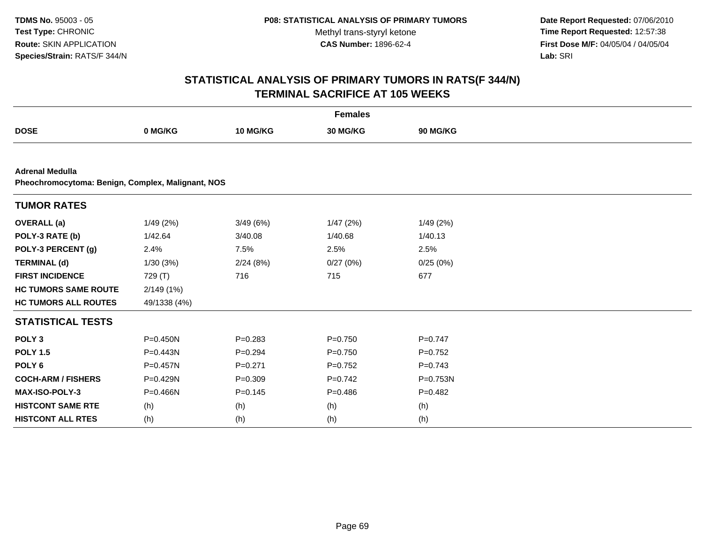**Date Report Requested:** 07/06/2010 **Time Report Requested:** 12:57:38 **First Dose M/F:** 04/05/04 / 04/05/04<br>Lab: SRI **Lab:** SRI

| <b>Females</b>              |                                                   |             |             |                 |  |  |  |
|-----------------------------|---------------------------------------------------|-------------|-------------|-----------------|--|--|--|
| <b>DOSE</b>                 | 0 MG/KG                                           | 10 MG/KG    | 30 MG/KG    | <b>90 MG/KG</b> |  |  |  |
|                             |                                                   |             |             |                 |  |  |  |
| <b>Adrenal Medulla</b>      | Pheochromocytoma: Benign, Complex, Malignant, NOS |             |             |                 |  |  |  |
| <b>TUMOR RATES</b>          |                                                   |             |             |                 |  |  |  |
| <b>OVERALL</b> (a)          | 1/49 (2%)                                         | 3/49(6%)    | 1/47(2%)    | 1/49(2%)        |  |  |  |
| POLY-3 RATE (b)             | 1/42.64                                           | 3/40.08     | 1/40.68     | 1/40.13         |  |  |  |
| POLY-3 PERCENT (g)          | 2.4%                                              | 7.5%        | 2.5%        | 2.5%            |  |  |  |
| <b>TERMINAL (d)</b>         | 1/30(3%)                                          | 2/24(8%)    | 0/27(0%)    | 0/25(0%)        |  |  |  |
| <b>FIRST INCIDENCE</b>      | 729 (T)                                           | 716         | 715         | 677             |  |  |  |
| <b>HC TUMORS SAME ROUTE</b> | 2/149(1%)                                         |             |             |                 |  |  |  |
| <b>HC TUMORS ALL ROUTES</b> | 49/1338 (4%)                                      |             |             |                 |  |  |  |
| <b>STATISTICAL TESTS</b>    |                                                   |             |             |                 |  |  |  |
| POLY <sub>3</sub>           | $P = 0.450N$                                      | $P = 0.283$ | $P = 0.750$ | $P=0.747$       |  |  |  |
| <b>POLY 1.5</b>             | P=0.443N                                          | $P=0.294$   | $P = 0.750$ | $P=0.752$       |  |  |  |
| POLY <sub>6</sub>           | P=0.457N                                          | $P = 0.271$ | $P=0.752$   | $P=0.743$       |  |  |  |
| <b>COCH-ARM / FISHERS</b>   | P=0.429N                                          | $P = 0.309$ | $P=0.742$   | $P = 0.753N$    |  |  |  |
| <b>MAX-ISO-POLY-3</b>       | $P = 0.466N$                                      | $P = 0.145$ | $P=0.486$   | $P=0.482$       |  |  |  |
| <b>HISTCONT SAME RTE</b>    | (h)                                               | (h)         | (h)         | (h)             |  |  |  |
| <b>HISTCONT ALL RTES</b>    | (h)                                               | (h)         | (h)         | (h)             |  |  |  |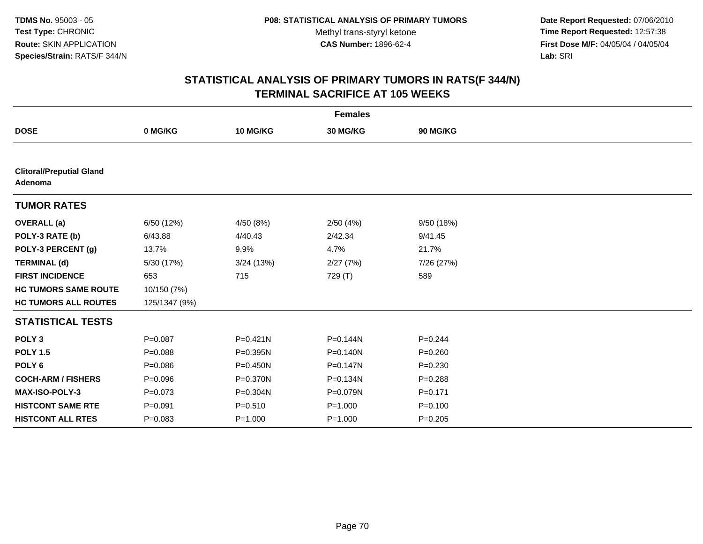**Date Report Requested:** 07/06/2010 **Time Report Requested:** 12:57:38 **First Dose M/F:** 04/05/04 / 04/05/04<br>Lab: SRI **Lab:** SRI

| <b>Females</b>                             |               |              |              |             |  |
|--------------------------------------------|---------------|--------------|--------------|-------------|--|
| <b>DOSE</b>                                | 0 MG/KG       | 10 MG/KG     | 30 MG/KG     | 90 MG/KG    |  |
|                                            |               |              |              |             |  |
| <b>Clitoral/Preputial Gland</b><br>Adenoma |               |              |              |             |  |
| <b>TUMOR RATES</b>                         |               |              |              |             |  |
| <b>OVERALL</b> (a)                         | 6/50 (12%)    | 4/50 (8%)    | 2/50(4%)     | 9/50 (18%)  |  |
| POLY-3 RATE (b)                            | 6/43.88       | 4/40.43      | 2/42.34      | 9/41.45     |  |
| POLY-3 PERCENT (g)                         | 13.7%         | 9.9%         | 4.7%         | 21.7%       |  |
| <b>TERMINAL (d)</b>                        | 5/30 (17%)    | 3/24(13%)    | 2/27(7%)     | 7/26 (27%)  |  |
| <b>FIRST INCIDENCE</b>                     | 653           | 715          | 729 (T)      | 589         |  |
| <b>HC TUMORS SAME ROUTE</b>                | 10/150 (7%)   |              |              |             |  |
| <b>HC TUMORS ALL ROUTES</b>                | 125/1347 (9%) |              |              |             |  |
| <b>STATISTICAL TESTS</b>                   |               |              |              |             |  |
| POLY <sub>3</sub>                          | $P=0.087$     | $P = 0.421N$ | P=0.144N     | $P=0.244$   |  |
| <b>POLY 1.5</b>                            | $P = 0.088$   | $P = 0.395N$ | $P = 0.140N$ | $P=0.260$   |  |
| POLY <sub>6</sub>                          | $P = 0.086$   | $P = 0.450N$ | $P = 0.147N$ | $P = 0.230$ |  |
| <b>COCH-ARM / FISHERS</b>                  | $P = 0.096$   | P=0.370N     | P=0.134N     | $P = 0.288$ |  |
| <b>MAX-ISO-POLY-3</b>                      | $P = 0.073$   | P=0.304N     | P=0.079N     | $P = 0.171$ |  |
| <b>HISTCONT SAME RTE</b>                   | $P = 0.091$   | $P = 0.510$  | $P = 1.000$  | $P = 0.100$ |  |
| <b>HISTCONT ALL RTES</b>                   | $P = 0.083$   | $P = 1.000$  | $P = 1.000$  | $P=0.205$   |  |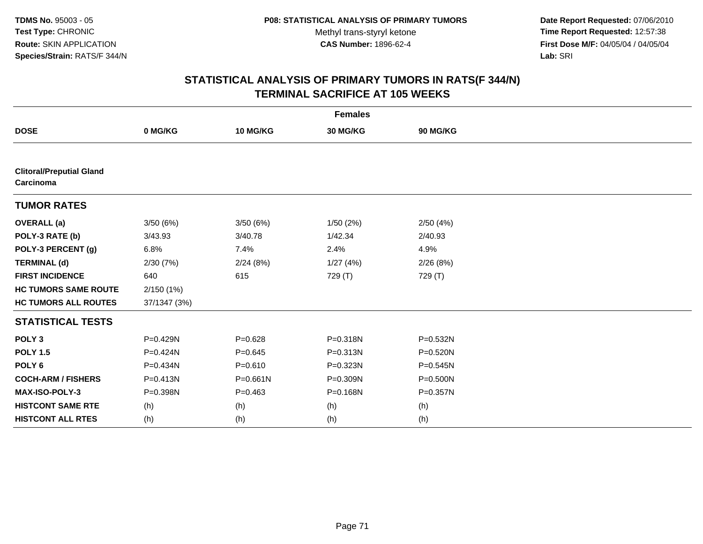**Date Report Requested:** 07/06/2010 **Time Report Requested:** 12:57:38 **First Dose M/F:** 04/05/04 / 04/05/04<br>Lab: SRI **Lab:** SRI

| <b>Females</b>                               |              |              |          |              |  |
|----------------------------------------------|--------------|--------------|----------|--------------|--|
| <b>DOSE</b>                                  | 0 MG/KG      | 10 MG/KG     | 30 MG/KG | 90 MG/KG     |  |
|                                              |              |              |          |              |  |
| <b>Clitoral/Preputial Gland</b><br>Carcinoma |              |              |          |              |  |
| <b>TUMOR RATES</b>                           |              |              |          |              |  |
| <b>OVERALL</b> (a)                           | 3/50(6%)     | 3/50(6%)     | 1/50(2%) | 2/50(4%)     |  |
| POLY-3 RATE (b)                              | 3/43.93      | 3/40.78      | 1/42.34  | 2/40.93      |  |
| POLY-3 PERCENT (g)                           | 6.8%         | 7.4%         | 2.4%     | 4.9%         |  |
| <b>TERMINAL (d)</b>                          | 2/30(7%)     | 2/24(8%)     | 1/27(4%) | 2/26(8%)     |  |
| <b>FIRST INCIDENCE</b>                       | 640          | 615          | 729 (T)  | 729 (T)      |  |
| <b>HC TUMORS SAME ROUTE</b>                  | 2/150(1%)    |              |          |              |  |
| <b>HC TUMORS ALL ROUTES</b>                  | 37/1347 (3%) |              |          |              |  |
| <b>STATISTICAL TESTS</b>                     |              |              |          |              |  |
| POLY <sub>3</sub>                            | P=0.429N     | $P = 0.628$  | P=0.318N | P=0.532N     |  |
| <b>POLY 1.5</b>                              | P=0.424N     | $P = 0.645$  | P=0.313N | $P = 0.520N$ |  |
| POLY <sub>6</sub>                            | P=0.434N     | $P = 0.610$  | P=0.323N | $P = 0.545N$ |  |
| <b>COCH-ARM / FISHERS</b>                    | $P = 0.413N$ | $P = 0.661N$ | P=0.309N | P=0.500N     |  |
| MAX-ISO-POLY-3                               | P=0.398N     | $P = 0.463$  | P=0.168N | P=0.357N     |  |
| <b>HISTCONT SAME RTE</b>                     | (h)          | (h)          | (h)      | (h)          |  |
| <b>HISTCONT ALL RTES</b>                     | (h)          | (h)          | (h)      | (h)          |  |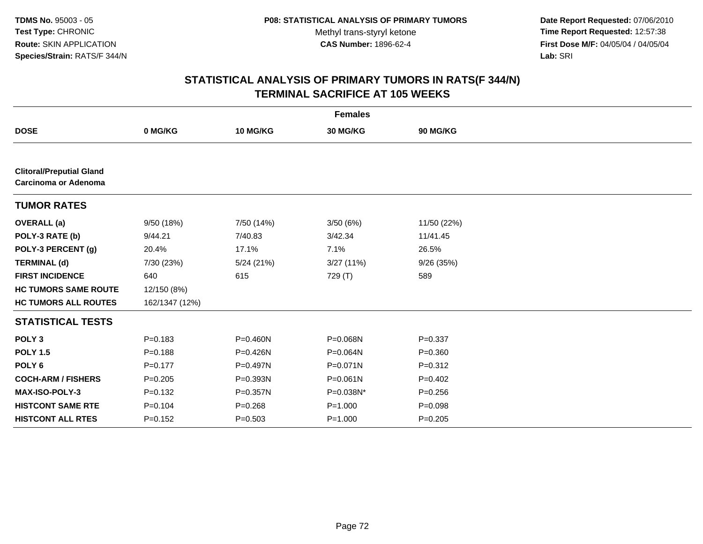**Date Report Requested:** 07/06/2010 **Time Report Requested:** 12:57:38 **First Dose M/F:** 04/05/04 / 04/05/04<br>Lab: SRI **Lab:** SRI

| <b>Females</b>                                                 |                |              |              |             |  |
|----------------------------------------------------------------|----------------|--------------|--------------|-------------|--|
| <b>DOSE</b>                                                    | 0 MG/KG        | 10 MG/KG     | 30 MG/KG     | 90 MG/KG    |  |
|                                                                |                |              |              |             |  |
| <b>Clitoral/Preputial Gland</b><br><b>Carcinoma or Adenoma</b> |                |              |              |             |  |
| <b>TUMOR RATES</b>                                             |                |              |              |             |  |
| <b>OVERALL</b> (a)                                             | 9/50 (18%)     | 7/50 (14%)   | 3/50(6%)     | 11/50 (22%) |  |
| POLY-3 RATE (b)                                                | 9/44.21        | 7/40.83      | 3/42.34      | 11/41.45    |  |
| POLY-3 PERCENT (g)                                             | 20.4%          | 17.1%        | 7.1%         | 26.5%       |  |
| <b>TERMINAL (d)</b>                                            | 7/30 (23%)     | 5/24(21%)    | 3/27(11%)    | 9/26 (35%)  |  |
| <b>FIRST INCIDENCE</b>                                         | 640            | 615          | 729 (T)      | 589         |  |
| <b>HC TUMORS SAME ROUTE</b>                                    | 12/150 (8%)    |              |              |             |  |
| <b>HC TUMORS ALL ROUTES</b>                                    | 162/1347 (12%) |              |              |             |  |
| <b>STATISTICAL TESTS</b>                                       |                |              |              |             |  |
| POLY <sub>3</sub>                                              | $P = 0.183$    | P=0.460N     | P=0.068N     | $P = 0.337$ |  |
| <b>POLY 1.5</b>                                                | $P = 0.188$    | P=0.426N     | P=0.064N     | $P = 0.360$ |  |
| POLY <sub>6</sub>                                              | $P=0.177$      | P=0.497N     | $P = 0.071N$ | $P = 0.312$ |  |
| <b>COCH-ARM / FISHERS</b>                                      | $P = 0.205$    | P=0.393N     | $P = 0.061N$ | $P=0.402$   |  |
| <b>MAX-ISO-POLY-3</b>                                          | $P = 0.132$    | $P = 0.357N$ | P=0.038N*    | $P = 0.256$ |  |
| <b>HISTCONT SAME RTE</b>                                       | $P = 0.104$    | $P = 0.268$  | $P = 1.000$  | $P = 0.098$ |  |
| <b>HISTCONT ALL RTES</b>                                       | $P=0.152$      | $P = 0.503$  | $P = 1.000$  | $P = 0.205$ |  |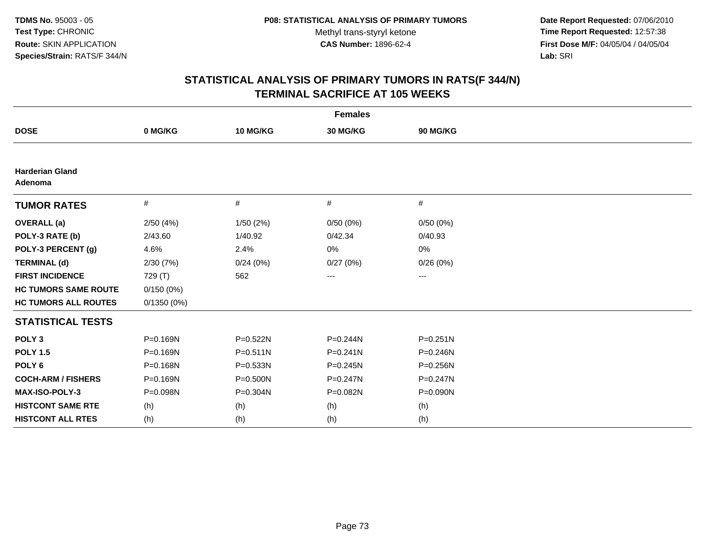**Date Report Requested:** 07/06/2010 **Time Report Requested:** 12:57:38 **First Dose M/F:** 04/05/04 / 04/05/04<br>Lab: SRI **Lab:** SRI

| <b>Females</b>                    |               |              |              |                        |  |  |
|-----------------------------------|---------------|--------------|--------------|------------------------|--|--|
| <b>DOSE</b>                       | 0 MG/KG       | 10 MG/KG     | 30 MG/KG     | 90 MG/KG               |  |  |
|                                   |               |              |              |                        |  |  |
| <b>Harderian Gland</b><br>Adenoma |               |              |              |                        |  |  |
| <b>TUMOR RATES</b>                | #             | #            | #            | #                      |  |  |
| <b>OVERALL</b> (a)                | 2/50(4%)      | 1/50(2%)     | 0/50(0%)     | 0/50(0%)               |  |  |
| POLY-3 RATE (b)                   | 2/43.60       | 1/40.92      | 0/42.34      | 0/40.93                |  |  |
| POLY-3 PERCENT (g)                | 4.6%          | 2.4%         | 0%           | 0%                     |  |  |
| <b>TERMINAL (d)</b>               | 2/30(7%)      | 0/24(0%)     | 0/27(0%)     | 0/26(0%)               |  |  |
| <b>FIRST INCIDENCE</b>            | 729 (T)       | 562          | ---          | $\qquad \qquad \cdots$ |  |  |
| <b>HC TUMORS SAME ROUTE</b>       | 0/150(0%)     |              |              |                        |  |  |
| <b>HC TUMORS ALL ROUTES</b>       | $0/1350(0\%)$ |              |              |                        |  |  |
| <b>STATISTICAL TESTS</b>          |               |              |              |                        |  |  |
| POLY <sub>3</sub>                 | P=0.169N      | P=0.522N     | $P = 0.244N$ | $P = 0.251N$           |  |  |
| <b>POLY 1.5</b>                   | P=0.169N      | $P = 0.511N$ | $P = 0.241N$ | $P = 0.246N$           |  |  |
| POLY <sub>6</sub>                 | P=0.168N      | $P = 0.533N$ | P=0.245N     | P=0.256N               |  |  |
| <b>COCH-ARM / FISHERS</b>         | P=0.169N      | P=0.500N     | P=0.247N     | P=0.247N               |  |  |
| MAX-ISO-POLY-3                    | P=0.098N      | P=0.304N     | P=0.082N     | P=0.090N               |  |  |
| <b>HISTCONT SAME RTE</b>          | (h)           | (h)          | (h)          | (h)                    |  |  |
| <b>HISTCONT ALL RTES</b>          | (h)           | (h)          | (h)          | (h)                    |  |  |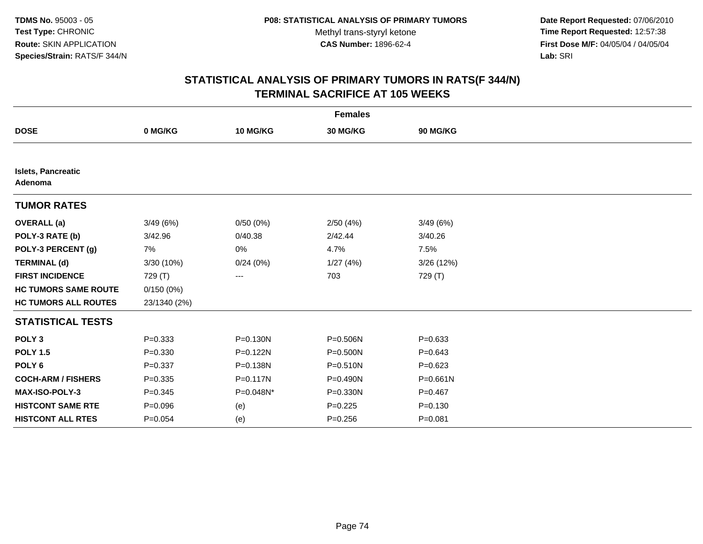**Date Report Requested:** 07/06/2010 **Time Report Requested:** 12:57:38 **First Dose M/F:** 04/05/04 / 04/05/04<br>Lab: SRI **Lab:** SRI

| <b>Females</b>                       |              |              |              |              |  |  |
|--------------------------------------|--------------|--------------|--------------|--------------|--|--|
| <b>DOSE</b>                          | 0 MG/KG      | 10 MG/KG     | 30 MG/KG     | 90 MG/KG     |  |  |
|                                      |              |              |              |              |  |  |
| <b>Islets, Pancreatic</b><br>Adenoma |              |              |              |              |  |  |
| <b>TUMOR RATES</b>                   |              |              |              |              |  |  |
| <b>OVERALL</b> (a)                   | 3/49(6%)     | 0/50(0%)     | 2/50(4%)     | 3/49(6%)     |  |  |
| POLY-3 RATE (b)                      | 3/42.96      | 0/40.38      | 2/42.44      | 3/40.26      |  |  |
| POLY-3 PERCENT (g)                   | 7%           | $0\%$        | 4.7%         | 7.5%         |  |  |
| <b>TERMINAL (d)</b>                  | 3/30 (10%)   | 0/24(0%)     | 1/27(4%)     | 3/26(12%)    |  |  |
| <b>FIRST INCIDENCE</b>               | 729 (T)      | ---          | 703          | 729 (T)      |  |  |
| <b>HC TUMORS SAME ROUTE</b>          | 0/150(0%)    |              |              |              |  |  |
| <b>HC TUMORS ALL ROUTES</b>          | 23/1340 (2%) |              |              |              |  |  |
| <b>STATISTICAL TESTS</b>             |              |              |              |              |  |  |
| POLY <sub>3</sub>                    | $P = 0.333$  | $P = 0.130N$ | P=0.506N     | $P = 0.633$  |  |  |
| <b>POLY 1.5</b>                      | $P = 0.330$  | P=0.122N     | P=0.500N     | $P = 0.643$  |  |  |
| POLY <sub>6</sub>                    | $P = 0.337$  | P=0.138N     | $P = 0.510N$ | $P = 0.623$  |  |  |
| <b>COCH-ARM / FISHERS</b>            | $P = 0.335$  | $P = 0.117N$ | P=0.490N     | $P = 0.661N$ |  |  |
| MAX-ISO-POLY-3                       | $P = 0.345$  | P=0.048N*    | $P = 0.330N$ | $P=0.467$    |  |  |
| <b>HISTCONT SAME RTE</b>             | $P = 0.096$  | (e)          | $P=0.225$    | $P = 0.130$  |  |  |
| <b>HISTCONT ALL RTES</b>             | $P = 0.054$  | (e)          | $P = 0.256$  | $P = 0.081$  |  |  |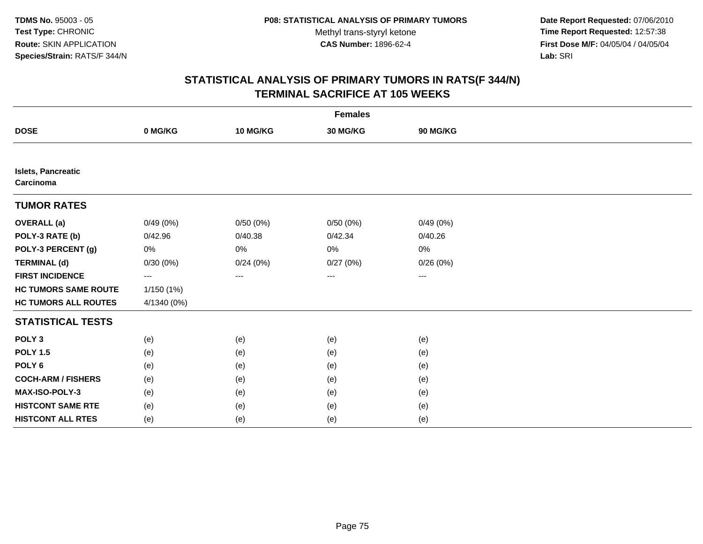**Date Report Requested:** 07/06/2010 **Time Report Requested:** 12:57:38 **First Dose M/F:** 04/05/04 / 04/05/04<br>Lab: SRI **Lab:** SRI

|                                        |             |          | <b>Females</b> |          |  |
|----------------------------------------|-------------|----------|----------------|----------|--|
| <b>DOSE</b>                            | 0 MG/KG     | 10 MG/KG | 30 MG/KG       | 90 MG/KG |  |
|                                        |             |          |                |          |  |
| <b>Islets, Pancreatic</b><br>Carcinoma |             |          |                |          |  |
| <b>TUMOR RATES</b>                     |             |          |                |          |  |
| <b>OVERALL</b> (a)                     | 0/49(0%)    | 0/50(0%) | 0/50(0%)       | 0/49(0%) |  |
| POLY-3 RATE (b)                        | 0/42.96     | 0/40.38  | 0/42.34        | 0/40.26  |  |
| POLY-3 PERCENT (g)                     | 0%          | $0\%$    | $0\%$          | 0%       |  |
| <b>TERMINAL (d)</b>                    | 0/30(0%)    | 0/24(0%) | 0/27(0%)       | 0/26(0%) |  |
| <b>FIRST INCIDENCE</b>                 | $---$       | ---      | $\cdots$       | $\cdots$ |  |
| <b>HC TUMORS SAME ROUTE</b>            | 1/150(1%)   |          |                |          |  |
| <b>HC TUMORS ALL ROUTES</b>            | 4/1340 (0%) |          |                |          |  |
| <b>STATISTICAL TESTS</b>               |             |          |                |          |  |
| POLY <sub>3</sub>                      | (e)         | (e)      | (e)            | (e)      |  |
| <b>POLY 1.5</b>                        | (e)         | (e)      | (e)            | (e)      |  |
| POLY <sub>6</sub>                      | (e)         | (e)      | (e)            | (e)      |  |
| <b>COCH-ARM / FISHERS</b>              | (e)         | (e)      | (e)            | (e)      |  |
| MAX-ISO-POLY-3                         | (e)         | (e)      | (e)            | (e)      |  |
| <b>HISTCONT SAME RTE</b>               | (e)         | (e)      | (e)            | (e)      |  |
| <b>HISTCONT ALL RTES</b>               | (e)         | (e)      | (e)            | (e)      |  |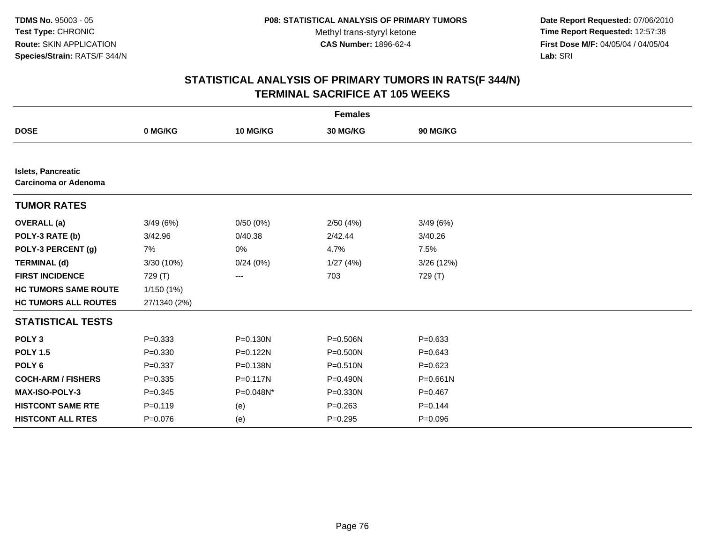**Date Report Requested:** 07/06/2010 **Time Report Requested:** 12:57:38 **First Dose M/F:** 04/05/04 / 04/05/04<br>Lab: SRI **Lab:** SRI

|                                                          |              |              | <b>Females</b> |              |  |
|----------------------------------------------------------|--------------|--------------|----------------|--------------|--|
| <b>DOSE</b>                                              | 0 MG/KG      | 10 MG/KG     | 30 MG/KG       | 90 MG/KG     |  |
|                                                          |              |              |                |              |  |
| <b>Islets, Pancreatic</b><br><b>Carcinoma or Adenoma</b> |              |              |                |              |  |
| <b>TUMOR RATES</b>                                       |              |              |                |              |  |
| <b>OVERALL</b> (a)                                       | 3/49(6%)     | 0/50(0%)     | 2/50(4%)       | 3/49(6%)     |  |
| POLY-3 RATE (b)                                          | 3/42.96      | 0/40.38      | 2/42.44        | 3/40.26      |  |
| POLY-3 PERCENT (g)                                       | 7%           | 0%           | 4.7%           | 7.5%         |  |
| <b>TERMINAL (d)</b>                                      | 3/30 (10%)   | 0/24(0%)     | 1/27(4%)       | 3/26 (12%)   |  |
| <b>FIRST INCIDENCE</b>                                   | 729 (T)      | ---          | 703            | 729 (T)      |  |
| <b>HC TUMORS SAME ROUTE</b>                              | 1/150 (1%)   |              |                |              |  |
| <b>HC TUMORS ALL ROUTES</b>                              | 27/1340 (2%) |              |                |              |  |
| <b>STATISTICAL TESTS</b>                                 |              |              |                |              |  |
| POLY <sub>3</sub>                                        | $P = 0.333$  | $P = 0.130N$ | P=0.506N       | $P = 0.633$  |  |
| <b>POLY 1.5</b>                                          | $P = 0.330$  | P=0.122N     | P=0.500N       | $P = 0.643$  |  |
| POLY <sub>6</sub>                                        | $P = 0.337$  | P=0.138N     | $P = 0.510N$   | $P=0.623$    |  |
| <b>COCH-ARM / FISHERS</b>                                | $P = 0.335$  | $P = 0.117N$ | P=0.490N       | $P = 0.661N$ |  |
| MAX-ISO-POLY-3                                           | $P = 0.345$  | P=0.048N*    | $P = 0.330N$   | $P=0.467$    |  |
| <b>HISTCONT SAME RTE</b>                                 | $P = 0.119$  | (e)          | $P = 0.263$    | $P = 0.144$  |  |
| <b>HISTCONT ALL RTES</b>                                 | $P = 0.076$  | (e)          | $P = 0.295$    | $P = 0.096$  |  |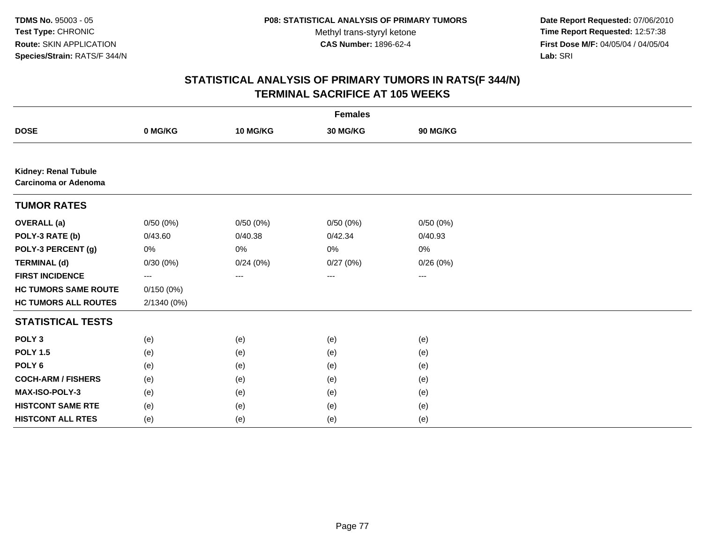**Date Report Requested:** 07/06/2010 **Time Report Requested:** 12:57:38 **First Dose M/F:** 04/05/04 / 04/05/04<br>Lab: SRI **Lab:** SRI

|                                                            |             |          | <b>Females</b>    |                   |  |
|------------------------------------------------------------|-------------|----------|-------------------|-------------------|--|
| <b>DOSE</b>                                                | 0 MG/KG     | 10 MG/KG | 30 MG/KG          | 90 MG/KG          |  |
|                                                            |             |          |                   |                   |  |
| <b>Kidney: Renal Tubule</b><br><b>Carcinoma or Adenoma</b> |             |          |                   |                   |  |
| <b>TUMOR RATES</b>                                         |             |          |                   |                   |  |
| <b>OVERALL (a)</b>                                         | 0/50(0%)    | 0/50(0%) | 0/50(0%)          | 0/50(0%)          |  |
| POLY-3 RATE (b)                                            | 0/43.60     | 0/40.38  | 0/42.34           | 0/40.93           |  |
| POLY-3 PERCENT (g)                                         | 0%          | 0%       | 0%                | 0%                |  |
| <b>TERMINAL (d)</b>                                        | 0/30(0%)    | 0/24(0%) | 0/27(0%)          | 0/26(0%)          |  |
| <b>FIRST INCIDENCE</b>                                     | $---$       | $\cdots$ | $\qquad \qquad -$ | $\qquad \qquad -$ |  |
| <b>HC TUMORS SAME ROUTE</b>                                | 0/150(0%)   |          |                   |                   |  |
| <b>HC TUMORS ALL ROUTES</b>                                | 2/1340 (0%) |          |                   |                   |  |
| <b>STATISTICAL TESTS</b>                                   |             |          |                   |                   |  |
| POLY <sub>3</sub>                                          | (e)         | (e)      | (e)               | (e)               |  |
| <b>POLY 1.5</b>                                            | (e)         | (e)      | (e)               | (e)               |  |
| POLY <sub>6</sub>                                          | (e)         | (e)      | (e)               | (e)               |  |
| <b>COCH-ARM / FISHERS</b>                                  | (e)         | (e)      | (e)               | (e)               |  |
| MAX-ISO-POLY-3                                             | (e)         | (e)      | (e)               | (e)               |  |
| <b>HISTCONT SAME RTE</b>                                   | (e)         | (e)      | (e)               | (e)               |  |
| <b>HISTCONT ALL RTES</b>                                   | (e)         | (e)      | (e)               | (e)               |  |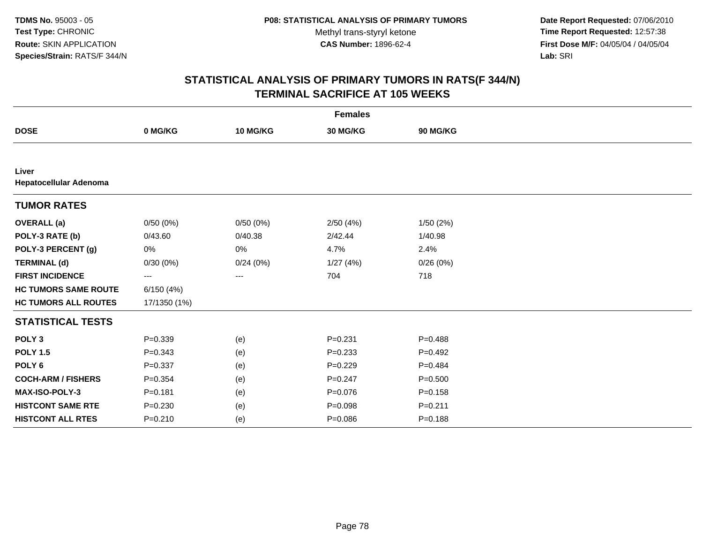**Date Report Requested:** 07/06/2010 **Time Report Requested:** 12:57:38 **First Dose M/F:** 04/05/04 / 04/05/04<br>Lab: SRI **Lab:** SRI

| <b>Females</b>                  |                   |          |             |             |  |  |
|---------------------------------|-------------------|----------|-------------|-------------|--|--|
| <b>DOSE</b>                     | 0 MG/KG           | 10 MG/KG | 30 MG/KG    | 90 MG/KG    |  |  |
|                                 |                   |          |             |             |  |  |
| Liver<br>Hepatocellular Adenoma |                   |          |             |             |  |  |
| <b>TUMOR RATES</b>              |                   |          |             |             |  |  |
| <b>OVERALL</b> (a)              | 0/50(0%)          | 0/50(0%) | 2/50(4%)    | 1/50(2%)    |  |  |
| POLY-3 RATE (b)                 | 0/43.60           | 0/40.38  | 2/42.44     | 1/40.98     |  |  |
| POLY-3 PERCENT (g)              | 0%                | $0\%$    | 4.7%        | 2.4%        |  |  |
| <b>TERMINAL (d)</b>             | 0/30(0%)          | 0/24(0%) | 1/27(4%)    | 0/26(0%)    |  |  |
| <b>FIRST INCIDENCE</b>          | $\qquad \qquad -$ | ---      | 704         | 718         |  |  |
| <b>HC TUMORS SAME ROUTE</b>     | 6/150(4%)         |          |             |             |  |  |
| <b>HC TUMORS ALL ROUTES</b>     | 17/1350 (1%)      |          |             |             |  |  |
| <b>STATISTICAL TESTS</b>        |                   |          |             |             |  |  |
| POLY <sub>3</sub>               | $P = 0.339$       | (e)      | $P = 0.231$ | $P = 0.488$ |  |  |
| <b>POLY 1.5</b>                 | $P = 0.343$       | (e)      | $P = 0.233$ | $P=0.492$   |  |  |
| POLY <sub>6</sub>               | $P = 0.337$       | (e)      | $P=0.229$   | $P=0.484$   |  |  |
| <b>COCH-ARM / FISHERS</b>       | $P = 0.354$       | (e)      | $P = 0.247$ | $P = 0.500$ |  |  |
| MAX-ISO-POLY-3                  | $P = 0.181$       | (e)      | $P=0.076$   | $P = 0.158$ |  |  |
| <b>HISTCONT SAME RTE</b>        | $P = 0.230$       | (e)      | $P = 0.098$ | $P = 0.211$ |  |  |
| <b>HISTCONT ALL RTES</b>        | $P = 0.210$       | (e)      | $P = 0.086$ | $P = 0.188$ |  |  |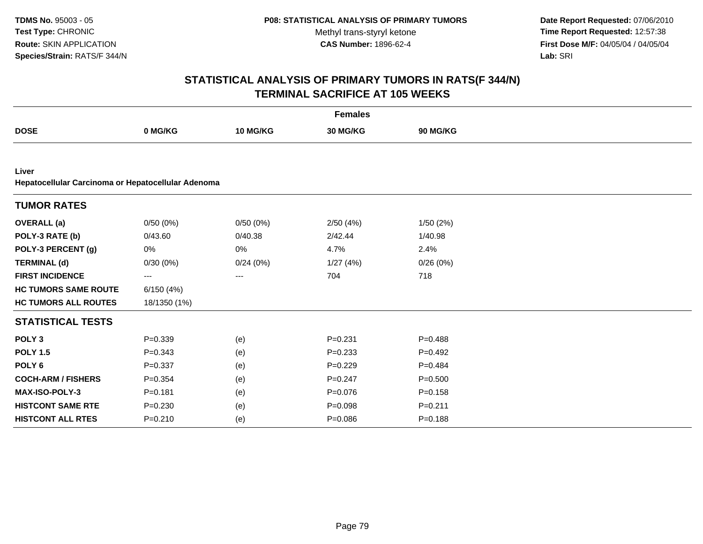**Date Report Requested:** 07/06/2010 **Time Report Requested:** 12:57:38 **First Dose M/F:** 04/05/04 / 04/05/04<br>Lab: SRI **Lab:** SRI

|                                                             |              |          | <b>Females</b> |             |
|-------------------------------------------------------------|--------------|----------|----------------|-------------|
| <b>DOSE</b>                                                 | 0 MG/KG      | 10 MG/KG | 30 MG/KG       | 90 MG/KG    |
|                                                             |              |          |                |             |
| Liver<br>Hepatocellular Carcinoma or Hepatocellular Adenoma |              |          |                |             |
| <b>TUMOR RATES</b>                                          |              |          |                |             |
| <b>OVERALL</b> (a)                                          | 0/50(0%)     | 0/50(0%) | 2/50(4%)       | 1/50(2%)    |
| POLY-3 RATE (b)                                             | 0/43.60      | 0/40.38  | 2/42.44        | 1/40.98     |
| POLY-3 PERCENT (g)                                          | 0%           | 0%       | 4.7%           | 2.4%        |
| <b>TERMINAL (d)</b>                                         | 0/30(0%)     | 0/24(0%) | 1/27(4%)       | 0/26(0%)    |
| <b>FIRST INCIDENCE</b>                                      | ---          | ---      | 704            | 718         |
| <b>HC TUMORS SAME ROUTE</b>                                 | 6/150(4%)    |          |                |             |
| <b>HC TUMORS ALL ROUTES</b>                                 | 18/1350 (1%) |          |                |             |
| <b>STATISTICAL TESTS</b>                                    |              |          |                |             |
| POLY <sub>3</sub>                                           | $P = 0.339$  | (e)      | $P = 0.231$    | $P = 0.488$ |
| <b>POLY 1.5</b>                                             | $P = 0.343$  | (e)      | $P = 0.233$    | $P=0.492$   |
| POLY <sub>6</sub>                                           | $P = 0.337$  | (e)      | $P=0.229$      | $P=0.484$   |
| <b>COCH-ARM / FISHERS</b>                                   | $P = 0.354$  | (e)      | $P = 0.247$    | $P = 0.500$ |
| MAX-ISO-POLY-3                                              | $P = 0.181$  | (e)      | $P = 0.076$    | $P = 0.158$ |
| <b>HISTCONT SAME RTE</b>                                    | $P = 0.230$  | (e)      | $P = 0.098$    | $P = 0.211$ |
| <b>HISTCONT ALL RTES</b>                                    | $P = 0.210$  | (e)      | $P = 0.086$    | $P = 0.188$ |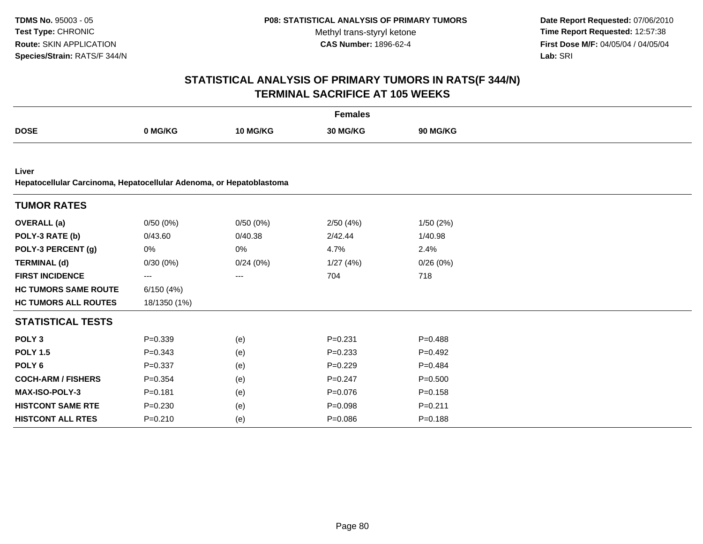**Date Report Requested:** 07/06/2010 **Time Report Requested:** 12:57:38 **First Dose M/F:** 04/05/04 / 04/05/04<br>**Lab:** SRI **Lab:** SRI

|                                                                              |              |          | <b>Females</b> |                 |  |
|------------------------------------------------------------------------------|--------------|----------|----------------|-----------------|--|
| <b>DOSE</b>                                                                  | 0 MG/KG      | 10 MG/KG | 30 MG/KG       | <b>90 MG/KG</b> |  |
|                                                                              |              |          |                |                 |  |
| Liver<br>Hepatocellular Carcinoma, Hepatocellular Adenoma, or Hepatoblastoma |              |          |                |                 |  |
| <b>TUMOR RATES</b>                                                           |              |          |                |                 |  |
| <b>OVERALL</b> (a)                                                           | 0/50(0%)     | 0/50(0%) | 2/50(4%)       | 1/50(2%)        |  |
| POLY-3 RATE (b)                                                              | 0/43.60      | 0/40.38  | 2/42.44        | 1/40.98         |  |
| POLY-3 PERCENT (g)                                                           | 0%           | 0%       | 4.7%           | 2.4%            |  |
| <b>TERMINAL (d)</b>                                                          | 0/30(0%)     | 0/24(0%) | 1/27(4%)       | 0/26(0%)        |  |
| <b>FIRST INCIDENCE</b>                                                       | $--$         | ---      | 704            | 718             |  |
| <b>HC TUMORS SAME ROUTE</b>                                                  | 6/150(4%)    |          |                |                 |  |
| <b>HC TUMORS ALL ROUTES</b>                                                  | 18/1350 (1%) |          |                |                 |  |
| <b>STATISTICAL TESTS</b>                                                     |              |          |                |                 |  |
| POLY <sub>3</sub>                                                            | $P = 0.339$  | (e)      | $P = 0.231$    | $P = 0.488$     |  |
| <b>POLY 1.5</b>                                                              | $P = 0.343$  | (e)      | $P = 0.233$    | $P=0.492$       |  |
| POLY <sub>6</sub>                                                            | $P = 0.337$  | (e)      | $P=0.229$      | $P=0.484$       |  |
| <b>COCH-ARM / FISHERS</b>                                                    | $P = 0.354$  | (e)      | $P = 0.247$    | $P = 0.500$     |  |
| <b>MAX-ISO-POLY-3</b>                                                        | $P = 0.181$  | (e)      | $P = 0.076$    | $P = 0.158$     |  |
| <b>HISTCONT SAME RTE</b>                                                     | $P = 0.230$  | (e)      | $P = 0.098$    | $P = 0.211$     |  |
| <b>HISTCONT ALL RTES</b>                                                     | $P = 0.210$  | (e)      | $P = 0.086$    | $P = 0.188$     |  |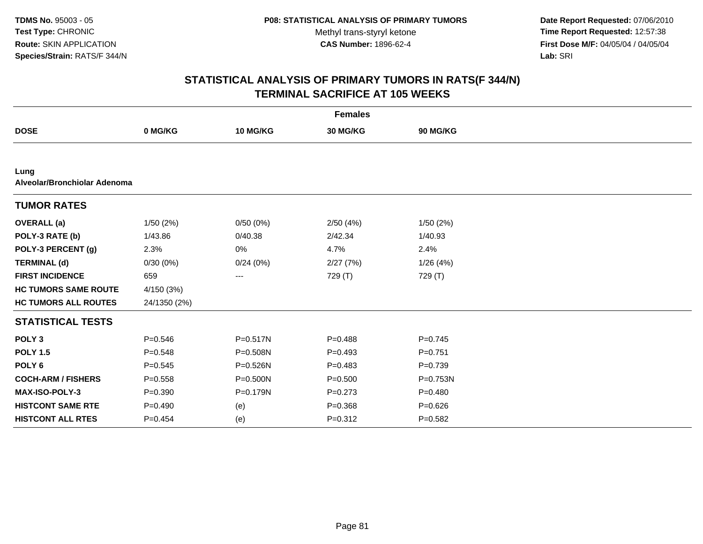**Date Report Requested:** 07/06/2010 **Time Report Requested:** 12:57:38 **First Dose M/F:** 04/05/04 / 04/05/04<br>Lab: SRI **Lab:** SRI

|                                      |              |              | <b>Females</b> |             |  |
|--------------------------------------|--------------|--------------|----------------|-------------|--|
| <b>DOSE</b>                          | 0 MG/KG      | 10 MG/KG     | 30 MG/KG       | 90 MG/KG    |  |
|                                      |              |              |                |             |  |
| Lung<br>Alveolar/Bronchiolar Adenoma |              |              |                |             |  |
| <b>TUMOR RATES</b>                   |              |              |                |             |  |
| <b>OVERALL</b> (a)                   | 1/50(2%)     | 0/50(0%)     | 2/50(4%)       | 1/50(2%)    |  |
| POLY-3 RATE (b)                      | 1/43.86      | 0/40.38      | 2/42.34        | 1/40.93     |  |
| POLY-3 PERCENT (g)                   | 2.3%         | 0%           | 4.7%           | 2.4%        |  |
| <b>TERMINAL (d)</b>                  | 0/30(0%)     | 0/24(0%)     | 2/27(7%)       | 1/26(4%)    |  |
| <b>FIRST INCIDENCE</b>               | 659          | ---          | 729 (T)        | 729 (T)     |  |
| <b>HC TUMORS SAME ROUTE</b>          | 4/150 (3%)   |              |                |             |  |
| <b>HC TUMORS ALL ROUTES</b>          | 24/1350 (2%) |              |                |             |  |
| <b>STATISTICAL TESTS</b>             |              |              |                |             |  |
| POLY <sub>3</sub>                    | $P = 0.546$  | $P = 0.517N$ | $P = 0.488$    | $P=0.745$   |  |
| <b>POLY 1.5</b>                      | $P = 0.548$  | P=0.508N     | $P=0.493$      | $P = 0.751$ |  |
| POLY <sub>6</sub>                    | $P=0.545$    | P=0.526N     | $P = 0.483$    | $P = 0.739$ |  |
| <b>COCH-ARM / FISHERS</b>            | $P = 0.558$  | P=0.500N     | $P = 0.500$    | P=0.753N    |  |
| MAX-ISO-POLY-3                       | $P = 0.390$  | P=0.179N     | $P = 0.273$    | $P = 0.480$ |  |
| <b>HISTCONT SAME RTE</b>             | $P=0.490$    | (e)          | $P = 0.368$    | $P = 0.626$ |  |
| <b>HISTCONT ALL RTES</b>             | $P=0.454$    | (e)          | $P = 0.312$    | $P = 0.582$ |  |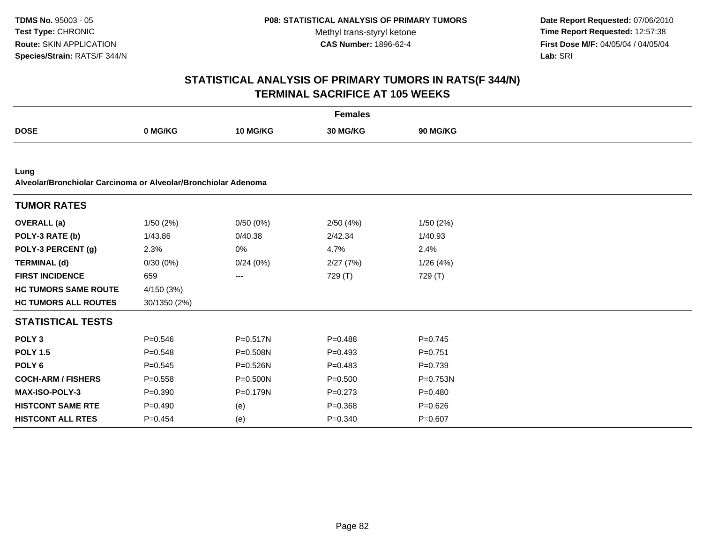**Date Report Requested:** 07/06/2010 **Time Report Requested:** 12:57:38 **First Dose M/F:** 04/05/04 / 04/05/04<br>Lab: SRI **Lab:** SRI

|                                                                        |              |                   | <b>Females</b> |                 |
|------------------------------------------------------------------------|--------------|-------------------|----------------|-----------------|
| <b>DOSE</b>                                                            | 0 MG/KG      | 10 MG/KG          | 30 MG/KG       | <b>90 MG/KG</b> |
|                                                                        |              |                   |                |                 |
| Lung<br>Alveolar/Bronchiolar Carcinoma or Alveolar/Bronchiolar Adenoma |              |                   |                |                 |
| <b>TUMOR RATES</b>                                                     |              |                   |                |                 |
| <b>OVERALL</b> (a)                                                     | 1/50(2%)     | 0/50(0%)          | 2/50(4%)       | 1/50(2%)        |
| POLY-3 RATE (b)                                                        | 1/43.86      | 0/40.38           | 2/42.34        | 1/40.93         |
| POLY-3 PERCENT (g)                                                     | 2.3%         | 0%                | 4.7%           | 2.4%            |
| <b>TERMINAL (d)</b>                                                    | 0/30(0%)     | 0/24(0%)          | 2/27(7%)       | 1/26(4%)        |
| <b>FIRST INCIDENCE</b>                                                 | 659          | $\qquad \qquad -$ | 729 (T)        | 729 (T)         |
| <b>HC TUMORS SAME ROUTE</b>                                            | 4/150 (3%)   |                   |                |                 |
| <b>HC TUMORS ALL ROUTES</b>                                            | 30/1350 (2%) |                   |                |                 |
| <b>STATISTICAL TESTS</b>                                               |              |                   |                |                 |
| POLY <sub>3</sub>                                                      | $P = 0.546$  | P=0.517N          | $P=0.488$      | $P=0.745$       |
| <b>POLY 1.5</b>                                                        | $P = 0.548$  | P=0.508N          | $P = 0.493$    | $P = 0.751$     |
| POLY <sub>6</sub>                                                      | $P = 0.545$  | $P = 0.526N$      | $P = 0.483$    | $P=0.739$       |
| <b>COCH-ARM / FISHERS</b>                                              | $P = 0.558$  | $P = 0.500N$      | $P = 0.500$    | $P = 0.753N$    |
| <b>MAX-ISO-POLY-3</b>                                                  | $P = 0.390$  | $P = 0.179N$      | $P = 0.273$    | $P = 0.480$     |
| <b>HISTCONT SAME RTE</b>                                               | $P=0.490$    | (e)               | $P = 0.368$    | $P = 0.626$     |
| <b>HISTCONT ALL RTES</b>                                               | $P=0.454$    | (e)               | $P = 0.340$    | $P = 0.607$     |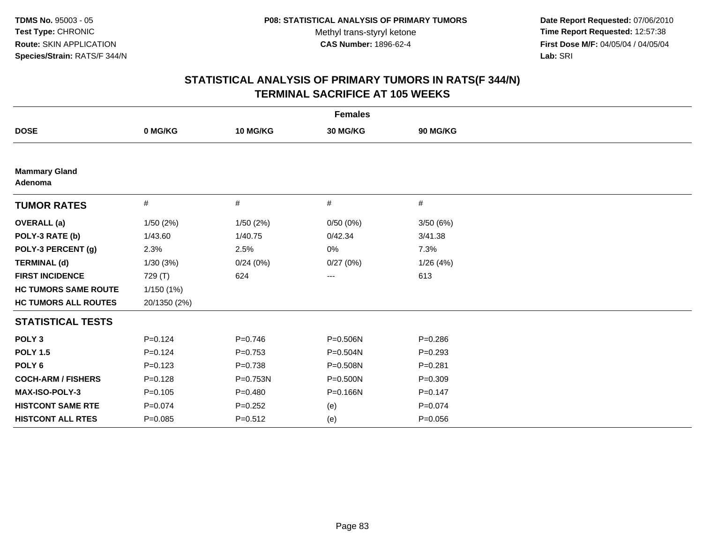**Date Report Requested:** 07/06/2010 **Time Report Requested:** 12:57:38 **First Dose M/F:** 04/05/04 / 04/05/04<br>Lab: SRI **Lab:** SRI

| <b>Females</b>                  |              |             |          |             |  |  |
|---------------------------------|--------------|-------------|----------|-------------|--|--|
| <b>DOSE</b>                     | 0 MG/KG      | 10 MG/KG    | 30 MG/KG | 90 MG/KG    |  |  |
|                                 |              |             |          |             |  |  |
| <b>Mammary Gland</b><br>Adenoma |              |             |          |             |  |  |
| <b>TUMOR RATES</b>              | $\#$         | $\#$        | #        | #           |  |  |
| <b>OVERALL (a)</b>              | 1/50(2%)     | 1/50(2%)    | 0/50(0%) | 3/50(6%)    |  |  |
| POLY-3 RATE (b)                 | 1/43.60      | 1/40.75     | 0/42.34  | 3/41.38     |  |  |
| POLY-3 PERCENT (g)              | 2.3%         | 2.5%        | 0%       | 7.3%        |  |  |
| <b>TERMINAL (d)</b>             | 1/30(3%)     | 0/24(0%)    | 0/27(0%) | 1/26(4%)    |  |  |
| <b>FIRST INCIDENCE</b>          | 729 (T)      | 624         | ---      | 613         |  |  |
| <b>HC TUMORS SAME ROUTE</b>     | 1/150(1%)    |             |          |             |  |  |
| <b>HC TUMORS ALL ROUTES</b>     | 20/1350 (2%) |             |          |             |  |  |
| <b>STATISTICAL TESTS</b>        |              |             |          |             |  |  |
| POLY <sub>3</sub>               | $P = 0.124$  | $P=0.746$   | P=0.506N | $P = 0.286$ |  |  |
| <b>POLY 1.5</b>                 | $P = 0.124$  | $P=0.753$   | P=0.504N | $P=0.293$   |  |  |
| POLY <sub>6</sub>               | $P=0.123$    | $P = 0.738$ | P=0.508N | $P=0.281$   |  |  |
| <b>COCH-ARM / FISHERS</b>       | $P = 0.128$  | P=0.753N    | P=0.500N | $P = 0.309$ |  |  |
| MAX-ISO-POLY-3                  | $P = 0.105$  | $P=0.480$   | P=0.166N | $P = 0.147$ |  |  |
| <b>HISTCONT SAME RTE</b>        | $P=0.074$    | $P=0.252$   | (e)      | $P=0.074$   |  |  |
| <b>HISTCONT ALL RTES</b>        | $P = 0.085$  | $P = 0.512$ | (e)      | $P = 0.056$ |  |  |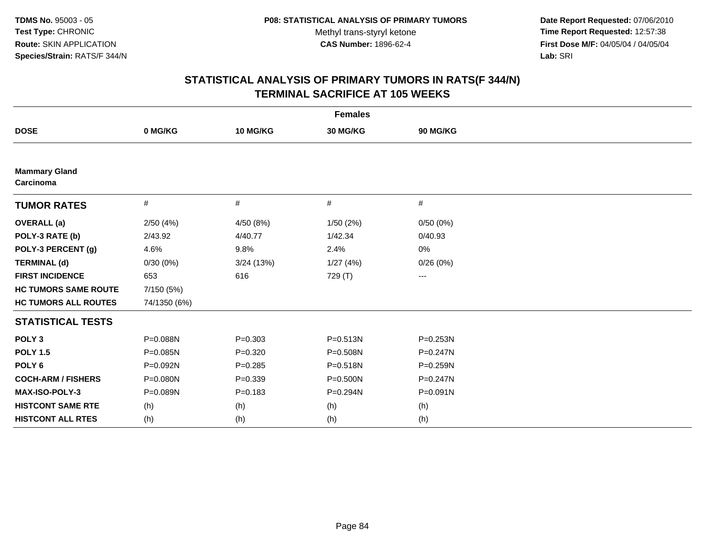**Date Report Requested:** 07/06/2010 **Time Report Requested:** 12:57:38 **First Dose M/F:** 04/05/04 / 04/05/04<br>Lab: SRI **Lab:** SRI

| <b>Females</b>                    |              |             |              |              |  |  |
|-----------------------------------|--------------|-------------|--------------|--------------|--|--|
| <b>DOSE</b>                       | 0 MG/KG      | 10 MG/KG    | 30 MG/KG     | 90 MG/KG     |  |  |
|                                   |              |             |              |              |  |  |
| <b>Mammary Gland</b><br>Carcinoma |              |             |              |              |  |  |
| <b>TUMOR RATES</b>                | $\#$         | #           | #            | $\#$         |  |  |
| <b>OVERALL</b> (a)                | 2/50(4%)     | 4/50 (8%)   | 1/50(2%)     | 0/50(0%)     |  |  |
| POLY-3 RATE (b)                   | 2/43.92      | 4/40.77     | 1/42.34      | 0/40.93      |  |  |
| POLY-3 PERCENT (g)                | 4.6%         | 9.8%        | 2.4%         | 0%           |  |  |
| <b>TERMINAL (d)</b>               | 0/30(0%)     | 3/24(13%)   | 1/27(4%)     | 0/26(0%)     |  |  |
| <b>FIRST INCIDENCE</b>            | 653          | 616         | 729 (T)      | $--$         |  |  |
| <b>HC TUMORS SAME ROUTE</b>       | 7/150 (5%)   |             |              |              |  |  |
| <b>HC TUMORS ALL ROUTES</b>       | 74/1350 (6%) |             |              |              |  |  |
| <b>STATISTICAL TESTS</b>          |              |             |              |              |  |  |
| POLY <sub>3</sub>                 | P=0.088N     | $P = 0.303$ | $P = 0.513N$ | P=0.253N     |  |  |
| <b>POLY 1.5</b>                   | $P = 0.085N$ | $P=0.320$   | P=0.508N     | $P = 0.247N$ |  |  |
| POLY <sub>6</sub>                 | P=0.092N     | $P = 0.285$ | P=0.518N     | $P = 0.259N$ |  |  |
| <b>COCH-ARM / FISHERS</b>         | P=0.080N     | $P = 0.339$ | P=0.500N     | $P = 0.247N$ |  |  |
| <b>MAX-ISO-POLY-3</b>             | P=0.089N     | $P = 0.183$ | P=0.294N     | P=0.091N     |  |  |
| <b>HISTCONT SAME RTE</b>          | (h)          | (h)         | (h)          | (h)          |  |  |
| <b>HISTCONT ALL RTES</b>          | (h)          | (h)         | (h)          | (h)          |  |  |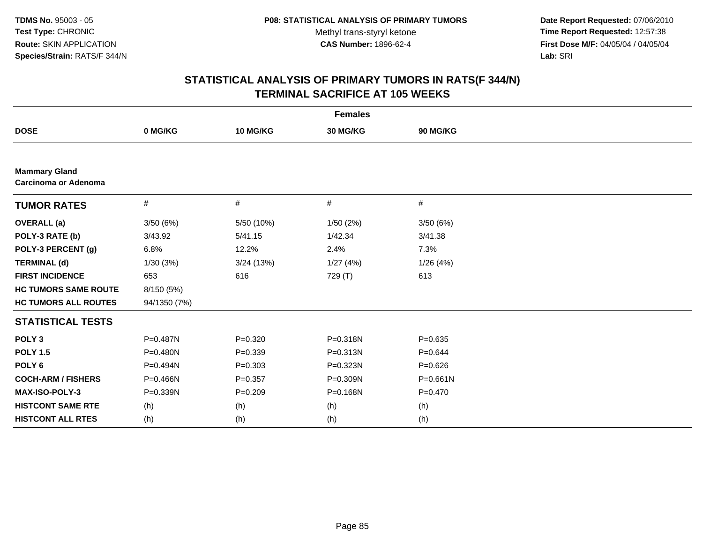**Date Report Requested:** 07/06/2010 **Time Report Requested:** 12:57:38 **First Dose M/F:** 04/05/04 / 04/05/04<br>Lab: SRI **Lab:** SRI

|                                              |              |             | <b>Females</b> |              |  |
|----------------------------------------------|--------------|-------------|----------------|--------------|--|
| <b>DOSE</b>                                  | 0 MG/KG      | 10 MG/KG    | 30 MG/KG       | 90 MG/KG     |  |
|                                              |              |             |                |              |  |
| <b>Mammary Gland</b><br>Carcinoma or Adenoma |              |             |                |              |  |
| <b>TUMOR RATES</b>                           | #            | $\#$        | #              | $\#$         |  |
| <b>OVERALL</b> (a)                           | 3/50(6%)     | 5/50 (10%)  | 1/50(2%)       | 3/50(6%)     |  |
| POLY-3 RATE (b)                              | 3/43.92      | 5/41.15     | 1/42.34        | 3/41.38      |  |
| POLY-3 PERCENT (g)                           | 6.8%         | 12.2%       | 2.4%           | 7.3%         |  |
| <b>TERMINAL (d)</b>                          | 1/30(3%)     | 3/24 (13%)  | 1/27(4%)       | 1/26 (4%)    |  |
| <b>FIRST INCIDENCE</b>                       | 653          | 616         | 729 (T)        | 613          |  |
| <b>HC TUMORS SAME ROUTE</b>                  | 8/150 (5%)   |             |                |              |  |
| <b>HC TUMORS ALL ROUTES</b>                  | 94/1350 (7%) |             |                |              |  |
| <b>STATISTICAL TESTS</b>                     |              |             |                |              |  |
| POLY <sub>3</sub>                            | P=0.487N     | $P = 0.320$ | P=0.318N       | $P = 0.635$  |  |
| <b>POLY 1.5</b>                              | P=0.480N     | $P = 0.339$ | P=0.313N       | $P=0.644$    |  |
| POLY <sub>6</sub>                            | P=0.494N     | $P = 0.303$ | P=0.323N       | $P=0.626$    |  |
| <b>COCH-ARM / FISHERS</b>                    | P=0.466N     | $P = 0.357$ | P=0.309N       | $P = 0.661N$ |  |
| MAX-ISO-POLY-3                               | P=0.339N     | $P = 0.209$ | P=0.168N       | $P=0.470$    |  |
| <b>HISTCONT SAME RTE</b>                     | (h)          | (h)         | (h)            | (h)          |  |
| <b>HISTCONT ALL RTES</b>                     | (h)          | (h)         | (h)            | (h)          |  |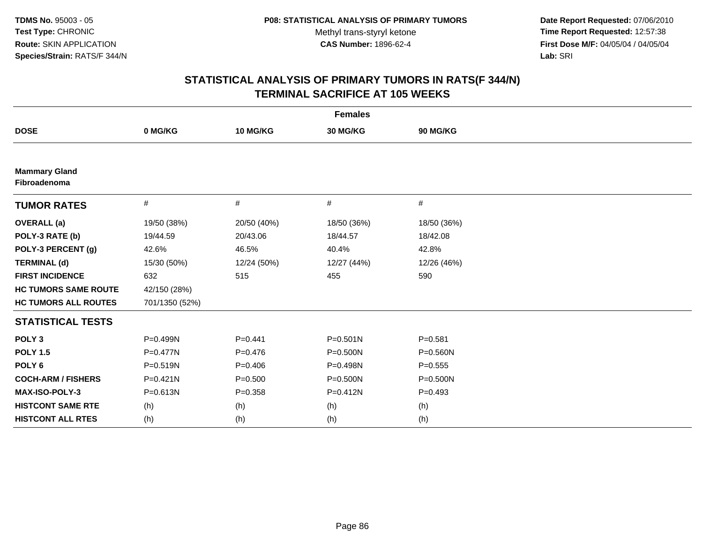**Date Report Requested:** 07/06/2010 **Time Report Requested:** 12:57:38 **First Dose M/F:** 04/05/04 / 04/05/04<br>Lab: SRI **Lab:** SRI

|                                      |                |             | <b>Females</b> |              |
|--------------------------------------|----------------|-------------|----------------|--------------|
| <b>DOSE</b>                          | 0 MG/KG        | 10 MG/KG    | 30 MG/KG       | 90 MG/KG     |
|                                      |                |             |                |              |
| <b>Mammary Gland</b><br>Fibroadenoma |                |             |                |              |
| <b>TUMOR RATES</b>                   | #              | #           | $\#$           | #            |
| <b>OVERALL</b> (a)                   | 19/50 (38%)    | 20/50 (40%) | 18/50 (36%)    | 18/50 (36%)  |
| POLY-3 RATE (b)                      | 19/44.59       | 20/43.06    | 18/44.57       | 18/42.08     |
| POLY-3 PERCENT (g)                   | 42.6%          | 46.5%       | 40.4%          | 42.8%        |
| <b>TERMINAL (d)</b>                  | 15/30 (50%)    | 12/24 (50%) | 12/27 (44%)    | 12/26 (46%)  |
| <b>FIRST INCIDENCE</b>               | 632            | 515         | 455            | 590          |
| <b>HC TUMORS SAME ROUTE</b>          | 42/150 (28%)   |             |                |              |
| <b>HC TUMORS ALL ROUTES</b>          | 701/1350 (52%) |             |                |              |
| <b>STATISTICAL TESTS</b>             |                |             |                |              |
| POLY <sub>3</sub>                    | P=0.499N       | $P=0.441$   | $P = 0.501N$   | $P = 0.581$  |
| <b>POLY 1.5</b>                      | $P = 0.477N$   | $P = 0.476$ | $P = 0.500N$   | $P = 0.560N$ |
| POLY <sub>6</sub>                    | P=0.519N       | $P = 0.406$ | P=0.498N       | $P = 0.555$  |
| <b>COCH-ARM / FISHERS</b>            | $P = 0.421N$   | $P = 0.500$ | P=0.500N       | $P = 0.500N$ |
| <b>MAX-ISO-POLY-3</b>                | P=0.613N       | $P = 0.358$ | $P = 0.412N$   | $P=0.493$    |
| <b>HISTCONT SAME RTE</b>             | (h)            | (h)         | (h)            | (h)          |
| <b>HISTCONT ALL RTES</b>             | (h)            | (h)         | (h)            | (h)          |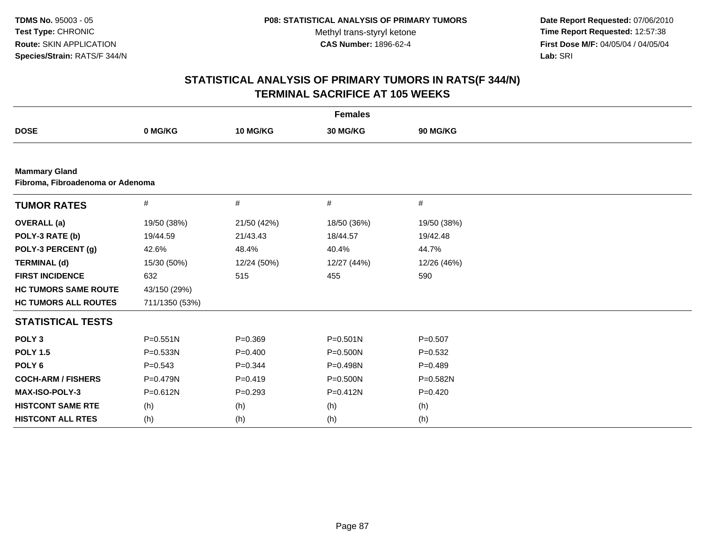**Date Report Requested:** 07/06/2010 **Time Report Requested:** 12:57:38 **First Dose M/F:** 04/05/04 / 04/05/04<br>Lab: SRI **Lab:** SRI

|                                                          |                |             | <b>Females</b> |             |  |
|----------------------------------------------------------|----------------|-------------|----------------|-------------|--|
| <b>DOSE</b>                                              | 0 MG/KG        | 10 MG/KG    | 30 MG/KG       | 90 MG/KG    |  |
|                                                          |                |             |                |             |  |
| <b>Mammary Gland</b><br>Fibroma, Fibroadenoma or Adenoma |                |             |                |             |  |
| <b>TUMOR RATES</b>                                       | #              | #           | #              | #           |  |
| <b>OVERALL</b> (a)                                       | 19/50 (38%)    | 21/50 (42%) | 18/50 (36%)    | 19/50 (38%) |  |
| POLY-3 RATE (b)                                          | 19/44.59       | 21/43.43    | 18/44.57       | 19/42.48    |  |
| POLY-3 PERCENT (g)                                       | 42.6%          | 48.4%       | 40.4%          | 44.7%       |  |
| <b>TERMINAL (d)</b>                                      | 15/30 (50%)    | 12/24 (50%) | 12/27 (44%)    | 12/26 (46%) |  |
| <b>FIRST INCIDENCE</b>                                   | 632            | 515         | 455            | 590         |  |
| <b>HC TUMORS SAME ROUTE</b>                              | 43/150 (29%)   |             |                |             |  |
| <b>HC TUMORS ALL ROUTES</b>                              | 711/1350 (53%) |             |                |             |  |
| <b>STATISTICAL TESTS</b>                                 |                |             |                |             |  |
| POLY <sub>3</sub>                                        | $P = 0.551N$   | $P = 0.369$ | $P = 0.501N$   | $P=0.507$   |  |
| <b>POLY 1.5</b>                                          | $P = 0.533N$   | $P=0.400$   | $P = 0.500N$   | $P=0.532$   |  |
| POLY <sub>6</sub>                                        | $P = 0.543$    | $P = 0.344$ | P=0.498N       | $P = 0.489$ |  |
| <b>COCH-ARM / FISHERS</b>                                | P=0.479N       | $P=0.419$   | $P = 0.500N$   | P=0.582N    |  |
| MAX-ISO-POLY-3                                           | P=0.612N       | $P = 0.293$ | $P = 0.412N$   | $P = 0.420$ |  |
| <b>HISTCONT SAME RTE</b>                                 | (h)            | (h)         | (h)            | (h)         |  |
| <b>HISTCONT ALL RTES</b>                                 | (h)            | (h)         | (h)            | (h)         |  |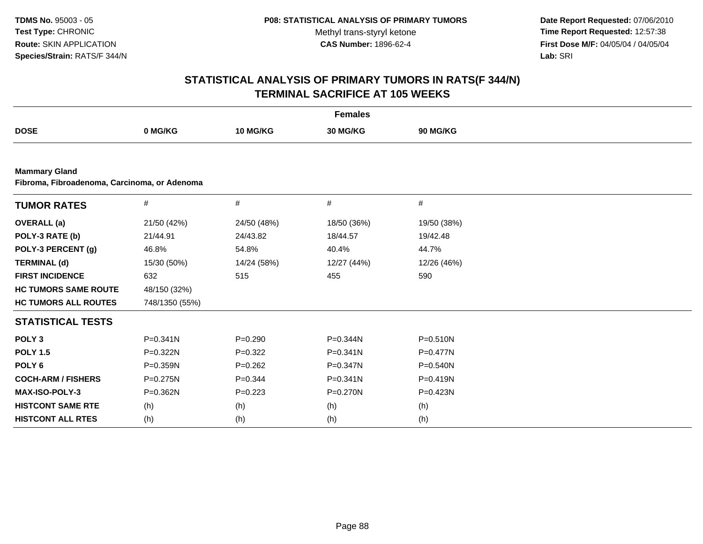**Date Report Requested:** 07/06/2010 **Time Report Requested:** 12:57:38 **First Dose M/F:** 04/05/04 / 04/05/04<br>Lab: SRI **Lab:** SRI

|                                                                      |                |             | <b>Females</b> |              |  |
|----------------------------------------------------------------------|----------------|-------------|----------------|--------------|--|
| <b>DOSE</b>                                                          | 0 MG/KG        | 10 MG/KG    | 30 MG/KG       | 90 MG/KG     |  |
|                                                                      |                |             |                |              |  |
| <b>Mammary Gland</b><br>Fibroma, Fibroadenoma, Carcinoma, or Adenoma |                |             |                |              |  |
| <b>TUMOR RATES</b>                                                   | #              | #           | #              | #            |  |
| <b>OVERALL</b> (a)                                                   | 21/50 (42%)    | 24/50 (48%) | 18/50 (36%)    | 19/50 (38%)  |  |
| POLY-3 RATE (b)                                                      | 21/44.91       | 24/43.82    | 18/44.57       | 19/42.48     |  |
| POLY-3 PERCENT (g)                                                   | 46.8%          | 54.8%       | 40.4%          | 44.7%        |  |
| <b>TERMINAL (d)</b>                                                  | 15/30 (50%)    | 14/24 (58%) | 12/27 (44%)    | 12/26 (46%)  |  |
| <b>FIRST INCIDENCE</b>                                               | 632            | 515         | 455            | 590          |  |
| <b>HC TUMORS SAME ROUTE</b>                                          | 48/150 (32%)   |             |                |              |  |
| <b>HC TUMORS ALL ROUTES</b>                                          | 748/1350 (55%) |             |                |              |  |
| <b>STATISTICAL TESTS</b>                                             |                |             |                |              |  |
| POLY <sub>3</sub>                                                    | $P = 0.341N$   | $P=0.290$   | P=0.344N       | $P = 0.510N$ |  |
| <b>POLY 1.5</b>                                                      | P=0.322N       | $P=0.322$   | $P = 0.341N$   | P=0.477N     |  |
| POLY <sub>6</sub>                                                    | $P = 0.359N$   | $P=0.262$   | $P = 0.347N$   | $P = 0.540N$ |  |
| <b>COCH-ARM / FISHERS</b>                                            | P=0.275N       | $P=0.344$   | $P = 0.341N$   | P=0.419N     |  |
| <b>MAX-ISO-POLY-3</b>                                                | P=0.362N       | $P=0.223$   | $P = 0.270N$   | $P = 0.423N$ |  |
| <b>HISTCONT SAME RTE</b>                                             | (h)            | (h)         | (h)            | (h)          |  |
| <b>HISTCONT ALL RTES</b>                                             | (h)            | (h)         | (h)            | (h)          |  |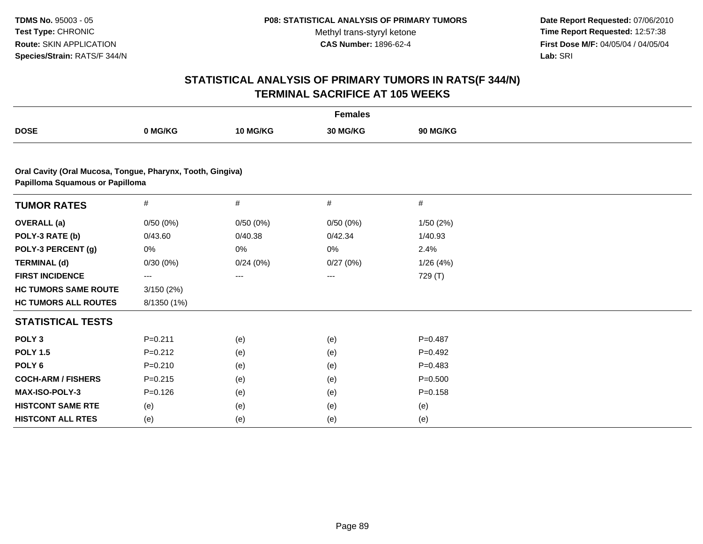**Date Report Requested:** 07/06/2010 **Time Report Requested:** 12:57:38 **First Dose M/F:** 04/05/04 / 04/05/04<br>Lab: SRI **Lab:** SRI

|                                                            |             |          | <b>Females</b> |                 |  |
|------------------------------------------------------------|-------------|----------|----------------|-----------------|--|
| <b>DOSE</b>                                                | 0 MG/KG     | 10 MG/KG | 30 MG/KG       | <b>90 MG/KG</b> |  |
| Oral Cavity (Oral Mucosa, Tongue, Pharynx, Tooth, Gingiva) |             |          |                |                 |  |
| Papilloma Squamous or Papilloma                            |             |          |                |                 |  |
| <b>TUMOR RATES</b>                                         | #           | $\#$     | $\#$           | #               |  |
| <b>OVERALL</b> (a)                                         | 0/50(0%)    | 0/50(0%) | 0/50(0%)       | 1/50(2%)        |  |
| POLY-3 RATE (b)                                            | 0/43.60     | 0/40.38  | 0/42.34        | 1/40.93         |  |
| POLY-3 PERCENT (g)                                         | 0%          | 0%       | 0%             | 2.4%            |  |
| <b>TERMINAL (d)</b>                                        | 0/30(0%)    | 0/24(0%) | 0/27(0%)       | 1/26(4%)        |  |
| <b>FIRST INCIDENCE</b>                                     | ---         | ---      | ---            | 729 (T)         |  |
| <b>HC TUMORS SAME ROUTE</b>                                | 3/150(2%)   |          |                |                 |  |
| <b>HC TUMORS ALL ROUTES</b>                                | 8/1350 (1%) |          |                |                 |  |
| <b>STATISTICAL TESTS</b>                                   |             |          |                |                 |  |
| POLY <sub>3</sub>                                          | $P = 0.211$ | (e)      | (e)            | $P = 0.487$     |  |
| <b>POLY 1.5</b>                                            | $P=0.212$   | (e)      | (e)            | $P=0.492$       |  |
| POLY <sub>6</sub>                                          | $P = 0.210$ | (e)      | (e)            | $P = 0.483$     |  |
| <b>COCH-ARM / FISHERS</b>                                  | $P = 0.215$ | (e)      | (e)            | $P = 0.500$     |  |
| <b>MAX-ISO-POLY-3</b>                                      | $P = 0.126$ | (e)      | (e)            | $P = 0.158$     |  |
| <b>HISTCONT SAME RTE</b>                                   | (e)         | (e)      | (e)            | (e)             |  |
| <b>HISTCONT ALL RTES</b>                                   | (e)         | (e)      | (e)            | (e)             |  |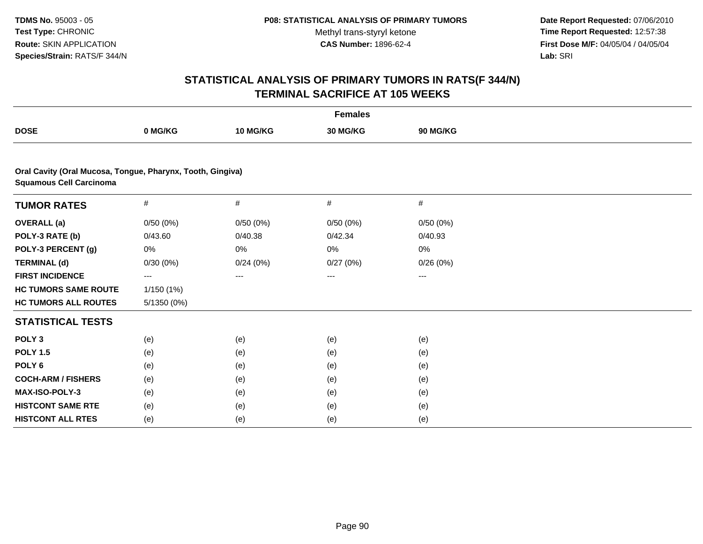**Date Report Requested:** 07/06/2010 **Time Report Requested:** 12:57:38 **First Dose M/F:** 04/05/04 / 04/05/04<br>Lab: SRI **Lab:** SRI

|                                                                                              |             |          | <b>Females</b> |          |  |
|----------------------------------------------------------------------------------------------|-------------|----------|----------------|----------|--|
| <b>DOSE</b>                                                                                  | 0 MG/KG     | 10 MG/KG | 30 MG/KG       | 90 MG/KG |  |
|                                                                                              |             |          |                |          |  |
| Oral Cavity (Oral Mucosa, Tongue, Pharynx, Tooth, Gingiva)<br><b>Squamous Cell Carcinoma</b> |             |          |                |          |  |
| <b>TUMOR RATES</b>                                                                           | $\#$        | $\#$     | #              | #        |  |
| <b>OVERALL</b> (a)                                                                           | 0/50(0%)    | 0/50(0%) | 0/50(0%)       | 0/50(0%) |  |
| POLY-3 RATE (b)                                                                              | 0/43.60     | 0/40.38  | 0/42.34        | 0/40.93  |  |
| POLY-3 PERCENT (g)                                                                           | 0%          | 0%       | 0%             | 0%       |  |
| <b>TERMINAL (d)</b>                                                                          | 0/30(0%)    | 0/24(0%) | 0/27(0%)       | 0/26(0%) |  |
| <b>FIRST INCIDENCE</b>                                                                       | $---$       | $---$    | $---$          | ---      |  |
| <b>HC TUMORS SAME ROUTE</b>                                                                  | 1/150 (1%)  |          |                |          |  |
| <b>HC TUMORS ALL ROUTES</b>                                                                  | 5/1350 (0%) |          |                |          |  |
| <b>STATISTICAL TESTS</b>                                                                     |             |          |                |          |  |
| POLY <sub>3</sub>                                                                            | (e)         | (e)      | (e)            | (e)      |  |
| <b>POLY 1.5</b>                                                                              | (e)         | (e)      | (e)            | (e)      |  |
| POLY <sub>6</sub>                                                                            | (e)         | (e)      | (e)            | (e)      |  |
| <b>COCH-ARM / FISHERS</b>                                                                    | (e)         | (e)      | (e)            | (e)      |  |
| <b>MAX-ISO-POLY-3</b>                                                                        | (e)         | (e)      | (e)            | (e)      |  |
| <b>HISTCONT SAME RTE</b>                                                                     | (e)         | (e)      | (e)            | (e)      |  |
| <b>HISTCONT ALL RTES</b>                                                                     | (e)         | (e)      | (e)            | (e)      |  |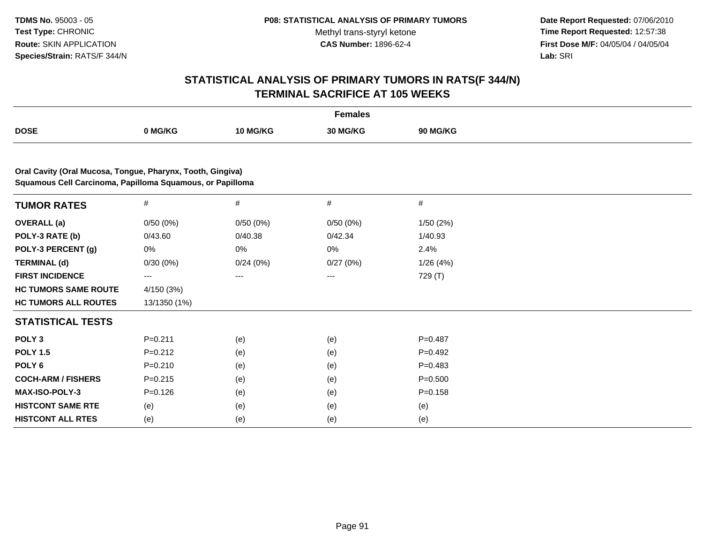**Date Report Requested:** 07/06/2010 **Time Report Requested:** 12:57:38 **First Dose M/F:** 04/05/04 / 04/05/04<br>Lab: SRI **Lab:** SRI

|                                                                                                                         |              |          | <b>Females</b> |                 |  |
|-------------------------------------------------------------------------------------------------------------------------|--------------|----------|----------------|-----------------|--|
| <b>DOSE</b>                                                                                                             | 0 MG/KG      | 10 MG/KG | 30 MG/KG       | <b>90 MG/KG</b> |  |
|                                                                                                                         |              |          |                |                 |  |
| Oral Cavity (Oral Mucosa, Tongue, Pharynx, Tooth, Gingiva)<br>Squamous Cell Carcinoma, Papilloma Squamous, or Papilloma |              |          |                |                 |  |
| <b>TUMOR RATES</b>                                                                                                      | $\#$         | $\#$     | #              | $\#$            |  |
| <b>OVERALL</b> (a)                                                                                                      | 0/50(0%)     | 0/50(0%) | 0/50(0%)       | 1/50(2%)        |  |
| POLY-3 RATE (b)                                                                                                         | 0/43.60      | 0/40.38  | 0/42.34        | 1/40.93         |  |
| POLY-3 PERCENT (g)                                                                                                      | 0%           | 0%       | 0%             | 2.4%            |  |
| <b>TERMINAL (d)</b>                                                                                                     | 0/30(0%)     | 0/24(0%) | 0/27(0%)       | 1/26(4%)        |  |
| <b>FIRST INCIDENCE</b>                                                                                                  | ---          | ---      | ---            | 729 (T)         |  |
| <b>HC TUMORS SAME ROUTE</b>                                                                                             | 4/150 (3%)   |          |                |                 |  |
| <b>HC TUMORS ALL ROUTES</b>                                                                                             | 13/1350 (1%) |          |                |                 |  |
| <b>STATISTICAL TESTS</b>                                                                                                |              |          |                |                 |  |
| POLY <sub>3</sub>                                                                                                       | $P = 0.211$  | (e)      | (e)            | $P=0.487$       |  |
| <b>POLY 1.5</b>                                                                                                         | $P=0.212$    | (e)      | (e)            | $P=0.492$       |  |
| POLY <sub>6</sub>                                                                                                       | $P = 0.210$  | (e)      | (e)            | $P = 0.483$     |  |
| <b>COCH-ARM / FISHERS</b>                                                                                               | $P=0.215$    | (e)      | (e)            | $P = 0.500$     |  |
| <b>MAX-ISO-POLY-3</b>                                                                                                   | $P=0.126$    | (e)      | (e)            | $P = 0.158$     |  |
| <b>HISTCONT SAME RTE</b>                                                                                                | (e)          | (e)      | (e)            | (e)             |  |
| <b>HISTCONT ALL RTES</b>                                                                                                | (e)          | (e)      | (e)            | (e)             |  |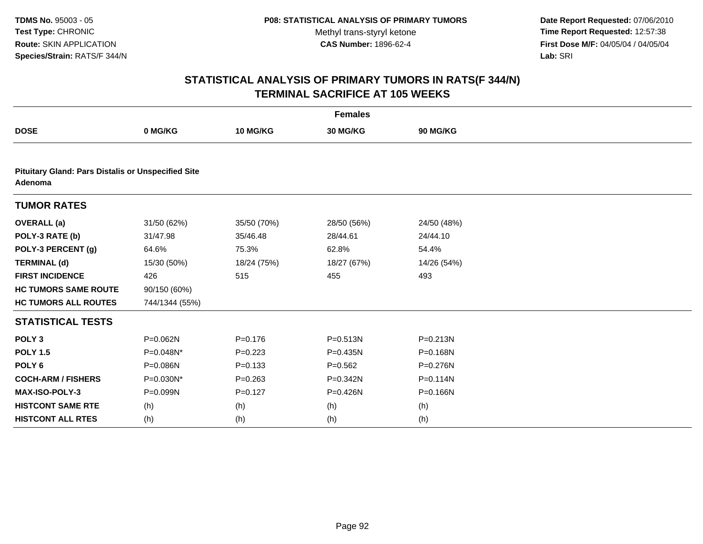**Date Report Requested:** 07/06/2010 **Time Report Requested:** 12:57:38 **First Dose M/F:** 04/05/04 / 04/05/04<br>Lab: SRI **Lab:** SRI

|                                                                      |                |             | <b>Females</b> |              |
|----------------------------------------------------------------------|----------------|-------------|----------------|--------------|
| <b>DOSE</b>                                                          | 0 MG/KG        | 10 MG/KG    | 30 MG/KG       | 90 MG/KG     |
|                                                                      |                |             |                |              |
| <b>Pituitary Gland: Pars Distalis or Unspecified Site</b><br>Adenoma |                |             |                |              |
| <b>TUMOR RATES</b>                                                   |                |             |                |              |
| <b>OVERALL</b> (a)                                                   | 31/50 (62%)    | 35/50 (70%) | 28/50 (56%)    | 24/50 (48%)  |
| POLY-3 RATE (b)                                                      | 31/47.98       | 35/46.48    | 28/44.61       | 24/44.10     |
| POLY-3 PERCENT (g)                                                   | 64.6%          | 75.3%       | 62.8%          | 54.4%        |
| <b>TERMINAL (d)</b>                                                  | 15/30 (50%)    | 18/24 (75%) | 18/27 (67%)    | 14/26 (54%)  |
| <b>FIRST INCIDENCE</b>                                               | 426            | 515         | 455            | 493          |
| <b>HC TUMORS SAME ROUTE</b>                                          | 90/150 (60%)   |             |                |              |
| <b>HC TUMORS ALL ROUTES</b>                                          | 744/1344 (55%) |             |                |              |
| <b>STATISTICAL TESTS</b>                                             |                |             |                |              |
| POLY <sub>3</sub>                                                    | P=0.062N       | $P = 0.176$ | $P = 0.513N$   | $P = 0.213N$ |
| <b>POLY 1.5</b>                                                      | P=0.048N*      | $P=0.223$   | $P = 0.435N$   | P=0.168N     |
| POLY <sub>6</sub>                                                    | P=0.086N       | $P = 0.133$ | $P=0.562$      | P=0.276N     |
| <b>COCH-ARM / FISHERS</b>                                            | P=0.030N*      | $P = 0.263$ | P=0.342N       | P=0.114N     |
| <b>MAX-ISO-POLY-3</b>                                                | $P = 0.099N$   | $P=0.127$   | $P = 0.426N$   | $P = 0.166N$ |
| <b>HISTCONT SAME RTE</b>                                             | (h)            | (h)         | (h)            | (h)          |
| <b>HISTCONT ALL RTES</b>                                             | (h)            | (h)         | (h)            | (h)          |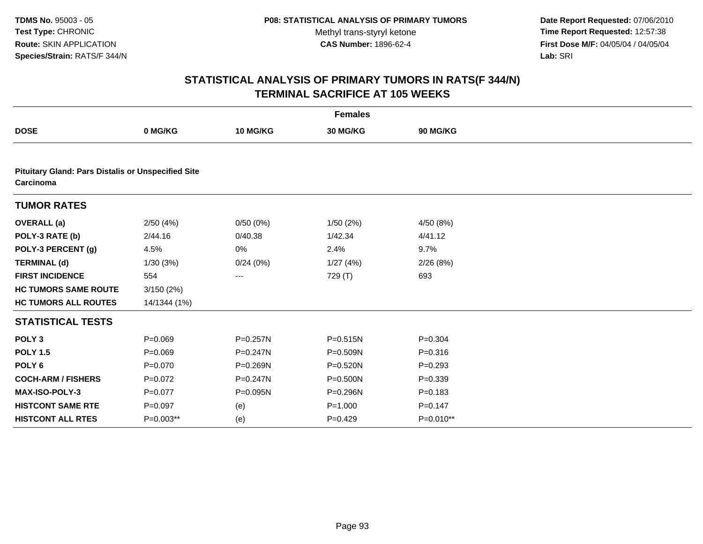**Date Report Requested:** 07/06/2010 **Time Report Requested:** 12:57:38 **First Dose M/F:** 04/05/04 / 04/05/04<br>Lab: SRI **Lab:** SRI

|                                                                        |              |              | <b>Females</b> |             |
|------------------------------------------------------------------------|--------------|--------------|----------------|-------------|
| <b>DOSE</b>                                                            | 0 MG/KG      | 10 MG/KG     | 30 MG/KG       | 90 MG/KG    |
|                                                                        |              |              |                |             |
| <b>Pituitary Gland: Pars Distalis or Unspecified Site</b><br>Carcinoma |              |              |                |             |
| <b>TUMOR RATES</b>                                                     |              |              |                |             |
| <b>OVERALL</b> (a)                                                     | 2/50(4%)     | 0/50(0%)     | 1/50(2%)       | 4/50 (8%)   |
| POLY-3 RATE (b)                                                        | 2/44.16      | 0/40.38      | 1/42.34        | 4/41.12     |
| POLY-3 PERCENT (g)                                                     | 4.5%         | 0%           | 2.4%           | 9.7%        |
| <b>TERMINAL (d)</b>                                                    | 1/30(3%)     | 0/24(0%)     | 1/27(4%)       | 2/26(8%)    |
| <b>FIRST INCIDENCE</b>                                                 | 554          | ---          | 729 (T)        | 693         |
| <b>HC TUMORS SAME ROUTE</b>                                            | 3/150(2%)    |              |                |             |
| <b>HC TUMORS ALL ROUTES</b>                                            | 14/1344 (1%) |              |                |             |
| <b>STATISTICAL TESTS</b>                                               |              |              |                |             |
| POLY <sub>3</sub>                                                      | $P = 0.069$  | $P = 0.257N$ | $P = 0.515N$   | $P = 0.304$ |
| <b>POLY 1.5</b>                                                        | $P = 0.069$  | $P = 0.247N$ | P=0.509N       | $P = 0.316$ |
| POLY <sub>6</sub>                                                      | $P = 0.070$  | P=0.269N     | P=0.520N       | $P = 0.293$ |
| <b>COCH-ARM / FISHERS</b>                                              | $P=0.072$    | P=0.247N     | $P = 0.500N$   | $P = 0.339$ |
| <b>MAX-ISO-POLY-3</b>                                                  | $P=0.077$    | P=0.095N     | P=0.296N       | $P = 0.183$ |
| <b>HISTCONT SAME RTE</b>                                               | $P = 0.097$  | (e)          | $P = 1.000$    | $P = 0.147$ |
| <b>HISTCONT ALL RTES</b>                                               | P=0.003**    | (e)          | $P=0.429$      | P=0.010**   |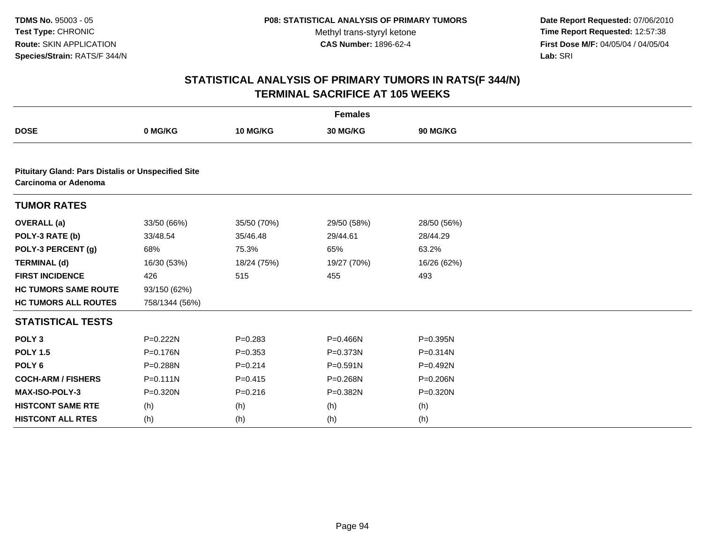**Date Report Requested:** 07/06/2010 **Time Report Requested:** 12:57:38 **First Dose M/F:** 04/05/04 / 04/05/04<br>Lab: SRI **Lab:** SRI

|                                                                                          |                |             | <b>Females</b> |              |  |
|------------------------------------------------------------------------------------------|----------------|-------------|----------------|--------------|--|
| <b>DOSE</b>                                                                              | 0 MG/KG        | 10 MG/KG    | 30 MG/KG       | 90 MG/KG     |  |
|                                                                                          |                |             |                |              |  |
| <b>Pituitary Gland: Pars Distalis or Unspecified Site</b><br><b>Carcinoma or Adenoma</b> |                |             |                |              |  |
| <b>TUMOR RATES</b>                                                                       |                |             |                |              |  |
| <b>OVERALL</b> (a)                                                                       | 33/50 (66%)    | 35/50 (70%) | 29/50 (58%)    | 28/50 (56%)  |  |
| POLY-3 RATE (b)                                                                          | 33/48.54       | 35/46.48    | 29/44.61       | 28/44.29     |  |
| POLY-3 PERCENT (g)                                                                       | 68%            | 75.3%       | 65%            | 63.2%        |  |
| <b>TERMINAL (d)</b>                                                                      | 16/30 (53%)    | 18/24 (75%) | 19/27 (70%)    | 16/26 (62%)  |  |
| <b>FIRST INCIDENCE</b>                                                                   | 426            | 515         | 455            | 493          |  |
| <b>HC TUMORS SAME ROUTE</b>                                                              | 93/150 (62%)   |             |                |              |  |
| <b>HC TUMORS ALL ROUTES</b>                                                              | 758/1344 (56%) |             |                |              |  |
| <b>STATISTICAL TESTS</b>                                                                 |                |             |                |              |  |
| POLY <sub>3</sub>                                                                        | P=0.222N       | $P = 0.283$ | P=0.466N       | $P = 0.395N$ |  |
| <b>POLY 1.5</b>                                                                          | P=0.176N       | $P=0.353$   | P=0.373N       | $P = 0.314N$ |  |
| POLY <sub>6</sub>                                                                        | P=0.288N       | $P = 0.214$ | $P = 0.591N$   | P=0.492N     |  |
| <b>COCH-ARM / FISHERS</b>                                                                | $P = 0.111N$   | $P = 0.415$ | P=0.268N       | P=0.206N     |  |
| MAX-ISO-POLY-3                                                                           | P=0.320N       | $P = 0.216$ | P=0.382N       | P=0.320N     |  |
| <b>HISTCONT SAME RTE</b>                                                                 | (h)            | (h)         | (h)            | (h)          |  |
| <b>HISTCONT ALL RTES</b>                                                                 | (h)            | (h)         | (h)            | (h)          |  |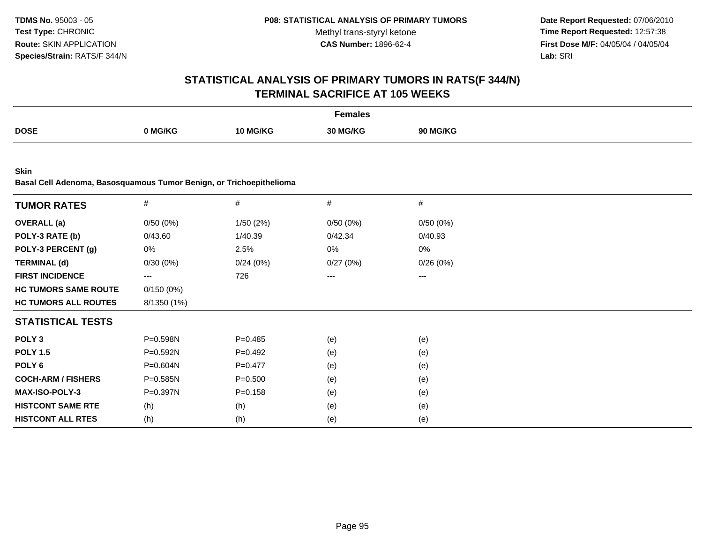**Date Report Requested:** 07/06/2010 **Time Report Requested:** 12:57:38 **First Dose M/F:** 04/05/04 / 04/05/04<br>Lab: SRI **Lab:** SRI

|                                                                                    |              |             | <b>Females</b> |          |  |
|------------------------------------------------------------------------------------|--------------|-------------|----------------|----------|--|
| <b>DOSE</b>                                                                        | 0 MG/KG      | 10 MG/KG    | 30 MG/KG       | 90 MG/KG |  |
|                                                                                    |              |             |                |          |  |
| <b>Skin</b><br>Basal Cell Adenoma, Basosquamous Tumor Benign, or Trichoepithelioma |              |             |                |          |  |
| <b>TUMOR RATES</b>                                                                 | $\#$         | #           | #              | #        |  |
| <b>OVERALL</b> (a)                                                                 | 0/50(0%)     | 1/50 (2%)   | 0/50(0%)       | 0/50(0%) |  |
| POLY-3 RATE (b)                                                                    | 0/43.60      | 1/40.39     | 0/42.34        | 0/40.93  |  |
| POLY-3 PERCENT (g)                                                                 | 0%           | 2.5%        | 0%             | 0%       |  |
| <b>TERMINAL (d)</b>                                                                | 0/30(0%)     | 0/24(0%)    | 0/27(0%)       | 0/26(0%) |  |
| <b>FIRST INCIDENCE</b>                                                             | $\cdots$     | 726         | ---            | ---      |  |
| <b>HC TUMORS SAME ROUTE</b>                                                        | 0/150(0%)    |             |                |          |  |
| <b>HC TUMORS ALL ROUTES</b>                                                        | 8/1350 (1%)  |             |                |          |  |
| <b>STATISTICAL TESTS</b>                                                           |              |             |                |          |  |
| POLY <sub>3</sub>                                                                  | P=0.598N     | $P = 0.485$ | (e)            | (e)      |  |
| <b>POLY 1.5</b>                                                                    | $P = 0.592N$ | $P=0.492$   | (e)            | (e)      |  |
| POLY <sub>6</sub>                                                                  | P=0.604N     | $P=0.477$   | (e)            | (e)      |  |
| <b>COCH-ARM / FISHERS</b>                                                          | $P = 0.585N$ | $P = 0.500$ | (e)            | (e)      |  |
| <b>MAX-ISO-POLY-3</b>                                                              | P=0.397N     | $P = 0.158$ | (e)            | (e)      |  |
| <b>HISTCONT SAME RTE</b>                                                           | (h)          | (h)         | (e)            | (e)      |  |
| <b>HISTCONT ALL RTES</b>                                                           | (h)          | (h)         | (e)            | (e)      |  |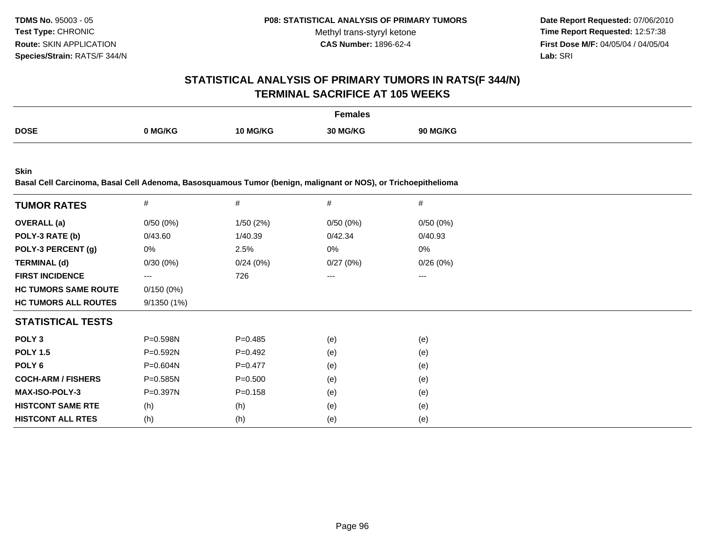**Date Report Requested:** 07/06/2010 **Time Report Requested:** 12:57:38 **First Dose M/F:** 04/05/04 / 04/05/04<br>**Lab:** SRI **Lab:** SRI

#### **STATISTICAL ANALYSIS OF PRIMARY TUMORS IN RATS(F 344/N)TERMINAL SACRIFICE AT 105 WEEKS**

|             |                |          | Females  |                 |
|-------------|----------------|----------|----------|-----------------|
| <b>DOSE</b> | <b>0 MG/KG</b> | 10 MG/KG | 30 MG/KG | <b>90 MG/KG</b> |

**Skin**

**Basal Cell Carcinoma, Basal Cell Adenoma, Basosquamous Tumor (benign, malignant or NOS), or Trichoepithelioma**

| <b>TUMOR RATES</b>          | $\#$         | $\#$        | #        | #        |
|-----------------------------|--------------|-------------|----------|----------|
| <b>OVERALL</b> (a)          | 0/50(0%)     | 1/50(2%)    | 0/50(0%) | 0/50(0%) |
| POLY-3 RATE (b)             | 0/43.60      | 1/40.39     | 0/42.34  | 0/40.93  |
| POLY-3 PERCENT (g)          | 0%           | 2.5%        | 0%       | 0%       |
| <b>TERMINAL (d)</b>         | 0/30(0%)     | 0/24(0%)    | 0/27(0%) | 0/26(0%) |
| <b>FIRST INCIDENCE</b>      | $--$         | 726         | ---      | ---      |
| <b>HC TUMORS SAME ROUTE</b> | 0/150(0%)    |             |          |          |
| <b>HC TUMORS ALL ROUTES</b> | 9/1350(1%)   |             |          |          |
| <b>STATISTICAL TESTS</b>    |              |             |          |          |
| POLY <sub>3</sub>           | P=0.598N     | $P=0.485$   | (e)      | (e)      |
| <b>POLY 1.5</b>             | $P = 0.592N$ | $P=0.492$   | (e)      | (e)      |
| POLY <sub>6</sub>           | $P = 0.604N$ | $P=0.477$   | (e)      | (e)      |
| <b>COCH-ARM / FISHERS</b>   | $P = 0.585N$ | $P = 0.500$ | (e)      | (e)      |
| <b>MAX-ISO-POLY-3</b>       | P=0.397N     | $P = 0.158$ | (e)      | (e)      |
| <b>HISTCONT SAME RTE</b>    | (h)          | (h)         | (e)      | (e)      |
| <b>HISTCONT ALL RTES</b>    | (h)          | (h)         | (e)      | (e)      |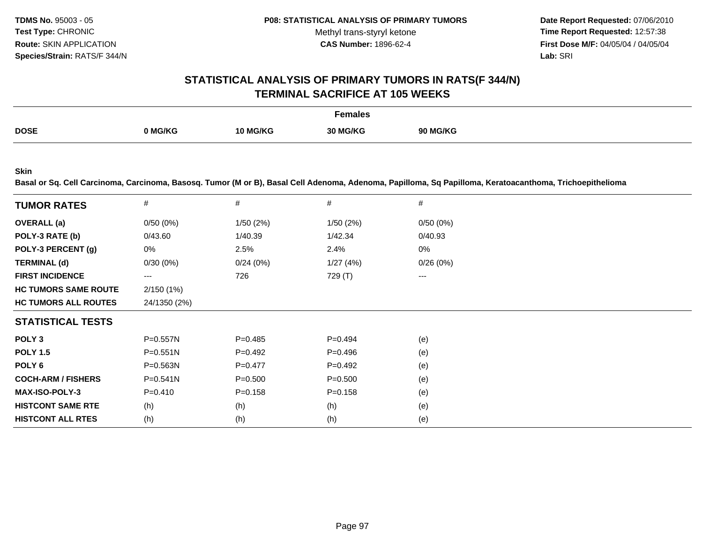**Date Report Requested:** 07/06/2010 **Time Report Requested:** 12:57:38 **First Dose M/F:** 04/05/04 / 04/05/04 Lab: SRI **Lab:** SRI

#### **STATISTICAL ANALYSIS OF PRIMARY TUMORS IN RATS(F 344/N)TERMINAL SACRIFICE AT 105 WEEKS**

|             |         |                 | Females  |                 |
|-------------|---------|-----------------|----------|-----------------|
| <b>DOSE</b> | ገ MG/KG | <b>10 MG/KG</b> | 30 MG/KG | <b>90 MG/KG</b> |

**Skin**

**Basal or Sq. Cell Carcinoma, Carcinoma, Basosq. Tumor (M or B), Basal Cell Adenoma, Adenoma, Papilloma, Sq Papilloma, Keratoacanthoma, Trichoepithelioma**

| <b>TUMOR RATES</b>          | $\#$                   | $\#$        | #           | #        |
|-----------------------------|------------------------|-------------|-------------|----------|
| <b>OVERALL</b> (a)          | 0/50(0%)               | 1/50(2%)    | 1/50(2%)    | 0/50(0%) |
| POLY-3 RATE (b)             | 0/43.60                | 1/40.39     | 1/42.34     | 0/40.93  |
| POLY-3 PERCENT (g)          | 0%                     | 2.5%        | 2.4%        | 0%       |
| <b>TERMINAL (d)</b>         | $0/30(0\%)$            | 0/24(0%)    | 1/27(4%)    | 0/26(0%) |
| <b>FIRST INCIDENCE</b>      | $\qquad \qquad \cdots$ | 726         | 729 (T)     | ---      |
| <b>HC TUMORS SAME ROUTE</b> | 2/150(1%)              |             |             |          |
| <b>HC TUMORS ALL ROUTES</b> | 24/1350 (2%)           |             |             |          |
| <b>STATISTICAL TESTS</b>    |                        |             |             |          |
| POLY <sub>3</sub>           | $P = 0.557N$           | $P=0.485$   | $P=0.494$   | (e)      |
| <b>POLY 1.5</b>             | $P = 0.551N$           | $P=0.492$   | $P = 0.496$ | (e)      |
| POLY <sub>6</sub>           | $P = 0.563N$           | $P=0.477$   | $P=0.492$   | (e)      |
| <b>COCH-ARM / FISHERS</b>   | $P = 0.541N$           | $P = 0.500$ | $P = 0.500$ | (e)      |
| <b>MAX-ISO-POLY-3</b>       | $P=0.410$              | $P = 0.158$ | $P = 0.158$ | (e)      |
| <b>HISTCONT SAME RTE</b>    | (h)                    | (h)         | (h)         | (e)      |
| <b>HISTCONT ALL RTES</b>    | (h)                    | (h)         | (h)         | (e)      |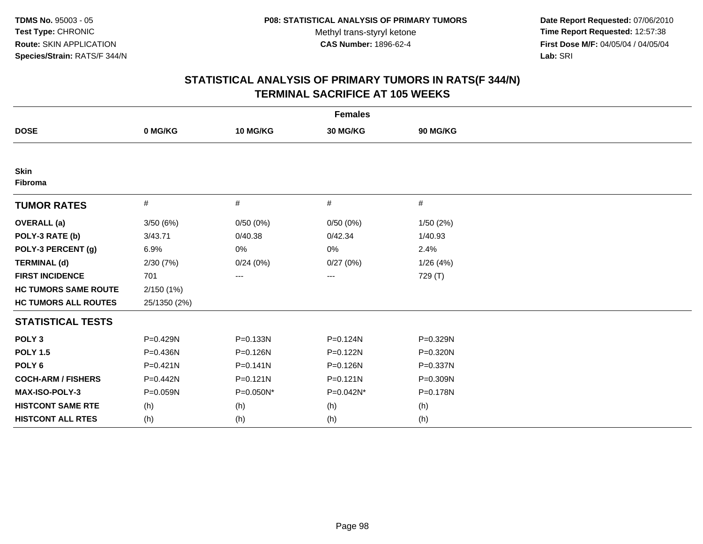**Date Report Requested:** 07/06/2010 **Time Report Requested:** 12:57:38 **First Dose M/F:** 04/05/04 / 04/05/04<br>Lab: SRI **Lab:** SRI

|                             |              |              | <b>Females</b> |          |  |
|-----------------------------|--------------|--------------|----------------|----------|--|
| <b>DOSE</b>                 | 0 MG/KG      | 10 MG/KG     | 30 MG/KG       | 90 MG/KG |  |
|                             |              |              |                |          |  |
| <b>Skin</b><br>Fibroma      |              |              |                |          |  |
| <b>TUMOR RATES</b>          | $\#$         | #            | #              | $\#$     |  |
| <b>OVERALL (a)</b>          | 3/50(6%)     | 0/50(0%)     | 0/50(0%)       | 1/50(2%) |  |
| POLY-3 RATE (b)             | 3/43.71      | 0/40.38      | 0/42.34        | 1/40.93  |  |
| POLY-3 PERCENT (g)          | 6.9%         | 0%           | 0%             | 2.4%     |  |
| <b>TERMINAL (d)</b>         | 2/30(7%)     | 0/24(0%)     | 0/27(0%)       | 1/26(4%) |  |
| <b>FIRST INCIDENCE</b>      | 701          | ---          | ---            | 729 (T)  |  |
| <b>HC TUMORS SAME ROUTE</b> | 2/150(1%)    |              |                |          |  |
| <b>HC TUMORS ALL ROUTES</b> | 25/1350 (2%) |              |                |          |  |
| <b>STATISTICAL TESTS</b>    |              |              |                |          |  |
| POLY <sub>3</sub>           | P=0.429N     | P=0.133N     | P=0.124N       | P=0.329N |  |
| <b>POLY 1.5</b>             | $P = 0.436N$ | P=0.126N     | $P = 0.122N$   | P=0.320N |  |
| POLY <sub>6</sub>           | $P = 0.421N$ | $P = 0.141N$ | P=0.126N       | P=0.337N |  |
| <b>COCH-ARM / FISHERS</b>   | P=0.442N     | P=0.121N     | P=0.121N       | P=0.309N |  |
| MAX-ISO-POLY-3              | P=0.059N     | P=0.050N*    | P=0.042N*      | P=0.178N |  |
| <b>HISTCONT SAME RTE</b>    | (h)          | (h)          | (h)            | (h)      |  |
| <b>HISTCONT ALL RTES</b>    | (h)          | (h)          | (h)            | (h)      |  |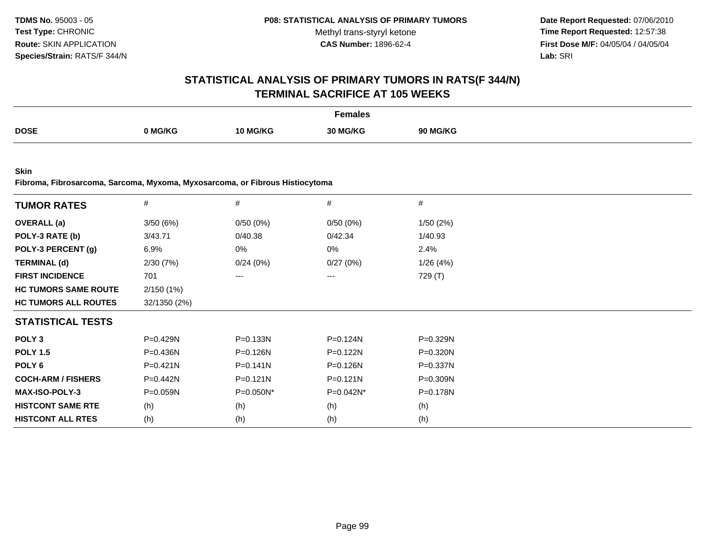**Date Report Requested:** 07/06/2010 **Time Report Requested:** 12:57:38 **First Dose M/F:** 04/05/04 / 04/05/04<br>**Lab:** SRI **Lab:** SRI

### **STATISTICAL ANALYSIS OF PRIMARY TUMORS IN RATS(F 344/N)TERMINAL SACRIFICE AT 105 WEEKS**

|             |         |                 | Females         |                 |
|-------------|---------|-----------------|-----------------|-----------------|
| <b>DOSE</b> | 0 MG/KG | <b>10 MG/KG</b> | <b>30 MG/KG</b> | <b>90 MG/KG</b> |

**Skin**

**Fibroma, Fibrosarcoma, Sarcoma, Myxoma, Myxosarcoma, or Fibrous Histiocytoma**

| <b>TUMOR RATES</b>          | $\#$         | #            | $\#$         | $\#$         |
|-----------------------------|--------------|--------------|--------------|--------------|
| <b>OVERALL</b> (a)          | 3/50(6%)     | 0/50(0%)     | 0/50(0%)     | 1/50(2%)     |
| POLY-3 RATE (b)             | 3/43.71      | 0/40.38      | 0/42.34      | 1/40.93      |
| POLY-3 PERCENT (g)          | 6.9%         | 0%           | 0%           | 2.4%         |
| <b>TERMINAL (d)</b>         | 2/30(7%)     | 0/24(0%)     | 0/27(0%)     | 1/26(4%)     |
| <b>FIRST INCIDENCE</b>      | 701          | ---          | $---$        | 729 (T)      |
| <b>HC TUMORS SAME ROUTE</b> | 2/150(1%)    |              |              |              |
| <b>HC TUMORS ALL ROUTES</b> | 32/1350 (2%) |              |              |              |
| <b>STATISTICAL TESTS</b>    |              |              |              |              |
| POLY <sub>3</sub>           | P=0.429N     | P=0.133N     | $P = 0.124N$ | P=0.329N     |
| <b>POLY 1.5</b>             | $P = 0.436N$ | $P = 0.126N$ | $P = 0.122N$ | $P = 0.320N$ |
| POLY 6                      | $P = 0.421N$ | $P = 0.141N$ | P=0.126N     | P=0.337N     |
| <b>COCH-ARM / FISHERS</b>   | P=0.442N     | $P = 0.121N$ | $P = 0.121N$ | P=0.309N     |
| <b>MAX-ISO-POLY-3</b>       | $P = 0.059N$ | $P=0.050N^*$ | P=0.042N*    | $P = 0.178N$ |
| <b>HISTCONT SAME RTE</b>    | (h)          | (h)          | (h)          | (h)          |
| <b>HISTCONT ALL RTES</b>    | (h)          | (h)          | (h)          | (h)          |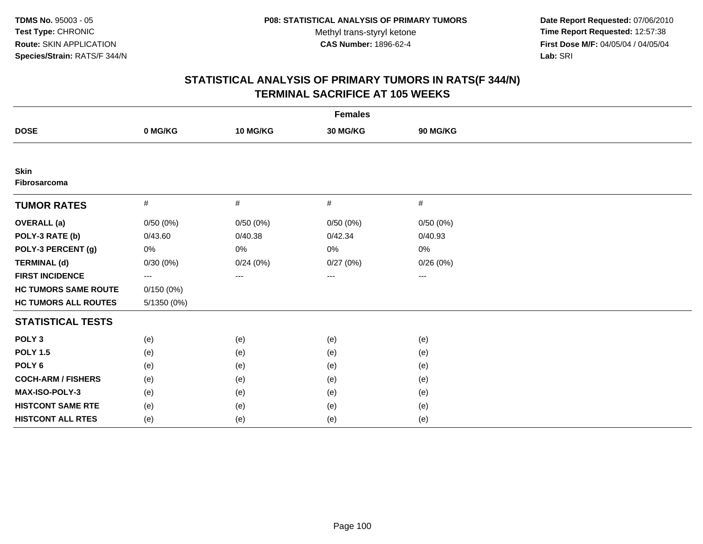**Date Report Requested:** 07/06/2010 **Time Report Requested:** 12:57:38 **First Dose M/F:** 04/05/04 / 04/05/04<br>Lab: SRI **Lab:** SRI

|                             |               |          | <b>Females</b>  |          |  |
|-----------------------------|---------------|----------|-----------------|----------|--|
| <b>DOSE</b>                 | 0 MG/KG       | 10 MG/KG | <b>30 MG/KG</b> | 90 MG/KG |  |
|                             |               |          |                 |          |  |
| <b>Skin</b><br>Fibrosarcoma |               |          |                 |          |  |
| <b>TUMOR RATES</b>          | $\#$          | $\#$     | $\#$            | $\#$     |  |
| <b>OVERALL</b> (a)          | 0/50(0%)      | 0/50(0%) | 0/50(0%)        | 0/50(0%) |  |
| POLY-3 RATE (b)             | 0/43.60       | 0/40.38  | 0/42.34         | 0/40.93  |  |
| POLY-3 PERCENT (g)          | 0%            | 0%       | 0%              | 0%       |  |
| <b>TERMINAL (d)</b>         | 0/30(0%)      | 0/24(0%) | 0/27(0%)        | 0/26(0%) |  |
| <b>FIRST INCIDENCE</b>      | $---$         | ---      | ---             | ---      |  |
| <b>HC TUMORS SAME ROUTE</b> | 0/150(0%)     |          |                 |          |  |
| <b>HC TUMORS ALL ROUTES</b> | $5/1350(0\%)$ |          |                 |          |  |
| <b>STATISTICAL TESTS</b>    |               |          |                 |          |  |
| POLY <sub>3</sub>           | (e)           | (e)      | (e)             | (e)      |  |
| <b>POLY 1.5</b>             | (e)           | (e)      | (e)             | (e)      |  |
| POLY <sub>6</sub>           | (e)           | (e)      | (e)             | (e)      |  |
| <b>COCH-ARM / FISHERS</b>   | (e)           | (e)      | (e)             | (e)      |  |
| MAX-ISO-POLY-3              | (e)           | (e)      | (e)             | (e)      |  |
| <b>HISTCONT SAME RTE</b>    | (e)           | (e)      | (e)             | (e)      |  |
| <b>HISTCONT ALL RTES</b>    | (e)           | (e)      | (e)             | (e)      |  |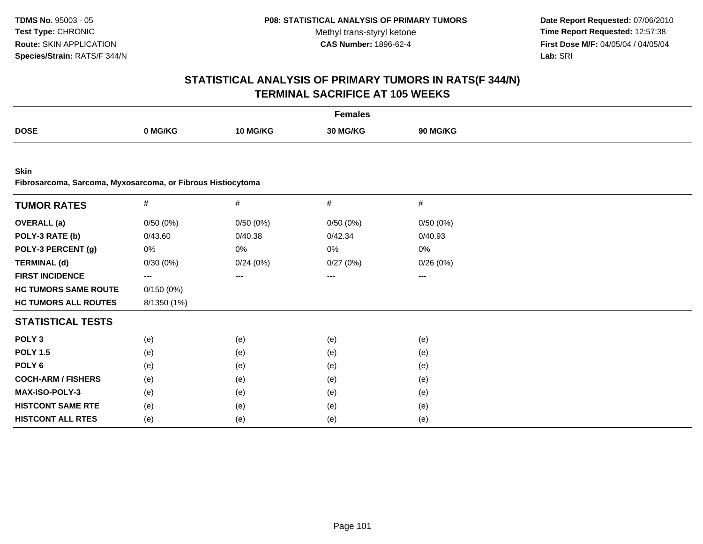**Date Report Requested:** 07/06/2010 **Time Report Requested:** 12:57:38 **First Dose M/F:** 04/05/04 / 04/05/04<br>Lab: SRI **Lab:** SRI

|                                                                            |             |                   | <b>Females</b> |          |  |
|----------------------------------------------------------------------------|-------------|-------------------|----------------|----------|--|
| <b>DOSE</b>                                                                | 0 MG/KG     | 10 MG/KG          | 30 MG/KG       | 90 MG/KG |  |
|                                                                            |             |                   |                |          |  |
| <b>Skin</b><br>Fibrosarcoma, Sarcoma, Myxosarcoma, or Fibrous Histiocytoma |             |                   |                |          |  |
| <b>TUMOR RATES</b>                                                         | $\#$        | $\#$              | $\#$           | $\#$     |  |
| <b>OVERALL</b> (a)                                                         | 0/50(0%)    | 0/50(0%)          | 0/50(0%)       | 0/50(0%) |  |
| POLY-3 RATE (b)                                                            | 0/43.60     | 0/40.38           | 0/42.34        | 0/40.93  |  |
| POLY-3 PERCENT (g)                                                         | 0%          | 0%                | 0%             | 0%       |  |
| <b>TERMINAL (d)</b>                                                        | 0/30(0%)    | 0/24(0%)          | 0/27(0%)       | 0/26(0%) |  |
| <b>FIRST INCIDENCE</b>                                                     | $\cdots$    | $\qquad \qquad -$ | ---            | ---      |  |
| <b>HC TUMORS SAME ROUTE</b>                                                | 0/150(0%)   |                   |                |          |  |
| <b>HC TUMORS ALL ROUTES</b>                                                | 8/1350 (1%) |                   |                |          |  |
| <b>STATISTICAL TESTS</b>                                                   |             |                   |                |          |  |
| POLY <sub>3</sub>                                                          | (e)         | (e)               | (e)            | (e)      |  |
| <b>POLY 1.5</b>                                                            | (e)         | (e)               | (e)            | (e)      |  |
| POLY <sub>6</sub>                                                          | (e)         | (e)               | (e)            | (e)      |  |
| <b>COCH-ARM / FISHERS</b>                                                  | (e)         | (e)               | (e)            | (e)      |  |
| MAX-ISO-POLY-3                                                             | (e)         | (e)               | (e)            | (e)      |  |
| <b>HISTCONT SAME RTE</b>                                                   | (e)         | (e)               | (e)            | (e)      |  |
| <b>HISTCONT ALL RTES</b>                                                   | (e)         | (e)               | (e)            | (e)      |  |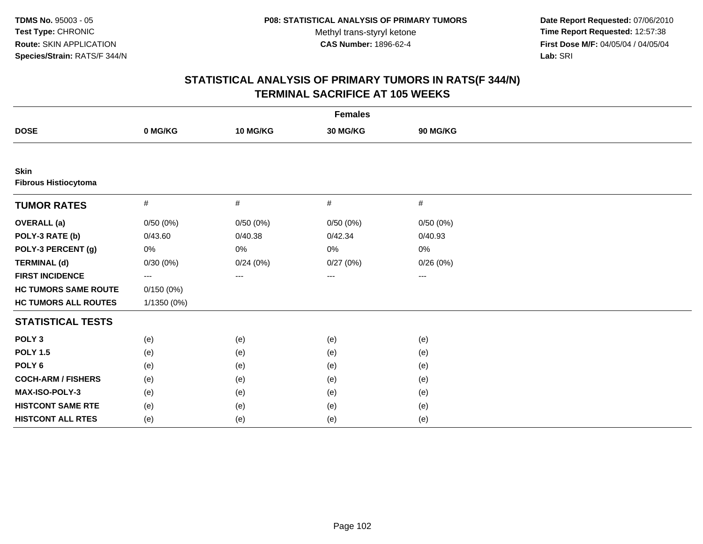**Date Report Requested:** 07/06/2010 **Time Report Requested:** 12:57:38 **First Dose M/F:** 04/05/04 / 04/05/04<br>Lab: SRI **Lab:** SRI

|                                     |                   |          | <b>Females</b> |          |  |
|-------------------------------------|-------------------|----------|----------------|----------|--|
| <b>DOSE</b>                         | 0 MG/KG           | 10 MG/KG | 30 MG/KG       | 90 MG/KG |  |
|                                     |                   |          |                |          |  |
| Skin<br><b>Fibrous Histiocytoma</b> |                   |          |                |          |  |
| <b>TUMOR RATES</b>                  | $\#$              | #        | #              | #        |  |
| <b>OVERALL</b> (a)                  | 0/50(0%)          | 0/50(0%) | 0/50(0%)       | 0/50(0%) |  |
| POLY-3 RATE (b)                     | 0/43.60           | 0/40.38  | 0/42.34        | 0/40.93  |  |
| POLY-3 PERCENT (g)                  | 0%                | 0%       | 0%             | 0%       |  |
| <b>TERMINAL (d)</b>                 | 0/30(0%)          | 0/24(0%) | 0/27(0%)       | 0/26(0%) |  |
| <b>FIRST INCIDENCE</b>              | $\qquad \qquad -$ | ---      | ---            | $---$    |  |
| <b>HC TUMORS SAME ROUTE</b>         | 0/150(0%)         |          |                |          |  |
| <b>HC TUMORS ALL ROUTES</b>         | 1/1350 (0%)       |          |                |          |  |
| <b>STATISTICAL TESTS</b>            |                   |          |                |          |  |
| POLY <sub>3</sub>                   | (e)               | (e)      | (e)            | (e)      |  |
| <b>POLY 1.5</b>                     | (e)               | (e)      | (e)            | (e)      |  |
| POLY <sub>6</sub>                   | (e)               | (e)      | (e)            | (e)      |  |
| <b>COCH-ARM / FISHERS</b>           | (e)               | (e)      | (e)            | (e)      |  |
| MAX-ISO-POLY-3                      | (e)               | (e)      | (e)            | (e)      |  |
| <b>HISTCONT SAME RTE</b>            | (e)               | (e)      | (e)            | (e)      |  |
| <b>HISTCONT ALL RTES</b>            | (e)               | (e)      | (e)            | (e)      |  |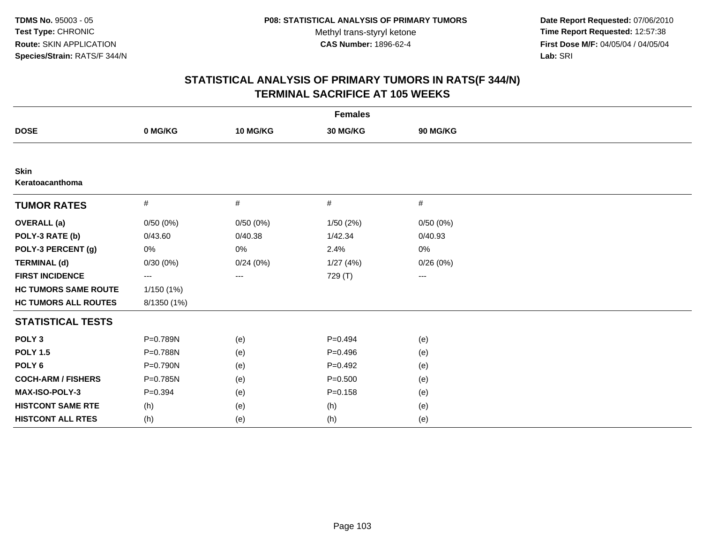**Date Report Requested:** 07/06/2010 **Time Report Requested:** 12:57:38 **First Dose M/F:** 04/05/04 / 04/05/04<br>Lab: SRI **Lab:** SRI

|                             |             |          | <b>Females</b> |                   |  |
|-----------------------------|-------------|----------|----------------|-------------------|--|
| <b>DOSE</b>                 | 0 MG/KG     | 10 MG/KG | 30 MG/KG       | 90 MG/KG          |  |
|                             |             |          |                |                   |  |
| Skin<br>Keratoacanthoma     |             |          |                |                   |  |
| <b>TUMOR RATES</b>          | $\#$        | #        | #              | #                 |  |
| <b>OVERALL</b> (a)          | 0/50(0%)    | 0/50(0%) | 1/50(2%)       | 0/50(0%)          |  |
| POLY-3 RATE (b)             | 0/43.60     | 0/40.38  | 1/42.34        | 0/40.93           |  |
| POLY-3 PERCENT (g)          | 0%          | 0%       | 2.4%           | $0\%$             |  |
| <b>TERMINAL (d)</b>         | 0/30(0%)    | 0/24(0%) | 1/27(4%)       | 0/26(0%)          |  |
| <b>FIRST INCIDENCE</b>      | ---         | ---      | 729 (T)        | $\qquad \qquad -$ |  |
| <b>HC TUMORS SAME ROUTE</b> | 1/150(1%)   |          |                |                   |  |
| <b>HC TUMORS ALL ROUTES</b> | 8/1350 (1%) |          |                |                   |  |
| <b>STATISTICAL TESTS</b>    |             |          |                |                   |  |
| POLY <sub>3</sub>           | P=0.789N    | (e)      | $P=0.494$      | (e)               |  |
| <b>POLY 1.5</b>             | P=0.788N    | (e)      | $P=0.496$      | (e)               |  |
| POLY <sub>6</sub>           | P=0.790N    | (e)      | $P=0.492$      | (e)               |  |
| <b>COCH-ARM / FISHERS</b>   | P=0.785N    | (e)      | $P = 0.500$    | (e)               |  |
| MAX-ISO-POLY-3              | $P=0.394$   | (e)      | $P = 0.158$    | (e)               |  |
| <b>HISTCONT SAME RTE</b>    | (h)         | (e)      | (h)            | (e)               |  |
| <b>HISTCONT ALL RTES</b>    | (h)         | (e)      | (h)            | (e)               |  |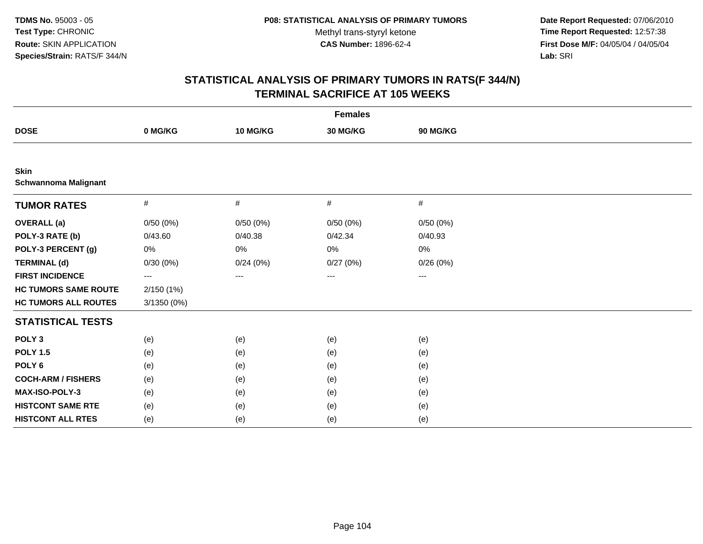**Date Report Requested:** 07/06/2010 **Time Report Requested:** 12:57:38 **First Dose M/F:** 04/05/04 / 04/05/04<br>Lab: SRI **Lab:** SRI

|                                            |               |          | <b>Females</b> |          |  |
|--------------------------------------------|---------------|----------|----------------|----------|--|
| <b>DOSE</b>                                | 0 MG/KG       | 10 MG/KG | 30 MG/KG       | 90 MG/KG |  |
|                                            |               |          |                |          |  |
| <b>Skin</b><br><b>Schwannoma Malignant</b> |               |          |                |          |  |
| <b>TUMOR RATES</b>                         | $\#$          | #        | #              | $\#$     |  |
| <b>OVERALL (a)</b>                         | 0/50(0%)      | 0/50(0%) | 0/50(0%)       | 0/50(0%) |  |
| POLY-3 RATE (b)                            | 0/43.60       | 0/40.38  | 0/42.34        | 0/40.93  |  |
| POLY-3 PERCENT (g)                         | 0%            | 0%       | 0%             | 0%       |  |
| <b>TERMINAL (d)</b>                        | 0/30(0%)      | 0/24(0%) | 0/27(0%)       | 0/26(0%) |  |
| <b>FIRST INCIDENCE</b>                     | ---           | ---      | ---            | ---      |  |
| <b>HC TUMORS SAME ROUTE</b>                | 2/150 (1%)    |          |                |          |  |
| <b>HC TUMORS ALL ROUTES</b>                | $3/1350(0\%)$ |          |                |          |  |
| <b>STATISTICAL TESTS</b>                   |               |          |                |          |  |
| POLY <sub>3</sub>                          | (e)           | (e)      | (e)            | (e)      |  |
| <b>POLY 1.5</b>                            | (e)           | (e)      | (e)            | (e)      |  |
| POLY <sub>6</sub>                          | (e)           | (e)      | (e)            | (e)      |  |
| <b>COCH-ARM / FISHERS</b>                  | (e)           | (e)      | (e)            | (e)      |  |
| MAX-ISO-POLY-3                             | (e)           | (e)      | (e)            | (e)      |  |
| <b>HISTCONT SAME RTE</b>                   | (e)           | (e)      | (e)            | (e)      |  |
| <b>HISTCONT ALL RTES</b>                   | (e)           | (e)      | (e)            | (e)      |  |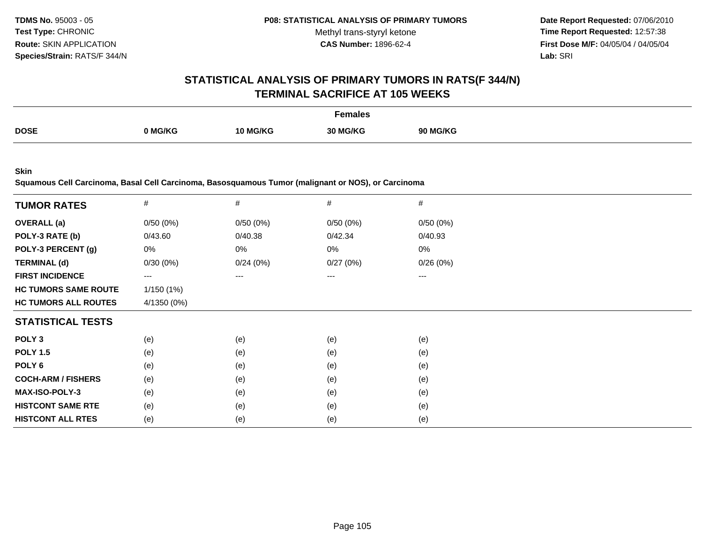**Date Report Requested:** 07/06/2010 **Time Report Requested:** 12:57:38 **First Dose M/F:** 04/05/04 / 04/05/04<br>**Lab:** SRI **Lab:** SRI

#### **STATISTICAL ANALYSIS OF PRIMARY TUMORS IN RATS(F 344/N)TERMINAL SACRIFICE AT 105 WEEKS**

|             |        |                 | Females                      |              |
|-------------|--------|-----------------|------------------------------|--------------|
| <b>DOSE</b> | `MG/KG | <b>10 MG/KG</b> | <sub>ົ</sub> ` MG/KG<br>30 M | <b>MG/KG</b> |

**Skin**

**Squamous Cell Carcinoma, Basal Cell Carcinoma, Basosquamous Tumor (malignant or NOS), or Carcinoma**

| <b>TUMOR RATES</b>          | $\#$              | $\#$     | #        | #        |  |
|-----------------------------|-------------------|----------|----------|----------|--|
| <b>OVERALL</b> (a)          | 0/50(0%)          | 0/50(0%) | 0/50(0%) | 0/50(0%) |  |
| POLY-3 RATE (b)             | 0/43.60           | 0/40.38  | 0/42.34  | 0/40.93  |  |
| POLY-3 PERCENT (g)          | 0%                | 0%       | 0%       | 0%       |  |
| <b>TERMINAL (d)</b>         | 0/30(0%)          | 0/24(0%) | 0/27(0%) | 0/26(0%) |  |
| <b>FIRST INCIDENCE</b>      | $\qquad \qquad -$ | $---$    | $---$    | ---      |  |
| <b>HC TUMORS SAME ROUTE</b> | 1/150(1%)         |          |          |          |  |
| <b>HC TUMORS ALL ROUTES</b> | 4/1350 (0%)       |          |          |          |  |
| <b>STATISTICAL TESTS</b>    |                   |          |          |          |  |
| POLY <sub>3</sub>           | (e)               | (e)      | (e)      | (e)      |  |
| <b>POLY 1.5</b>             | (e)               | (e)      | (e)      | (e)      |  |
| POLY 6                      | (e)               | (e)      | (e)      | (e)      |  |
| <b>COCH-ARM / FISHERS</b>   | (e)               | (e)      | (e)      | (e)      |  |
| MAX-ISO-POLY-3              | (e)               | (e)      | (e)      | (e)      |  |
| <b>HISTCONT SAME RTE</b>    | (e)               | (e)      | (e)      | (e)      |  |
| <b>HISTCONT ALL RTES</b>    | (e)               | (e)      | (e)      | (e)      |  |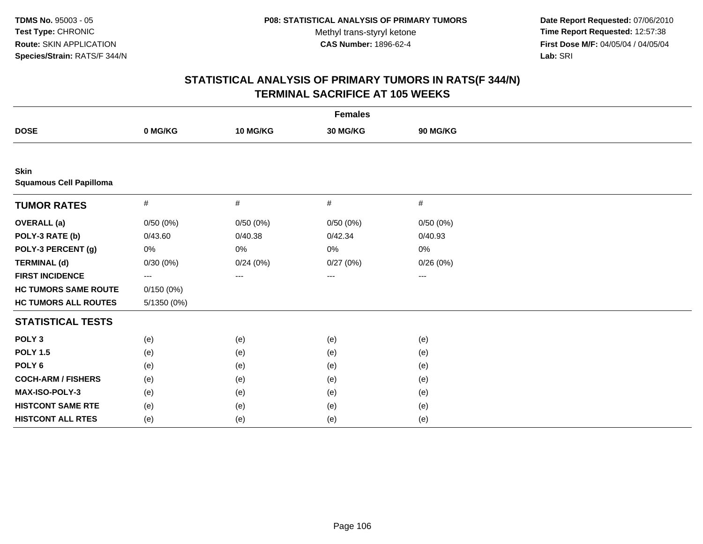**Date Report Requested:** 07/06/2010 **Time Report Requested:** 12:57:38 **First Dose M/F:** 04/05/04 / 04/05/04<br>Lab: SRI **Lab:** SRI

| <b>Females</b>                                |                   |          |          |          |  |
|-----------------------------------------------|-------------------|----------|----------|----------|--|
| <b>DOSE</b>                                   | 0 MG/KG           | 10 MG/KG | 30 MG/KG | 90 MG/KG |  |
|                                               |                   |          |          |          |  |
| <b>Skin</b><br><b>Squamous Cell Papilloma</b> |                   |          |          |          |  |
| <b>TUMOR RATES</b>                            | $\#$              | #        | $\#$     | $\#$     |  |
| <b>OVERALL</b> (a)                            | 0/50(0%)          | 0/50(0%) | 0/50(0%) | 0/50(0%) |  |
| POLY-3 RATE (b)                               | 0/43.60           | 0/40.38  | 0/42.34  | 0/40.93  |  |
| POLY-3 PERCENT (g)                            | 0%                | 0%       | 0%       | 0%       |  |
| <b>TERMINAL (d)</b>                           | 0/30(0%)          | 0/24(0%) | 0/27(0%) | 0/26(0%) |  |
| <b>FIRST INCIDENCE</b>                        | $\qquad \qquad -$ | ---      | ---      | ---      |  |
| <b>HC TUMORS SAME ROUTE</b>                   | 0/150(0%)         |          |          |          |  |
| <b>HC TUMORS ALL ROUTES</b>                   | $5/1350(0\%)$     |          |          |          |  |
| <b>STATISTICAL TESTS</b>                      |                   |          |          |          |  |
| POLY <sub>3</sub>                             | (e)               | (e)      | (e)      | (e)      |  |
| <b>POLY 1.5</b>                               | (e)               | (e)      | (e)      | (e)      |  |
| POLY <sub>6</sub>                             | (e)               | (e)      | (e)      | (e)      |  |
| <b>COCH-ARM / FISHERS</b>                     | (e)               | (e)      | (e)      | (e)      |  |
| MAX-ISO-POLY-3                                | (e)               | (e)      | (e)      | (e)      |  |
| <b>HISTCONT SAME RTE</b>                      | (e)               | (e)      | (e)      | (e)      |  |
| <b>HISTCONT ALL RTES</b>                      | (e)               | (e)      | (e)      | (e)      |  |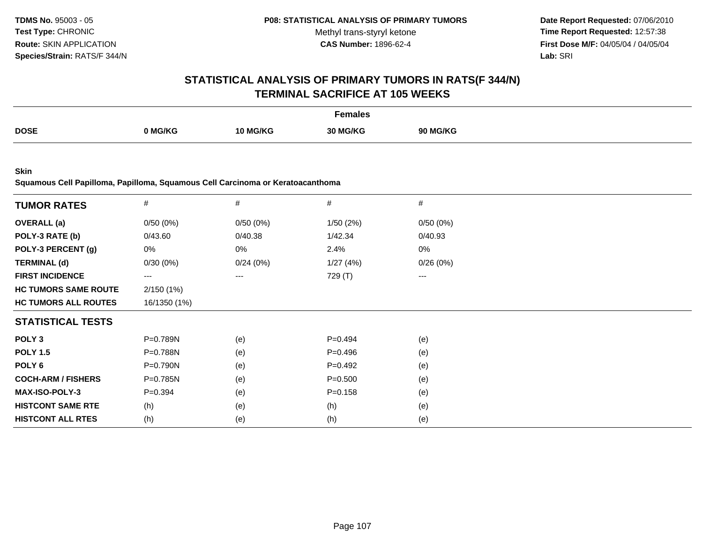**Date Report Requested:** 07/06/2010 **Time Report Requested:** 12:57:38 **First Dose M/F:** 04/05/04 / 04/05/04<br>**Lab:** SRI **Lab:** SRI

### **STATISTICAL ANALYSIS OF PRIMARY TUMORS IN RATS(F 344/N)TERMINAL SACRIFICE AT 105 WEEKS**

|             |       |          | Females  |              |
|-------------|-------|----------|----------|--------------|
| <b>DOSE</b> | MG/KG | 10 MG/KG | 30 MG/KG | <b>MG/KG</b> |
|             |       |          |          |              |

**Skin**

**Squamous Cell Papilloma, Papilloma, Squamous Cell Carcinoma or Keratoacanthoma**

| <b>TUMOR RATES</b>          | #                      | $\#$     | $\#$        | $\#$     |  |
|-----------------------------|------------------------|----------|-------------|----------|--|
| <b>OVERALL</b> (a)          | 0/50(0%)               | 0/50(0%) | 1/50(2%)    | 0/50(0%) |  |
| POLY-3 RATE (b)             | 0/43.60                | 0/40.38  | 1/42.34     | 0/40.93  |  |
| POLY-3 PERCENT (g)          | 0%                     | 0%       | 2.4%        | 0%       |  |
| <b>TERMINAL (d)</b>         | 0/30(0%)               | 0/24(0%) | 1/27(4%)    | 0/26(0%) |  |
| <b>FIRST INCIDENCE</b>      | $\qquad \qquad \cdots$ | ---      | 729 (T)     | ---      |  |
| <b>HC TUMORS SAME ROUTE</b> | 2/150(1%)              |          |             |          |  |
| <b>HC TUMORS ALL ROUTES</b> | 16/1350 (1%)           |          |             |          |  |
| <b>STATISTICAL TESTS</b>    |                        |          |             |          |  |
| POLY <sub>3</sub>           | P=0.789N               | (e)      | $P=0.494$   | (e)      |  |
| <b>POLY 1.5</b>             | P=0.788N               | (e)      | $P=0.496$   | (e)      |  |
| POLY 6                      | $P=0.790N$             | (e)      | $P = 0.492$ | (e)      |  |
| <b>COCH-ARM / FISHERS</b>   | P=0.785N               | (e)      | $P = 0.500$ | (e)      |  |
| <b>MAX-ISO-POLY-3</b>       | $P = 0.394$            | (e)      | $P = 0.158$ | (e)      |  |
| <b>HISTCONT SAME RTE</b>    | (h)                    | (e)      | (h)         | (e)      |  |
| <b>HISTCONT ALL RTES</b>    | (h)                    | (e)      | (h)         | (e)      |  |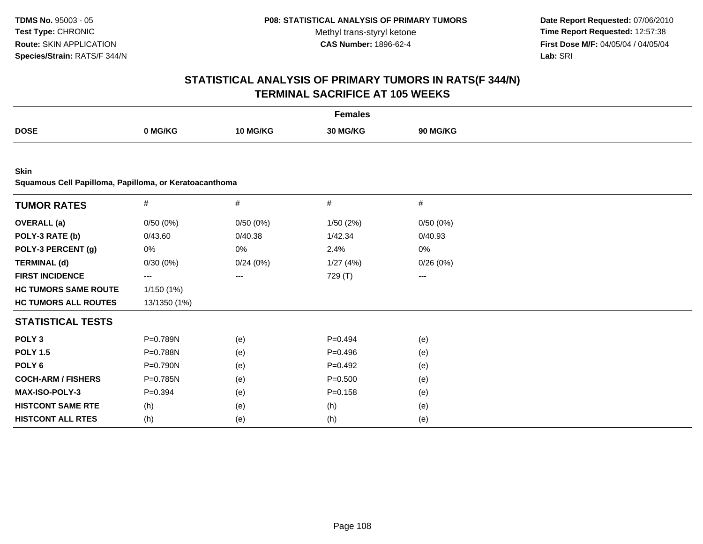**Date Report Requested:** 07/06/2010 **Time Report Requested:** 12:57:38 **First Dose M/F:** 04/05/04 / 04/05/04<br>Lab: SRI **Lab:** SRI

| <b>Females</b>                                         |                        |                        |             |          |  |  |
|--------------------------------------------------------|------------------------|------------------------|-------------|----------|--|--|
| <b>DOSE</b>                                            | 0 MG/KG                | 10 MG/KG               | 30 MG/KG    | 90 MG/KG |  |  |
|                                                        |                        |                        |             |          |  |  |
| Skin                                                   |                        |                        |             |          |  |  |
| Squamous Cell Papilloma, Papilloma, or Keratoacanthoma |                        |                        |             |          |  |  |
| <b>TUMOR RATES</b>                                     | $\#$                   | $\#$                   | $\#$        | $\#$     |  |  |
| <b>OVERALL</b> (a)                                     | 0/50(0%)               | 0/50(0%)               | 1/50(2%)    | 0/50(0%) |  |  |
| POLY-3 RATE (b)                                        | 0/43.60                | 0/40.38                | 1/42.34     | 0/40.93  |  |  |
| POLY-3 PERCENT (g)                                     | 0%                     | 0%                     | 2.4%        | 0%       |  |  |
| <b>TERMINAL (d)</b>                                    | 0/30(0%)               | 0/24(0%)               | 1/27(4%)    | 0/26(0%) |  |  |
| <b>FIRST INCIDENCE</b>                                 | $\qquad \qquad \cdots$ | $\qquad \qquad \cdots$ | 729 (T)     | ---      |  |  |
| <b>HC TUMORS SAME ROUTE</b>                            | 1/150(1%)              |                        |             |          |  |  |
| <b>HC TUMORS ALL ROUTES</b>                            | 13/1350 (1%)           |                        |             |          |  |  |
| <b>STATISTICAL TESTS</b>                               |                        |                        |             |          |  |  |
| POLY <sub>3</sub>                                      | P=0.789N               | (e)                    | $P=0.494$   | (e)      |  |  |
| <b>POLY 1.5</b>                                        | P=0.788N               | (e)                    | $P=0.496$   | (e)      |  |  |
| POLY <sub>6</sub>                                      | P=0.790N               | (e)                    | $P=0.492$   | (e)      |  |  |
| <b>COCH-ARM / FISHERS</b>                              | P=0.785N               | (e)                    | $P = 0.500$ | (e)      |  |  |
| MAX-ISO-POLY-3                                         | $P = 0.394$            | (e)                    | $P = 0.158$ | (e)      |  |  |
| <b>HISTCONT SAME RTE</b>                               | (h)                    | (e)                    | (h)         | (e)      |  |  |
| <b>HISTCONT ALL RTES</b>                               | (h)                    | (e)                    | (h)         | (e)      |  |  |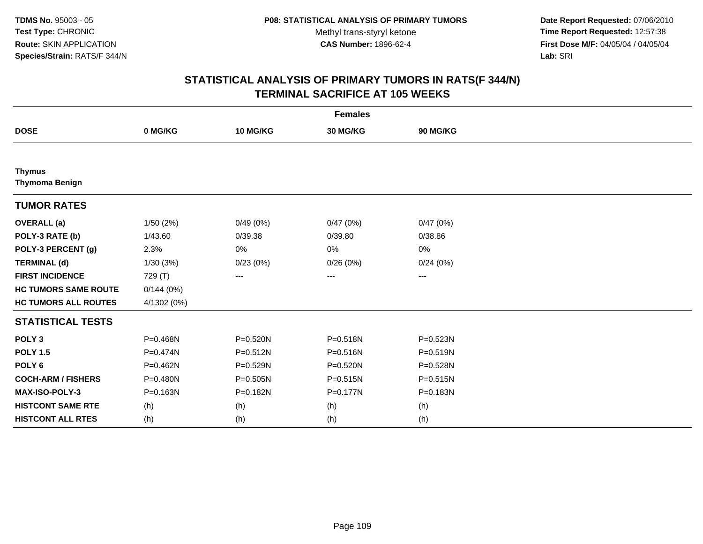**Date Report Requested:** 07/06/2010 **Time Report Requested:** 12:57:38 **First Dose M/F:** 04/05/04 / 04/05/04<br>Lab: SRI **Lab:** SRI

| <b>Females</b>                         |              |              |              |                   |  |  |
|----------------------------------------|--------------|--------------|--------------|-------------------|--|--|
| <b>DOSE</b>                            | 0 MG/KG      | 10 MG/KG     | 30 MG/KG     | 90 MG/KG          |  |  |
|                                        |              |              |              |                   |  |  |
| <b>Thymus</b><br><b>Thymoma Benign</b> |              |              |              |                   |  |  |
| <b>TUMOR RATES</b>                     |              |              |              |                   |  |  |
| <b>OVERALL</b> (a)                     | 1/50(2%)     | 0/49(0%)     | 0/47(0%)     | 0/47(0%)          |  |  |
| POLY-3 RATE (b)                        | 1/43.60      | 0/39.38      | 0/39.80      | 0/38.86           |  |  |
| POLY-3 PERCENT (g)                     | 2.3%         | 0%           | 0%           | 0%                |  |  |
| <b>TERMINAL (d)</b>                    | 1/30(3%)     | 0/23(0%)     | 0/26(0%)     | 0/24(0%)          |  |  |
| <b>FIRST INCIDENCE</b>                 | 729 (T)      | ---          | $\cdots$     | $\qquad \qquad -$ |  |  |
| <b>HC TUMORS SAME ROUTE</b>            | 0/144(0%)    |              |              |                   |  |  |
| <b>HC TUMORS ALL ROUTES</b>            | 4/1302 (0%)  |              |              |                   |  |  |
| <b>STATISTICAL TESTS</b>               |              |              |              |                   |  |  |
| POLY <sub>3</sub>                      | P=0.468N     | P=0.520N     | P=0.518N     | P=0.523N          |  |  |
| <b>POLY 1.5</b>                        | $P = 0.474N$ | $P = 0.512N$ | P=0.516N     | $P = 0.519N$      |  |  |
| POLY <sub>6</sub>                      | P=0.462N     | P=0.529N     | P=0.520N     | P=0.528N          |  |  |
| <b>COCH-ARM / FISHERS</b>              | $P = 0.480N$ | P=0.505N     | $P = 0.515N$ | $P = 0.515N$      |  |  |
| MAX-ISO-POLY-3                         | P=0.163N     | P=0.182N     | P=0.177N     | P=0.183N          |  |  |
| <b>HISTCONT SAME RTE</b>               | (h)          | (h)          | (h)          | (h)               |  |  |
| <b>HISTCONT ALL RTES</b>               | (h)          | (h)          | (h)          | (h)               |  |  |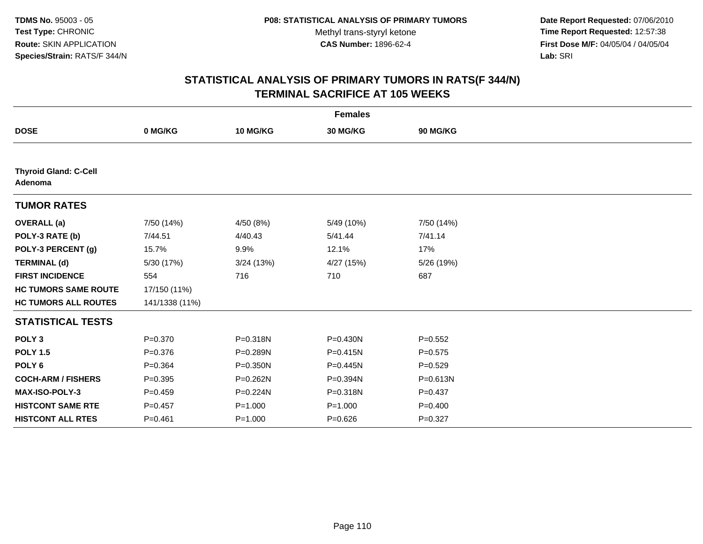**Date Report Requested:** 07/06/2010 **Time Report Requested:** 12:57:38 **First Dose M/F:** 04/05/04 / 04/05/04<br>Lab: SRI **Lab:** SRI

| <b>Females</b>                          |                |              |              |             |  |  |
|-----------------------------------------|----------------|--------------|--------------|-------------|--|--|
| <b>DOSE</b>                             | 0 MG/KG        | 10 MG/KG     | 30 MG/KG     | 90 MG/KG    |  |  |
|                                         |                |              |              |             |  |  |
| <b>Thyroid Gland: C-Cell</b><br>Adenoma |                |              |              |             |  |  |
| <b>TUMOR RATES</b>                      |                |              |              |             |  |  |
| <b>OVERALL</b> (a)                      | 7/50 (14%)     | 4/50 (8%)    | 5/49 (10%)   | 7/50 (14%)  |  |  |
| POLY-3 RATE (b)                         | 7/44.51        | 4/40.43      | 5/41.44      | 7/41.14     |  |  |
| POLY-3 PERCENT (g)                      | 15.7%          | 9.9%         | 12.1%        | 17%         |  |  |
| <b>TERMINAL (d)</b>                     | 5/30 (17%)     | 3/24 (13%)   | 4/27 (15%)   | 5/26 (19%)  |  |  |
| <b>FIRST INCIDENCE</b>                  | 554            | 716          | 710          | 687         |  |  |
| <b>HC TUMORS SAME ROUTE</b>             | 17/150 (11%)   |              |              |             |  |  |
| <b>HC TUMORS ALL ROUTES</b>             | 141/1338 (11%) |              |              |             |  |  |
| <b>STATISTICAL TESTS</b>                |                |              |              |             |  |  |
| POLY <sub>3</sub>                       | $P = 0.370$    | P=0.318N     | $P = 0.430N$ | $P = 0.552$ |  |  |
| <b>POLY 1.5</b>                         | $P = 0.376$    | P=0.289N     | $P = 0.415N$ | $P = 0.575$ |  |  |
| POLY <sub>6</sub>                       | $P=0.364$      | $P = 0.350N$ | $P = 0.445N$ | $P=0.529$   |  |  |
| <b>COCH-ARM / FISHERS</b>               | $P = 0.395$    | P=0.262N     | P=0.394N     | P=0.613N    |  |  |
| MAX-ISO-POLY-3                          | $P=0.459$      | $P = 0.224N$ | P=0.318N     | $P=0.437$   |  |  |
| <b>HISTCONT SAME RTE</b>                | $P = 0.457$    | $P = 1.000$  | $P = 1.000$  | $P=0.400$   |  |  |
| <b>HISTCONT ALL RTES</b>                | $P = 0.461$    | $P = 1.000$  | $P = 0.626$  | $P = 0.327$ |  |  |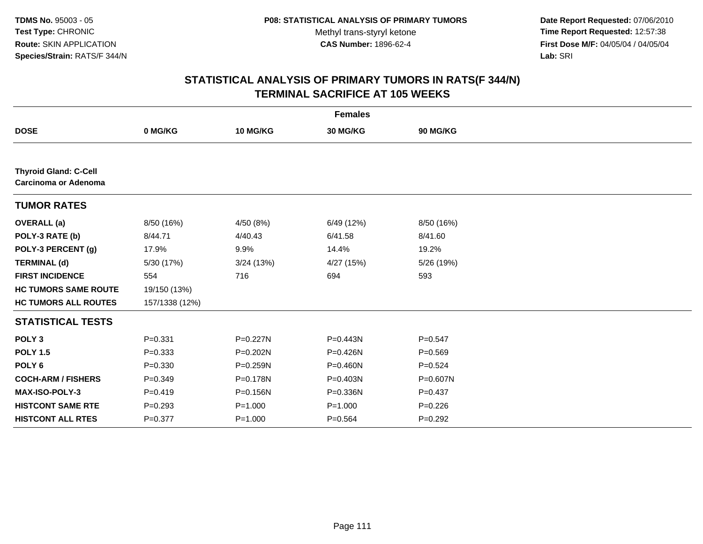**Date Report Requested:** 07/06/2010 **Time Report Requested:** 12:57:38 **First Dose M/F:** 04/05/04 / 04/05/04<br>Lab: SRI **Lab:** SRI

| <b>Females</b>                                       |                |              |              |             |  |  |
|------------------------------------------------------|----------------|--------------|--------------|-------------|--|--|
| <b>DOSE</b>                                          | 0 MG/KG        | 10 MG/KG     | 30 MG/KG     | 90 MG/KG    |  |  |
|                                                      |                |              |              |             |  |  |
| <b>Thyroid Gland: C-Cell</b><br>Carcinoma or Adenoma |                |              |              |             |  |  |
| <b>TUMOR RATES</b>                                   |                |              |              |             |  |  |
| <b>OVERALL</b> (a)                                   | 8/50 (16%)     | 4/50 (8%)    | 6/49 (12%)   | 8/50 (16%)  |  |  |
| POLY-3 RATE (b)                                      | 8/44.71        | 4/40.43      | 6/41.58      | 8/41.60     |  |  |
| POLY-3 PERCENT (g)                                   | 17.9%          | 9.9%         | 14.4%        | 19.2%       |  |  |
| <b>TERMINAL (d)</b>                                  | 5/30 (17%)     | 3/24 (13%)   | 4/27(15%)    | 5/26 (19%)  |  |  |
| <b>FIRST INCIDENCE</b>                               | 554            | 716          | 694          | 593         |  |  |
| <b>HC TUMORS SAME ROUTE</b>                          | 19/150 (13%)   |              |              |             |  |  |
| <b>HC TUMORS ALL ROUTES</b>                          | 157/1338 (12%) |              |              |             |  |  |
| <b>STATISTICAL TESTS</b>                             |                |              |              |             |  |  |
| POLY <sub>3</sub>                                    | $P = 0.331$    | P=0.227N     | P=0.443N     | $P=0.547$   |  |  |
| <b>POLY 1.5</b>                                      | $P = 0.333$    | P=0.202N     | P=0.426N     | $P = 0.569$ |  |  |
| POLY <sub>6</sub>                                    | $P = 0.330$    | $P = 0.259N$ | $P = 0.460N$ | $P=0.524$   |  |  |
| <b>COCH-ARM / FISHERS</b>                            | $P = 0.349$    | P=0.178N     | P=0.403N     | P=0.607N    |  |  |
| <b>MAX-ISO-POLY-3</b>                                | $P = 0.419$    | P=0.156N     | P=0.336N     | $P=0.437$   |  |  |
| <b>HISTCONT SAME RTE</b>                             | $P = 0.293$    | $P = 1.000$  | $P = 1.000$  | $P = 0.226$ |  |  |
| <b>HISTCONT ALL RTES</b>                             | $P=0.377$      | $P = 1.000$  | $P = 0.564$  | $P=0.292$   |  |  |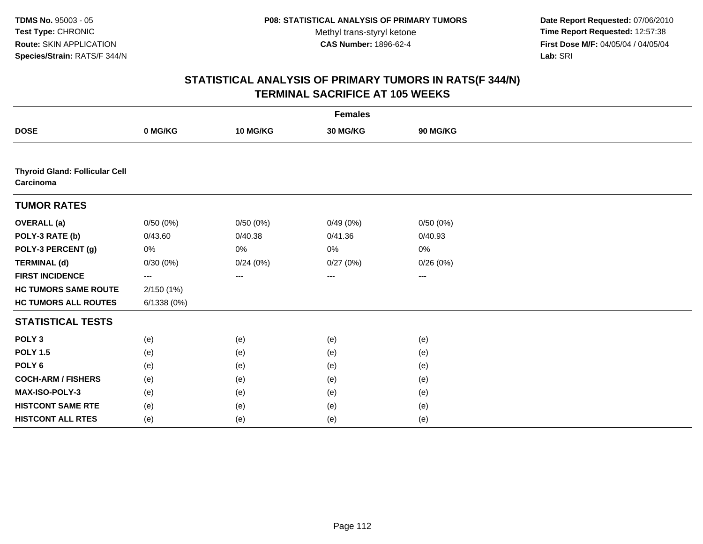**Date Report Requested:** 07/06/2010 **Time Report Requested:** 12:57:38 **First Dose M/F:** 04/05/04 / 04/05/04<br>Lab: SRI **Lab:** SRI

| <b>Females</b>                                     |            |          |          |                   |  |  |
|----------------------------------------------------|------------|----------|----------|-------------------|--|--|
| <b>DOSE</b>                                        | 0 MG/KG    | 10 MG/KG | 30 MG/KG | 90 MG/KG          |  |  |
|                                                    |            |          |          |                   |  |  |
| <b>Thyroid Gland: Follicular Cell</b><br>Carcinoma |            |          |          |                   |  |  |
| <b>TUMOR RATES</b>                                 |            |          |          |                   |  |  |
| <b>OVERALL (a)</b>                                 | 0/50(0%)   | 0/50(0%) | 0/49(0%) | 0/50(0%)          |  |  |
| POLY-3 RATE (b)                                    | 0/43.60    | 0/40.38  | 0/41.36  | 0/40.93           |  |  |
| POLY-3 PERCENT (g)                                 | 0%         | 0%       | 0%       | 0%                |  |  |
| <b>TERMINAL (d)</b>                                | 0/30(0%)   | 0/24(0%) | 0/27(0%) | 0/26(0%)          |  |  |
| <b>FIRST INCIDENCE</b>                             | ---        | $\cdots$ | $\cdots$ | $\qquad \qquad -$ |  |  |
| <b>HC TUMORS SAME ROUTE</b>                        | 2/150(1%)  |          |          |                   |  |  |
| <b>HC TUMORS ALL ROUTES</b>                        | 6/1338(0%) |          |          |                   |  |  |
| <b>STATISTICAL TESTS</b>                           |            |          |          |                   |  |  |
| POLY <sub>3</sub>                                  | (e)        | (e)      | (e)      | (e)               |  |  |
| <b>POLY 1.5</b>                                    | (e)        | (e)      | (e)      | (e)               |  |  |
| POLY <sub>6</sub>                                  | (e)        | (e)      | (e)      | (e)               |  |  |
| <b>COCH-ARM / FISHERS</b>                          | (e)        | (e)      | (e)      | (e)               |  |  |
| <b>MAX-ISO-POLY-3</b>                              | (e)        | (e)      | (e)      | (e)               |  |  |
| <b>HISTCONT SAME RTE</b>                           | (e)        | (e)      | (e)      | (e)               |  |  |
| <b>HISTCONT ALL RTES</b>                           | (e)        | (e)      | (e)      | (e)               |  |  |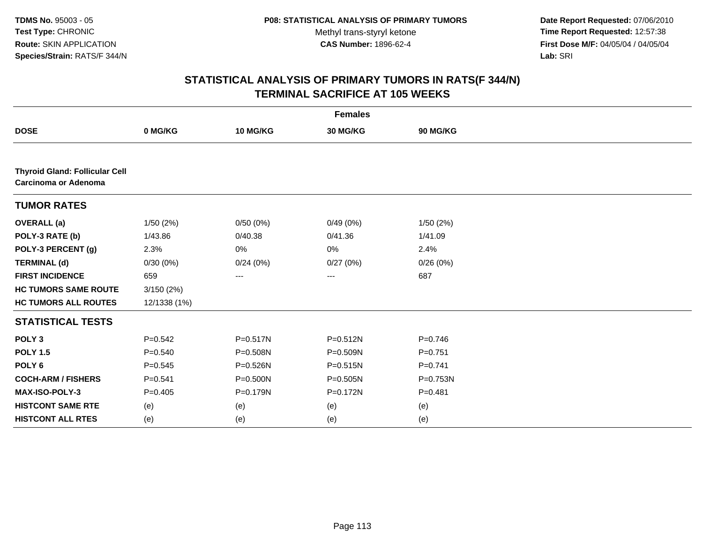**Date Report Requested:** 07/06/2010 **Time Report Requested:** 12:57:38 **First Dose M/F:** 04/05/04 / 04/05/04<br>Lab: SRI **Lab:** SRI

| <b>Females</b>                                                |              |              |                   |             |  |  |
|---------------------------------------------------------------|--------------|--------------|-------------------|-------------|--|--|
| <b>DOSE</b>                                                   | 0 MG/KG      | 10 MG/KG     | 30 MG/KG          | 90 MG/KG    |  |  |
|                                                               |              |              |                   |             |  |  |
| <b>Thyroid Gland: Follicular Cell</b><br>Carcinoma or Adenoma |              |              |                   |             |  |  |
| <b>TUMOR RATES</b>                                            |              |              |                   |             |  |  |
| <b>OVERALL</b> (a)                                            | 1/50(2%)     | 0/50(0%)     | 0/49(0%)          | 1/50(2%)    |  |  |
| POLY-3 RATE (b)                                               | 1/43.86      | 0/40.38      | 0/41.36           | 1/41.09     |  |  |
| POLY-3 PERCENT (g)                                            | 2.3%         | 0%           | 0%                | 2.4%        |  |  |
| <b>TERMINAL (d)</b>                                           | 0/30(0%)     | 0/24(0%)     | 0/27(0%)          | 0/26(0%)    |  |  |
| <b>FIRST INCIDENCE</b>                                        | 659          | ---          | $\qquad \qquad -$ | 687         |  |  |
| <b>HC TUMORS SAME ROUTE</b>                                   | 3/150(2%)    |              |                   |             |  |  |
| <b>HC TUMORS ALL ROUTES</b>                                   | 12/1338 (1%) |              |                   |             |  |  |
| <b>STATISTICAL TESTS</b>                                      |              |              |                   |             |  |  |
| POLY <sub>3</sub>                                             | $P = 0.542$  | $P = 0.517N$ | P=0.512N          | $P = 0.746$ |  |  |
| <b>POLY 1.5</b>                                               | $P = 0.540$  | P=0.508N     | P=0.509N          | $P = 0.751$ |  |  |
| POLY <sub>6</sub>                                             | $P = 0.545$  | P=0.526N     | $P = 0.515N$      | $P = 0.741$ |  |  |
| <b>COCH-ARM / FISHERS</b>                                     | $P = 0.541$  | P=0.500N     | P=0.505N          | P=0.753N    |  |  |
| MAX-ISO-POLY-3                                                | $P = 0.405$  | P=0.179N     | P=0.172N          | $P = 0.481$ |  |  |
| <b>HISTCONT SAME RTE</b>                                      | (e)          | (e)          | (e)               | (e)         |  |  |
| <b>HISTCONT ALL RTES</b>                                      | (e)          | (e)          | (e)               | (e)         |  |  |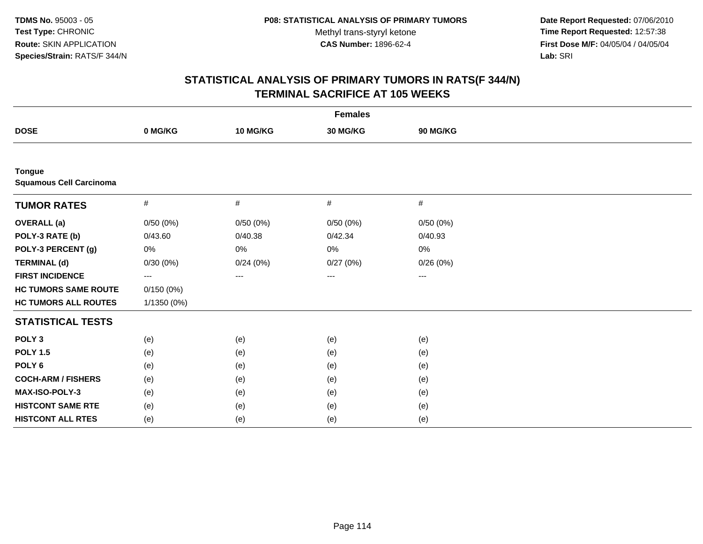**Date Report Requested:** 07/06/2010 **Time Report Requested:** 12:57:38 **First Dose M/F:** 04/05/04 / 04/05/04<br>Lab: SRI **Lab:** SRI

| <b>Females</b>                                  |             |          |                   |                        |  |  |
|-------------------------------------------------|-------------|----------|-------------------|------------------------|--|--|
| <b>DOSE</b>                                     | 0 MG/KG     | 10 MG/KG | 30 MG/KG          | 90 MG/KG               |  |  |
|                                                 |             |          |                   |                        |  |  |
| <b>Tongue</b><br><b>Squamous Cell Carcinoma</b> |             |          |                   |                        |  |  |
| <b>TUMOR RATES</b>                              | #           | #        | $\#$              | #                      |  |  |
| <b>OVERALL (a)</b>                              | 0/50(0%)    | 0/50(0%) | 0/50(0%)          | 0/50(0%)               |  |  |
| POLY-3 RATE (b)                                 | 0/43.60     | 0/40.38  | 0/42.34           | 0/40.93                |  |  |
| POLY-3 PERCENT (g)                              | 0%          | 0%       | 0%                | 0%                     |  |  |
| <b>TERMINAL (d)</b>                             | 0/30(0%)    | 0/24(0%) | 0/27(0%)          | 0/26(0%)               |  |  |
| <b>FIRST INCIDENCE</b>                          | ---         | ---      | $\qquad \qquad -$ | $\qquad \qquad \cdots$ |  |  |
| <b>HC TUMORS SAME ROUTE</b>                     | 0/150(0%)   |          |                   |                        |  |  |
| <b>HC TUMORS ALL ROUTES</b>                     | 1/1350 (0%) |          |                   |                        |  |  |
| <b>STATISTICAL TESTS</b>                        |             |          |                   |                        |  |  |
| POLY <sub>3</sub>                               | (e)         | (e)      | (e)               | (e)                    |  |  |
| <b>POLY 1.5</b>                                 | (e)         | (e)      | (e)               | (e)                    |  |  |
| POLY <sub>6</sub>                               | (e)         | (e)      | (e)               | (e)                    |  |  |
| <b>COCH-ARM / FISHERS</b>                       | (e)         | (e)      | (e)               | (e)                    |  |  |
| MAX-ISO-POLY-3                                  | (e)         | (e)      | (e)               | (e)                    |  |  |
| <b>HISTCONT SAME RTE</b>                        | (e)         | (e)      | (e)               | (e)                    |  |  |
| <b>HISTCONT ALL RTES</b>                        | (e)         | (e)      | (e)               | (e)                    |  |  |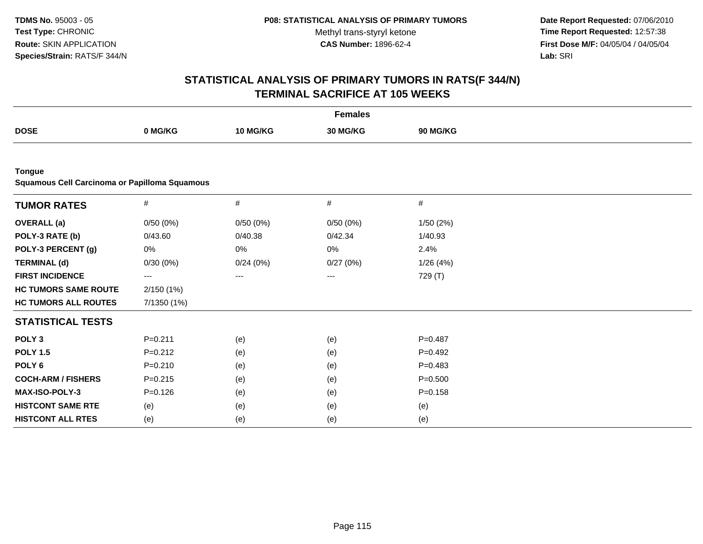**Date Report Requested:** 07/06/2010 **Time Report Requested:** 12:57:38 **First Dose M/F:** 04/05/04 / 04/05/04<br>Lab: SRI **Lab:** SRI

|                                               |             |                 | <b>Females</b> |             |  |
|-----------------------------------------------|-------------|-----------------|----------------|-------------|--|
| <b>DOSE</b>                                   | 0 MG/KG     | <b>10 MG/KG</b> | 30 MG/KG       | 90 MG/KG    |  |
|                                               |             |                 |                |             |  |
| <b>Tongue</b>                                 |             |                 |                |             |  |
| Squamous Cell Carcinoma or Papilloma Squamous |             |                 |                |             |  |
| <b>TUMOR RATES</b>                            | $\#$        | $\#$            | $\#$           | #           |  |
| <b>OVERALL</b> (a)                            | 0/50(0%)    | 0/50(0%)        | 0/50(0%)       | 1/50(2%)    |  |
| POLY-3 RATE (b)                               | 0/43.60     | 0/40.38         | 0/42.34        | 1/40.93     |  |
| POLY-3 PERCENT (g)                            | 0%          | 0%              | 0%             | 2.4%        |  |
| <b>TERMINAL (d)</b>                           | 0/30(0%)    | 0/24(0%)        | 0/27(0%)       | 1/26(4%)    |  |
| <b>FIRST INCIDENCE</b>                        | ---         | ---             | ---            | 729 (T)     |  |
| <b>HC TUMORS SAME ROUTE</b>                   | 2/150(1%)   |                 |                |             |  |
| <b>HC TUMORS ALL ROUTES</b>                   | 7/1350 (1%) |                 |                |             |  |
| <b>STATISTICAL TESTS</b>                      |             |                 |                |             |  |
| POLY <sub>3</sub>                             | $P = 0.211$ | (e)             | (e)            | $P = 0.487$ |  |
| <b>POLY 1.5</b>                               | $P=0.212$   | (e)             | (e)            | $P=0.492$   |  |
| POLY <sub>6</sub>                             | $P = 0.210$ | (e)             | (e)            | $P=0.483$   |  |
| <b>COCH-ARM / FISHERS</b>                     | $P = 0.215$ | (e)             | (e)            | $P = 0.500$ |  |
| <b>MAX-ISO-POLY-3</b>                         | $P = 0.126$ | (e)             | (e)            | $P = 0.158$ |  |
| <b>HISTCONT SAME RTE</b>                      | (e)         | (e)             | (e)            | (e)         |  |
| <b>HISTCONT ALL RTES</b>                      | (e)         | (e)             | (e)            | (e)         |  |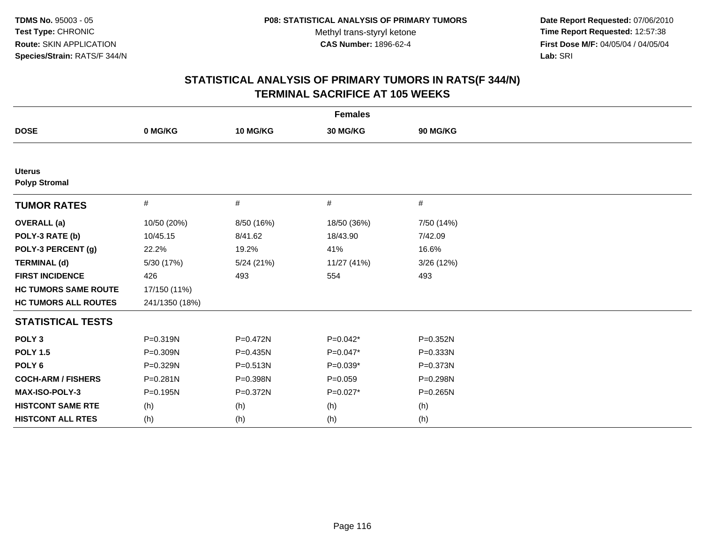**Date Report Requested:** 07/06/2010 **Time Report Requested:** 12:57:38 **First Dose M/F:** 04/05/04 / 04/05/04<br>Lab: SRI **Lab:** SRI

| <b>Females</b>                        |                |              |             |              |  |  |
|---------------------------------------|----------------|--------------|-------------|--------------|--|--|
| <b>DOSE</b>                           | 0 MG/KG        | 10 MG/KG     | 30 MG/KG    | 90 MG/KG     |  |  |
|                                       |                |              |             |              |  |  |
| <b>Uterus</b><br><b>Polyp Stromal</b> |                |              |             |              |  |  |
| <b>TUMOR RATES</b>                    | #              | #            | $\#$        | #            |  |  |
| <b>OVERALL</b> (a)                    | 10/50 (20%)    | 8/50 (16%)   | 18/50 (36%) | 7/50 (14%)   |  |  |
| POLY-3 RATE (b)                       | 10/45.15       | 8/41.62      | 18/43.90    | 7/42.09      |  |  |
| POLY-3 PERCENT (g)                    | 22.2%          | 19.2%        | 41%         | 16.6%        |  |  |
| <b>TERMINAL (d)</b>                   | 5/30 (17%)     | 5/24 (21%)   | 11/27 (41%) | 3/26 (12%)   |  |  |
| <b>FIRST INCIDENCE</b>                | 426            | 493          | 554         | 493          |  |  |
| <b>HC TUMORS SAME ROUTE</b>           | 17/150 (11%)   |              |             |              |  |  |
| <b>HC TUMORS ALL ROUTES</b>           | 241/1350 (18%) |              |             |              |  |  |
| <b>STATISTICAL TESTS</b>              |                |              |             |              |  |  |
| POLY <sub>3</sub>                     | P=0.319N       | $P = 0.472N$ | $P=0.042*$  | P=0.352N     |  |  |
| <b>POLY 1.5</b>                       | P=0.309N       | $P = 0.435N$ | $P=0.047*$  | $P = 0.333N$ |  |  |
| POLY <sub>6</sub>                     | P=0.329N       | $P = 0.513N$ | $P=0.039*$  | $P = 0.373N$ |  |  |
| <b>COCH-ARM / FISHERS</b>             | P=0.281N       | P=0.398N     | $P = 0.059$ | P=0.298N     |  |  |
| MAX-ISO-POLY-3                        | $P = 0.195N$   | P=0.372N     | P=0.027*    | P=0.265N     |  |  |
| <b>HISTCONT SAME RTE</b>              | (h)            | (h)          | (h)         | (h)          |  |  |
| <b>HISTCONT ALL RTES</b>              | (h)            | (h)          | (h)         | (h)          |  |  |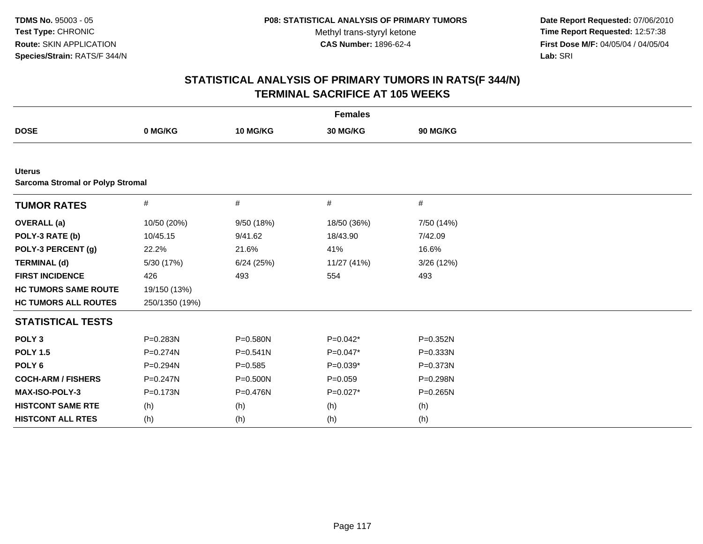**Date Report Requested:** 07/06/2010 **Time Report Requested:** 12:57:38 **First Dose M/F:** 04/05/04 / 04/05/04<br>Lab: SRI **Lab:** SRI

| <b>Females</b>              |                                         |              |                 |                 |  |  |  |  |  |  |
|-----------------------------|-----------------------------------------|--------------|-----------------|-----------------|--|--|--|--|--|--|
| <b>DOSE</b>                 | 0 MG/KG                                 | 10 MG/KG     | <b>30 MG/KG</b> | <b>90 MG/KG</b> |  |  |  |  |  |  |
|                             |                                         |              |                 |                 |  |  |  |  |  |  |
| <b>Uterus</b>               | <b>Sarcoma Stromal or Polyp Stromal</b> |              |                 |                 |  |  |  |  |  |  |
| <b>TUMOR RATES</b>          | $\#$                                    | $\#$         | $\#$            | #               |  |  |  |  |  |  |
| <b>OVERALL</b> (a)          | 10/50 (20%)                             | 9/50 (18%)   | 18/50 (36%)     | 7/50 (14%)      |  |  |  |  |  |  |
| POLY-3 RATE (b)             | 10/45.15                                | 9/41.62      | 18/43.90        | 7/42.09         |  |  |  |  |  |  |
| POLY-3 PERCENT (g)          | 22.2%                                   | 21.6%        | 41%             | 16.6%           |  |  |  |  |  |  |
| <b>TERMINAL (d)</b>         | 5/30 (17%)                              | 6/24(25%)    | 11/27 (41%)     | 3/26 (12%)      |  |  |  |  |  |  |
| <b>FIRST INCIDENCE</b>      | 426                                     | 493          | 554             | 493             |  |  |  |  |  |  |
| <b>HC TUMORS SAME ROUTE</b> | 19/150 (13%)                            |              |                 |                 |  |  |  |  |  |  |
| <b>HC TUMORS ALL ROUTES</b> | 250/1350 (19%)                          |              |                 |                 |  |  |  |  |  |  |
| <b>STATISTICAL TESTS</b>    |                                         |              |                 |                 |  |  |  |  |  |  |
| POLY <sub>3</sub>           | P=0.283N                                | P=0.580N     | $P=0.042*$      | $P = 0.352N$    |  |  |  |  |  |  |
| <b>POLY 1.5</b>             | P=0.274N                                | $P = 0.541N$ | $P=0.047*$      | $P = 0.333N$    |  |  |  |  |  |  |
| POLY <sub>6</sub>           | P=0.294N                                | $P = 0.585$  | P=0.039*        | P=0.373N        |  |  |  |  |  |  |
| <b>COCH-ARM / FISHERS</b>   | P=0.247N                                | $P = 0.500N$ | $P=0.059$       | P=0.298N        |  |  |  |  |  |  |
| MAX-ISO-POLY-3              | P=0.173N                                | P=0.476N     | $P=0.027*$      | $P = 0.265N$    |  |  |  |  |  |  |
| <b>HISTCONT SAME RTE</b>    | (h)                                     | (h)          | (h)             | (h)             |  |  |  |  |  |  |
| <b>HISTCONT ALL RTES</b>    | (h)                                     | (h)          | (h)             | (h)             |  |  |  |  |  |  |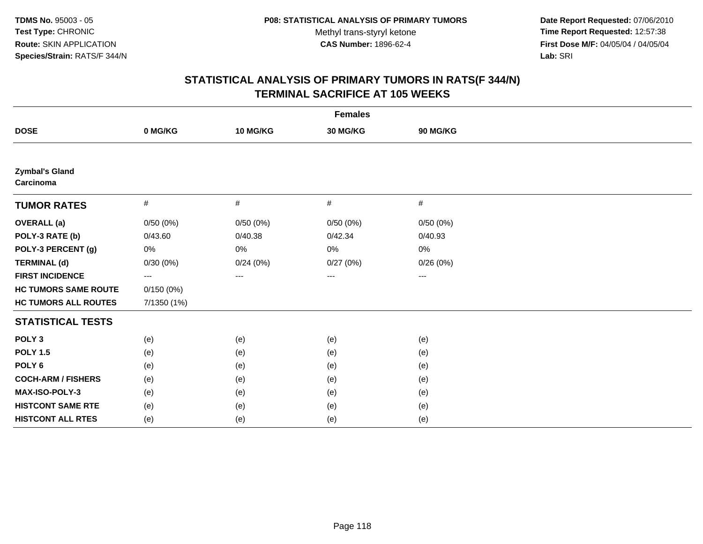**Date Report Requested:** 07/06/2010 **Time Report Requested:** 12:57:38 **First Dose M/F:** 04/05/04 / 04/05/04<br>Lab: SRI **Lab:** SRI

| <b>Females</b>                     |             |          |          |          |  |  |
|------------------------------------|-------------|----------|----------|----------|--|--|
| <b>DOSE</b>                        | 0 MG/KG     | 10 MG/KG | 30 MG/KG | 90 MG/KG |  |  |
|                                    |             |          |          |          |  |  |
| <b>Zymbal's Gland</b><br>Carcinoma |             |          |          |          |  |  |
| <b>TUMOR RATES</b>                 | $\#$        | $\#$     | $\#$     | $\#$     |  |  |
| <b>OVERALL (a)</b>                 | 0/50(0%)    | 0/50(0%) | 0/50(0%) | 0/50(0%) |  |  |
| POLY-3 RATE (b)                    | 0/43.60     | 0/40.38  | 0/42.34  | 0/40.93  |  |  |
| POLY-3 PERCENT (g)                 | 0%          | 0%       | 0%       | 0%       |  |  |
| <b>TERMINAL (d)</b>                | 0/30(0%)    | 0/24(0%) | 0/27(0%) | 0/26(0%) |  |  |
| <b>FIRST INCIDENCE</b>             | $---$       | ---      | ---      | ---      |  |  |
| <b>HC TUMORS SAME ROUTE</b>        | 0/150(0%)   |          |          |          |  |  |
| <b>HC TUMORS ALL ROUTES</b>        | 7/1350 (1%) |          |          |          |  |  |
| <b>STATISTICAL TESTS</b>           |             |          |          |          |  |  |
| POLY <sub>3</sub>                  | (e)         | (e)      | (e)      | (e)      |  |  |
| <b>POLY 1.5</b>                    | (e)         | (e)      | (e)      | (e)      |  |  |
| POLY <sub>6</sub>                  | (e)         | (e)      | (e)      | (e)      |  |  |
| <b>COCH-ARM / FISHERS</b>          | (e)         | (e)      | (e)      | (e)      |  |  |
| MAX-ISO-POLY-3                     | (e)         | (e)      | (e)      | (e)      |  |  |
| <b>HISTCONT SAME RTE</b>           | (e)         | (e)      | (e)      | (e)      |  |  |
| <b>HISTCONT ALL RTES</b>           | (e)         | (e)      | (e)      | (e)      |  |  |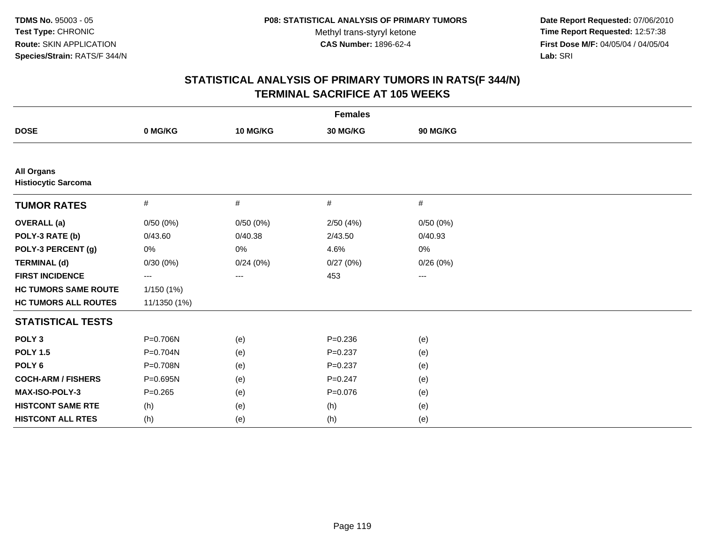**Date Report Requested:** 07/06/2010 **Time Report Requested:** 12:57:38 **First Dose M/F:** 04/05/04 / 04/05/04<br>Lab: SRI **Lab:** SRI

| <b>Females</b>                                  |              |          |             |          |  |  |
|-------------------------------------------------|--------------|----------|-------------|----------|--|--|
| <b>DOSE</b>                                     | 0 MG/KG      | 10 MG/KG | 30 MG/KG    | 90 MG/KG |  |  |
|                                                 |              |          |             |          |  |  |
| <b>All Organs</b><br><b>Histiocytic Sarcoma</b> |              |          |             |          |  |  |
| <b>TUMOR RATES</b>                              | $\#$         | $\#$     | #           | #        |  |  |
| <b>OVERALL</b> (a)                              | 0/50(0%)     | 0/50(0%) | 2/50(4%)    | 0/50(0%) |  |  |
| POLY-3 RATE (b)                                 | 0/43.60      | 0/40.38  | 2/43.50     | 0/40.93  |  |  |
| POLY-3 PERCENT (g)                              | 0%           | 0%       | 4.6%        | 0%       |  |  |
| <b>TERMINAL (d)</b>                             | 0/30(0%)     | 0/24(0%) | 0/27(0%)    | 0/26(0%) |  |  |
| <b>FIRST INCIDENCE</b>                          | ---          | ---      | 453         | $\cdots$ |  |  |
| <b>HC TUMORS SAME ROUTE</b>                     | 1/150 (1%)   |          |             |          |  |  |
| <b>HC TUMORS ALL ROUTES</b>                     | 11/1350 (1%) |          |             |          |  |  |
| <b>STATISTICAL TESTS</b>                        |              |          |             |          |  |  |
| POLY <sub>3</sub>                               | P=0.706N     | (e)      | $P = 0.236$ | (e)      |  |  |
| <b>POLY 1.5</b>                                 | $P = 0.704N$ | (e)      | $P = 0.237$ | (e)      |  |  |
| POLY <sub>6</sub>                               | P=0.708N     | (e)      | $P = 0.237$ | (e)      |  |  |
| <b>COCH-ARM / FISHERS</b>                       | P=0.695N     | (e)      | $P = 0.247$ | (e)      |  |  |
| MAX-ISO-POLY-3                                  | $P = 0.265$  | (e)      | $P = 0.076$ | (e)      |  |  |
| <b>HISTCONT SAME RTE</b>                        | (h)          | (e)      | (h)         | (e)      |  |  |
| <b>HISTCONT ALL RTES</b>                        | (h)          | (e)      | (h)         | (e)      |  |  |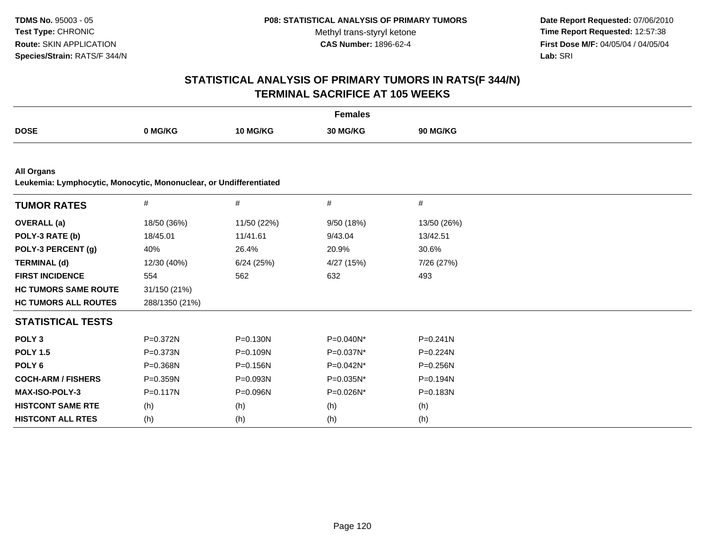**Date Report Requested:** 07/06/2010 **Time Report Requested:** 12:57:38 **First Dose M/F:** 04/05/04 / 04/05/04<br>Lab: SRI **Lab:** SRI

| <b>Females</b>                                                                          |                |              |              |              |  |  |
|-----------------------------------------------------------------------------------------|----------------|--------------|--------------|--------------|--|--|
| <b>DOSE</b>                                                                             | 0 MG/KG        | 10 MG/KG     | 30 MG/KG     | 90 MG/KG     |  |  |
|                                                                                         |                |              |              |              |  |  |
| <b>All Organs</b><br>Leukemia: Lymphocytic, Monocytic, Mononuclear, or Undifferentiated |                |              |              |              |  |  |
| <b>TUMOR RATES</b>                                                                      | $\#$           | $\#$         | $\#$         | $\#$         |  |  |
| <b>OVERALL</b> (a)                                                                      | 18/50 (36%)    | 11/50 (22%)  | 9/50 (18%)   | 13/50 (26%)  |  |  |
| POLY-3 RATE (b)                                                                         | 18/45.01       | 11/41.61     | 9/43.04      | 13/42.51     |  |  |
| POLY-3 PERCENT (g)                                                                      | 40%            | 26.4%        | 20.9%        | 30.6%        |  |  |
| <b>TERMINAL (d)</b>                                                                     | 12/30 (40%)    | 6/24(25%)    | 4/27 (15%)   | 7/26 (27%)   |  |  |
| <b>FIRST INCIDENCE</b>                                                                  | 554            | 562          | 632          | 493          |  |  |
| <b>HC TUMORS SAME ROUTE</b>                                                             | 31/150 (21%)   |              |              |              |  |  |
| <b>HC TUMORS ALL ROUTES</b>                                                             | 288/1350 (21%) |              |              |              |  |  |
| <b>STATISTICAL TESTS</b>                                                                |                |              |              |              |  |  |
| POLY <sub>3</sub>                                                                       | P=0.372N       | $P = 0.130N$ | P=0.040N*    | $P = 0.241N$ |  |  |
| <b>POLY 1.5</b>                                                                         | P=0.373N       | $P = 0.109N$ | P=0.037N*    | P=0.224N     |  |  |
| POLY <sub>6</sub>                                                                       | $P = 0.368N$   | $P = 0.156N$ | $P=0.042N^*$ | $P = 0.256N$ |  |  |
| <b>COCH-ARM / FISHERS</b>                                                               | $P = 0.359N$   | $P = 0.093N$ | P=0.035N*    | P=0.194N     |  |  |
| MAX-ISO-POLY-3                                                                          | $P = 0.117N$   | P=0.096N     | P=0.026N*    | P=0.183N     |  |  |
| <b>HISTCONT SAME RTE</b>                                                                | (h)            | (h)          | (h)          | (h)          |  |  |
| <b>HISTCONT ALL RTES</b>                                                                | (h)            | (h)          | (h)          | (h)          |  |  |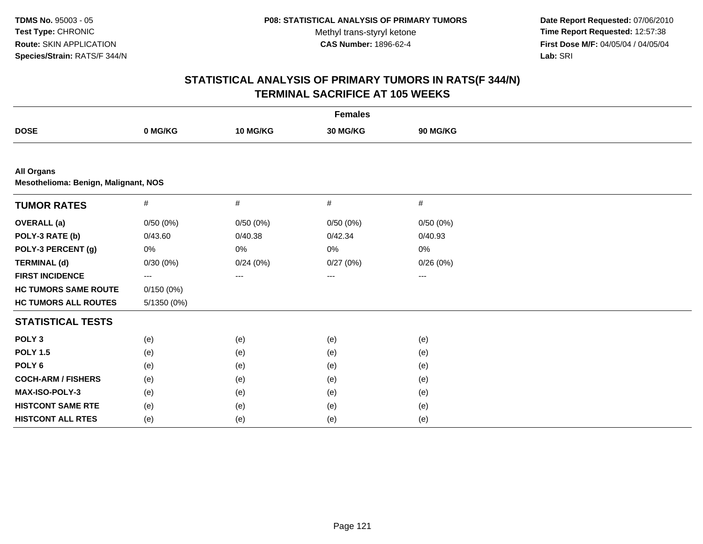**Date Report Requested:** 07/06/2010 **Time Report Requested:** 12:57:38 **First Dose M/F:** 04/05/04 / 04/05/04<br>Lab: SRI **Lab:** SRI

| <b>Females</b>                                            |             |          |          |          |  |
|-----------------------------------------------------------|-------------|----------|----------|----------|--|
| <b>DOSE</b>                                               | 0 MG/KG     | 10 MG/KG | 30 MG/KG | 90 MG/KG |  |
|                                                           |             |          |          |          |  |
| <b>All Organs</b><br>Mesothelioma: Benign, Malignant, NOS |             |          |          |          |  |
| <b>TUMOR RATES</b>                                        | $\#$        | $\#$     | $\#$     | $\#$     |  |
| <b>OVERALL</b> (a)                                        | 0/50(0%)    | 0/50(0%) | 0/50(0%) | 0/50(0%) |  |
| POLY-3 RATE (b)                                           | 0/43.60     | 0/40.38  | 0/42.34  | 0/40.93  |  |
| POLY-3 PERCENT (g)                                        | 0%          | 0%       | 0%       | $0\%$    |  |
| <b>TERMINAL (d)</b>                                       | 0/30(0%)    | 0/24(0%) | 0/27(0%) | 0/26(0%) |  |
| <b>FIRST INCIDENCE</b>                                    | ---         | ---      | ---      | ---      |  |
| <b>HC TUMORS SAME ROUTE</b>                               | 0/150(0%)   |          |          |          |  |
| <b>HC TUMORS ALL ROUTES</b>                               | 5/1350 (0%) |          |          |          |  |
| <b>STATISTICAL TESTS</b>                                  |             |          |          |          |  |
| POLY <sub>3</sub>                                         | (e)         | (e)      | (e)      | (e)      |  |
| <b>POLY 1.5</b>                                           | (e)         | (e)      | (e)      | (e)      |  |
| POLY <sub>6</sub>                                         | (e)         | (e)      | (e)      | (e)      |  |
| <b>COCH-ARM / FISHERS</b>                                 | (e)         | (e)      | (e)      | (e)      |  |
| MAX-ISO-POLY-3                                            | (e)         | (e)      | (e)      | (e)      |  |
| <b>HISTCONT SAME RTE</b>                                  | (e)         | (e)      | (e)      | (e)      |  |
| <b>HISTCONT ALL RTES</b>                                  | (e)         | (e)      | (e)      | (e)      |  |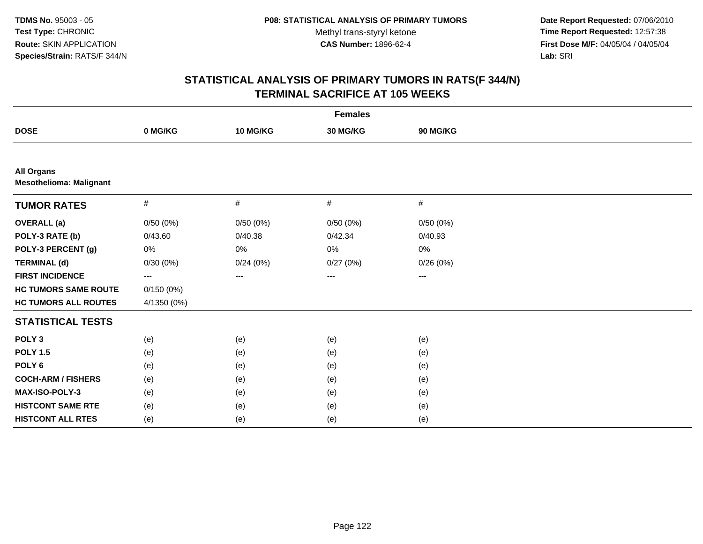**Date Report Requested:** 07/06/2010 **Time Report Requested:** 12:57:38 **First Dose M/F:** 04/05/04 / 04/05/04<br>Lab: SRI **Lab:** SRI

| <b>Females</b>                                      |             |          |          |          |  |
|-----------------------------------------------------|-------------|----------|----------|----------|--|
| <b>DOSE</b>                                         | 0 MG/KG     | 10 MG/KG | 30 MG/KG | 90 MG/KG |  |
|                                                     |             |          |          |          |  |
| <b>All Organs</b><br><b>Mesothelioma: Malignant</b> |             |          |          |          |  |
| <b>TUMOR RATES</b>                                  | #           | #        | $\#$     | #        |  |
| <b>OVERALL (a)</b>                                  | 0/50(0%)    | 0/50(0%) | 0/50(0%) | 0/50(0%) |  |
| POLY-3 RATE (b)                                     | 0/43.60     | 0/40.38  | 0/42.34  | 0/40.93  |  |
| POLY-3 PERCENT (g)                                  | 0%          | 0%       | 0%       | 0%       |  |
| <b>TERMINAL (d)</b>                                 | 0/30(0%)    | 0/24(0%) | 0/27(0%) | 0/26(0%) |  |
| <b>FIRST INCIDENCE</b>                              | ---         | ---      | $\cdots$ | $---$    |  |
| <b>HC TUMORS SAME ROUTE</b>                         | 0/150(0%)   |          |          |          |  |
| <b>HC TUMORS ALL ROUTES</b>                         | 4/1350 (0%) |          |          |          |  |
| <b>STATISTICAL TESTS</b>                            |             |          |          |          |  |
| POLY <sub>3</sub>                                   | (e)         | (e)      | (e)      | (e)      |  |
| <b>POLY 1.5</b>                                     | (e)         | (e)      | (e)      | (e)      |  |
| POLY <sub>6</sub>                                   | (e)         | (e)      | (e)      | (e)      |  |
| <b>COCH-ARM / FISHERS</b>                           | (e)         | (e)      | (e)      | (e)      |  |
| MAX-ISO-POLY-3                                      | (e)         | (e)      | (e)      | (e)      |  |
| <b>HISTCONT SAME RTE</b>                            | (e)         | (e)      | (e)      | (e)      |  |
| <b>HISTCONT ALL RTES</b>                            | (e)         | (e)      | (e)      | (e)      |  |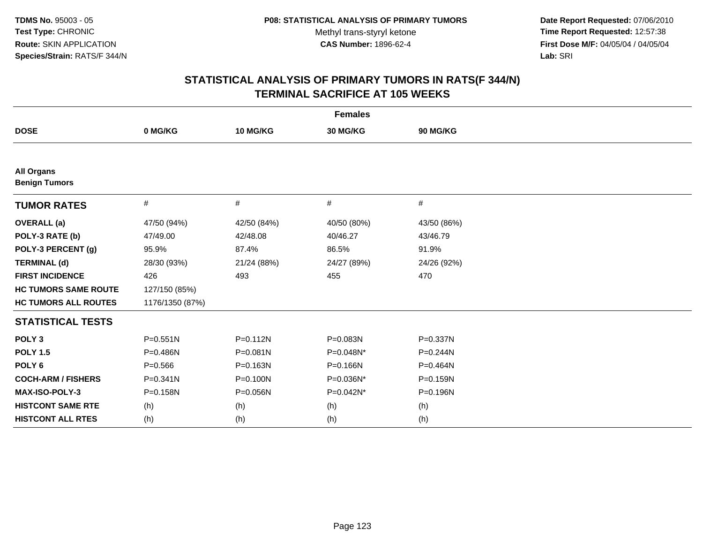**Date Report Requested:** 07/06/2010 **Time Report Requested:** 12:57:38 **First Dose M/F:** 04/05/04 / 04/05/04<br>Lab: SRI **Lab:** SRI

| <b>Females</b>                            |                 |              |             |              |
|-------------------------------------------|-----------------|--------------|-------------|--------------|
| <b>DOSE</b>                               | 0 MG/KG         | 10 MG/KG     | 30 MG/KG    | 90 MG/KG     |
|                                           |                 |              |             |              |
| <b>All Organs</b><br><b>Benign Tumors</b> |                 |              |             |              |
| <b>TUMOR RATES</b>                        | #               | #            | #           | #            |
| <b>OVERALL</b> (a)                        | 47/50 (94%)     | 42/50 (84%)  | 40/50 (80%) | 43/50 (86%)  |
| POLY-3 RATE (b)                           | 47/49.00        | 42/48.08     | 40/46.27    | 43/46.79     |
| POLY-3 PERCENT (g)                        | 95.9%           | 87.4%        | 86.5%       | 91.9%        |
| <b>TERMINAL (d)</b>                       | 28/30 (93%)     | 21/24 (88%)  | 24/27 (89%) | 24/26 (92%)  |
| <b>FIRST INCIDENCE</b>                    | 426             | 493          | 455         | 470          |
| <b>HC TUMORS SAME ROUTE</b>               | 127/150 (85%)   |              |             |              |
| <b>HC TUMORS ALL ROUTES</b>               | 1176/1350 (87%) |              |             |              |
| <b>STATISTICAL TESTS</b>                  |                 |              |             |              |
| POLY <sub>3</sub>                         | $P = 0.551N$    | $P = 0.112N$ | P=0.083N    | P=0.337N     |
| <b>POLY 1.5</b>                           | $P = 0.486N$    | $P = 0.081N$ | P=0.048N*   | $P = 0.244N$ |
| POLY <sub>6</sub>                         | $P = 0.566$     | P=0.163N     | P=0.166N    | P=0.464N     |
| <b>COCH-ARM / FISHERS</b>                 | $P = 0.341N$    | P=0.100N     | P=0.036N*   | P=0.159N     |
| <b>MAX-ISO-POLY-3</b>                     | $P = 0.158N$    | P=0.056N     | P=0.042N*   | P=0.196N     |
| <b>HISTCONT SAME RTE</b>                  | (h)             | (h)          | (h)         | (h)          |
| <b>HISTCONT ALL RTES</b>                  | (h)             | (h)          | (h)         | (h)          |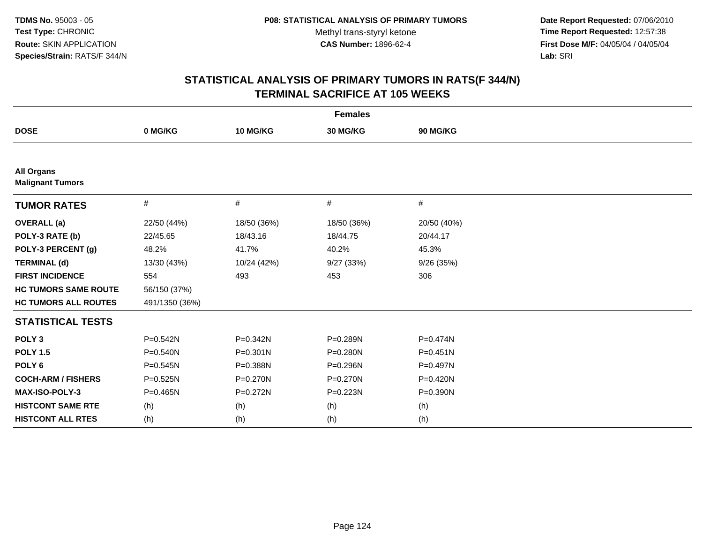**Date Report Requested:** 07/06/2010 **Time Report Requested:** 12:57:38 **First Dose M/F:** 04/05/04 / 04/05/04<br>Lab: SRI **Lab:** SRI

| <b>Females</b>                               |                |              |              |              |  |
|----------------------------------------------|----------------|--------------|--------------|--------------|--|
| <b>DOSE</b>                                  | 0 MG/KG        | 10 MG/KG     | 30 MG/KG     | 90 MG/KG     |  |
|                                              |                |              |              |              |  |
| <b>All Organs</b><br><b>Malignant Tumors</b> |                |              |              |              |  |
| <b>TUMOR RATES</b>                           | #              | #            | #            | #            |  |
| <b>OVERALL</b> (a)                           | 22/50 (44%)    | 18/50 (36%)  | 18/50 (36%)  | 20/50 (40%)  |  |
| POLY-3 RATE (b)                              | 22/45.65       | 18/43.16     | 18/44.75     | 20/44.17     |  |
| POLY-3 PERCENT (g)                           | 48.2%          | 41.7%        | 40.2%        | 45.3%        |  |
| <b>TERMINAL (d)</b>                          | 13/30 (43%)    | 10/24 (42%)  | 9/27(33%)    | 9/26(35%)    |  |
| <b>FIRST INCIDENCE</b>                       | 554            | 493          | 453          | 306          |  |
| <b>HC TUMORS SAME ROUTE</b>                  | 56/150 (37%)   |              |              |              |  |
| <b>HC TUMORS ALL ROUTES</b>                  | 491/1350 (36%) |              |              |              |  |
| <b>STATISTICAL TESTS</b>                     |                |              |              |              |  |
| POLY <sub>3</sub>                            | $P = 0.542N$   | P=0.342N     | P=0.289N     | $P = 0.474N$ |  |
| <b>POLY 1.5</b>                              | $P = 0.540N$   | $P = 0.301N$ | $P = 0.280N$ | $P = 0.451N$ |  |
| POLY <sub>6</sub>                            | $P = 0.545N$   | P=0.388N     | P=0.296N     | P=0.497N     |  |
| <b>COCH-ARM / FISHERS</b>                    | $P = 0.525N$   | P=0.270N     | P=0.270N     | P=0.420N     |  |
| MAX-ISO-POLY-3                               | $P = 0.465N$   | $P = 0.272N$ | P=0.223N     | P=0.390N     |  |
| <b>HISTCONT SAME RTE</b>                     | (h)            | (h)          | (h)          | (h)          |  |
| <b>HISTCONT ALL RTES</b>                     | (h)            | (h)          | (h)          | (h)          |  |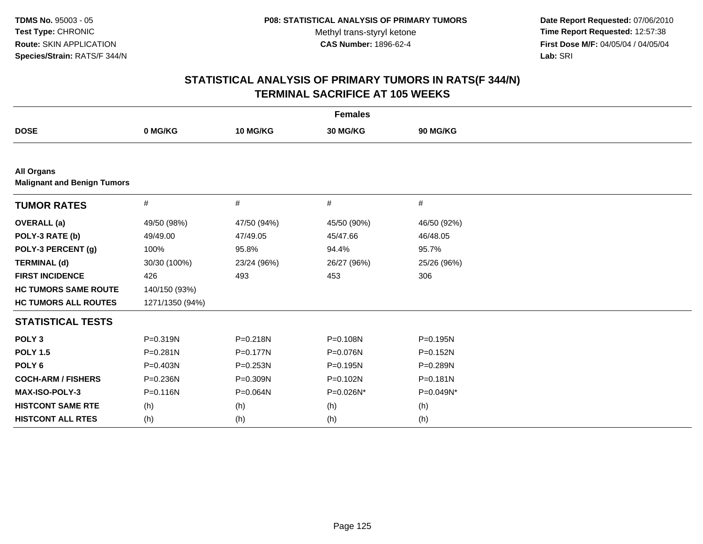**Date Report Requested:** 07/06/2010 **Time Report Requested:** 12:57:38 **First Dose M/F:** 04/05/04 / 04/05/04<br>Lab: SRI **Lab:** SRI

| <b>Females</b>                                          |                 |              |              |              |  |
|---------------------------------------------------------|-----------------|--------------|--------------|--------------|--|
| <b>DOSE</b>                                             | 0 MG/KG         | 10 MG/KG     | 30 MG/KG     | 90 MG/KG     |  |
|                                                         |                 |              |              |              |  |
| <b>All Organs</b><br><b>Malignant and Benign Tumors</b> |                 |              |              |              |  |
| <b>TUMOR RATES</b>                                      | #               | #            | #            | #            |  |
| <b>OVERALL</b> (a)                                      | 49/50 (98%)     | 47/50 (94%)  | 45/50 (90%)  | 46/50 (92%)  |  |
| POLY-3 RATE (b)                                         | 49/49.00        | 47/49.05     | 45/47.66     | 46/48.05     |  |
| POLY-3 PERCENT (g)                                      | 100%            | 95.8%        | 94.4%        | 95.7%        |  |
| <b>TERMINAL (d)</b>                                     | 30/30 (100%)    | 23/24 (96%)  | 26/27 (96%)  | 25/26 (96%)  |  |
| <b>FIRST INCIDENCE</b>                                  | 426             | 493          | 453          | 306          |  |
| <b>HC TUMORS SAME ROUTE</b>                             | 140/150 (93%)   |              |              |              |  |
| <b>HC TUMORS ALL ROUTES</b>                             | 1271/1350 (94%) |              |              |              |  |
| <b>STATISTICAL TESTS</b>                                |                 |              |              |              |  |
| POLY <sub>3</sub>                                       | P=0.319N        | P=0.218N     | P=0.108N     | P=0.195N     |  |
| <b>POLY 1.5</b>                                         | P=0.281N        | $P = 0.177N$ | P=0.076N     | $P = 0.152N$ |  |
| POLY <sub>6</sub>                                       | P=0.403N        | $P = 0.253N$ | $P = 0.195N$ | P=0.289N     |  |
| <b>COCH-ARM / FISHERS</b>                               | P=0.236N        | P=0.309N     | P=0.102N     | $P = 0.181N$ |  |
| MAX-ISO-POLY-3                                          | P=0.116N        | P=0.064N     | P=0.026N*    | P=0.049N*    |  |
| <b>HISTCONT SAME RTE</b>                                | (h)             | (h)          | (h)          | (h)          |  |
| <b>HISTCONT ALL RTES</b>                                | (h)             | (h)          | (h)          | (h)          |  |